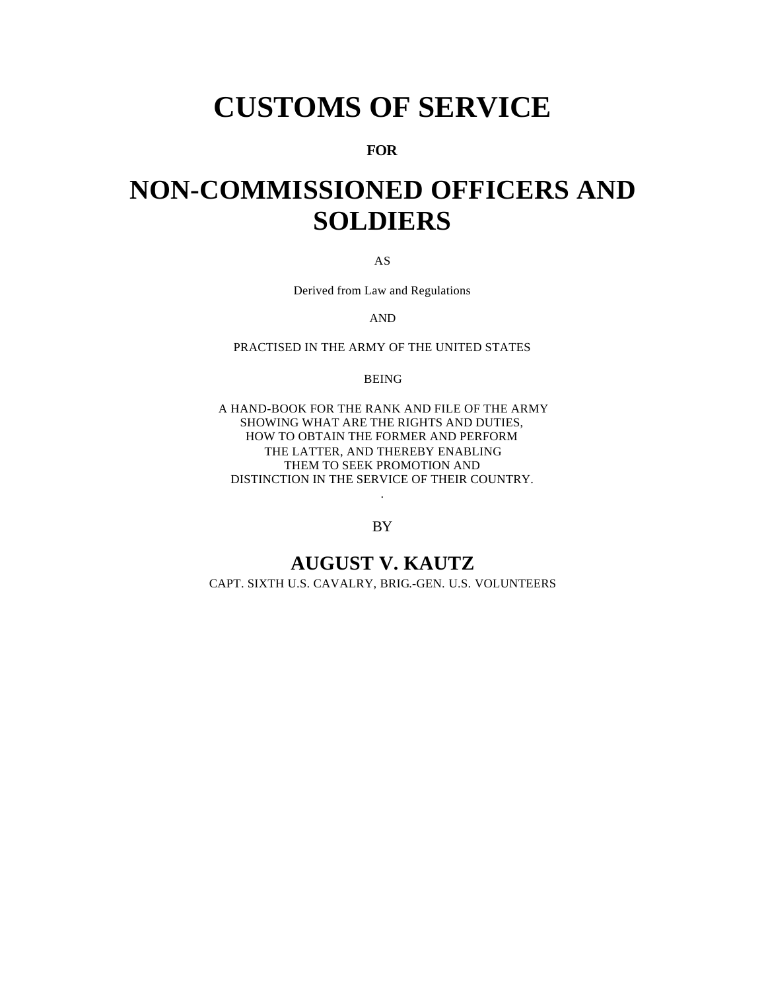# **CUSTOMS OF SERVICE**

**FOR**

# **NON-COMMISSIONED OFFICERS AND SOLDIERS**

AS

Derived from Law and Regulations

AND

PRACTISED IN THE ARMY OF THE UNITED STATES

BEING

A HAND-BOOK FOR THE RANK AND FILE OF THE ARMY SHOWING WHAT ARE THE RIGHTS AND DUTIES, HOW TO OBTAIN THE FORMER AND PERFORM THE LATTER, AND THEREBY ENABLING THEM TO SEEK PROMOTION AND DISTINCTION IN THE SERVICE OF THEIR COUNTRY.

BY

.

## **AUGUST V. KAUTZ** CAPT. SIXTH U.S. CAVALRY, BRIG.-GEN. U.S. VOLUNTEERS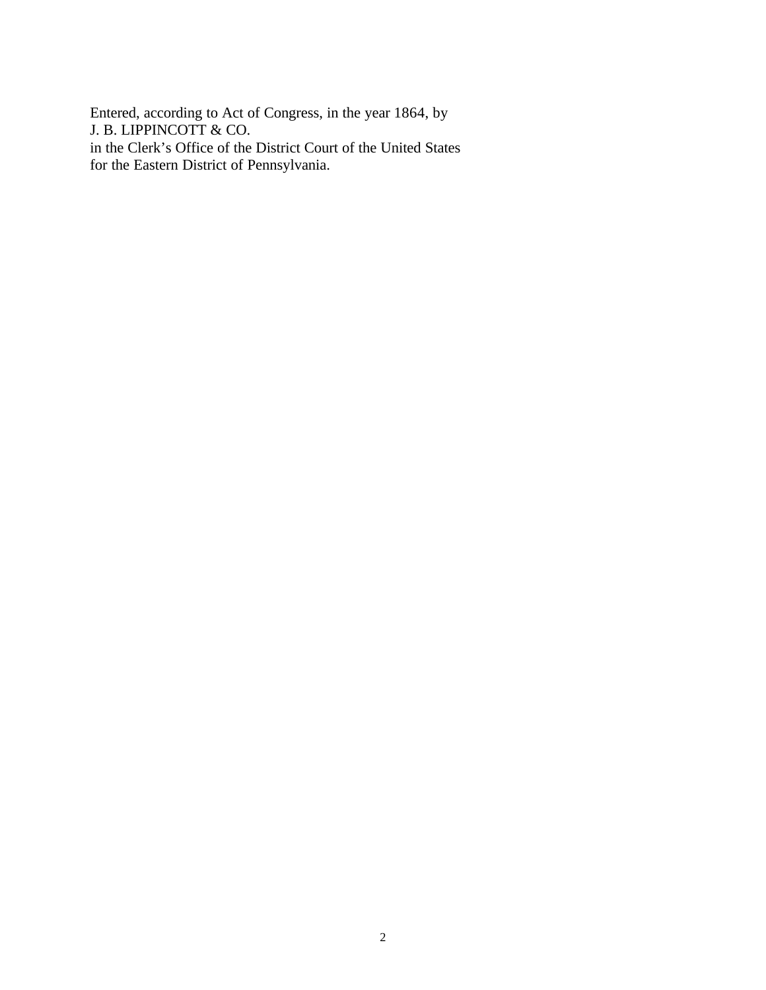Entered, according to Act of Congress, in the year 1864, by J. B. LIPPINCOTT & CO. in the Clerk's Office of the District Court of the United States for the Eastern District of Pennsylvania.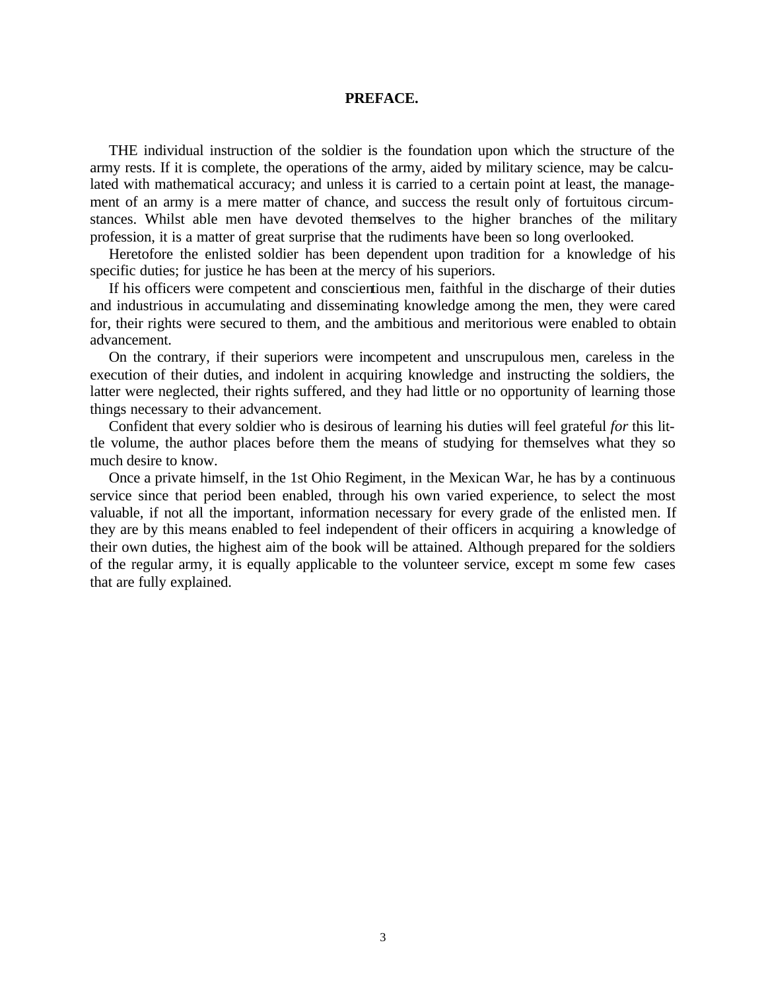#### **PREFACE.**

THE individual instruction of the soldier is the foundation upon which the structure of the army rests. If it is complete, the operations of the army, aided by military science, may be calculated with mathematical accuracy; and unless it is carried to a certain point at least, the management of an army is a mere matter of chance, and success the result only of fortuitous circumstances. Whilst able men have devoted themselves to the higher branches of the military profession, it is a matter of great surprise that the rudiments have been so long overlooked.

Heretofore the enlisted soldier has been dependent upon tradition for a knowledge of his specific duties; for justice he has been at the mercy of his superiors.

If his officers were competent and conscientious men, faithful in the discharge of their duties and industrious in accumulating and disseminating knowledge among the men, they were cared for, their rights were secured to them, and the ambitious and meritorious were enabled to obtain advancement.

On the contrary, if their superiors were incompetent and unscrupulous men, careless in the execution of their duties, and indolent in acquiring knowledge and instructing the soldiers, the latter were neglected, their rights suffered, and they had little or no opportunity of learning those things necessary to their advancement.

Confident that every soldier who is desirous of learning his duties will feel grateful *for* this little volume, the author places before them the means of studying for themselves what they so much desire to know.

Once a private himself, in the 1st Ohio Regiment, in the Mexican War, he has by a continuous service since that period been enabled, through his own varied experience, to select the most valuable, if not all the important, information necessary for every grade of the enlisted men. If they are by this means enabled to feel independent of their officers in acquiring a knowledge of their own duties, the highest aim of the book will be attained. Although prepared for the soldiers of the regular army, it is equally applicable to the volunteer service, except m some few cases that are fully explained.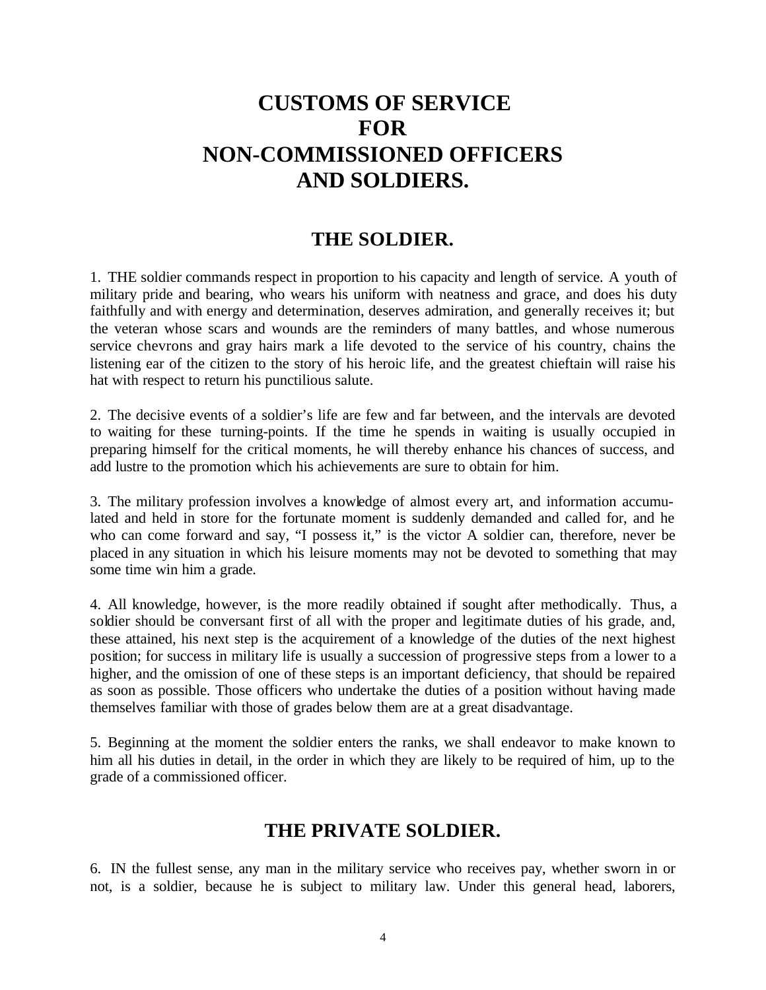# **CUSTOMS OF SERVICE FOR NON-COMMISSIONED OFFICERS AND SOLDIERS.**

### **THE SOLDIER.**

1. THE soldier commands respect in proportion to his capacity and length of service. A youth of military pride and bearing, who wears his uniform with neatness and grace, and does his duty faithfully and with energy and determination, deserves admiration, and generally receives it; but the veteran whose scars and wounds are the reminders of many battles, and whose numerous service chevrons and gray hairs mark a life devoted to the service of his country, chains the listening ear of the citizen to the story of his heroic life, and the greatest chieftain will raise his hat with respect to return his punctilious salute.

2. The decisive events of a soldier's life are few and far between, and the intervals are devoted to waiting for these turning-points. If the time he spends in waiting is usually occupied in preparing himself for the critical moments, he will thereby enhance his chances of success, and add lustre to the promotion which his achievements are sure to obtain for him.

3. The military profession involves a knowledge of almost every art, and information accumulated and held in store for the fortunate moment is suddenly demanded and called for, and he who can come forward and say, "I possess it," is the victor A soldier can, therefore, never be placed in any situation in which his leisure moments may not be devoted to something that may some time win him a grade.

4. All knowledge, however, is the more readily obtained if sought after methodically. Thus, a soldier should be conversant first of all with the proper and legitimate duties of his grade, and, these attained, his next step is the acquirement of a knowledge of the duties of the next highest position; for success in military life is usually a succession of progressive steps from a lower to a higher, and the omission of one of these steps is an important deficiency, that should be repaired as soon as possible. Those officers who undertake the duties of a position without having made themselves familiar with those of grades below them are at a great disadvantage.

5. Beginning at the moment the soldier enters the ranks, we shall endeavor to make known to him all his duties in detail, in the order in which they are likely to be required of him, up to the grade of a commissioned officer.

## **THE PRIVATE SOLDIER.**

6. IN the fullest sense, any man in the military service who receives pay, whether sworn in or not, is a soldier, because he is subject to military law. Under this general head, laborers,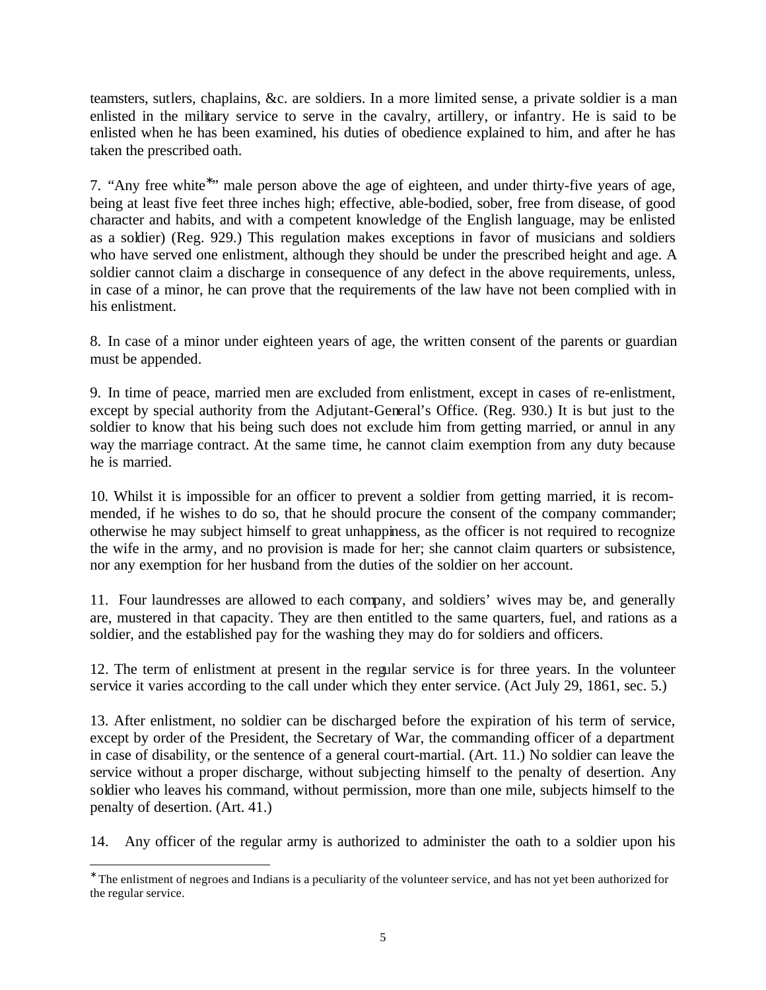teamsters, sutlers, chaplains, &c. are soldiers. In a more limited sense, a private soldier is a man enlisted in the military service to serve in the cavalry, artillery, or infantry. He is said to be enlisted when he has been examined, his duties of obedience explained to him, and after he has taken the prescribed oath.

7. "Any free white<sup>\*</sup>" male person above the age of eighteen, and under thirty-five years of age, being at least five feet three inches high; effective, able-bodied, sober, free from disease, of good character and habits, and with a competent knowledge of the English language, may be enlisted as a soldier) (Reg. 929.) This regulation makes exceptions in favor of musicians and soldiers who have served one enlistment, although they should be under the prescribed height and age. A soldier cannot claim a discharge in consequence of any defect in the above requirements, unless, in case of a minor, he can prove that the requirements of the law have not been complied with in his enlistment.

8. In case of a minor under eighteen years of age, the written consent of the parents or guardian must be appended.

9. In time of peace, married men are excluded from enlistment, except in cases of re-enlistment, except by special authority from the Adjutant-General's Office. (Reg. 930.) It is but just to the soldier to know that his being such does not exclude him from getting married, or annul in any way the marriage contract. At the same time, he cannot claim exemption from any duty because he is married.

10. Whilst it is impossible for an officer to prevent a soldier from getting married, it is recommended, if he wishes to do so, that he should procure the consent of the company commander; otherwise he may subject himself to great unhappiness, as the officer is not required to recognize the wife in the army, and no provision is made for her; she cannot claim quarters or subsistence, nor any exemption for her husband from the duties of the soldier on her account.

11. Four laundresses are allowed to each company, and soldiers' wives may be, and generally are, mustered in that capacity. They are then entitled to the same quarters, fuel, and rations as a soldier, and the established pay for the washing they may do for soldiers and officers.

12. The term of enlistment at present in the regular service is for three years. In the volunteer service it varies according to the call under which they enter service. (Act July 29, 1861, sec. 5.)

13. After enlistment, no soldier can be discharged before the expiration of his term of service, except by order of the President, the Secretary of War, the commanding officer of a department in case of disability, or the sentence of a general court-martial. (Art. 11.) No soldier can leave the service without a proper discharge, without subjecting himself to the penalty of desertion. Any soldier who leaves his command, without permission, more than one mile, subjects himself to the penalty of desertion. (Art. 41.)

14. Any officer of the regular army is authorized to administer the oath to a soldier upon his

l

<sup>∗</sup> The enlistment of negroes and Indians is a peculiarity of the volunteer service, and has not yet been authorized for the regular service.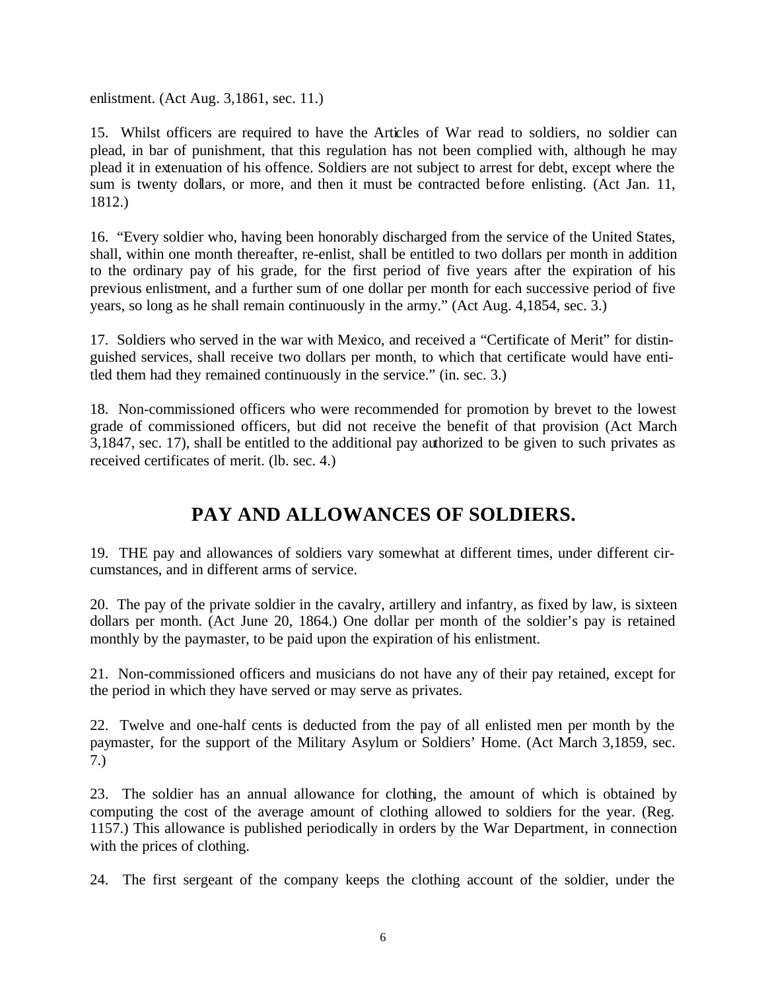enlistment. (Act Aug. 3,1861, sec. 11.)

15. Whilst officers are required to have the Articles of War read to soldiers, no soldier can plead, in bar of punishment, that this regulation has not been complied with, although he may plead it in extenuation of his offence. Soldiers are not subject to arrest for debt, except where the sum is twenty dollars, or more, and then it must be contracted before enlisting. (Act Jan. 11, 1812.)

16. "Every soldier who, having been honorably discharged from the service of the United States, shall, within one month thereafter, re-enlist, shall be entitled to two dollars per month in addition to the ordinary pay of his grade, for the first period of five years after the expiration of his previous enlistment, and a further sum of one dollar per month for each successive period of five years, so long as he shall remain continuously in the army." (Act Aug. 4,1854, sec. 3.)

17. Soldiers who served in the war with Mexico, and received a "Certificate of Merit" for distinguished services, shall receive two dollars per month, to which that certificate would have entitled them had they remained continuously in the service." (in. sec. 3.)

18. Non-commissioned officers who were recommended for promotion by brevet to the lowest grade of commissioned officers, but did not receive the benefit of that provision (Act March 3,1847, sec. 17), shall be entitled to the additional pay authorized to be given to such privates as received certificates of merit. (lb. sec. 4.)

# **PAY AND ALLOWANCES OF SOLDIERS.**

19. THE pay and allowances of soldiers vary somewhat at different times, under different circumstances, and in different arms of service.

20. The pay of the private soldier in the cavalry, artillery and infantry, as fixed by law, is sixteen dollars per month. (Act June 20, 1864.) One dollar per month of the soldier's pay is retained monthly by the paymaster, to be paid upon the expiration of his enlistment.

21. Non-commissioned officers and musicians do not have any of their pay retained, except for the period in which they have served or may serve as privates.

22. Twelve and one-half cents is deducted from the pay of all enlisted men per month by the paymaster, for the support of the Military Asylum or Soldiers' Home. (Act March 3,1859, sec. 7.)

23. The soldier has an annual allowance for clothing, the amount of which is obtained by computing the cost of the average amount of clothing allowed to soldiers for the year. (Reg. 1157.) This allowance is published periodically in orders by the War Department, in connection with the prices of clothing.

24. The first sergeant of the company keeps the clothing account of the soldier, under the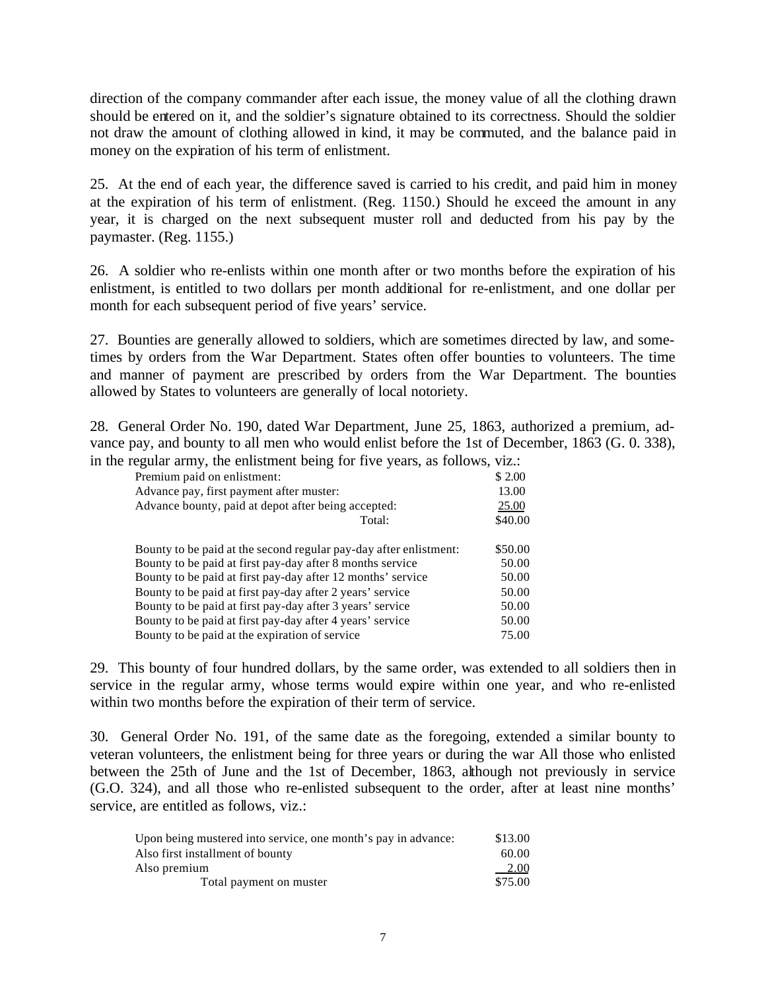direction of the company commander after each issue, the money value of all the clothing drawn should be entered on it, and the soldier's signature obtained to its correctness. Should the soldier not draw the amount of clothing allowed in kind, it may be commuted, and the balance paid in money on the expiration of his term of enlistment.

25. At the end of each year, the difference saved is carried to his credit, and paid him in money at the expiration of his term of enlistment. (Reg. 1150.) Should he exceed the amount in any year, it is charged on the next subsequent muster roll and deducted from his pay by the paymaster. (Reg. 1155.)

26. A soldier who re-enlists within one month after or two months before the expiration of his enlistment, is entitled to two dollars per month additional for re-enlistment, and one dollar per month for each subsequent period of five years' service.

27. Bounties are generally allowed to soldiers, which are sometimes directed by law, and sometimes by orders from the War Department. States often offer bounties to volunteers. The time and manner of payment are prescribed by orders from the War Department. The bounties allowed by States to volunteers are generally of local notoriety.

28. General Order No. 190, dated War Department, June 25, 1863, authorized a premium, advance pay, and bounty to all men who would enlist before the 1st of December, 1863 (G. 0. 338), in the regular army, the enlistment being for five years, as follows, viz.:

| Premium paid on enlistment:                                       | \$ 2.00 |  |  |  |
|-------------------------------------------------------------------|---------|--|--|--|
| Advance pay, first payment after muster:                          |         |  |  |  |
| Advance bounty, paid at depot after being accepted:               |         |  |  |  |
| Total:                                                            | \$40.00 |  |  |  |
| Bounty to be paid at the second regular pay-day after enlistment: | \$50.00 |  |  |  |
| Bounty to be paid at first pay-day after 8 months service         | 50.00   |  |  |  |
| Bounty to be paid at first pay-day after 12 months' service       |         |  |  |  |
| Bounty to be paid at first pay-day after 2 years' service         | 50.00   |  |  |  |
| Bounty to be paid at first pay-day after 3 years' service         | 50.00   |  |  |  |
| Bounty to be paid at first pay-day after 4 years' service         | 50.00   |  |  |  |
| Bounty to be paid at the expiration of service                    | 75.00   |  |  |  |
|                                                                   |         |  |  |  |

29. This bounty of four hundred dollars, by the same order, was extended to all soldiers then in service in the regular army, whose terms would expire within one year, and who re-enlisted within two months before the expiration of their term of service.

30. General Order No. 191, of the same date as the foregoing, extended a similar bounty to veteran volunteers, the enlistment being for three years or during the war All those who enlisted between the 25th of June and the 1st of December, 1863, although not previously in service (G.O. 324), and all those who re-enlisted subsequent to the order, after at least nine months' service, are entitled as follows, viz.:

| Upon being mustered into service, one month's pay in advance: |         |  |  |  |
|---------------------------------------------------------------|---------|--|--|--|
| Also first installment of bounty                              | 60.00   |  |  |  |
| Also premium                                                  | 2.00    |  |  |  |
| Total payment on muster                                       | \$75.00 |  |  |  |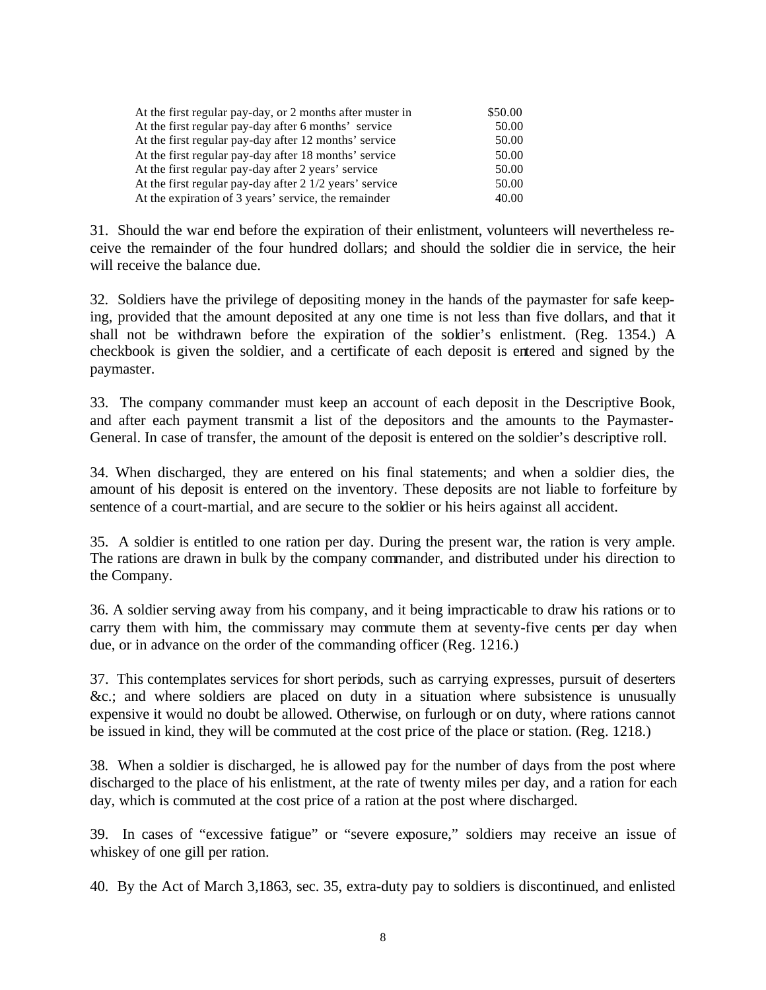| At the first regular pay-day, or 2 months after muster in | \$50.00 |
|-----------------------------------------------------------|---------|
| At the first regular pay-day after 6 months' service      | 50.00   |
| At the first regular pay-day after 12 months' service     | 50.00   |
| At the first regular pay-day after 18 months' service     | 50.00   |
| At the first regular pay-day after 2 years' service       | 50.00   |
| At the first regular pay-day after 2 1/2 years' service   | 50.00   |
| At the expiration of 3 years' service, the remainder      | 40.00   |

31. Should the war end before the expiration of their enlistment, volunteers will nevertheless receive the remainder of the four hundred dollars; and should the soldier die in service, the heir will receive the balance due.

32. Soldiers have the privilege of depositing money in the hands of the paymaster for safe keeping, provided that the amount deposited at any one time is not less than five dollars, and that it shall not be withdrawn before the expiration of the soldier's enlistment. (Reg. 1354.) A checkbook is given the soldier, and a certificate of each deposit is entered and signed by the paymaster.

33. The company commander must keep an account of each deposit in the Descriptive Book, and after each payment transmit a list of the depositors and the amounts to the Paymaster-General. In case of transfer, the amount of the deposit is entered on the soldier's descriptive roll.

34. When discharged, they are entered on his final statements; and when a soldier dies, the amount of his deposit is entered on the inventory. These deposits are not liable to forfeiture by sentence of a court-martial, and are secure to the soldier or his heirs against all accident.

35. A soldier is entitled to one ration per day. During the present war, the ration is very ample. The rations are drawn in bulk by the company commander, and distributed under his direction to the Company.

36. A soldier serving away from his company, and it being impracticable to draw his rations or to carry them with him, the commissary may commute them at seventy-five cents per day when due, or in advance on the order of the commanding officer (Reg. 1216.)

37. This contemplates services for short periods, such as carrying expresses, pursuit of deserters &c.; and where soldiers are placed on duty in a situation where subsistence is unusually expensive it would no doubt be allowed. Otherwise, on furlough or on duty, where rations cannot be issued in kind, they will be commuted at the cost price of the place or station. (Reg. 1218.)

38. When a soldier is discharged, he is allowed pay for the number of days from the post where discharged to the place of his enlistment, at the rate of twenty miles per day, and a ration for each day, which is commuted at the cost price of a ration at the post where discharged.

39. In cases of "excessive fatigue" or "severe exposure," soldiers may receive an issue of whiskey of one gill per ration.

40. By the Act of March 3,1863, sec. 35, extra-duty pay to soldiers is discontinued, and enlisted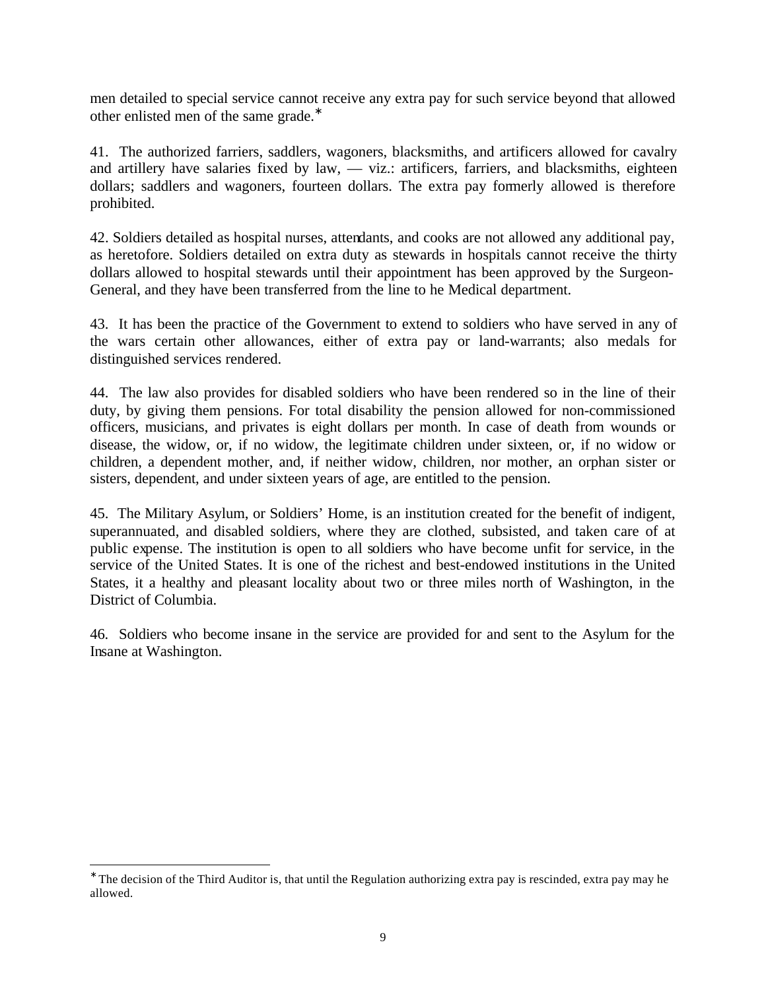men detailed to special service cannot receive any extra pay for such service beyond that allowed other enlisted men of the same grade.<sup>∗</sup>

41. The authorized farriers, saddlers, wagoners, blacksmiths, and artificers allowed for cavalry and artillery have salaries fixed by law, — viz.: artificers, farriers, and blacksmiths, eighteen dollars; saddlers and wagoners, fourteen dollars. The extra pay formerly allowed is therefore prohibited.

42. Soldiers detailed as hospital nurses, attendants, and cooks are not allowed any additional pay, as heretofore. Soldiers detailed on extra duty as stewards in hospitals cannot receive the thirty dollars allowed to hospital stewards until their appointment has been approved by the Surgeon-General, and they have been transferred from the line to he Medical department.

43. It has been the practice of the Government to extend to soldiers who have served in any of the wars certain other allowances, either of extra pay or land-warrants; also medals for distinguished services rendered.

44. The law also provides for disabled soldiers who have been rendered so in the line of their duty, by giving them pensions. For total disability the pension allowed for non-commissioned officers, musicians, and privates is eight dollars per month. In case of death from wounds or disease, the widow, or, if no widow, the legitimate children under sixteen, or, if no widow or children, a dependent mother, and, if neither widow, children, nor mother, an orphan sister or sisters, dependent, and under sixteen years of age, are entitled to the pension.

45. The Military Asylum, or Soldiers' Home, is an institution created for the benefit of indigent, superannuated, and disabled soldiers, where they are clothed, subsisted, and taken care of at public expense. The institution is open to all soldiers who have become unfit for service, in the service of the United States. It is one of the richest and best-endowed institutions in the United States, it a healthy and pleasant locality about two or three miles north of Washington, in the District of Columbia.

46. Soldiers who become insane in the service are provided for and sent to the Asylum for the Insane at Washington.

l

<sup>∗</sup> The decision of the Third Auditor is, that until the Regulation authorizing extra pay is rescinded, extra pay may he allowed.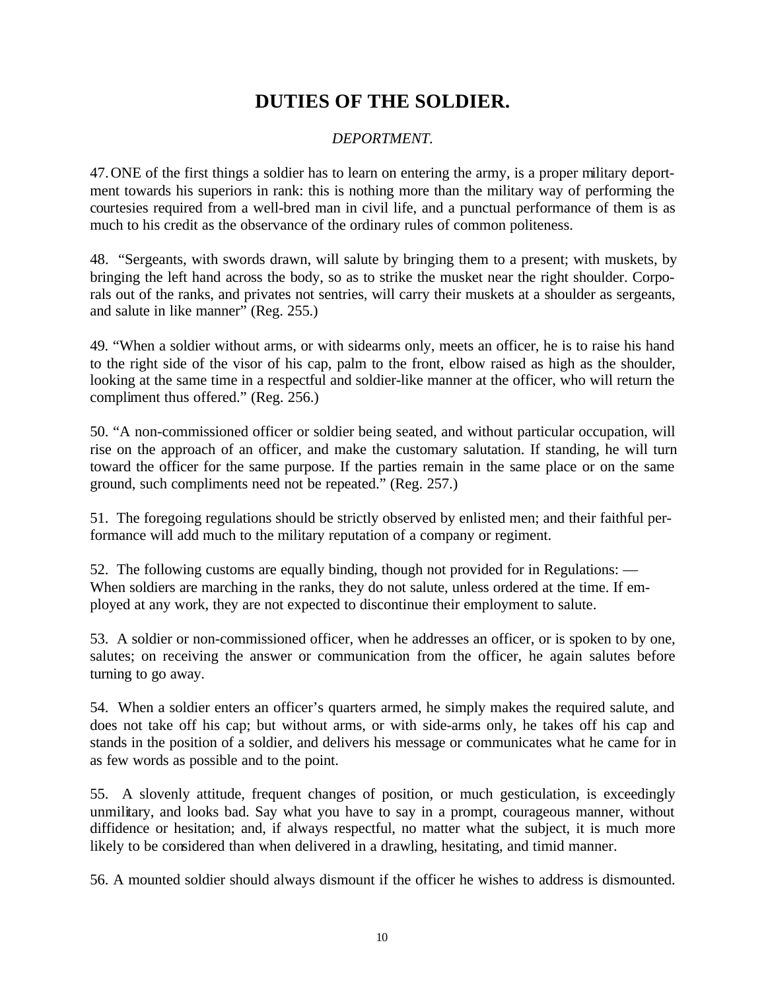# **DUTIES OF THE SOLDIER.**

### *DEPORTMENT.*

47.ONE of the first things a soldier has to learn on entering the army, is a proper military deportment towards his superiors in rank: this is nothing more than the military way of performing the courtesies required from a well-bred man in civil life, and a punctual performance of them is as much to his credit as the observance of the ordinary rules of common politeness.

48. "Sergeants, with swords drawn, will salute by bringing them to a present; with muskets, by bringing the left hand across the body, so as to strike the musket near the right shoulder. Corporals out of the ranks, and privates not sentries, will carry their muskets at a shoulder as sergeants, and salute in like manner" (Reg. 255.)

49. "When a soldier without arms, or with sidearms only, meets an officer, he is to raise his hand to the right side of the visor of his cap, palm to the front, elbow raised as high as the shoulder, looking at the same time in a respectful and soldier-like manner at the officer, who will return the compliment thus offered." (Reg. 256.)

50. "A non-commissioned officer or soldier being seated, and without particular occupation, will rise on the approach of an officer, and make the customary salutation. If standing, he will turn toward the officer for the same purpose. If the parties remain in the same place or on the same ground, such compliments need not be repeated." (Reg. 257.)

51. The foregoing regulations should be strictly observed by enlisted men; and their faithful performance will add much to the military reputation of a company or regiment.

52. The following customs are equally binding, though not provided for in Regulations: — When soldiers are marching in the ranks, they do not salute, unless ordered at the time. If employed at any work, they are not expected to discontinue their employment to salute.

53. A soldier or non-commissioned officer, when he addresses an officer, or is spoken to by one, salutes; on receiving the answer or communication from the officer, he again salutes before turning to go away.

54. When a soldier enters an officer's quarters armed, he simply makes the required salute, and does not take off his cap; but without arms, or with side-arms only, he takes off his cap and stands in the position of a soldier, and delivers his message or communicates what he came for in as few words as possible and to the point.

55. A slovenly attitude, frequent changes of position, or much gesticulation, is exceedingly unmilitary, and looks bad. Say what you have to say in a prompt, courageous manner, without diffidence or hesitation; and, if always respectful, no matter what the subject, it is much more likely to be considered than when delivered in a drawling, hesitating, and timid manner.

56. A mounted soldier should always dismount if the officer he wishes to address is dismounted.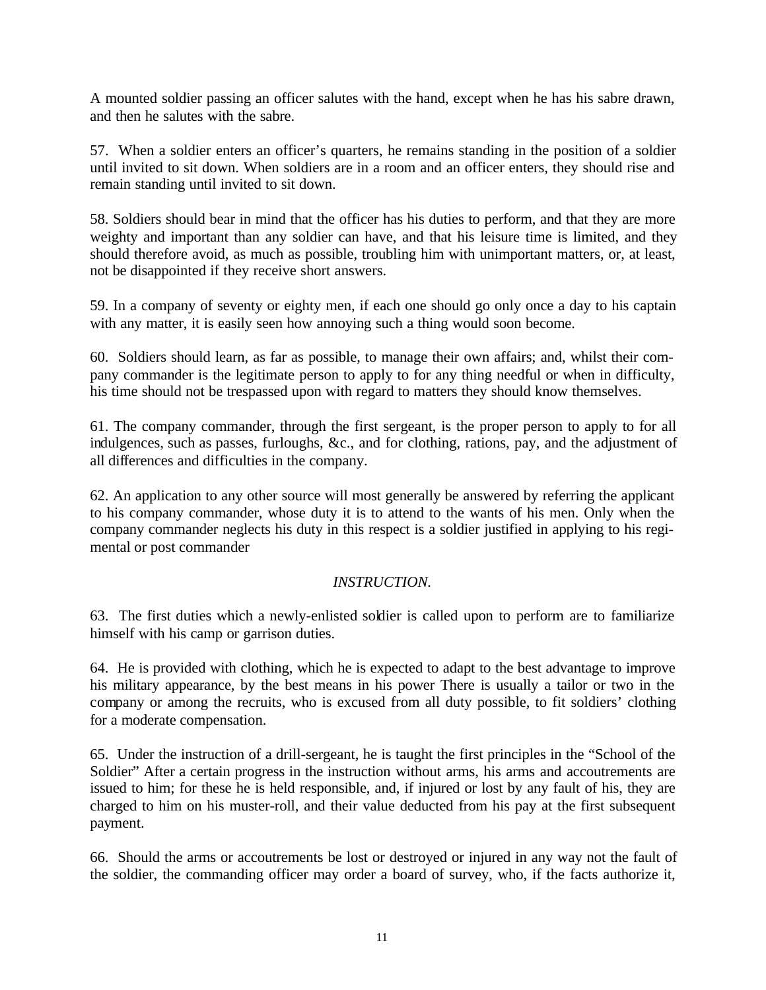A mounted soldier passing an officer salutes with the hand, except when he has his sabre drawn, and then he salutes with the sabre.

57. When a soldier enters an officer's quarters, he remains standing in the position of a soldier until invited to sit down. When soldiers are in a room and an officer enters, they should rise and remain standing until invited to sit down.

58. Soldiers should bear in mind that the officer has his duties to perform, and that they are more weighty and important than any soldier can have, and that his leisure time is limited, and they should therefore avoid, as much as possible, troubling him with unimportant matters, or, at least, not be disappointed if they receive short answers.

59. In a company of seventy or eighty men, if each one should go only once a day to his captain with any matter, it is easily seen how annoying such a thing would soon become.

60. Soldiers should learn, as far as possible, to manage their own affairs; and, whilst their company commander is the legitimate person to apply to for any thing needful or when in difficulty, his time should not be trespassed upon with regard to matters they should know themselves.

61. The company commander, through the first sergeant, is the proper person to apply to for all indulgences, such as passes, furloughs, &c., and for clothing, rations, pay, and the adjustment of all differences and difficulties in the company.

62. An application to any other source will most generally be answered by referring the applicant to his company commander, whose duty it is to attend to the wants of his men. Only when the company commander neglects his duty in this respect is a soldier justified in applying to his regimental or post commander

### *INSTRUCTION.*

63. The first duties which a newly-enlisted soldier is called upon to perform are to familiarize himself with his camp or garrison duties.

64. He is provided with clothing, which he is expected to adapt to the best advantage to improve his military appearance, by the best means in his power There is usually a tailor or two in the company or among the recruits, who is excused from all duty possible, to fit soldiers' clothing for a moderate compensation.

65. Under the instruction of a drill-sergeant, he is taught the first principles in the "School of the Soldier" After a certain progress in the instruction without arms, his arms and accoutrements are issued to him; for these he is held responsible, and, if injured or lost by any fault of his, they are charged to him on his muster-roll, and their value deducted from his pay at the first subsequent payment.

66. Should the arms or accoutrements be lost or destroyed or injured in any way not the fault of the soldier, the commanding officer may order a board of survey, who, if the facts authorize it,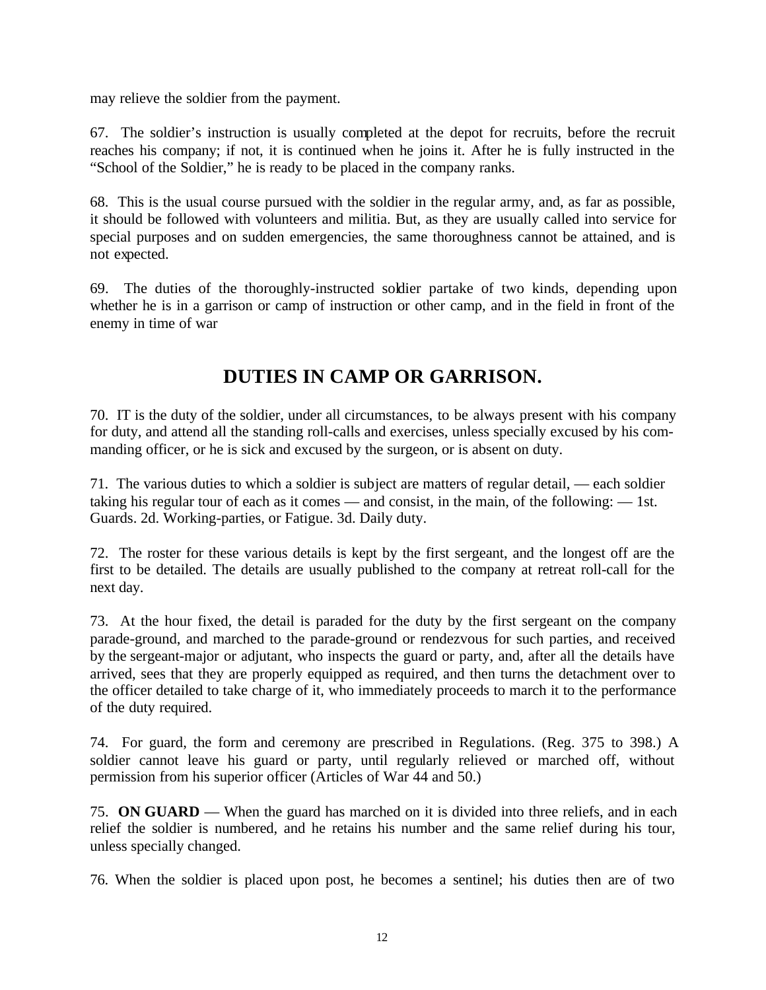may relieve the soldier from the payment.

67. The soldier's instruction is usually completed at the depot for recruits, before the recruit reaches his company; if not, it is continued when he joins it. After he is fully instructed in the "School of the Soldier," he is ready to be placed in the company ranks.

68. This is the usual course pursued with the soldier in the regular army, and, as far as possible, it should be followed with volunteers and militia. But, as they are usually called into service for special purposes and on sudden emergencies, the same thoroughness cannot be attained, and is not expected.

69. The duties of the thoroughly-instructed soldier partake of two kinds, depending upon whether he is in a garrison or camp of instruction or other camp, and in the field in front of the enemy in time of war

## **DUTIES IN CAMP OR GARRISON.**

70. IT is the duty of the soldier, under all circumstances, to be always present with his company for duty, and attend all the standing roll-calls and exercises, unless specially excused by his commanding officer, or he is sick and excused by the surgeon, or is absent on duty.

71. The various duties to which a soldier is subject are matters of regular detail, — each soldier taking his regular tour of each as it comes — and consist, in the main, of the following: — 1st. Guards. 2d. Working-parties, or Fatigue. 3d. Daily duty.

72. The roster for these various details is kept by the first sergeant, and the longest off are the first to be detailed. The details are usually published to the company at retreat roll-call for the next day.

73. At the hour fixed, the detail is paraded for the duty by the first sergeant on the company parade-ground, and marched to the parade-ground or rendezvous for such parties, and received by the sergeant-major or adjutant, who inspects the guard or party, and, after all the details have arrived, sees that they are properly equipped as required, and then turns the detachment over to the officer detailed to take charge of it, who immediately proceeds to march it to the performance of the duty required.

74. For guard, the form and ceremony are prescribed in Regulations. (Reg. 375 to 398.) A soldier cannot leave his guard or party, until regularly relieved or marched off, without permission from his superior officer (Articles of War 44 and 50.)

75. **ON GUARD** — When the guard has marched on it is divided into three reliefs, and in each relief the soldier is numbered, and he retains his number and the same relief during his tour, unless specially changed.

76. When the soldier is placed upon post, he becomes a sentinel; his duties then are of two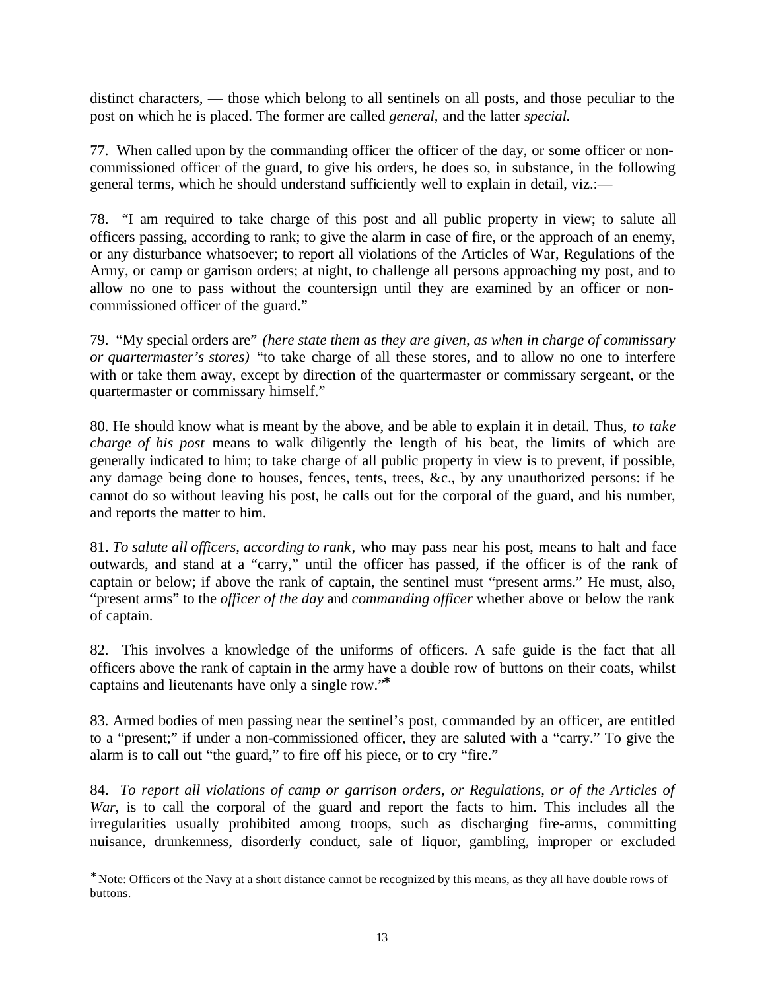distinct characters, — those which belong to all sentinels on all posts, and those peculiar to the post on which he is placed. The former are called *general,* and the latter *special.*

77. When called upon by the commanding officer the officer of the day, or some officer or noncommissioned officer of the guard, to give his orders, he does so, in substance, in the following general terms, which he should understand sufficiently well to explain in detail, viz.:—

78. "I am required to take charge of this post and all public property in view; to salute all officers passing, according to rank; to give the alarm in case of fire, or the approach of an enemy, or any disturbance whatsoever; to report all violations of the Articles of War, Regulations of the Army, or camp or garrison orders; at night, to challenge all persons approaching my post, and to allow no one to pass without the countersign until they are examined by an officer or noncommissioned officer of the guard."

79. "My special orders are" *(here state them as they are given, as when in charge of commissary or quartermaster's stores)* "to take charge of all these stores, and to allow no one to interfere with or take them away, except by direction of the quartermaster or commissary sergeant, or the quartermaster or commissary himself."

80. He should know what is meant by the above, and be able to explain it in detail. Thus, *to take charge of his post* means to walk diligently the length of his beat, the limits of which are generally indicated to him; to take charge of all public property in view is to prevent, if possible, any damage being done to houses, fences, tents, trees, &c., by any unauthorized persons: if he cannot do so without leaving his post, he calls out for the corporal of the guard, and his number, and reports the matter to him.

81. *To salute all officers, according to rank*, who may pass near his post, means to halt and face outwards, and stand at a "carry," until the officer has passed, if the officer is of the rank of captain or below; if above the rank of captain, the sentinel must "present arms." He must, also, "present arms" to the *officer of the day* and *commanding officer* whether above or below the rank of captain.

82. This involves a knowledge of the uniforms of officers. A safe guide is the fact that all officers above the rank of captain in the army have a double row of buttons on their coats, whilst captains and lieutenants have only a single row."<sup>∗</sup>

83. Armed bodies of men passing near the sentinel's post, commanded by an officer, are entitled to a "present;" if under a non-commissioned officer, they are saluted with a "carry." To give the alarm is to call out "the guard," to fire off his piece, or to cry "fire."

84. *To report all violations of camp or garrison orders, or Regulations, or of the Articles of War*, is to call the corporal of the guard and report the facts to him. This includes all the irregularities usually prohibited among troops, such as discharging fire-arms, committing nuisance, drunkenness, disorderly conduct, sale of liquor, gambling, improper or excluded

l

<sup>∗</sup> Note: Officers of the Navy at a short distance cannot be recognized by this means, as they all have double rows of buttons.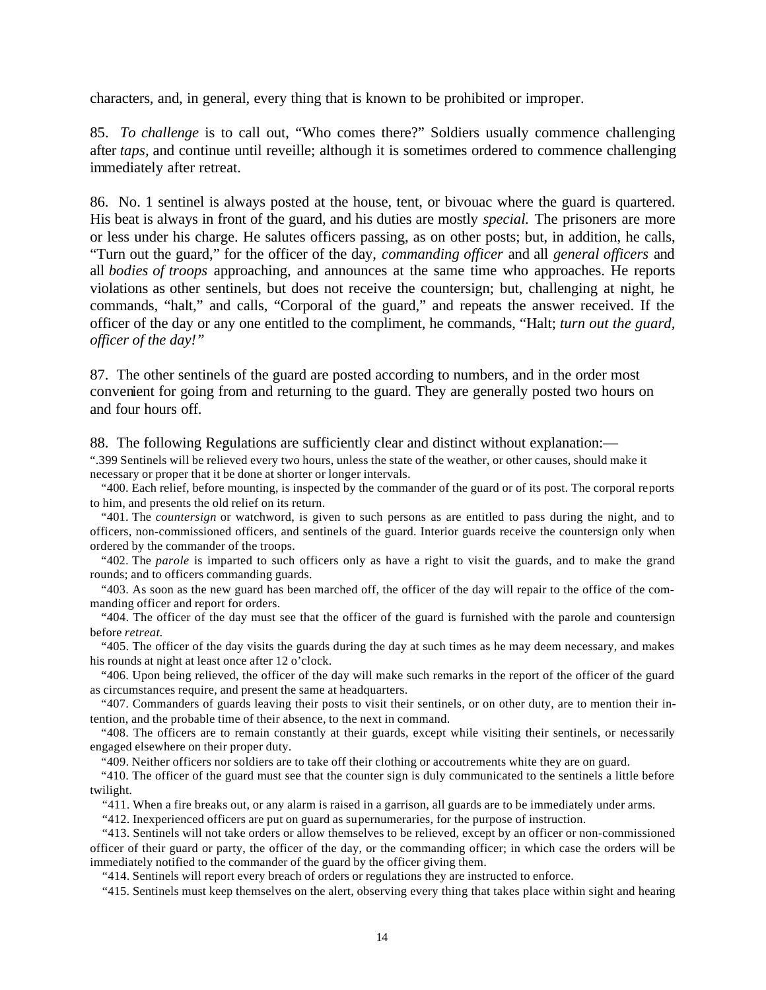characters, and, in general, every thing that is known to be prohibited or improper.

85. *To challenge* is to call out, "Who comes there?" Soldiers usually commence challenging after *taps,* and continue until reveille; although it is sometimes ordered to commence challenging immediately after retreat.

86. No. 1 sentinel is always posted at the house, tent, or bivouac where the guard is quartered. His beat is always in front of the guard, and his duties are mostly *special.* The prisoners are more or less under his charge. He salutes officers passing, as on other posts; but, in addition, he calls, "Turn out the guard," for the officer of the day, *commanding officer* and all *general officers* and all *bodies of troops* approaching, and announces at the same time who approaches. He reports violations as other sentinels, but does not receive the countersign; but, challenging at night, he commands, "halt," and calls, "Corporal of the guard," and repeats the answer received. If the officer of the day or any one entitled to the compliment, he commands, "Halt; *turn out the guard, officer of the day!"*

87. The other sentinels of the guard are posted according to numbers, and in the order most convenient for going from and returning to the guard. They are generally posted two hours on and four hours off.

88. The following Regulations are sufficiently clear and distinct without explanation:—

".399 Sentinels will be relieved every two hours, unless the state of the weather, or other causes, should make it necessary or proper that it be done at shorter or longer intervals.

"400. Each relief, before mounting, is inspected by the commander of the guard or of its post. The corporal reports to him, and presents the old relief on its return.

"401. The *countersign* or watchword, is given to such persons as are entitled to pass during the night, and to officers, non-commissioned officers, and sentinels of the guard. Interior guards receive the countersign only when ordered by the commander of the troops.

"402. The *parole* is imparted to such officers only as have a right to visit the guards, and to make the grand rounds; and to officers commanding guards.

"403. As soon as the new guard has been marched off, the officer of the day will repair to the office of the commanding officer and report for orders.

"404. The officer of the day must see that the officer of the guard is furnished with the parole and countersign before *retreat.*

"405. The officer of the day visits the guards during the day at such times as he may deem necessary, and makes his rounds at night at least once after 12 o'clock.

"406. Upon being relieved, the officer of the day will make such remarks in the report of the officer of the guard as circumstances require, and present the same at headquarters.

"407. Commanders of guards leaving their posts to visit their sentinels, or on other duty, are to mention their intention, and the probable time of their absence, to the next in command.

"408. The officers are to remain constantly at their guards, except while visiting their sentinels, or necessarily engaged elsewhere on their proper duty.

"409. Neither officers nor soldiers are to take off their clothing or accoutrements white they are on guard.

"410. The officer of the guard must see that the counter sign is duly communicated to the sentinels a little before twilight.

"411. When a fire breaks out, or any alarm is raised in a garrison, all guards are to be immediately under arms.

"412. Inexperienced officers are put on guard as supernumeraries, for the purpose of instruction.

"413. Sentinels will not take orders or allow themselves to be relieved, except by an officer or non-commissioned officer of their guard or party, the officer of the day, or the commanding officer; in which case the orders will be immediately notified to the commander of the guard by the officer giving them.

"414. Sentinels will report every breach of orders or regulations they are instructed to enforce.

"415. Sentinels must keep themselves on the alert, observing every thing that takes place within sight and hearing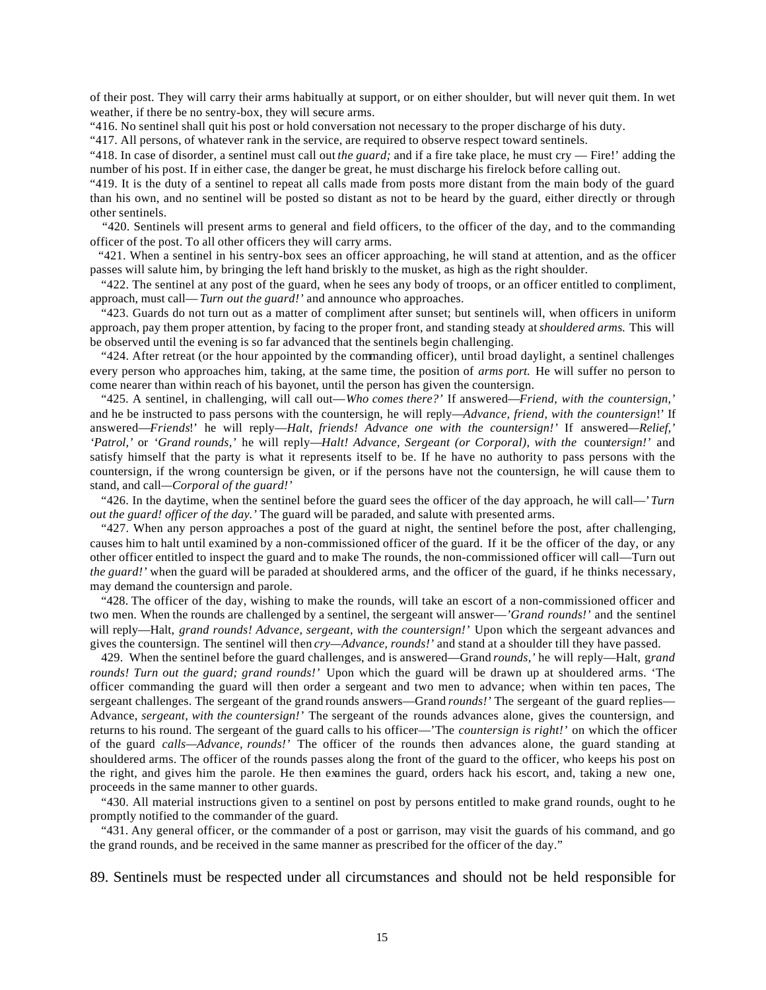of their post. They will carry their arms habitually at support, or on either shoulder, but will never quit them. In wet weather, if there be no sentry-box, they will secure arms.

"416. No sentinel shall quit his post or hold conversation not necessary to the proper discharge of his duty.

"417. All persons, of whatever rank in the service, are required to observe respect toward sentinels.

"418. In case of disorder, a sentinel must call out *the guard;* and if a fire take place, he must cry — Fire!' adding the number of his post. If in either case, the danger be great, he must discharge his firelock before calling out.

"419. It is the duty of a sentinel to repeat all calls made from posts more distant from the main body of the guard than his own, and no sentinel will be posted so distant as not to be heard by the guard, either directly or through other sentinels.

"420. Sentinels will present arms to general and field officers, to the officer of the day, and to the commanding officer of the post. To all other officers they will carry arms.

"421. When a sentinel in his sentry-box sees an officer approaching, he will stand at attention, and as the officer passes will salute him, by bringing the left hand briskly to the musket, as high as the right shoulder.

"422. The sentinel at any post of the guard, when he sees any body of troops, or an officer entitled to compliment, approach, must call—*Turn out the guard!'* and announce who approaches.

"423. Guards do not turn out as a matter of compliment after sunset; but sentinels will, when officers in uniform approach, pay them proper attention, by facing to the proper front, and standing steady at *shouldered arms.* This will be observed until the evening is so far advanced that the sentinels begin challenging.

"424. After retreat (or the hour appointed by the commanding officer), until broad daylight, a sentinel challenges every person who approaches him, taking, at the same time, the position of *arms port.* He will suffer no person to come nearer than within reach of his bayonet, until the person has given the countersign.

"425. A sentinel, in challenging, will call out—*Who comes there?'* If answered—*Friend, with the countersign,'* and he be instructed to pass persons with the countersign, he will reply—*Advance, friend, with the countersign*!' If answered—*Friends*!' he will reply—*Halt*, *friends! Advance one with the countersign!'* If answered*—Relief,' 'Patrol,'* or *'Grand rounds,'* he will reply—*Halt! Advance, Sergeant (or Corporal), with the* coun*tersign!'* and satisfy himself that the party is what it represents itself to be. If he have no authority to pass persons with the countersign, if the wrong countersign be given, or if the persons have not the countersign, he will cause them to stand, and call*—Corporal of the guard!'*

"426. In the daytime, when the sentinel before the guard sees the officer of the day approach, he will call—'*Turn out the guard! officer of the day.'* The guard will be paraded, and salute with presented arms.

"427. When any person approaches a post of the guard at night, the sentinel before the post, after challenging, causes him to halt until examined by a non-commissioned officer of the guard. If it be the officer of the day, or any other officer entitled to inspect the guard and to make The rounds, the non-commissioned officer will call—Turn out *the guard!'* when the guard will be paraded at shouldered arms, and the officer of the guard, if he thinks necessary, may demand the countersign and parole.

"428. The officer of the day, wishing to make the rounds, will take an escort of a non-commissioned officer and two men. When the rounds are challenged by a sentinel, the sergeant will answer—*'Grand rounds!'* and the sentinel will reply—Halt, *grand rounds! Advance, sergeant, with the countersign!'* Upon which the sergeant advances and gives the countersign. The sentinel will then *cry—Advance, rounds!'* and stand at a shoulder till they have passed.

429. When the sentinel before the guard challenges, and is answered—Grand *rounds,'* he will reply—Halt, g*rand rounds! Turn out the guard; grand rounds!'* Upon which the guard will be drawn up at shouldered arms. 'The officer commanding the guard will then order a sergeant and two men to advance; when within ten paces, The sergeant challenges. The sergeant of the grand rounds answers—Grand *rounds!'* The sergeant of the guard replies— Advance, *sergeant, with the countersign!'* The sergeant of the rounds advances alone, gives the countersign, and returns to his round. The sergeant of the guard calls to his officer—'The *countersign is right!'* on which the officer of the guard *calls—Advance, rounds!'* The officer of the rounds then advances alone, the guard standing at shouldered arms. The officer of the rounds passes along the front of the guard to the officer, who keeps his post on the right, and gives him the parole. He then examines the guard, orders hack his escort, and, taking a new one, proceeds in the same manner to other guards.

"430. All material instructions given to a sentinel on post by persons entitled to make grand rounds, ought to he promptly notified to the commander of the guard.

"431. Any general officer, or the commander of a post or garrison, may visit the guards of his command, and go the grand rounds, and be received in the same manner as prescribed for the officer of the day."

89. Sentinels must be respected under all circumstances and should not be held responsible for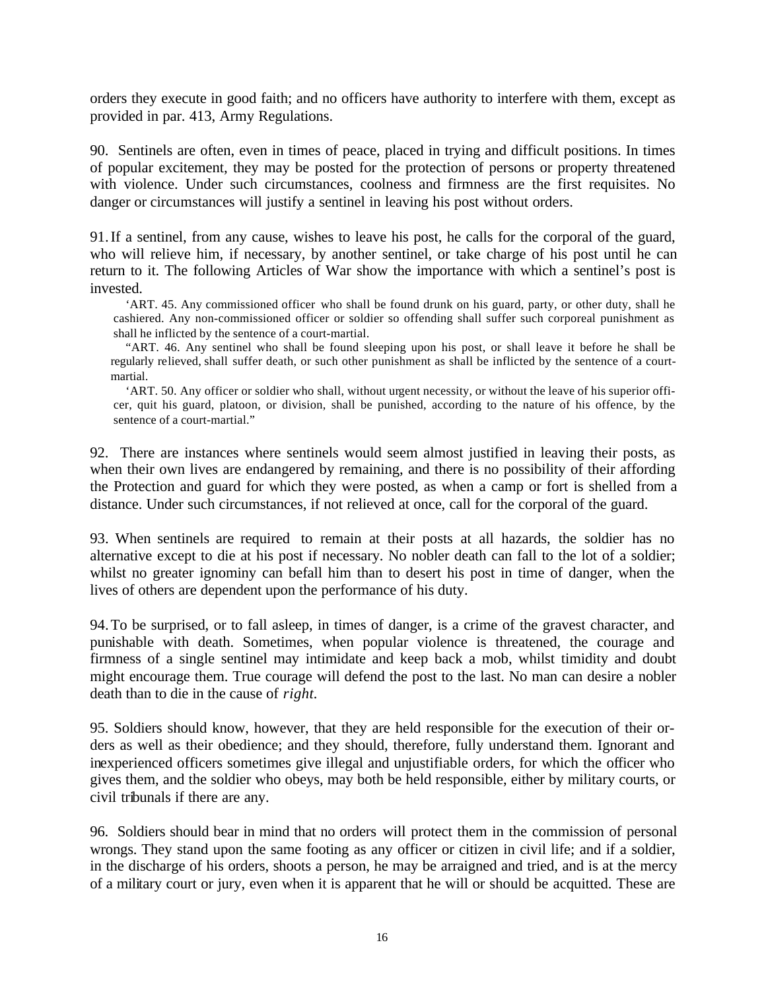orders they execute in good faith; and no officers have authority to interfere with them, except as provided in par. 413, Army Regulations.

90. Sentinels are often, even in times of peace, placed in trying and difficult positions. In times of popular excitement, they may be posted for the protection of persons or property threatened with violence. Under such circumstances, coolness and firmness are the first requisites. No danger or circumstances will justify a sentinel in leaving his post without orders.

91.If a sentinel, from any cause, wishes to leave his post, he calls for the corporal of the guard, who will relieve him, if necessary, by another sentinel, or take charge of his post until he can return to it. The following Articles of War show the importance with which a sentinel's post is invested.

'ART. 45. Any commissioned officer who shall be found drunk on his guard, party, or other duty, shall he cashiered. Any non-commissioned officer or soldier so offending shall suffer such corporeal punishment as shall he inflicted by the sentence of a court-martial.

"ART. 46. Any sentinel who shall be found sleeping upon his post, or shall leave it before he shall be regularly relieved, shall suffer death, or such other punishment as shall be inflicted by the sentence of a courtmartial.

'ART. 50. Any officer or soldier who shall, without urgent necessity, or without the leave of his superior officer, quit his guard, platoon, or division, shall be punished, according to the nature of his offence, by the sentence of a court-martial."

92. There are instances where sentinels would seem almost justified in leaving their posts, as when their own lives are endangered by remaining, and there is no possibility of their affording the Protection and guard for which they were posted, as when a camp or fort is shelled from a distance. Under such circumstances, if not relieved at once, call for the corporal of the guard.

93. When sentinels are required to remain at their posts at all hazards, the soldier has no alternative except to die at his post if necessary. No nobler death can fall to the lot of a soldier; whilst no greater ignominy can befall him than to desert his post in time of danger, when the lives of others are dependent upon the performance of his duty.

94.To be surprised, or to fall asleep, in times of danger, is a crime of the gravest character, and punishable with death. Sometimes, when popular violence is threatened, the courage and firmness of a single sentinel may intimidate and keep back a mob, whilst timidity and doubt might encourage them. True courage will defend the post to the last. No man can desire a nobler death than to die in the cause of *right.*

95. Soldiers should know, however, that they are held responsible for the execution of their orders as well as their obedience; and they should, therefore, fully understand them. Ignorant and inexperienced officers sometimes give illegal and unjustifiable orders, for which the officer who gives them, and the soldier who obeys, may both be held responsible, either by military courts, or civil tribunals if there are any.

96. Soldiers should bear in mind that no orders will protect them in the commission of personal wrongs. They stand upon the same footing as any officer or citizen in civil life; and if a soldier, in the discharge of his orders, shoots a person, he may be arraigned and tried, and is at the mercy of a military court or jury, even when it is apparent that he will or should be acquitted. These are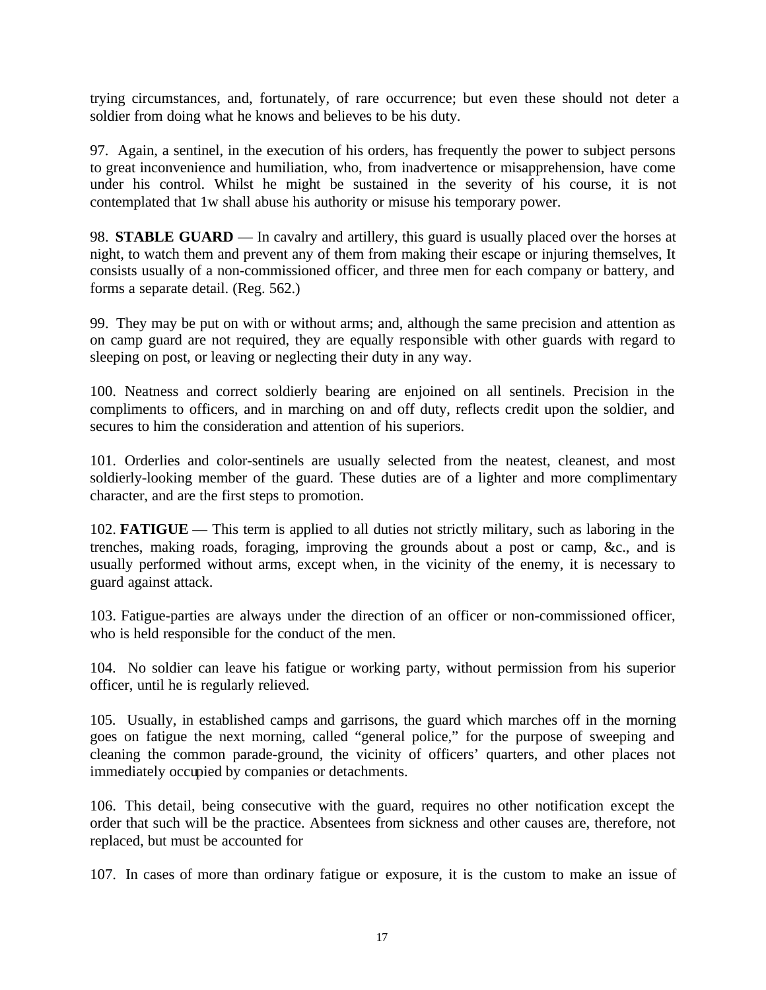trying circumstances, and, fortunately, of rare occurrence; but even these should not deter a soldier from doing what he knows and believes to be his duty.

97. Again, a sentinel, in the execution of his orders, has frequently the power to subject persons to great inconvenience and humiliation, who, from inadvertence or misapprehension, have come under his control. Whilst he might be sustained in the severity of his course, it is not contemplated that 1w shall abuse his authority or misuse his temporary power.

98. **STABLE GUARD** — In cavalry and artillery, this guard is usually placed over the horses at night, to watch them and prevent any of them from making their escape or injuring themselves, It consists usually of a non-commissioned officer, and three men for each company or battery, and forms a separate detail. (Reg. 562.)

99. They may be put on with or without arms; and, although the same precision and attention as on camp guard are not required, they are equally responsible with other guards with regard to sleeping on post, or leaving or neglecting their duty in any way.

100. Neatness and correct soldierly bearing are enjoined on all sentinels. Precision in the compliments to officers, and in marching on and off duty, reflects credit upon the soldier, and secures to him the consideration and attention of his superiors.

101. Orderlies and color-sentinels are usually selected from the neatest, cleanest, and most soldierly-looking member of the guard. These duties are of a lighter and more complimentary character, and are the first steps to promotion.

102. **FATIGUE** — This term is applied to all duties not strictly military, such as laboring in the trenches, making roads, foraging, improving the grounds about a post or camp, &c., and is usually performed without arms, except when, in the vicinity of the enemy, it is necessary to guard against attack.

103. Fatigue-parties are always under the direction of an officer or non-commissioned officer, who is held responsible for the conduct of the men.

104. No soldier can leave his fatigue or working party, without permission from his superior officer, until he is regularly relieved.

105. Usually, in established camps and garrisons, the guard which marches off in the morning goes on fatigue the next morning, called "general police," for the purpose of sweeping and cleaning the common parade-ground, the vicinity of officers' quarters, and other places not immediately occupied by companies or detachments.

106. This detail, being consecutive with the guard, requires no other notification except the order that such will be the practice. Absentees from sickness and other causes are, therefore, not replaced, but must be accounted for

107. In cases of more than ordinary fatigue or exposure, it is the custom to make an issue of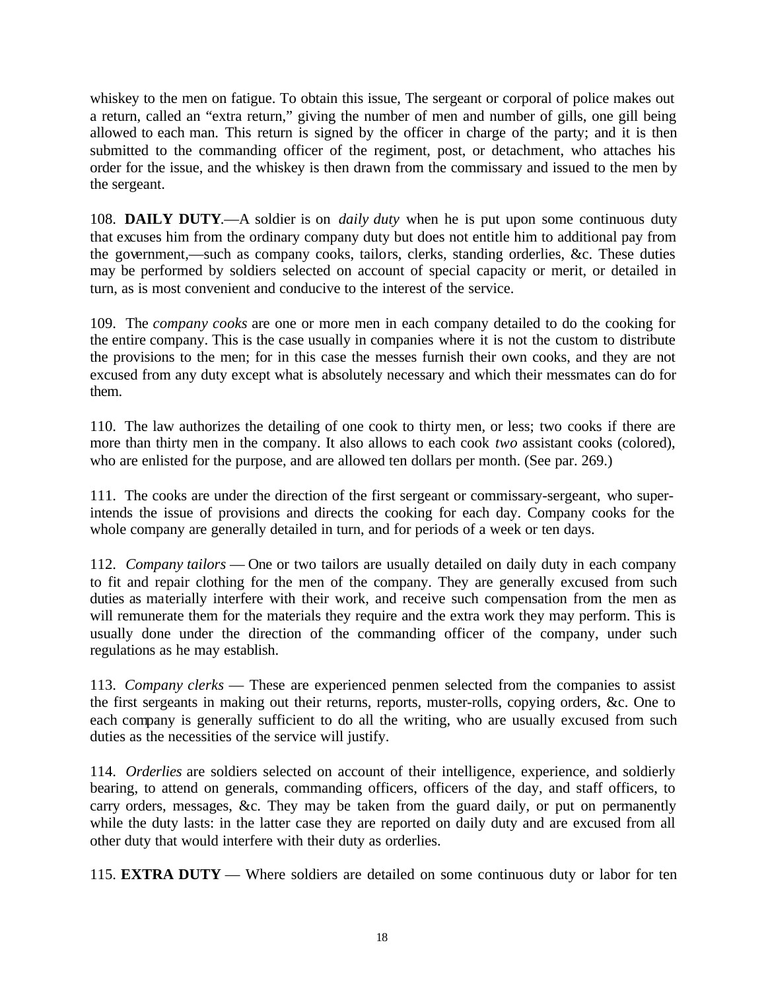whiskey to the men on fatigue. To obtain this issue, The sergeant or corporal of police makes out a return, called an "extra return," giving the number of men and number of gills, one gill being allowed to each man. This return is signed by the officer in charge of the party; and it is then submitted to the commanding officer of the regiment, post, or detachment, who attaches his order for the issue, and the whiskey is then drawn from the commissary and issued to the men by the sergeant.

108. **DAILY DUTY**.—A soldier is on *daily duty* when he is put upon some continuous duty that excuses him from the ordinary company duty but does not entitle him to additional pay from the government,—such as company cooks, tailors, clerks, standing orderlies, &c. These duties may be performed by soldiers selected on account of special capacity or merit, or detailed in turn, as is most convenient and conducive to the interest of the service.

109. The *company cooks* are one or more men in each company detailed to do the cooking for the entire company. This is the case usually in companies where it is not the custom to distribute the provisions to the men; for in this case the messes furnish their own cooks, and they are not excused from any duty except what is absolutely necessary and which their messmates can do for them.

110. The law authorizes the detailing of one cook to thirty men, or less; two cooks if there are more than thirty men in the company. It also allows to each cook *two* assistant cooks (colored), who are enlisted for the purpose, and are allowed ten dollars per month. (See par. 269.)

111. The cooks are under the direction of the first sergeant or commissary-sergeant, who superintends the issue of provisions and directs the cooking for each day. Company cooks for the whole company are generally detailed in turn, and for periods of a week or ten days.

112. *Company tailors* — One or two tailors are usually detailed on daily duty in each company to fit and repair clothing for the men of the company. They are generally excused from such duties as materially interfere with their work, and receive such compensation from the men as will remunerate them for the materials they require and the extra work they may perform. This is usually done under the direction of the commanding officer of the company, under such regulations as he may establish.

113. *Company clerks* — These are experienced penmen selected from the companies to assist the first sergeants in making out their returns, reports, muster-rolls, copying orders, &c. One to each company is generally sufficient to do all the writing, who are usually excused from such duties as the necessities of the service will justify.

114. *Orderlies* are soldiers selected on account of their intelligence, experience, and soldierly bearing, to attend on generals, commanding officers, officers of the day, and staff officers, to carry orders, messages, &c. They may be taken from the guard daily, or put on permanently while the duty lasts: in the latter case they are reported on daily duty and are excused from all other duty that would interfere with their duty as orderlies.

115. **EXTRA DUTY** — Where soldiers are detailed on some continuous duty or labor for ten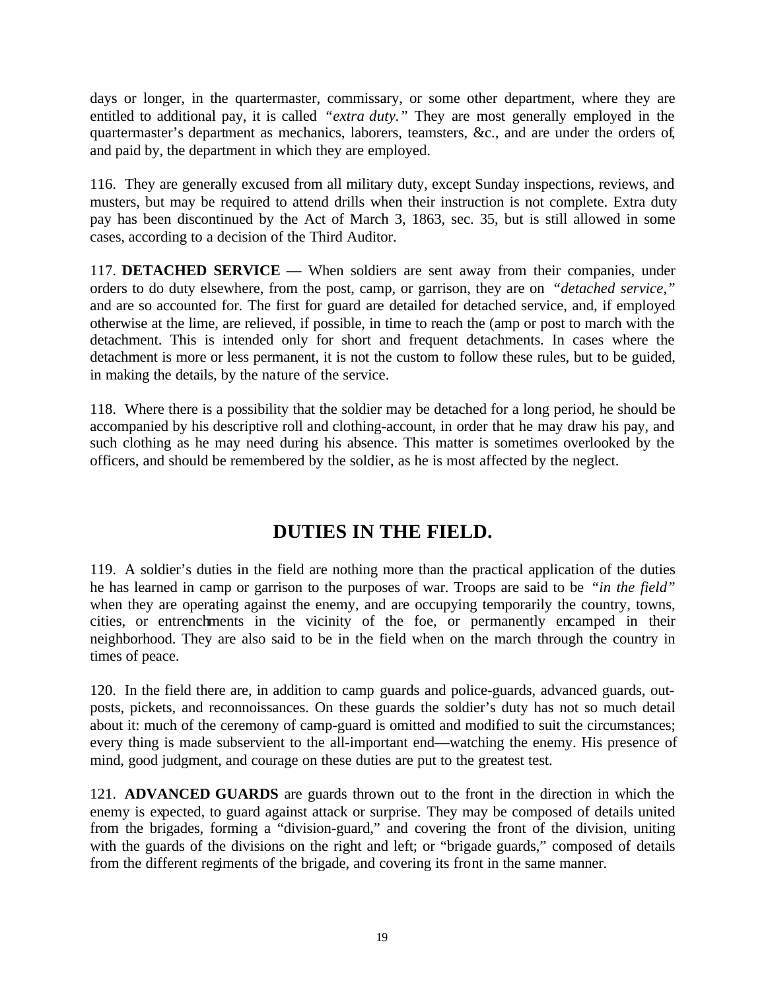days or longer, in the quartermaster, commissary, or some other department, where they are entitled to additional pay, it is called *"extra duty."* They are most generally employed in the quartermaster's department as mechanics, laborers, teamsters, &c., and are under the orders of, and paid by, the department in which they are employed.

116. They are generally excused from all military duty, except Sunday inspections, reviews, and musters, but may be required to attend drills when their instruction is not complete. Extra duty pay has been discontinued by the Act of March 3, 1863, sec. 35, but is still allowed in some cases, according to a decision of the Third Auditor.

117. **DETACHED SERVICE** — When soldiers are sent away from their companies, under orders to do duty elsewhere, from the post, camp, or garrison, they are on *"detached service,"* and are so accounted for. The first for guard are detailed for detached service, and, if employed otherwise at the lime, are relieved, if possible, in time to reach the (amp or post to march with the detachment. This is intended only for short and frequent detachments. In cases where the detachment is more or less permanent, it is not the custom to follow these rules, but to be guided, in making the details, by the nature of the service.

118. Where there is a possibility that the soldier may be detached for a long period, he should be accompanied by his descriptive roll and clothing-account, in order that he may draw his pay, and such clothing as he may need during his absence. This matter is sometimes overlooked by the officers, and should be remembered by the soldier, as he is most affected by the neglect.

# **DUTIES IN THE FIELD.**

119. A soldier's duties in the field are nothing more than the practical application of the duties he has learned in camp or garrison to the purposes of war. Troops are said to be *"in the field"* when they are operating against the enemy, and are occupying temporarily the country, towns, cities, or entrenchments in the vicinity of the foe, or permanently encamped in their neighborhood. They are also said to be in the field when on the march through the country in times of peace.

120. In the field there are, in addition to camp guards and police-guards, advanced guards, outposts, pickets, and reconnoissances. On these guards the soldier's duty has not so much detail about it: much of the ceremony of camp-guard is omitted and modified to suit the circumstances; every thing is made subservient to the all-important end—watching the enemy. His presence of mind, good judgment, and courage on these duties are put to the greatest test.

121. **ADVANCED GUARDS** are guards thrown out to the front in the direction in which the enemy is expected, to guard against attack or surprise. They may be composed of details united from the brigades, forming a "division-guard," and covering the front of the division, uniting with the guards of the divisions on the right and left; or "brigade guards," composed of details from the different regiments of the brigade, and covering its front in the same manner.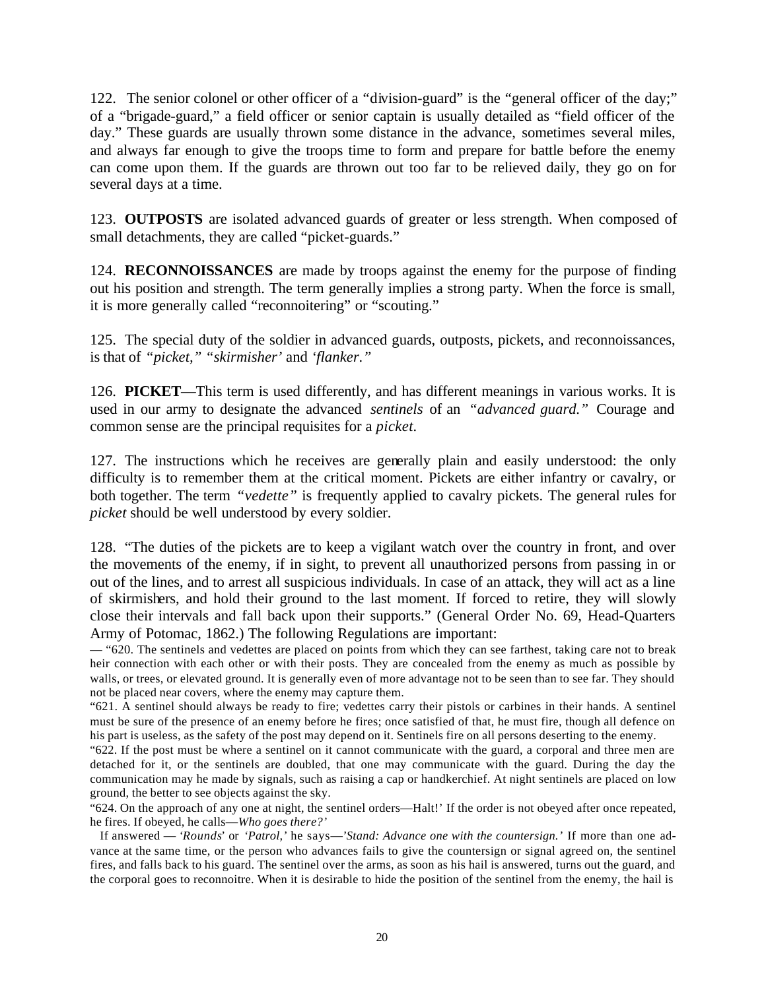122. The senior colonel or other officer of a "division-guard" is the "general officer of the day;" of a "brigade-guard," a field officer or senior captain is usually detailed as "field officer of the day." These guards are usually thrown some distance in the advance, sometimes several miles, and always far enough to give the troops time to form and prepare for battle before the enemy can come upon them. If the guards are thrown out too far to be relieved daily, they go on for several days at a time.

123. **OUTPOSTS** are isolated advanced guards of greater or less strength. When composed of small detachments, they are called "picket-guards."

124. **RECONNOISSANCES** are made by troops against the enemy for the purpose of finding out his position and strength. The term generally implies a strong party. When the force is small, it is more generally called "reconnoitering" or "scouting."

125. The special duty of the soldier in advanced guards, outposts, pickets, and reconnoissances, is that of *"picket," "skirmisher'* and *'flanker."*

126. **PICKET**—This term is used differently, and has different meanings in various works. It is used in our army to designate the advanced *sentinels* of an *"advanced guard."* Courage and common sense are the principal requisites for a *picket.*

127. The instructions which he receives are generally plain and easily understood: the only difficulty is to remember them at the critical moment. Pickets are either infantry or cavalry, or both together. The term *"vedette"* is frequently applied to cavalry pickets. The general rules for *picket* should be well understood by every soldier.

128. "The duties of the pickets are to keep a vigilant watch over the country in front, and over the movements of the enemy, if in sight, to prevent all unauthorized persons from passing in or out of the lines, and to arrest all suspicious individuals. In case of an attack, they will act as a line of skirmishers, and hold their ground to the last moment. If forced to retire, they will slowly close their intervals and fall back upon their supports." (General Order No. 69, Head-Quarters Army of Potomac, 1862.) The following Regulations are important:

— "620. The sentinels and vedettes are placed on points from which they can see farthest, taking care not to break heir connection with each other or with their posts. They are concealed from the enemy as much as possible by walls, or trees, or elevated ground. It is generally even of more advantage not to be seen than to see far. They should not be placed near covers, where the enemy may capture them.

"621. A sentinel should always be ready to fire; vedettes carry their pistols or carbines in their hands. A sentinel must be sure of the presence of an enemy before he fires; once satisfied of that, he must fire, though all defence on his part is useless, as the safety of the post may depend on it. Sentinels fire on all persons deserting to the enemy.

"622. If the post must be where a sentinel on it cannot communicate with the guard, a corporal and three men are detached for it, or the sentinels are doubled, that one may communicate with the guard. During the day the communication may he made by signals, such as raising a cap or handkerchief. At night sentinels are placed on low ground, the better to see objects against the sky.

"624. On the approach of any one at night, the sentinel orders—Halt!' If the order is not obeyed after once repeated, he fires. If obeyed, he calls—*Who goes there?'*

 If answered — '*Rounds*' or *'Patrol,'* he says—*'Stand: Advance one with the countersign.'* If more than one advance at the same time, or the person who advances fails to give the countersign or signal agreed on, the sentinel fires, and falls back to his guard. The sentinel over the arms, as soon as his hail is answered, turns out the guard, and the corporal goes to reconnoitre. When it is desirable to hide the position of the sentinel from the enemy, the hail is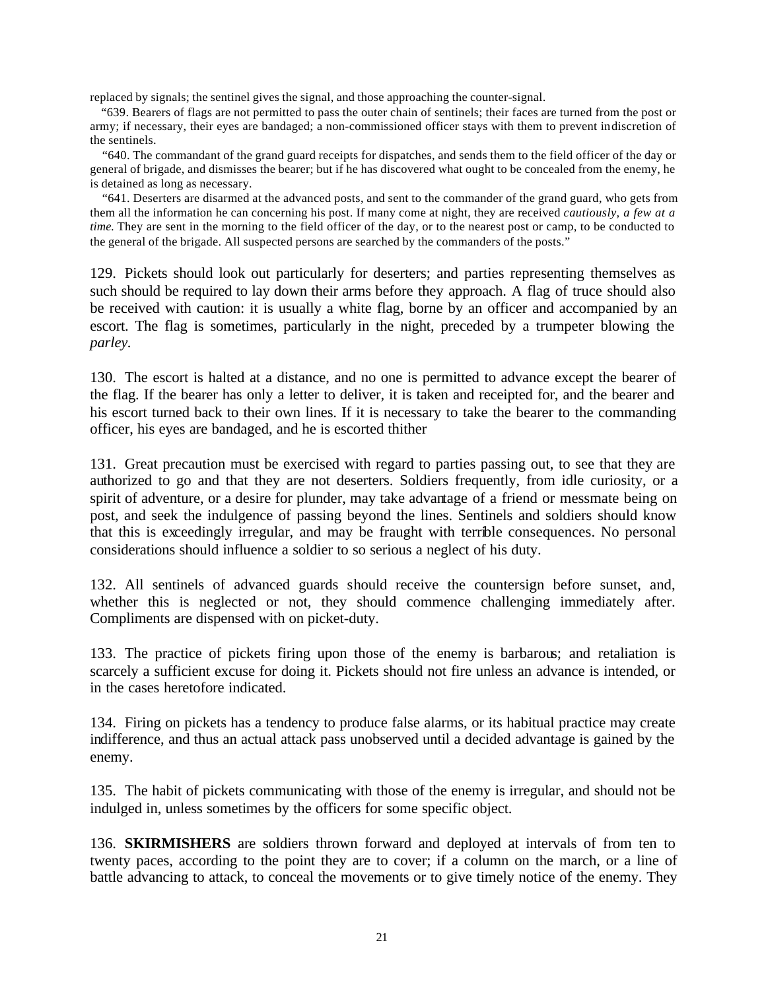replaced by signals; the sentinel gives the signal, and those approaching the counter-signal.

"639. Bearers of flags are not permitted to pass the outer chain of sentinels; their faces are turned from the post or army; if necessary, their eyes are bandaged; a non-commissioned officer stays with them to prevent indiscretion of the sentinels.

"640. The commandant of the grand guard receipts for dispatches, and sends them to the field officer of the day or general of brigade, and dismisses the bearer; but if he has discovered what ought to be concealed from the enemy, he is detained as long as necessary.

"641. Deserters are disarmed at the advanced posts, and sent to the commander of the grand guard, who gets from them all the information he can concerning his post. If many come at night, they are received *cautiously, a few at a time.* They are sent in the morning to the field officer of the day, or to the nearest post or camp, to be conducted to the general of the brigade. All suspected persons are searched by the commanders of the posts."

129. Pickets should look out particularly for deserters; and parties representing themselves as such should be required to lay down their arms before they approach. A flag of truce should also be received with caution: it is usually a white flag, borne by an officer and accompanied by an escort. The flag is sometimes, particularly in the night, preceded by a trumpeter blowing the *parley.*

130. The escort is halted at a distance, and no one is permitted to advance except the bearer of the flag. If the bearer has only a letter to deliver, it is taken and receipted for, and the bearer and his escort turned back to their own lines. If it is necessary to take the bearer to the commanding officer, his eyes are bandaged, and he is escorted thither

131. Great precaution must be exercised with regard to parties passing out, to see that they are authorized to go and that they are not deserters. Soldiers frequently, from idle curiosity, or a spirit of adventure, or a desire for plunder, may take advantage of a friend or messmate being on post, and seek the indulgence of passing beyond the lines. Sentinels and soldiers should know that this is exceedingly irregular, and may be fraught with terrible consequences. No personal considerations should influence a soldier to so serious a neglect of his duty.

132. All sentinels of advanced guards should receive the countersign before sunset, and, whether this is neglected or not, they should commence challenging immediately after. Compliments are dispensed with on picket-duty.

133. The practice of pickets firing upon those of the enemy is barbarous; and retaliation is scarcely a sufficient excuse for doing it. Pickets should not fire unless an advance is intended, or in the cases heretofore indicated.

134. Firing on pickets has a tendency to produce false alarms, or its habitual practice may create indifference, and thus an actual attack pass unobserved until a decided advantage is gained by the enemy.

135. The habit of pickets communicating with those of the enemy is irregular, and should not be indulged in, unless sometimes by the officers for some specific object.

136. **SKIRMISHERS** are soldiers thrown forward and deployed at intervals of from ten to twenty paces, according to the point they are to cover; if a column on the march, or a line of battle advancing to attack, to conceal the movements or to give timely notice of the enemy. They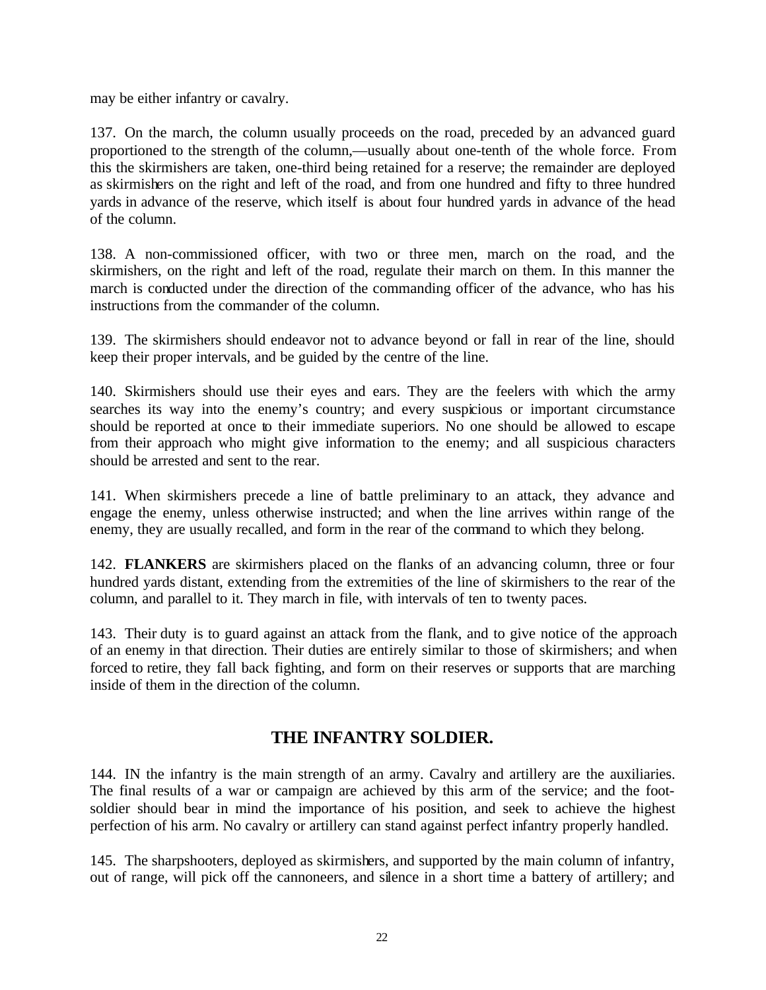may be either infantry or cavalry.

137. On the march, the column usually proceeds on the road, preceded by an advanced guard proportioned to the strength of the column,—usually about one-tenth of the whole force. From this the skirmishers are taken, one-third being retained for a reserve; the remainder are deployed as skirmishers on the right and left of the road, and from one hundred and fifty to three hundred yards in advance of the reserve, which itself is about four hundred yards in advance of the head of the column.

138. A non-commissioned officer, with two or three men, march on the road, and the skirmishers, on the right and left of the road, regulate their march on them. In this manner the march is conducted under the direction of the commanding officer of the advance, who has his instructions from the commander of the column.

139. The skirmishers should endeavor not to advance beyond or fall in rear of the line, should keep their proper intervals, and be guided by the centre of the line.

140. Skirmishers should use their eyes and ears. They are the feelers with which the army searches its way into the enemy's country; and every suspicious or important circumstance should be reported at once to their immediate superiors. No one should be allowed to escape from their approach who might give information to the enemy; and all suspicious characters should be arrested and sent to the rear.

141. When skirmishers precede a line of battle preliminary to an attack, they advance and engage the enemy, unless otherwise instructed; and when the line arrives within range of the enemy, they are usually recalled, and form in the rear of the command to which they belong.

142. **FLANKERS** are skirmishers placed on the flanks of an advancing column, three or four hundred yards distant, extending from the extremities of the line of skirmishers to the rear of the column, and parallel to it. They march in file, with intervals of ten to twenty paces.

143. Their duty is to guard against an attack from the flank, and to give notice of the approach of an enemy in that direction. Their duties are entirely similar to those of skirmishers; and when forced to retire, they fall back fighting, and form on their reserves or supports that are marching inside of them in the direction of the column.

## **THE INFANTRY SOLDIER.**

144. IN the infantry is the main strength of an army. Cavalry and artillery are the auxiliaries. The final results of a war or campaign are achieved by this arm of the service; and the footsoldier should bear in mind the importance of his position, and seek to achieve the highest perfection of his arm. No cavalry or artillery can stand against perfect infantry properly handled.

145. The sharpshooters, deployed as skirmishers, and supported by the main column of infantry, out of range, will pick off the cannoneers, and silence in a short time a battery of artillery; and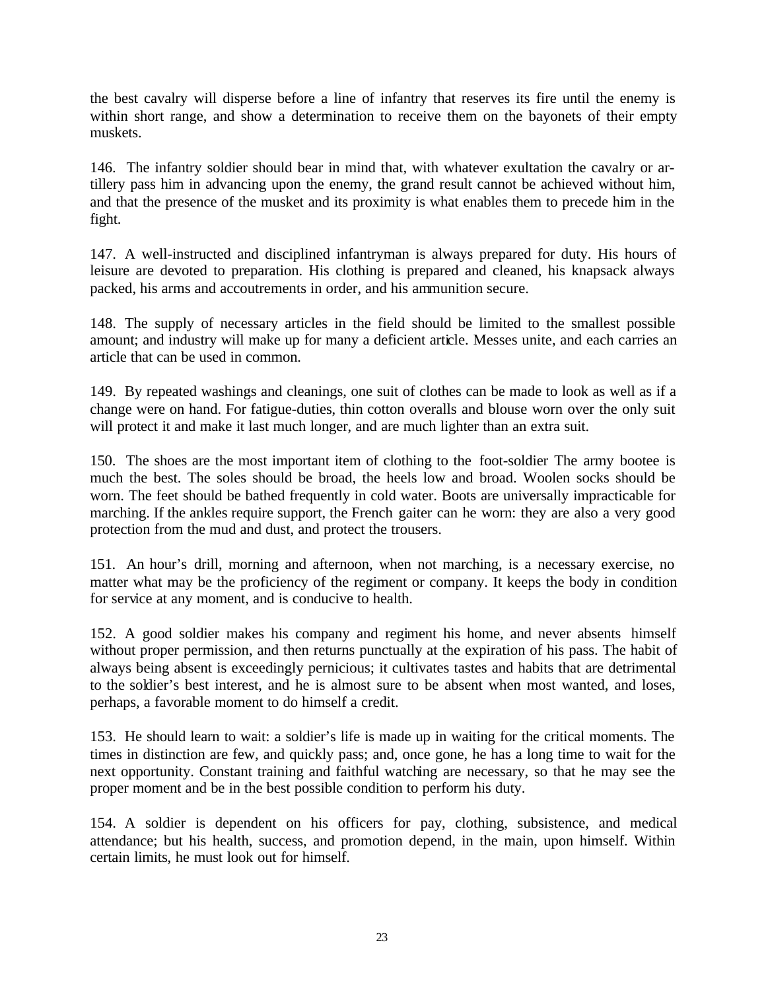the best cavalry will disperse before a line of infantry that reserves its fire until the enemy is within short range, and show a determination to receive them on the bayonets of their empty muskets.

146. The infantry soldier should bear in mind that, with whatever exultation the cavalry or artillery pass him in advancing upon the enemy, the grand result cannot be achieved without him, and that the presence of the musket and its proximity is what enables them to precede him in the fight.

147. A well-instructed and disciplined infantryman is always prepared for duty. His hours of leisure are devoted to preparation. His clothing is prepared and cleaned, his knapsack always packed, his arms and accoutrements in order, and his ammunition secure.

148. The supply of necessary articles in the field should be limited to the smallest possible amount; and industry will make up for many a deficient article. Messes unite, and each carries an article that can be used in common.

149. By repeated washings and cleanings, one suit of clothes can be made to look as well as if a change were on hand. For fatigue-duties, thin cotton overalls and blouse worn over the only suit will protect it and make it last much longer, and are much lighter than an extra suit.

150. The shoes are the most important item of clothing to the foot-soldier The army bootee is much the best. The soles should be broad, the heels low and broad. Woolen socks should be worn. The feet should be bathed frequently in cold water. Boots are universally impracticable for marching. If the ankles require support, the French gaiter can he worn: they are also a very good protection from the mud and dust, and protect the trousers.

151. An hour's drill, morning and afternoon, when not marching, is a necessary exercise, no matter what may be the proficiency of the regiment or company. It keeps the body in condition for service at any moment, and is conducive to health.

152. A good soldier makes his company and regiment his home, and never absents himself without proper permission, and then returns punctually at the expiration of his pass. The habit of always being absent is exceedingly pernicious; it cultivates tastes and habits that are detrimental to the soldier's best interest, and he is almost sure to be absent when most wanted, and loses, perhaps, a favorable moment to do himself a credit.

153. He should learn to wait: a soldier's life is made up in waiting for the critical moments. The times in distinction are few, and quickly pass; and, once gone, he has a long time to wait for the next opportunity. Constant training and faithful watching are necessary, so that he may see the proper moment and be in the best possible condition to perform his duty.

154. A soldier is dependent on his officers for pay, clothing, subsistence, and medical attendance; but his health, success, and promotion depend, in the main, upon himself. Within certain limits, he must look out for himself.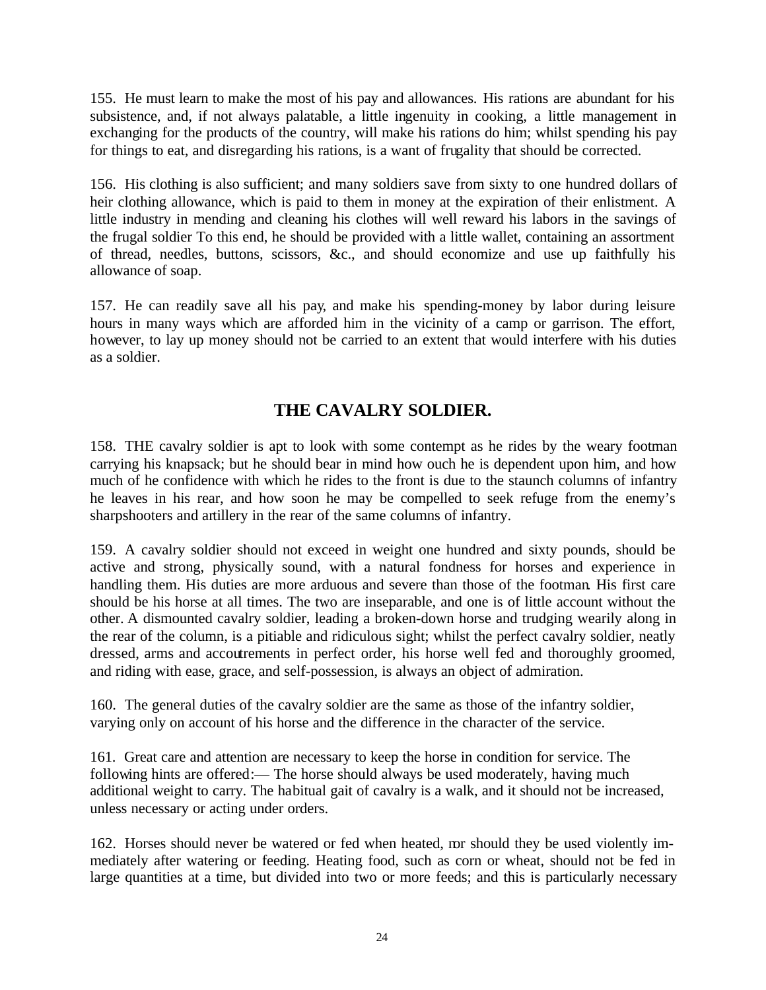155. He must learn to make the most of his pay and allowances. His rations are abundant for his subsistence, and, if not always palatable, a little ingenuity in cooking, a little management in exchanging for the products of the country, will make his rations do him; whilst spending his pay for things to eat, and disregarding his rations, is a want of frugality that should be corrected.

156. His clothing is also sufficient; and many soldiers save from sixty to one hundred dollars of heir clothing allowance, which is paid to them in money at the expiration of their enlistment. A little industry in mending and cleaning his clothes will well reward his labors in the savings of the frugal soldier To this end, he should be provided with a little wallet, containing an assortment of thread, needles, buttons, scissors, &c., and should economize and use up faithfully his allowance of soap.

157. He can readily save all his pay, and make his spending-money by labor during leisure hours in many ways which are afforded him in the vicinity of a camp or garrison. The effort, however, to lay up money should not be carried to an extent that would interfere with his duties as a soldier.

## **THE CAVALRY SOLDIER.**

158. THE cavalry soldier is apt to look with some contempt as he rides by the weary footman carrying his knapsack; but he should bear in mind how ouch he is dependent upon him, and how much of he confidence with which he rides to the front is due to the staunch columns of infantry he leaves in his rear, and how soon he may be compelled to seek refuge from the enemy's sharpshooters and artillery in the rear of the same columns of infantry.

159. A cavalry soldier should not exceed in weight one hundred and sixty pounds, should be active and strong, physically sound, with a natural fondness for horses and experience in handling them. His duties are more arduous and severe than those of the footman. His first care should be his horse at all times. The two are inseparable, and one is of little account without the other. A dismounted cavalry soldier, leading a broken-down horse and trudging wearily along in the rear of the column, is a pitiable and ridiculous sight; whilst the perfect cavalry soldier, neatly dressed, arms and accoutrements in perfect order, his horse well fed and thoroughly groomed, and riding with ease, grace, and self-possession, is always an object of admiration.

160. The general duties of the cavalry soldier are the same as those of the infantry soldier, varying only on account of his horse and the difference in the character of the service.

161. Great care and attention are necessary to keep the horse in condition for service. The following hints are offered:— The horse should always be used moderately, having much additional weight to carry. The habitual gait of cavalry is a walk, and it should not be increased, unless necessary or acting under orders.

162. Horses should never be watered or fed when heated, mr should they be used violently immediately after watering or feeding. Heating food, such as corn or wheat, should not be fed in large quantities at a time, but divided into two or more feeds; and this is particularly necessary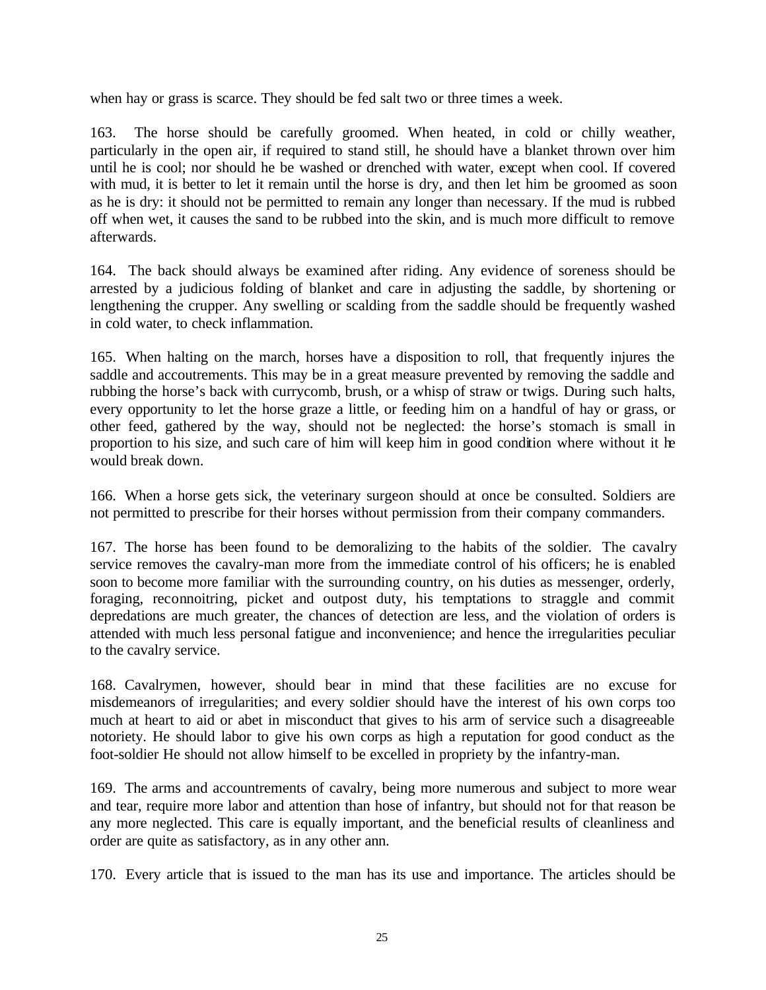when hay or grass is scarce. They should be fed salt two or three times a week.

163. The horse should be carefully groomed. When heated, in cold or chilly weather, particularly in the open air, if required to stand still, he should have a blanket thrown over him until he is cool; nor should he be washed or drenched with water, except when cool. If covered with mud, it is better to let it remain until the horse is dry, and then let him be groomed as soon as he is dry: it should not be permitted to remain any longer than necessary. If the mud is rubbed off when wet, it causes the sand to be rubbed into the skin, and is much more difficult to remove afterwards.

164. The back should always be examined after riding. Any evidence of soreness should be arrested by a judicious folding of blanket and care in adjusting the saddle, by shortening or lengthening the crupper. Any swelling or scalding from the saddle should be frequently washed in cold water, to check inflammation.

165. When halting on the march, horses have a disposition to roll, that frequently injures the saddle and accoutrements. This may be in a great measure prevented by removing the saddle and rubbing the horse's back with currycomb, brush, or a whisp of straw or twigs. During such halts, every opportunity to let the horse graze a little, or feeding him on a handful of hay or grass, or other feed, gathered by the way, should not be neglected: the horse's stomach is small in proportion to his size, and such care of him will keep him in good condition where without it he would break down.

166. When a horse gets sick, the veterinary surgeon should at once be consulted. Soldiers are not permitted to prescribe for their horses without permission from their company commanders.

167. The horse has been found to be demoralizing to the habits of the soldier. The cavalry service removes the cavalry-man more from the immediate control of his officers; he is enabled soon to become more familiar with the surrounding country, on his duties as messenger, orderly, foraging, reconnoitring, picket and outpost duty, his temptations to straggle and commit depredations are much greater, the chances of detection are less, and the violation of orders is attended with much less personal fatigue and inconvenience; and hence the irregularities peculiar to the cavalry service.

168. Cavalrymen, however, should bear in mind that these facilities are no excuse for misdemeanors of irregularities; and every soldier should have the interest of his own corps too much at heart to aid or abet in misconduct that gives to his arm of service such a disagreeable notoriety. He should labor to give his own corps as high a reputation for good conduct as the foot-soldier He should not allow himself to be excelled in propriety by the infantry-man.

169. The arms and accountrements of cavalry, being more numerous and subject to more wear and tear, require more labor and attention than hose of infantry, but should not for that reason be any more neglected. This care is equally important, and the beneficial results of cleanliness and order are quite as satisfactory, as in any other ann.

170. Every article that is issued to the man has its use and importance. The articles should be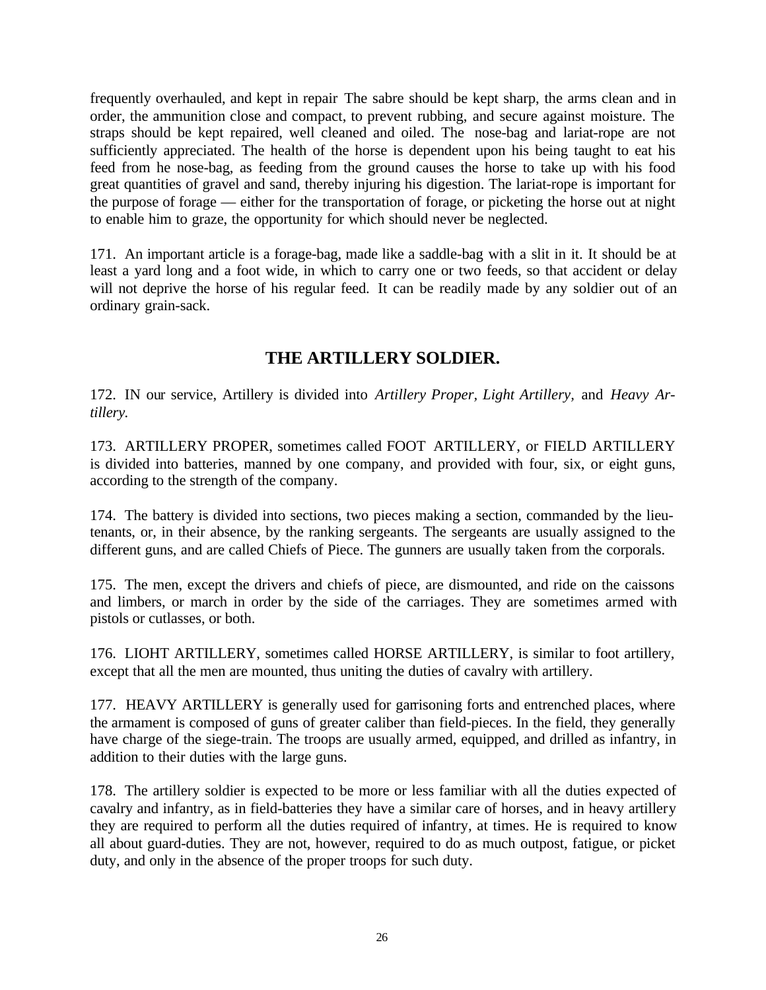frequently overhauled, and kept in repair The sabre should be kept sharp, the arms clean and in order, the ammunition close and compact, to prevent rubbing, and secure against moisture. The straps should be kept repaired, well cleaned and oiled. The nose-bag and lariat-rope are not sufficiently appreciated. The health of the horse is dependent upon his being taught to eat his feed from he nose-bag, as feeding from the ground causes the horse to take up with his food great quantities of gravel and sand, thereby injuring his digestion. The lariat-rope is important for the purpose of forage — either for the transportation of forage, or picketing the horse out at night to enable him to graze, the opportunity for which should never be neglected.

171. An important article is a forage-bag, made like a saddle-bag with a slit in it. It should be at least a yard long and a foot wide, in which to carry one or two feeds, so that accident or delay will not deprive the horse of his regular feed. It can be readily made by any soldier out of an ordinary grain-sack.

### **THE ARTILLERY SOLDIER.**

172. IN our service, Artillery is divided into *Artillery Proper, Light Artillery,* and *Heavy Artillery.*

173. ARTILLERY PROPER, sometimes called FOOT ARTILLERY, or FIELD ARTILLERY is divided into batteries, manned by one company, and provided with four, six, or eight guns, according to the strength of the company.

174. The battery is divided into sections, two pieces making a section, commanded by the lieutenants, or, in their absence, by the ranking sergeants. The sergeants are usually assigned to the different guns, and are called Chiefs of Piece. The gunners are usually taken from the corporals.

175. The men, except the drivers and chiefs of piece, are dismounted, and ride on the caissons and limbers, or march in order by the side of the carriages. They are sometimes armed with pistols or cutlasses, or both.

176. LIOHT ARTILLERY, sometimes called HORSE ARTILLERY, is similar to foot artillery, except that all the men are mounted, thus uniting the duties of cavalry with artillery.

177. HEAVY ARTILLERY is generally used for garrisoning forts and entrenched places, where the armament is composed of guns of greater caliber than field-pieces. In the field, they generally have charge of the siege-train. The troops are usually armed, equipped, and drilled as infantry, in addition to their duties with the large guns.

178. The artillery soldier is expected to be more or less familiar with all the duties expected of cavalry and infantry, as in field-batteries they have a similar care of horses, and in heavy artillery they are required to perform all the duties required of infantry, at times. He is required to know all about guard-duties. They are not, however, required to do as much outpost, fatigue, or picket duty, and only in the absence of the proper troops for such duty.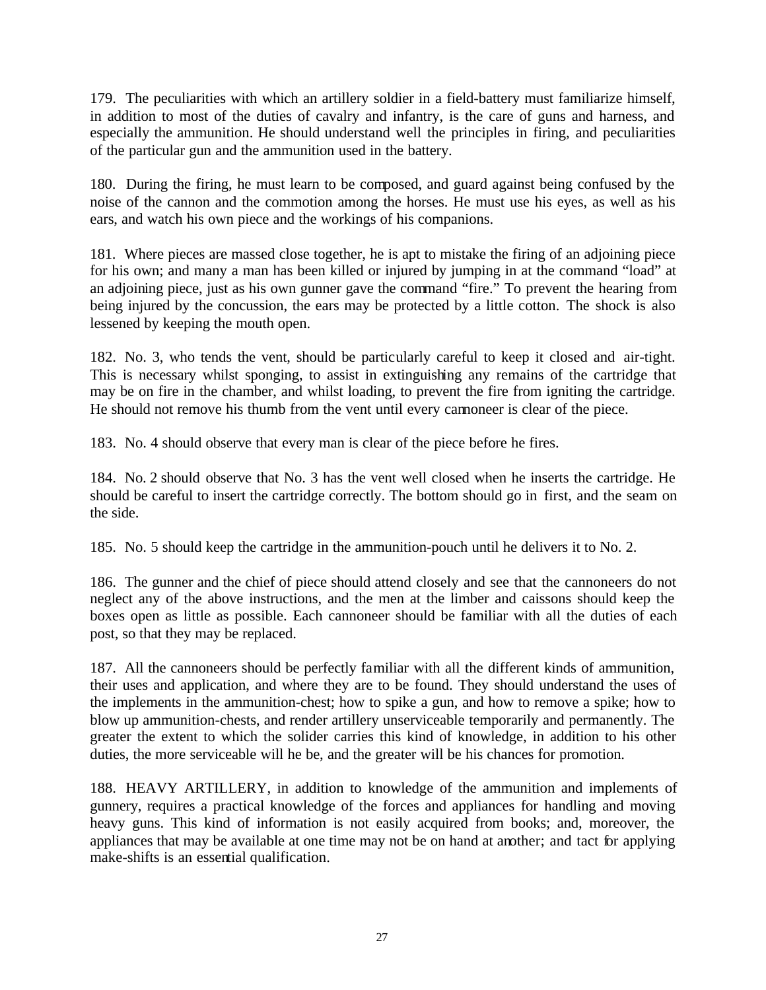179. The peculiarities with which an artillery soldier in a field-battery must familiarize himself, in addition to most of the duties of cavalry and infantry, is the care of guns and harness, and especially the ammunition. He should understand well the principles in firing, and peculiarities of the particular gun and the ammunition used in the battery.

180. During the firing, he must learn to be composed, and guard against being confused by the noise of the cannon and the commotion among the horses. He must use his eyes, as well as his ears, and watch his own piece and the workings of his companions.

181. Where pieces are massed close together, he is apt to mistake the firing of an adjoining piece for his own; and many a man has been killed or injured by jumping in at the command "load" at an adjoining piece, just as his own gunner gave the command "fire." To prevent the hearing from being injured by the concussion, the ears may be protected by a little cotton. The shock is also lessened by keeping the mouth open.

182. No. 3, who tends the vent, should be particularly careful to keep it closed and air-tight. This is necessary whilst sponging, to assist in extinguishing any remains of the cartridge that may be on fire in the chamber, and whilst loading, to prevent the fire from igniting the cartridge. He should not remove his thumb from the vent until every cannoneer is clear of the piece.

183. No. 4 should observe that every man is clear of the piece before he fires.

184. No. 2 should observe that No. 3 has the vent well closed when he inserts the cartridge. He should be careful to insert the cartridge correctly. The bottom should go in first, and the seam on the side.

185. No. 5 should keep the cartridge in the ammunition-pouch until he delivers it to No. 2.

186. The gunner and the chief of piece should attend closely and see that the cannoneers do not neglect any of the above instructions, and the men at the limber and caissons should keep the boxes open as little as possible. Each cannoneer should be familiar with all the duties of each post, so that they may be replaced.

187. All the cannoneers should be perfectly familiar with all the different kinds of ammunition, their uses and application, and where they are to be found. They should understand the uses of the implements in the ammunition-chest; how to spike a gun, and how to remove a spike; how to blow up ammunition-chests, and render artillery unserviceable temporarily and permanently. The greater the extent to which the solider carries this kind of knowledge, in addition to his other duties, the more serviceable will he be, and the greater will be his chances for promotion.

188. HEAVY ARTILLERY, in addition to knowledge of the ammunition and implements of gunnery, requires a practical knowledge of the forces and appliances for handling and moving heavy guns. This kind of information is not easily acquired from books; and, moreover, the appliances that may be available at one time may not be on hand at another; and tact for applying make-shifts is an essential qualification.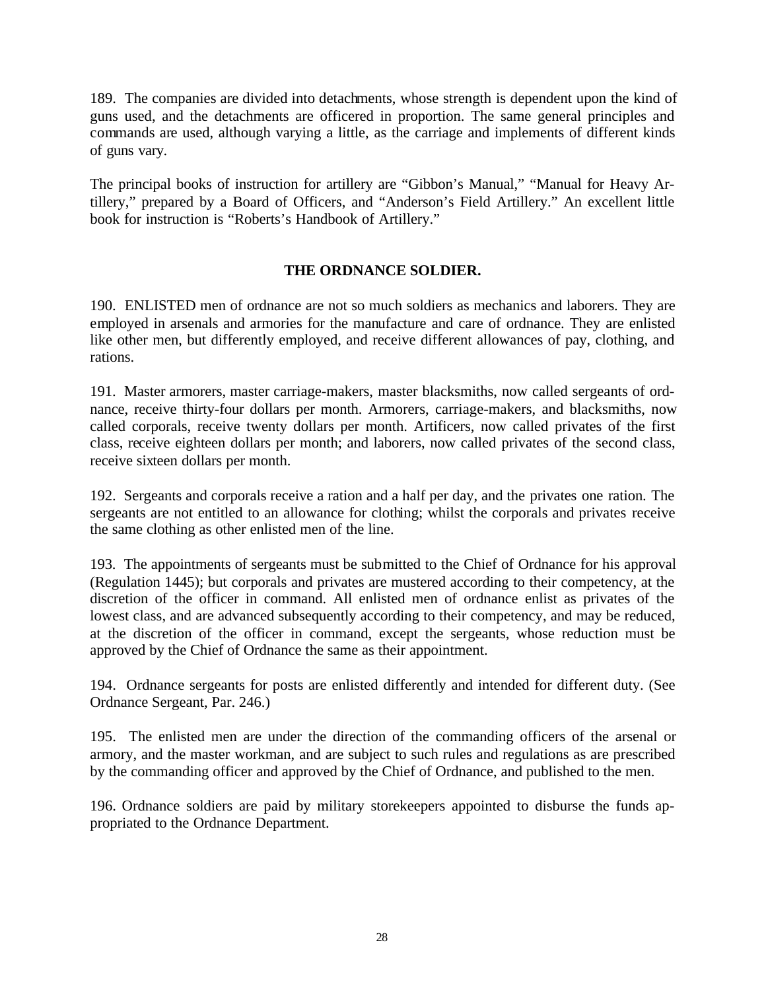189. The companies are divided into detachments, whose strength is dependent upon the kind of guns used, and the detachments are officered in proportion. The same general principles and commands are used, although varying a little, as the carriage and implements of different kinds of guns vary.

The principal books of instruction for artillery are "Gibbon's Manual," "Manual for Heavy Artillery," prepared by a Board of Officers, and "Anderson's Field Artillery." An excellent little book for instruction is "Roberts's Handbook of Artillery."

### **THE ORDNANCE SOLDIER.**

190. ENLISTED men of ordnance are not so much soldiers as mechanics and laborers. They are employed in arsenals and armories for the manufacture and care of ordnance. They are enlisted like other men, but differently employed, and receive different allowances of pay, clothing, and rations.

191. Master armorers, master carriage-makers, master blacksmiths, now called sergeants of ordnance, receive thirty-four dollars per month. Armorers, carriage-makers, and blacksmiths, now called corporals, receive twenty dollars per month. Artificers, now called privates of the first class, receive eighteen dollars per month; and laborers, now called privates of the second class, receive sixteen dollars per month.

192. Sergeants and corporals receive a ration and a half per day, and the privates one ration. The sergeants are not entitled to an allowance for clothing; whilst the corporals and privates receive the same clothing as other enlisted men of the line.

193. The appointments of sergeants must be submitted to the Chief of Ordnance for his approval (Regulation 1445); but corporals and privates are mustered according to their competency, at the discretion of the officer in command. All enlisted men of ordnance enlist as privates of the lowest class, and are advanced subsequently according to their competency, and may be reduced, at the discretion of the officer in command, except the sergeants, whose reduction must be approved by the Chief of Ordnance the same as their appointment.

194. Ordnance sergeants for posts are enlisted differently and intended for different duty. (See Ordnance Sergeant, Par. 246.)

195. The enlisted men are under the direction of the commanding officers of the arsenal or armory, and the master workman, and are subject to such rules and regulations as are prescribed by the commanding officer and approved by the Chief of Ordnance, and published to the men.

196. Ordnance soldiers are paid by military storekeepers appointed to disburse the funds appropriated to the Ordnance Department.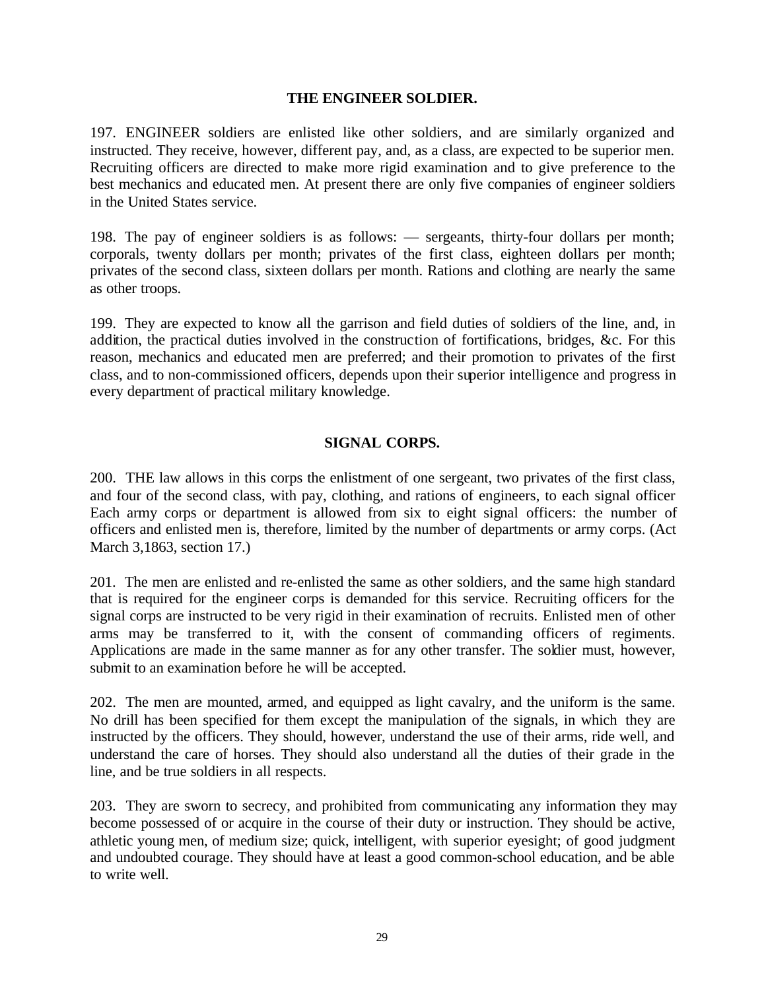#### **THE ENGINEER SOLDIER.**

197. ENGINEER soldiers are enlisted like other soldiers, and are similarly organized and instructed. They receive, however, different pay, and, as a class, are expected to be superior men. Recruiting officers are directed to make more rigid examination and to give preference to the best mechanics and educated men. At present there are only five companies of engineer soldiers in the United States service.

198. The pay of engineer soldiers is as follows: — sergeants, thirty-four dollars per month; corporals, twenty dollars per month; privates of the first class, eighteen dollars per month; privates of the second class, sixteen dollars per month. Rations and clothing are nearly the same as other troops.

199. They are expected to know all the garrison and field duties of soldiers of the line, and, in addition, the practical duties involved in the construction of fortifications, bridges, &c. For this reason, mechanics and educated men are preferred; and their promotion to privates of the first class, and to non-commissioned officers, depends upon their superior intelligence and progress in every department of practical military knowledge.

#### **SIGNAL CORPS.**

200. THE law allows in this corps the enlistment of one sergeant, two privates of the first class, and four of the second class, with pay, clothing, and rations of engineers, to each signal officer Each army corps or department is allowed from six to eight signal officers: the number of officers and enlisted men is, therefore, limited by the number of departments or army corps. (Act March 3,1863, section 17.)

201. The men are enlisted and re-enlisted the same as other soldiers, and the same high standard that is required for the engineer corps is demanded for this service. Recruiting officers for the signal corps are instructed to be very rigid in their examination of recruits. Enlisted men of other arms may be transferred to it, with the consent of commanding officers of regiments. Applications are made in the same manner as for any other transfer. The soldier must, however, submit to an examination before he will be accepted.

202. The men are mounted, armed, and equipped as light cavalry, and the uniform is the same. No drill has been specified for them except the manipulation of the signals, in which they are instructed by the officers. They should, however, understand the use of their arms, ride well, and understand the care of horses. They should also understand all the duties of their grade in the line, and be true soldiers in all respects.

203. They are sworn to secrecy, and prohibited from communicating any information they may become possessed of or acquire in the course of their duty or instruction. They should be active, athletic young men, of medium size; quick, intelligent, with superior eyesight; of good judgment and undoubted courage. They should have at least a good common-school education, and be able to write well.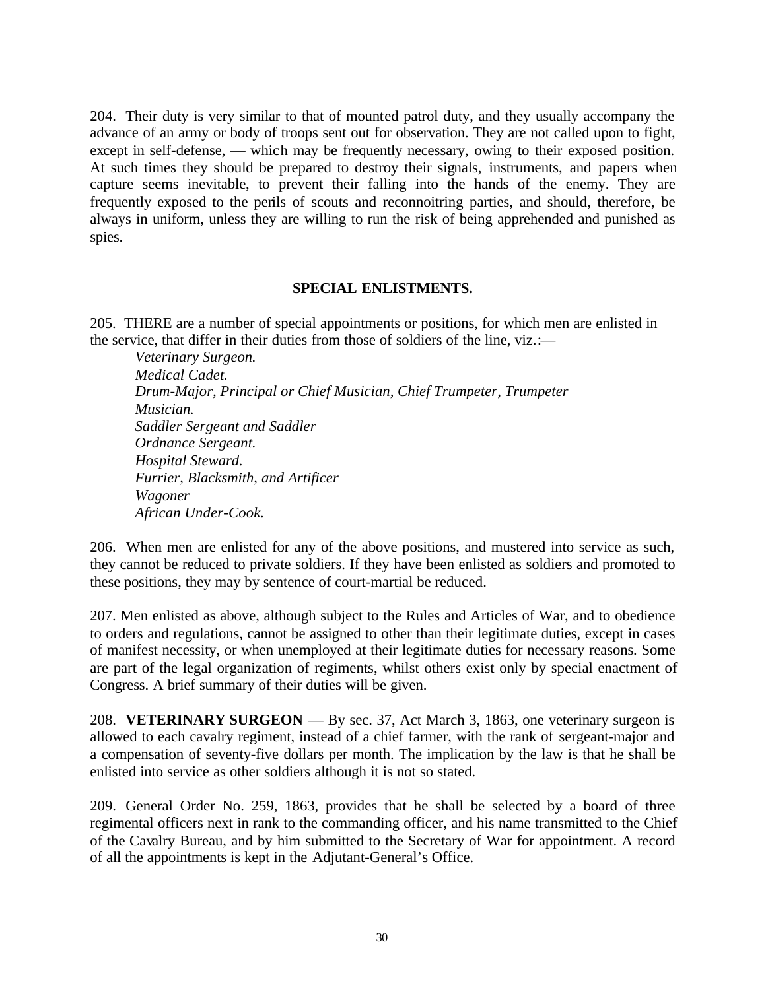204. Their duty is very similar to that of mounted patrol duty, and they usually accompany the advance of an army or body of troops sent out for observation. They are not called upon to fight, except in self-defense, — which may be frequently necessary, owing to their exposed position. At such times they should be prepared to destroy their signals, instruments, and papers when capture seems inevitable, to prevent their falling into the hands of the enemy. They are frequently exposed to the perils of scouts and reconnoitring parties, and should, therefore, be always in uniform, unless they are willing to run the risk of being apprehended and punished as spies.

#### **SPECIAL ENLISTMENTS.**

205. THERE are a number of special appointments or positions, for which men are enlisted in the service, that differ in their duties from those of soldiers of the line, viz.:—

*Veterinary Surgeon. Medical Cadet. Drum-Major, Principal or Chief Musician, Chief Trumpeter, Trumpeter Musician. Saddler Sergeant and Saddler Ordnance Sergeant. Hospital Steward. Furrier, Blacksmith, and Artificer Wagoner African Under-Cook.*

206. When men are enlisted for any of the above positions, and mustered into service as such, they cannot be reduced to private soldiers. If they have been enlisted as soldiers and promoted to these positions, they may by sentence of court-martial be reduced.

207. Men enlisted as above, although subject to the Rules and Articles of War, and to obedience to orders and regulations, cannot be assigned to other than their legitimate duties, except in cases of manifest necessity, or when unemployed at their legitimate duties for necessary reasons. Some are part of the legal organization of regiments, whilst others exist only by special enactment of Congress. A brief summary of their duties will be given.

208. **VETERINARY SURGEON** — By sec. 37, Act March 3, 1863, one veterinary surgeon is allowed to each cavalry regiment, instead of a chief farmer, with the rank of sergeant-major and a compensation of seventy-five dollars per month. The implication by the law is that he shall be enlisted into service as other soldiers although it is not so stated.

209. General Order No. 259, 1863, provides that he shall be selected by a board of three regimental officers next in rank to the commanding officer, and his name transmitted to the Chief of the Cavalry Bureau, and by him submitted to the Secretary of War for appointment. A record of all the appointments is kept in the Adjutant-General's Office.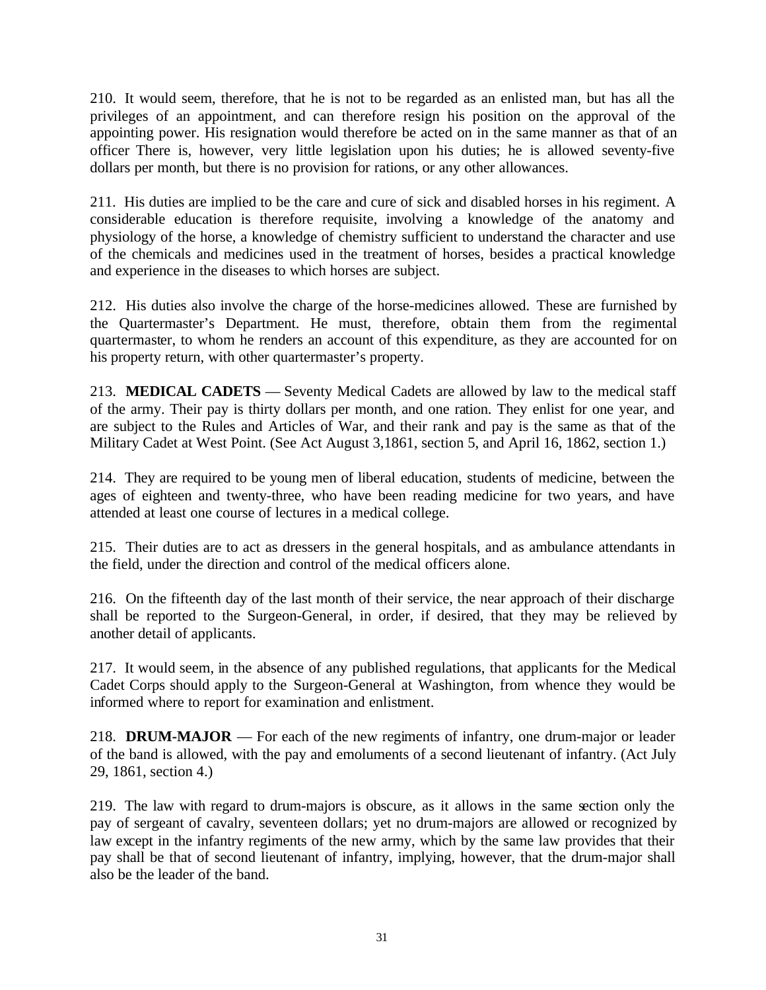210. It would seem, therefore, that he is not to be regarded as an enlisted man, but has all the privileges of an appointment, and can therefore resign his position on the approval of the appointing power. His resignation would therefore be acted on in the same manner as that of an officer There is, however, very little legislation upon his duties; he is allowed seventy-five dollars per month, but there is no provision for rations, or any other allowances.

211. His duties are implied to be the care and cure of sick and disabled horses in his regiment. A considerable education is therefore requisite, involving a knowledge of the anatomy and physiology of the horse, a knowledge of chemistry sufficient to understand the character and use of the chemicals and medicines used in the treatment of horses, besides a practical knowledge and experience in the diseases to which horses are subject.

212. His duties also involve the charge of the horse-medicines allowed. These are furnished by the Quartermaster's Department. He must, therefore, obtain them from the regimental quartermaster, to whom he renders an account of this expenditure, as they are accounted for on his property return, with other quartermaster's property.

213. **MEDICAL CADETS** — Seventy Medical Cadets are allowed by law to the medical staff of the army. Their pay is thirty dollars per month, and one ration. They enlist for one year, and are subject to the Rules and Articles of War, and their rank and pay is the same as that of the Military Cadet at West Point. (See Act August 3,1861, section 5, and April 16, 1862, section 1.)

214. They are required to be young men of liberal education, students of medicine, between the ages of eighteen and twenty-three, who have been reading medicine for two years, and have attended at least one course of lectures in a medical college.

215. Their duties are to act as dressers in the general hospitals, and as ambulance attendants in the field, under the direction and control of the medical officers alone.

216. On the fifteenth day of the last month of their service, the near approach of their discharge shall be reported to the Surgeon-General, in order, if desired, that they may be relieved by another detail of applicants.

217. It would seem, in the absence of any published regulations, that applicants for the Medical Cadet Corps should apply to the Surgeon-General at Washington, from whence they would be informed where to report for examination and enlistment.

218. **DRUM-MAJOR** — For each of the new regiments of infantry, one drum-major or leader of the band is allowed, with the pay and emoluments of a second lieutenant of infantry. (Act July 29, 1861, section 4.)

219. The law with regard to drum-majors is obscure, as it allows in the same section only the pay of sergeant of cavalry, seventeen dollars; yet no drum-majors are allowed or recognized by law except in the infantry regiments of the new army, which by the same law provides that their pay shall be that of second lieutenant of infantry, implying, however, that the drum-major shall also be the leader of the band.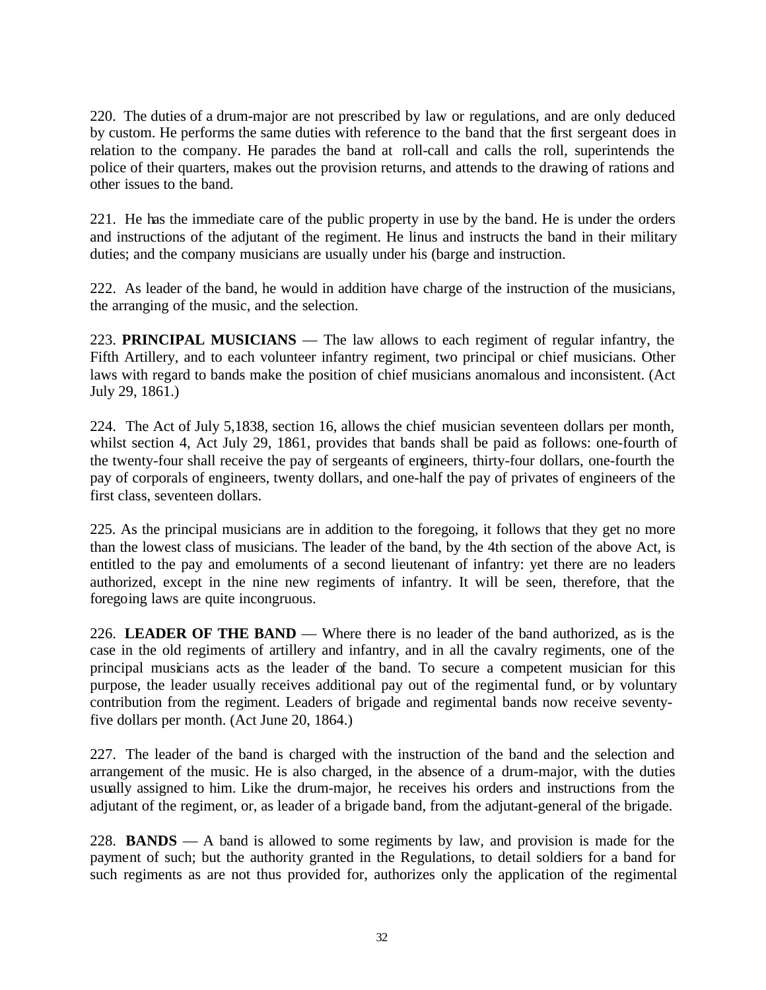220. The duties of a drum-major are not prescribed by law or regulations, and are only deduced by custom. He performs the same duties with reference to the band that the first sergeant does in relation to the company. He parades the band at roll-call and calls the roll, superintends the police of their quarters, makes out the provision returns, and attends to the drawing of rations and other issues to the band.

221. He has the immediate care of the public property in use by the band. He is under the orders and instructions of the adjutant of the regiment. He linus and instructs the band in their military duties; and the company musicians are usually under his (barge and instruction.

222. As leader of the band, he would in addition have charge of the instruction of the musicians, the arranging of the music, and the selection.

223. **PRINCIPAL MUSICIANS** — The law allows to each regiment of regular infantry, the Fifth Artillery, and to each volunteer infantry regiment, two principal or chief musicians. Other laws with regard to bands make the position of chief musicians anomalous and inconsistent. (Act July 29, 1861.)

224. The Act of July 5,1838, section 16, allows the chief musician seventeen dollars per month, whilst section 4, Act July 29, 1861, provides that bands shall be paid as follows: one-fourth of the twenty-four shall receive the pay of sergeants of engineers, thirty-four dollars, one-fourth the pay of corporals of engineers, twenty dollars, and one-half the pay of privates of engineers of the first class, seventeen dollars.

225. As the principal musicians are in addition to the foregoing, it follows that they get no more than the lowest class of musicians. The leader of the band, by the 4th section of the above Act, is entitled to the pay and emoluments of a second lieutenant of infantry: yet there are no leaders authorized, except in the nine new regiments of infantry. It will be seen, therefore, that the foregoing laws are quite incongruous.

226. **LEADER OF THE BAND** — Where there is no leader of the band authorized, as is the case in the old regiments of artillery and infantry, and in all the cavalry regiments, one of the principal musicians acts as the leader of the band. To secure a competent musician for this purpose, the leader usually receives additional pay out of the regimental fund, or by voluntary contribution from the regiment. Leaders of brigade and regimental bands now receive seventyfive dollars per month. (Act June 20, 1864.)

227. The leader of the band is charged with the instruction of the band and the selection and arrangement of the music. He is also charged, in the absence of a drum-major, with the duties usually assigned to him. Like the drum-major, he receives his orders and instructions from the adjutant of the regiment, or, as leader of a brigade band, from the adjutant-general of the brigade.

228. **BANDS** — A band is allowed to some regiments by law, and provision is made for the payment of such; but the authority granted in the Regulations, to detail soldiers for a band for such regiments as are not thus provided for, authorizes only the application of the regimental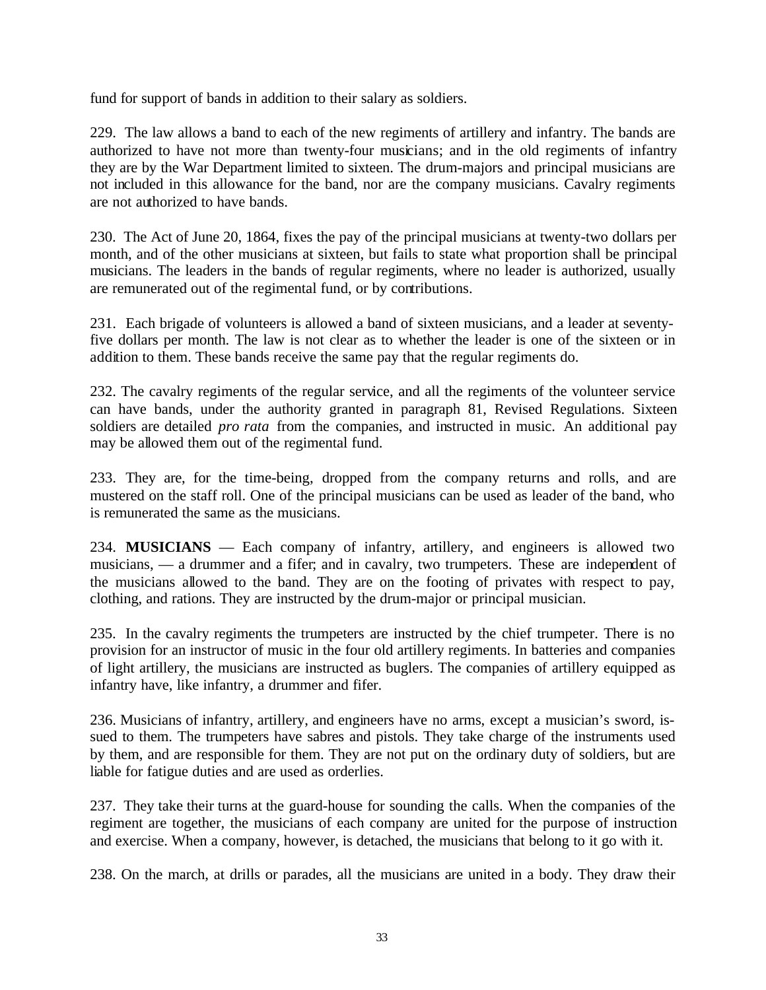fund for support of bands in addition to their salary as soldiers.

229. The law allows a band to each of the new regiments of artillery and infantry. The bands are authorized to have not more than twenty-four musicians; and in the old regiments of infantry they are by the War Department limited to sixteen. The drum-majors and principal musicians are not included in this allowance for the band, nor are the company musicians. Cavalry regiments are not authorized to have bands.

230. The Act of June 20, 1864, fixes the pay of the principal musicians at twenty-two dollars per month, and of the other musicians at sixteen, but fails to state what proportion shall be principal musicians. The leaders in the bands of regular regiments, where no leader is authorized, usually are remunerated out of the regimental fund, or by contributions.

231. Each brigade of volunteers is allowed a band of sixteen musicians, and a leader at seventyfive dollars per month. The law is not clear as to whether the leader is one of the sixteen or in addition to them. These bands receive the same pay that the regular regiments do.

232. The cavalry regiments of the regular service, and all the regiments of the volunteer service can have bands, under the authority granted in paragraph 81, Revised Regulations. Sixteen soldiers are detailed *pro rata* from the companies, and instructed in music. An additional pay may be allowed them out of the regimental fund.

233. They are, for the time-being, dropped from the company returns and rolls, and are mustered on the staff roll. One of the principal musicians can be used as leader of the band, who is remunerated the same as the musicians.

234. **MUSICIANS** — Each company of infantry, artillery, and engineers is allowed two musicians, — a drummer and a fifer; and in cavalry, two trumpeters. These are independent of the musicians allowed to the band. They are on the footing of privates with respect to pay, clothing, and rations. They are instructed by the drum-major or principal musician.

235. In the cavalry regiments the trumpeters are instructed by the chief trumpeter. There is no provision for an instructor of music in the four old artillery regiments. In batteries and companies of light artillery, the musicians are instructed as buglers. The companies of artillery equipped as infantry have, like infantry, a drummer and fifer.

236. Musicians of infantry, artillery, and engineers have no arms, except a musician's sword, issued to them. The trumpeters have sabres and pistols. They take charge of the instruments used by them, and are responsible for them. They are not put on the ordinary duty of soldiers, but are liable for fatigue duties and are used as orderlies.

237. They take their turns at the guard-house for sounding the calls. When the companies of the regiment are together, the musicians of each company are united for the purpose of instruction and exercise. When a company, however, is detached, the musicians that belong to it go with it.

238. On the march, at drills or parades, all the musicians are united in a body. They draw their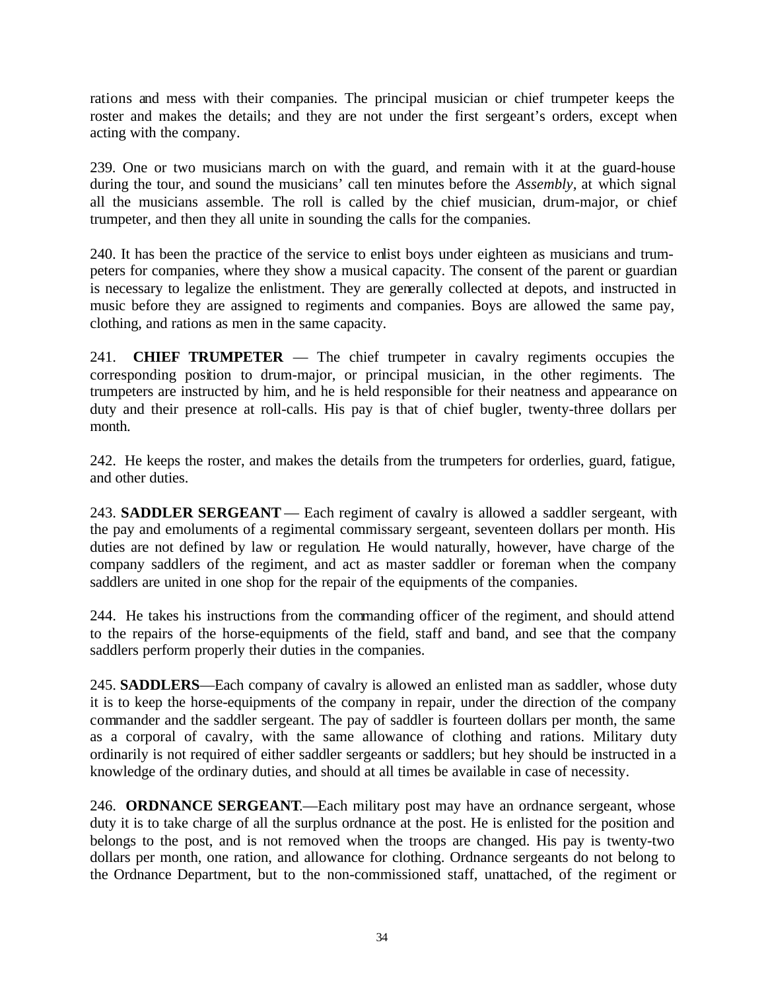rations and mess with their companies. The principal musician or chief trumpeter keeps the roster and makes the details; and they are not under the first sergeant's orders, except when acting with the company.

239. One or two musicians march on with the guard, and remain with it at the guard-house during the tour, and sound the musicians' call ten minutes before the *Assembly,* at which signal all the musicians assemble. The roll is called by the chief musician, drum-major, or chief trumpeter, and then they all unite in sounding the calls for the companies.

240. It has been the practice of the service to enlist boys under eighteen as musicians and trumpeters for companies, where they show a musical capacity. The consent of the parent or guardian is necessary to legalize the enlistment. They are generally collected at depots, and instructed in music before they are assigned to regiments and companies. Boys are allowed the same pay, clothing, and rations as men in the same capacity.

241. **CHIEF TRUMPETER** — The chief trumpeter in cavalry regiments occupies the corresponding position to drum-major, or principal musician, in the other regiments. The trumpeters are instructed by him, and he is held responsible for their neatness and appearance on duty and their presence at roll-calls. His pay is that of chief bugler, twenty-three dollars per month.

242. He keeps the roster, and makes the details from the trumpeters for orderlies, guard, fatigue, and other duties.

243. **SADDLER SERGEANT** — Each regiment of cavalry is allowed a saddler sergeant, with the pay and emoluments of a regimental commissary sergeant, seventeen dollars per month. His duties are not defined by law or regulation. He would naturally, however, have charge of the company saddlers of the regiment, and act as master saddler or foreman when the company saddlers are united in one shop for the repair of the equipments of the companies.

244. He takes his instructions from the commanding officer of the regiment, and should attend to the repairs of the horse-equipments of the field, staff and band, and see that the company saddlers perform properly their duties in the companies.

245. **SADDLERS**—Each company of cavalry is allowed an enlisted man as saddler, whose duty it is to keep the horse-equipments of the company in repair, under the direction of the company commander and the saddler sergeant. The pay of saddler is fourteen dollars per month, the same as a corporal of cavalry, with the same allowance of clothing and rations. Military duty ordinarily is not required of either saddler sergeants or saddlers; but hey should be instructed in a knowledge of the ordinary duties, and should at all times be available in case of necessity.

246. **ORDNANCE SERGEANT**.—Each military post may have an ordnance sergeant, whose duty it is to take charge of all the surplus ordnance at the post. He is enlisted for the position and belongs to the post, and is not removed when the troops are changed. His pay is twenty-two dollars per month, one ration, and allowance for clothing. Ordnance sergeants do not belong to the Ordnance Department, but to the non-commissioned staff, unattached, of the regiment or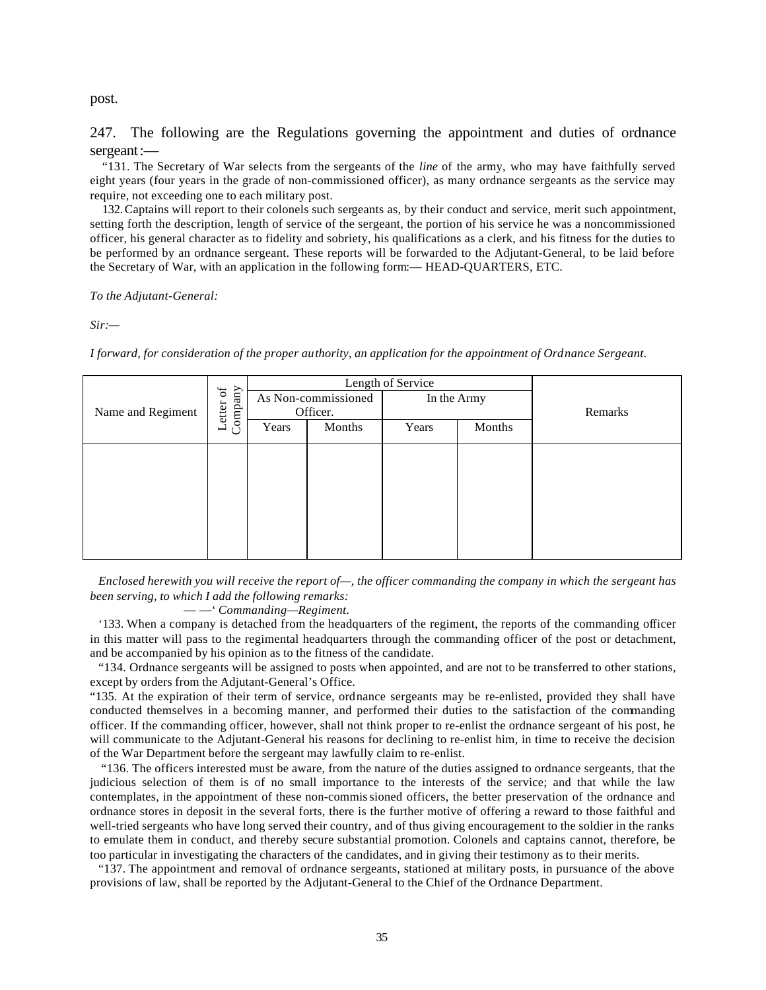post.

247. The following are the Regulations governing the appointment and duties of ordnance sergeant:—

"131. The Secretary of War selects from the sergeants of the *line* of the army, who may have faithfully served eight years (four years in the grade of non-commissioned officer), as many ordnance sergeants as the service may require, not exceeding one to each military post.

132.Captains will report to their colonels such sergeants as, by their conduct and service, merit such appointment, setting forth the description, length of service of the sergeant, the portion of his service he was a noncommissioned officer, his general character as to fidelity and sobriety, his qualifications as a clerk, and his fitness for the duties to be performed by an ordnance sergeant. These reports will be forwarded to the Adjutant-General, to be laid before the Secretary of War, with an application in the following form:— HEAD-QUARTERS, ETC.

*To the Adjutant-General:*

*Sir:—*

*I forward, for consideration of the proper authority, an application for the appointment of Ordnance Sergeant.*

|                             |          | Length of Service |                     |             |        |         |
|-----------------------------|----------|-------------------|---------------------|-------------|--------|---------|
| Letter<br>Name and Regiment | $\delta$ |                   | As Non-commissioned | In the Army |        |         |
|                             | Company  | Years             | Officer.<br>Months  | Years       | Months | Remarks |
|                             |          |                   |                     |             |        |         |
|                             |          |                   |                     |             |        |         |
|                             |          |                   |                     |             |        |         |
|                             |          |                   |                     |             |        |         |
|                             |          |                   |                     |             |        |         |

*Enclosed herewith you will receive the report of—, the officer commanding the company in which the sergeant has been serving, to which I add the following remarks:*

#### — —' *Commanding—Regiment.*

'133. When a company is detached from the headquarters of the regiment, the reports of the commanding officer in this matter will pass to the regimental headquarters through the commanding officer of the post or detachment, and be accompanied by his opinion as to the fitness of the candidate.

"134. Ordnance sergeants will be assigned to posts when appointed, and are not to be transferred to other stations, except by orders from the Adjutant-General's Office.

"135. At the expiration of their term of service, ordnance sergeants may be re-enlisted, provided they shall have conducted themselves in a becoming manner, and performed their duties to the satisfaction of the commanding officer. If the commanding officer, however, shall not think proper to re-enlist the ordnance sergeant of his post, he will communicate to the Adjutant-General his reasons for declining to re-enlist him, in time to receive the decision of the War Department before the sergeant may lawfully claim to re-enlist.

"136. The officers interested must be aware, from the nature of the duties assigned to ordnance sergeants, that the judicious selection of them is of no small importance to the interests of the service; and that while the law contemplates, in the appointment of these non-commissioned officers, the better preservation of the ordnance and ordnance stores in deposit in the several forts, there is the further motive of offering a reward to those faithful and well-tried sergeants who have long served their country, and of thus giving encouragement to the soldier in the ranks to emulate them in conduct, and thereby secure substantial promotion. Colonels and captains cannot, therefore, be too particular in investigating the characters of the candidates, and in giving their testimony as to their merits.

"137. The appointment and removal of ordnance sergeants, stationed at military posts, in pursuance of the above provisions of law, shall be reported by the Adjutant-General to the Chief of the Ordnance Department.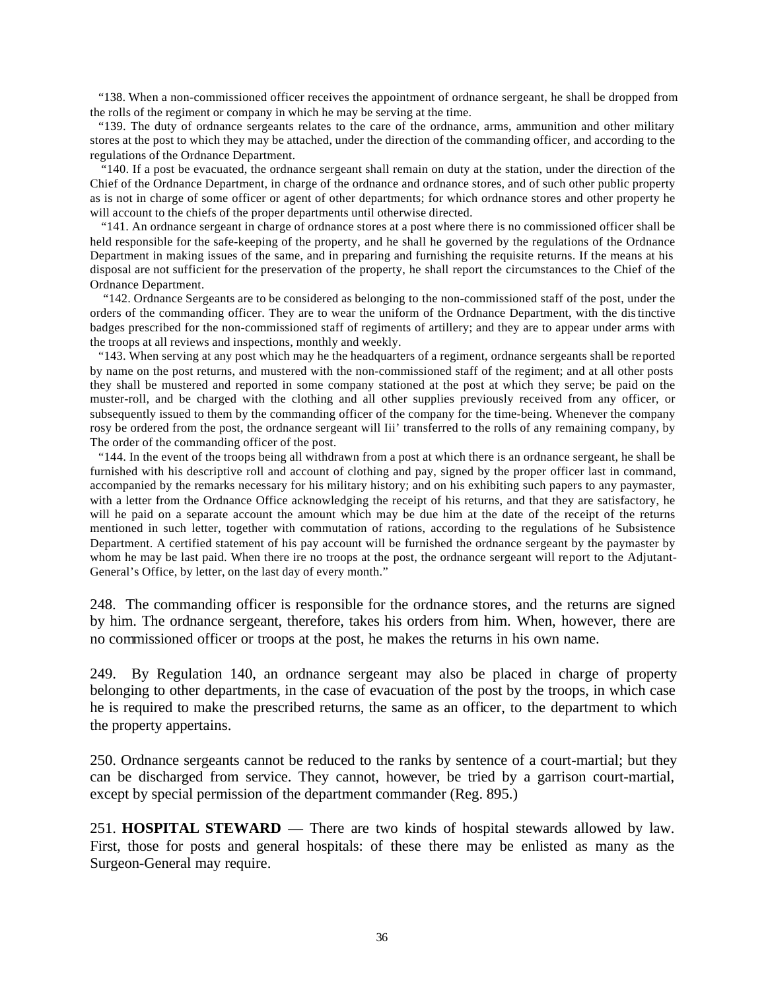"138. When a non-commissioned officer receives the appointment of ordnance sergeant, he shall be dropped from the rolls of the regiment or company in which he may be serving at the time.

"139. The duty of ordnance sergeants relates to the care of the ordnance, arms, ammunition and other military stores at the post to which they may be attached, under the direction of the commanding officer, and according to the regulations of the Ordnance Department.

"140. If a post be evacuated, the ordnance sergeant shall remain on duty at the station, under the direction of the Chief of the Ordnance Department, in charge of the ordnance and ordnance stores, and of such other public property as is not in charge of some officer or agent of other departments; for which ordnance stores and other property he will account to the chiefs of the proper departments until otherwise directed.

"141. An ordnance sergeant in charge of ordnance stores at a post where there is no commissioned officer shall be held responsible for the safe-keeping of the property, and he shall he governed by the regulations of the Ordnance Department in making issues of the same, and in preparing and furnishing the requisite returns. If the means at his disposal are not sufficient for the preservation of the property, he shall report the circumstances to the Chief of the Ordnance Department.

"142. Ordnance Sergeants are to be considered as belonging to the non-commissioned staff of the post, under the orders of the commanding officer. They are to wear the uniform of the Ordnance Department, with the distinctive badges prescribed for the non-commissioned staff of regiments of artillery; and they are to appear under arms with the troops at all reviews and inspections, monthly and weekly.

"143. When serving at any post which may he the headquarters of a regiment, ordnance sergeants shall be reported by name on the post returns, and mustered with the non-commissioned staff of the regiment; and at all other posts they shall be mustered and reported in some company stationed at the post at which they serve; be paid on the muster-roll, and be charged with the clothing and all other supplies previously received from any officer, or subsequently issued to them by the commanding officer of the company for the time-being. Whenever the company rosy be ordered from the post, the ordnance sergeant will Iii' transferred to the rolls of any remaining company, by The order of the commanding officer of the post.

"144. In the event of the troops being all withdrawn from a post at which there is an ordnance sergeant, he shall be furnished with his descriptive roll and account of clothing and pay, signed by the proper officer last in command, accompanied by the remarks necessary for his military history; and on his exhibiting such papers to any paymaster, with a letter from the Ordnance Office acknowledging the receipt of his returns, and that they are satisfactory, he will he paid on a separate account the amount which may be due him at the date of the receipt of the returns mentioned in such letter, together with commutation of rations, according to the regulations of he Subsistence Department. A certified statement of his pay account will be furnished the ordnance sergeant by the paymaster by whom he may be last paid. When there ire no troops at the post, the ordnance sergeant will report to the Adjutant-General's Office, by letter, on the last day of every month."

248. The commanding officer is responsible for the ordnance stores, and the returns are signed by him. The ordnance sergeant, therefore, takes his orders from him. When, however, there are no commissioned officer or troops at the post, he makes the returns in his own name.

249. By Regulation 140, an ordnance sergeant may also be placed in charge of property belonging to other departments, in the case of evacuation of the post by the troops, in which case he is required to make the prescribed returns, the same as an officer, to the department to which the property appertains.

250. Ordnance sergeants cannot be reduced to the ranks by sentence of a court-martial; but they can be discharged from service. They cannot, however, be tried by a garrison court-martial, except by special permission of the department commander (Reg. 895.)

251. **HOSPITAL STEWARD** — There are two kinds of hospital stewards allowed by law. First, those for posts and general hospitals: of these there may be enlisted as many as the Surgeon-General may require.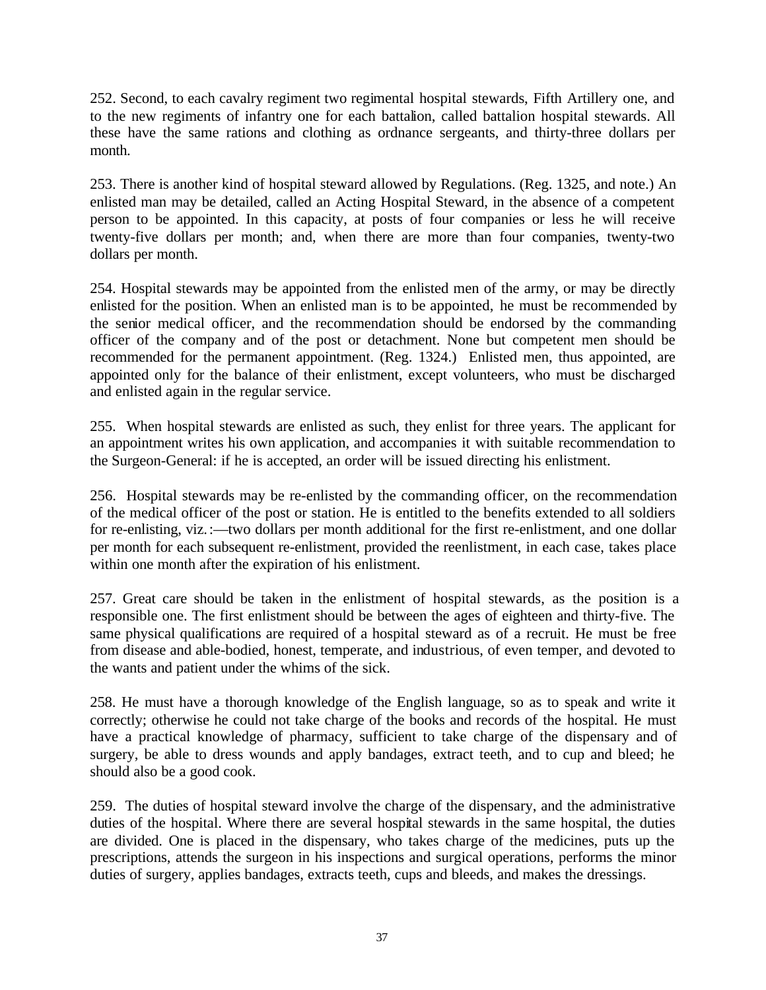252. Second, to each cavalry regiment two regimental hospital stewards, Fifth Artillery one, and to the new regiments of infantry one for each battalion, called battalion hospital stewards. All these have the same rations and clothing as ordnance sergeants, and thirty-three dollars per month.

253. There is another kind of hospital steward allowed by Regulations. (Reg. 1325, and note.) An enlisted man may be detailed, called an Acting Hospital Steward, in the absence of a competent person to be appointed. In this capacity, at posts of four companies or less he will receive twenty-five dollars per month; and, when there are more than four companies, twenty-two dollars per month.

254. Hospital stewards may be appointed from the enlisted men of the army, or may be directly enlisted for the position. When an enlisted man is to be appointed, he must be recommended by the senior medical officer, and the recommendation should be endorsed by the commanding officer of the company and of the post or detachment. None but competent men should be recommended for the permanent appointment. (Reg. 1324.) Enlisted men, thus appointed, are appointed only for the balance of their enlistment, except volunteers, who must be discharged and enlisted again in the regular service.

255. When hospital stewards are enlisted as such, they enlist for three years. The applicant for an appointment writes his own application, and accompanies it with suitable recommendation to the Surgeon-General: if he is accepted, an order will be issued directing his enlistment.

256. Hospital stewards may be re-enlisted by the commanding officer, on the recommendation of the medical officer of the post or station. He is entitled to the benefits extended to all soldiers for re-enlisting, viz.:—two dollars per month additional for the first re-enlistment, and one dollar per month for each subsequent re-enlistment, provided the reenlistment, in each case, takes place within one month after the expiration of his enlistment.

257. Great care should be taken in the enlistment of hospital stewards, as the position is a responsible one. The first enlistment should be between the ages of eighteen and thirty-five. The same physical qualifications are required of a hospital steward as of a recruit. He must be free from disease and able-bodied, honest, temperate, and industrious, of even temper, and devoted to the wants and patient under the whims of the sick.

258. He must have a thorough knowledge of the English language, so as to speak and write it correctly; otherwise he could not take charge of the books and records of the hospital. He must have a practical knowledge of pharmacy, sufficient to take charge of the dispensary and of surgery, be able to dress wounds and apply bandages, extract teeth, and to cup and bleed; he should also be a good cook.

259. The duties of hospital steward involve the charge of the dispensary, and the administrative duties of the hospital. Where there are several hospital stewards in the same hospital, the duties are divided. One is placed in the dispensary, who takes charge of the medicines, puts up the prescriptions, attends the surgeon in his inspections and surgical operations, performs the minor duties of surgery, applies bandages, extracts teeth, cups and bleeds, and makes the dressings.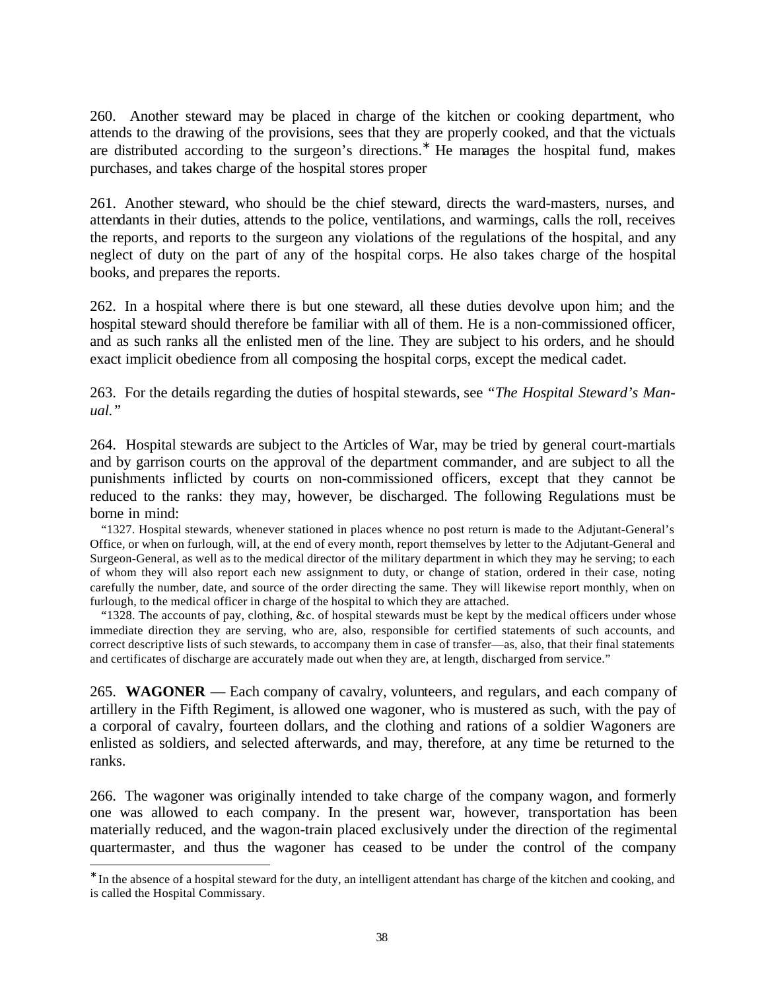260. Another steward may be placed in charge of the kitchen or cooking department, who attends to the drawing of the provisions, sees that they are properly cooked, and that the victuals are distributed according to the surgeon's directions.<sup>\*</sup> He manages the hospital fund, makes purchases, and takes charge of the hospital stores proper

261. Another steward, who should be the chief steward, directs the ward-masters, nurses, and attendants in their duties, attends to the police, ventilations, and warmings, calls the roll, receives the reports, and reports to the surgeon any violations of the regulations of the hospital, and any neglect of duty on the part of any of the hospital corps. He also takes charge of the hospital books, and prepares the reports.

262. In a hospital where there is but one steward, all these duties devolve upon him; and the hospital steward should therefore be familiar with all of them. He is a non-commissioned officer, and as such ranks all the enlisted men of the line. They are subject to his orders, and he should exact implicit obedience from all composing the hospital corps, except the medical cadet.

263. For the details regarding the duties of hospital stewards, see *"The Hospital Steward's Manual."*

264. Hospital stewards are subject to the Articles of War, may be tried by general court-martials and by garrison courts on the approval of the department commander, and are subject to all the punishments inflicted by courts on non-commissioned officers, except that they cannot be reduced to the ranks: they may, however, be discharged. The following Regulations must be borne in mind:

"1327. Hospital stewards, whenever stationed in places whence no post return is made to the Adjutant-General's Office, or when on furlough, will, at the end of every month, report themselves by letter to the Adjutant-General and Surgeon-General, as well as to the medical director of the military department in which they may he serving; to each of whom they will also report each new assignment to duty, or change of station, ordered in their case, noting carefully the number, date, and source of the order directing the same. They will likewise report monthly, when on furlough, to the medical officer in charge of the hospital to which they are attached.

"1328. The accounts of pay, clothing, &c. of hospital stewards must be kept by the medical officers under whose immediate direction they are serving, who are, also, responsible for certified statements of such accounts, and correct descriptive lists of such stewards, to accompany them in case of transfer—as, also, that their final statements and certificates of discharge are accurately made out when they are, at length, discharged from service."

265. **WAGONER** — Each company of cavalry, volunteers, and regulars, and each company of artillery in the Fifth Regiment, is allowed one wagoner, who is mustered as such, with the pay of a corporal of cavalry, fourteen dollars, and the clothing and rations of a soldier Wagoners are enlisted as soldiers, and selected afterwards, and may, therefore, at any time be returned to the ranks.

266. The wagoner was originally intended to take charge of the company wagon, and formerly one was allowed to each company. In the present war, however, transportation has been materially reduced, and the wagon-train placed exclusively under the direction of the regimental quartermaster, and thus the wagoner has ceased to be under the control of the company

l

<sup>∗</sup> In the absence of a hospital steward for the duty, an intelligent attendant has charge of the kitchen and cooking, and is called the Hospital Commissary.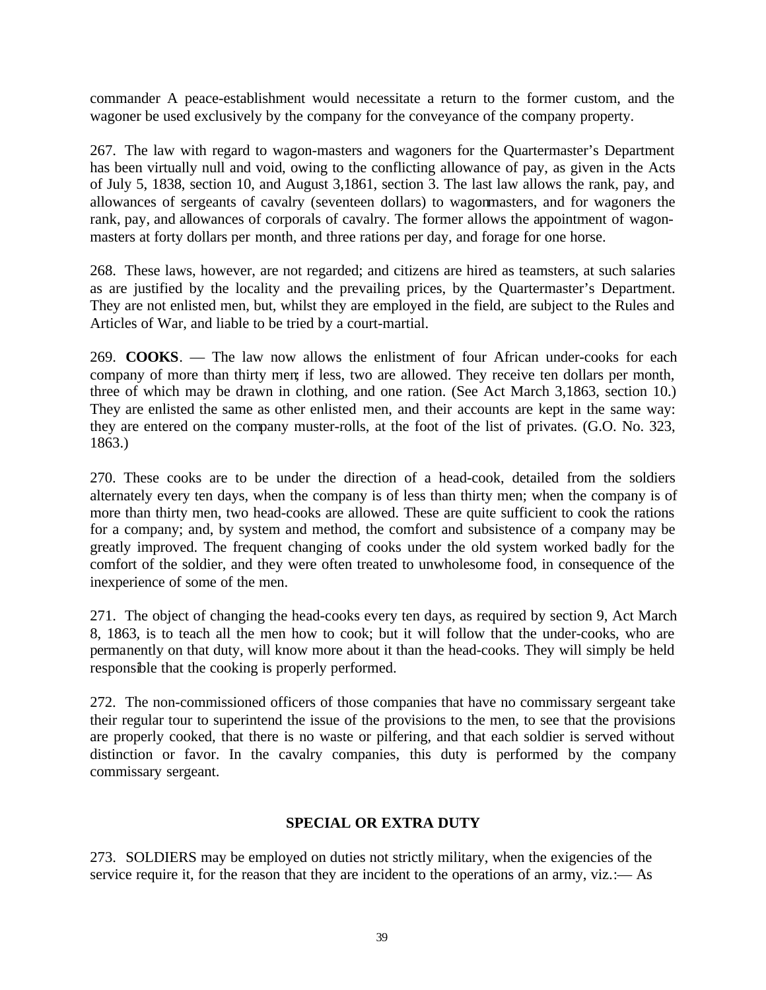commander A peace-establishment would necessitate a return to the former custom, and the wagoner be used exclusively by the company for the conveyance of the company property.

267. The law with regard to wagon-masters and wagoners for the Quartermaster's Department has been virtually null and void, owing to the conflicting allowance of pay, as given in the Acts of July 5, 1838, section 10, and August 3,1861, section 3. The last law allows the rank, pay, and allowances of sergeants of cavalry (seventeen dollars) to wagonmasters, and for wagoners the rank, pay, and allowances of corporals of cavalry. The former allows the appointment of wagonmasters at forty dollars per month, and three rations per day, and forage for one horse.

268. These laws, however, are not regarded; and citizens are hired as teamsters, at such salaries as are justified by the locality and the prevailing prices, by the Quartermaster's Department. They are not enlisted men, but, whilst they are employed in the field, are subject to the Rules and Articles of War, and liable to be tried by a court-martial.

269. **COOKS**. — The law now allows the enlistment of four African under-cooks for each company of more than thirty men; if less, two are allowed. They receive ten dollars per month, three of which may be drawn in clothing, and one ration. (See Act March 3,1863, section 10.) They are enlisted the same as other enlisted men, and their accounts are kept in the same way: they are entered on the company muster-rolls, at the foot of the list of privates. (G.O. No. 323, 1863.)

270. These cooks are to be under the direction of a head-cook, detailed from the soldiers alternately every ten days, when the company is of less than thirty men; when the company is of more than thirty men, two head-cooks are allowed. These are quite sufficient to cook the rations for a company; and, by system and method, the comfort and subsistence of a company may be greatly improved. The frequent changing of cooks under the old system worked badly for the comfort of the soldier, and they were often treated to unwholesome food, in consequence of the inexperience of some of the men.

271. The object of changing the head-cooks every ten days, as required by section 9, Act March 8, 1863, is to teach all the men how to cook; but it will follow that the under-cooks, who are permanently on that duty, will know more about it than the head-cooks. They will simply be held responsible that the cooking is properly performed.

272. The non-commissioned officers of those companies that have no commissary sergeant take their regular tour to superintend the issue of the provisions to the men, to see that the provisions are properly cooked, that there is no waste or pilfering, and that each soldier is served without distinction or favor. In the cavalry companies, this duty is performed by the company commissary sergeant.

### **SPECIAL OR EXTRA DUTY**

273. SOLDIERS may be employed on duties not strictly military, when the exigencies of the service require it, for the reason that they are incident to the operations of an army, viz.:— As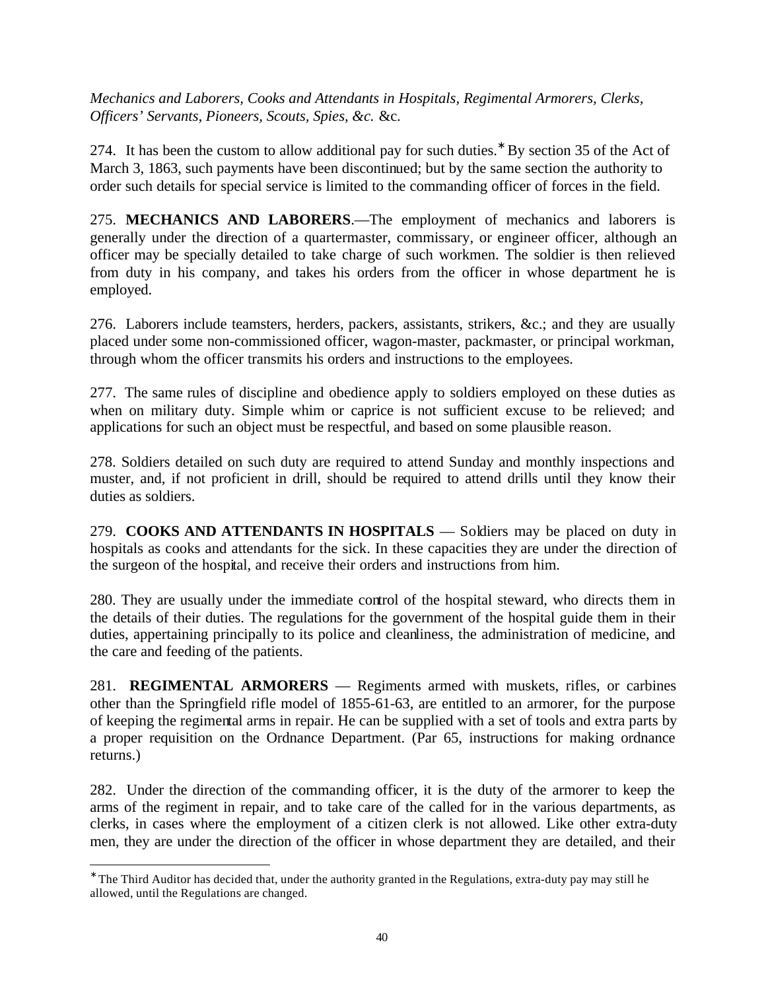*Mechanics and Laborers, Cooks and Attendants in Hospitals, Regimental Armorers, Clerks, Officers' Servants, Pioneers, Scouts, Spies, &c.* &c.

274. It has been the custom to allow additional pay for such duties.<sup>\*</sup> By section 35 of the Act of March 3, 1863, such payments have been discontinued; but by the same section the authority to order such details for special service is limited to the commanding officer of forces in the field.

275. **MECHANICS AND LABORERS**.—The employment of mechanics and laborers is generally under the direction of a quartermaster, commissary, or engineer officer, although an officer may be specially detailed to take charge of such workmen. The soldier is then relieved from duty in his company, and takes his orders from the officer in whose department he is employed.

276. Laborers include teamsters, herders, packers, assistants, strikers, &c.; and they are usually placed under some non-commissioned officer, wagon-master, packmaster, or principal workman, through whom the officer transmits his orders and instructions to the employees.

277. The same rules of discipline and obedience apply to soldiers employed on these duties as when on military duty. Simple whim or caprice is not sufficient excuse to be relieved; and applications for such an object must be respectful, and based on some plausible reason.

278. Soldiers detailed on such duty are required to attend Sunday and monthly inspections and muster, and, if not proficient in drill, should be required to attend drills until they know their duties as soldiers.

279. **COOKS AND ATTENDANTS IN HOSPITALS** — Soldiers may be placed on duty in hospitals as cooks and attendants for the sick. In these capacities they are under the direction of the surgeon of the hospital, and receive their orders and instructions from him.

280. They are usually under the immediate control of the hospital steward, who directs them in the details of their duties. The regulations for the government of the hospital guide them in their duties, appertaining principally to its police and cleanliness, the administration of medicine, and the care and feeding of the patients.

281. **REGIMENTAL ARMORERS** — Regiments armed with muskets, rifles, or carbines other than the Springfield rifle model of 1855-61-63, are entitled to an armorer, for the purpose of keeping the regimental arms in repair. He can be supplied with a set of tools and extra parts by a proper requisition on the Ordnance Department. (Par 65, instructions for making ordnance returns.)

282. Under the direction of the commanding officer, it is the duty of the armorer to keep the arms of the regiment in repair, and to take care of the called for in the various departments, as clerks, in cases where the employment of a citizen clerk is not allowed. Like other extra-duty men, they are under the direction of the officer in whose department they are detailed, and their

l

<sup>∗</sup> The Third Auditor has decided that, under the authority granted in the Regulations, extra-duty pay may still he allowed, until the Regulations are changed.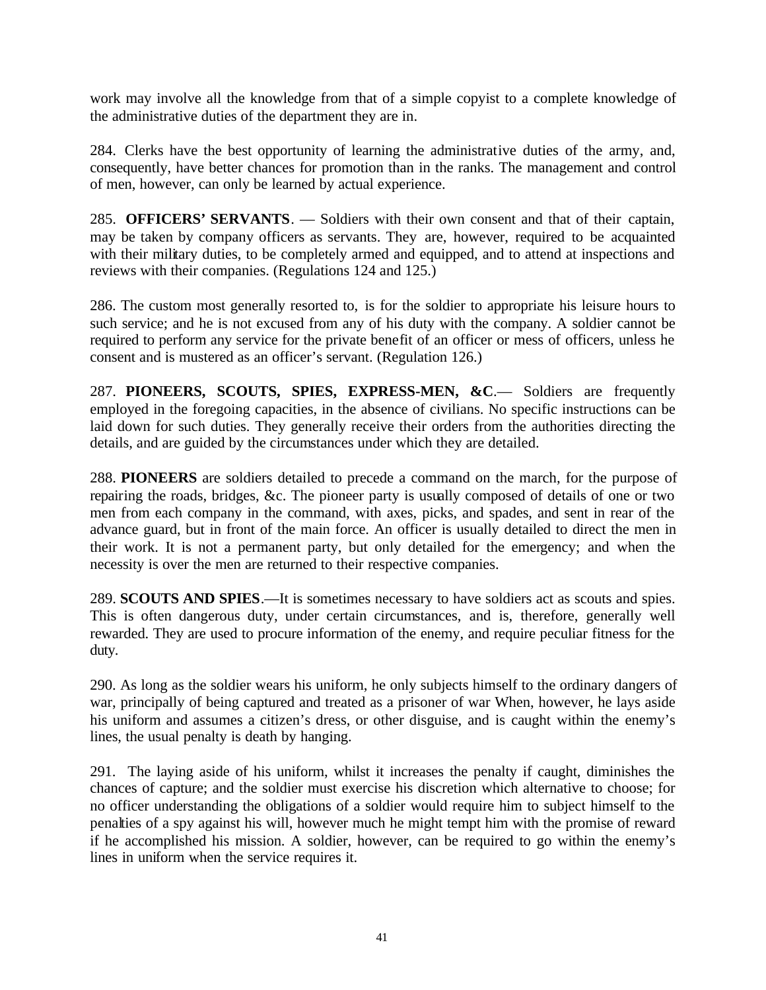work may involve all the knowledge from that of a simple copyist to a complete knowledge of the administrative duties of the department they are in.

284. Clerks have the best opportunity of learning the administrative duties of the army, and, consequently, have better chances for promotion than in the ranks. The management and control of men, however, can only be learned by actual experience.

285. **OFFICERS' SERVANTS**. — Soldiers with their own consent and that of their captain, may be taken by company officers as servants. They are, however, required to be acquainted with their military duties, to be completely armed and equipped, and to attend at inspections and reviews with their companies. (Regulations 124 and 125.)

286. The custom most generally resorted to, is for the soldier to appropriate his leisure hours to such service; and he is not excused from any of his duty with the company. A soldier cannot be required to perform any service for the private benefit of an officer or mess of officers, unless he consent and is mustered as an officer's servant. (Regulation 126.)

287. **PIONEERS, SCOUTS, SPIES, EXPRESS-MEN, &C**.— Soldiers are frequently employed in the foregoing capacities, in the absence of civilians. No specific instructions can be laid down for such duties. They generally receive their orders from the authorities directing the details, and are guided by the circumstances under which they are detailed.

288. **PIONEERS** are soldiers detailed to precede a command on the march, for the purpose of repairing the roads, bridges, &c. The pioneer party is usually composed of details of one or two men from each company in the command, with axes, picks, and spades, and sent in rear of the advance guard, but in front of the main force. An officer is usually detailed to direct the men in their work. It is not a permanent party, but only detailed for the emergency; and when the necessity is over the men are returned to their respective companies.

289. **SCOUTS AND SPIES**.—It is sometimes necessary to have soldiers act as scouts and spies. This is often dangerous duty, under certain circumstances, and is, therefore, generally well rewarded. They are used to procure information of the enemy, and require peculiar fitness for the duty.

290. As long as the soldier wears his uniform, he only subjects himself to the ordinary dangers of war, principally of being captured and treated as a prisoner of war When, however, he lays aside his uniform and assumes a citizen's dress, or other disguise, and is caught within the enemy's lines, the usual penalty is death by hanging.

291. The laying aside of his uniform, whilst it increases the penalty if caught, diminishes the chances of capture; and the soldier must exercise his discretion which alternative to choose; for no officer understanding the obligations of a soldier would require him to subject himself to the penalties of a spy against his will, however much he might tempt him with the promise of reward if he accomplished his mission. A soldier, however, can be required to go within the enemy's lines in uniform when the service requires it.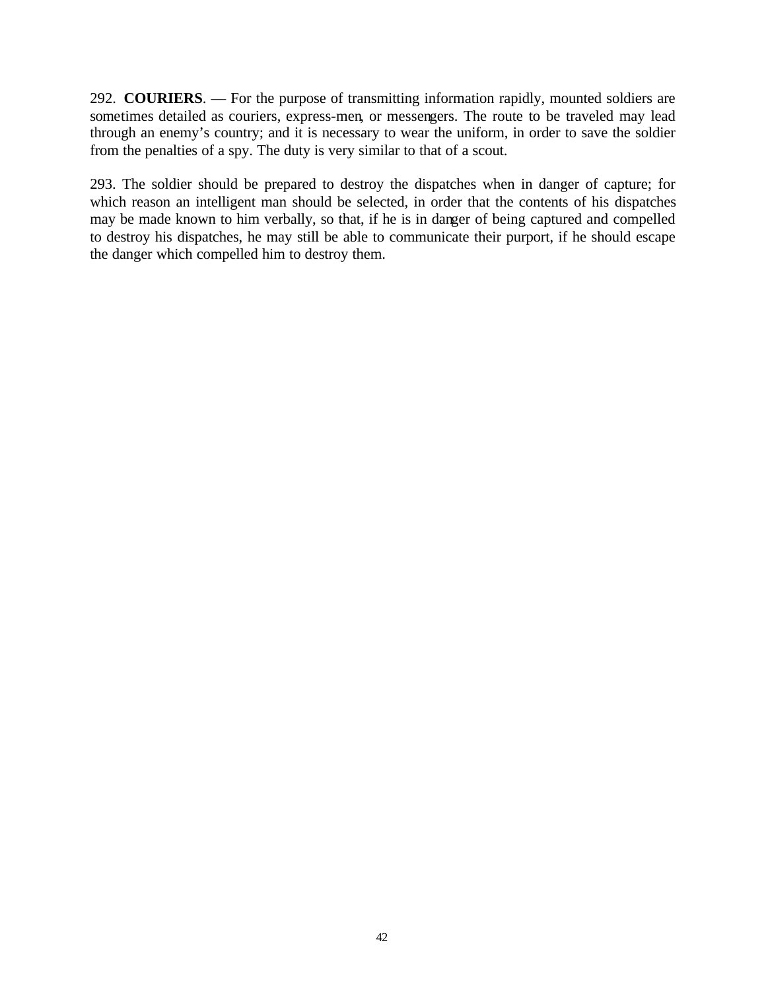292. **COURIERS**. — For the purpose of transmitting information rapidly, mounted soldiers are sometimes detailed as couriers, express-men, or messengers. The route to be traveled may lead through an enemy's country; and it is necessary to wear the uniform, in order to save the soldier from the penalties of a spy. The duty is very similar to that of a scout.

293. The soldier should be prepared to destroy the dispatches when in danger of capture; for which reason an intelligent man should be selected, in order that the contents of his dispatches may be made known to him verbally, so that, if he is in danger of being captured and compelled to destroy his dispatches, he may still be able to communicate their purport, if he should escape the danger which compelled him to destroy them.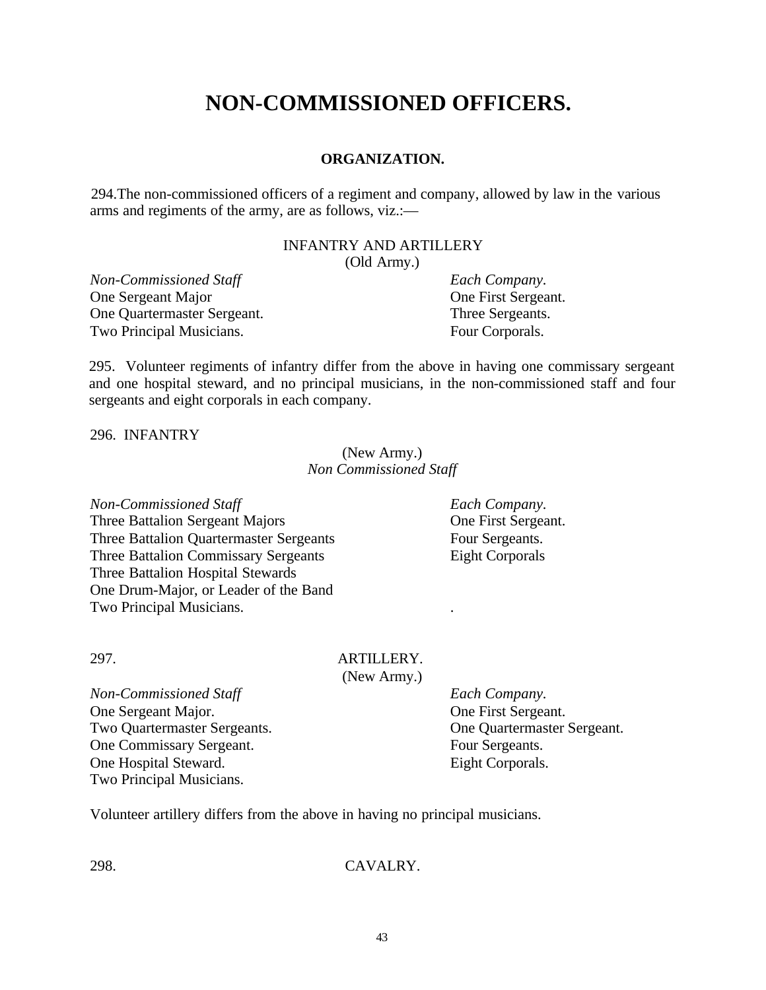# **ORGANIZATION.**

**NON-COMMISSIONED OFFICERS.**

294.The non-commissioned officers of a regiment and company, allowed by law in the various arms and regiments of the army, are as follows, viz.:—

#### INFANTRY AND ARTILLERY

(Old Army.)

*Non-Commissioned Staff Each Company.* One Sergeant Major One First Sergeant. One Quartermaster Sergeant. Three Sergeants. Two Principal Musicians. Four Corporals.

295. Volunteer regiments of infantry differ from the above in having one commissary sergeant and one hospital steward, and no principal musicians, in the non-commissioned staff and four sergeants and eight corporals in each company.

296. INFANTRY

### (New Army.) *Non Commissioned Staff*

*Non-Commissioned Staff Each Company.* Three Battalion Sergeant Majors **One First Sergeant.** Three Battalion Quartermaster Sergeants Four Sergeants. Three Battalion Commissary Sergeants Eight Corporals Three Battalion Hospital Stewards One Drum-Major, or Leader of the Band Two Principal Musicians. .

# 297. ARTILLERY.

(New Army.)

*Non-Commissioned Staff Each Company.* One Sergeant Major. One First Sergeant. Two Quartermaster Sergeants. One Quartermaster Sergeant. One Commissary Sergeant. Four Sergeants. One Hospital Steward. Eight Corporals. Two Principal Musicians.

Volunteer artillery differs from the above in having no principal musicians.

298. CAVALRY.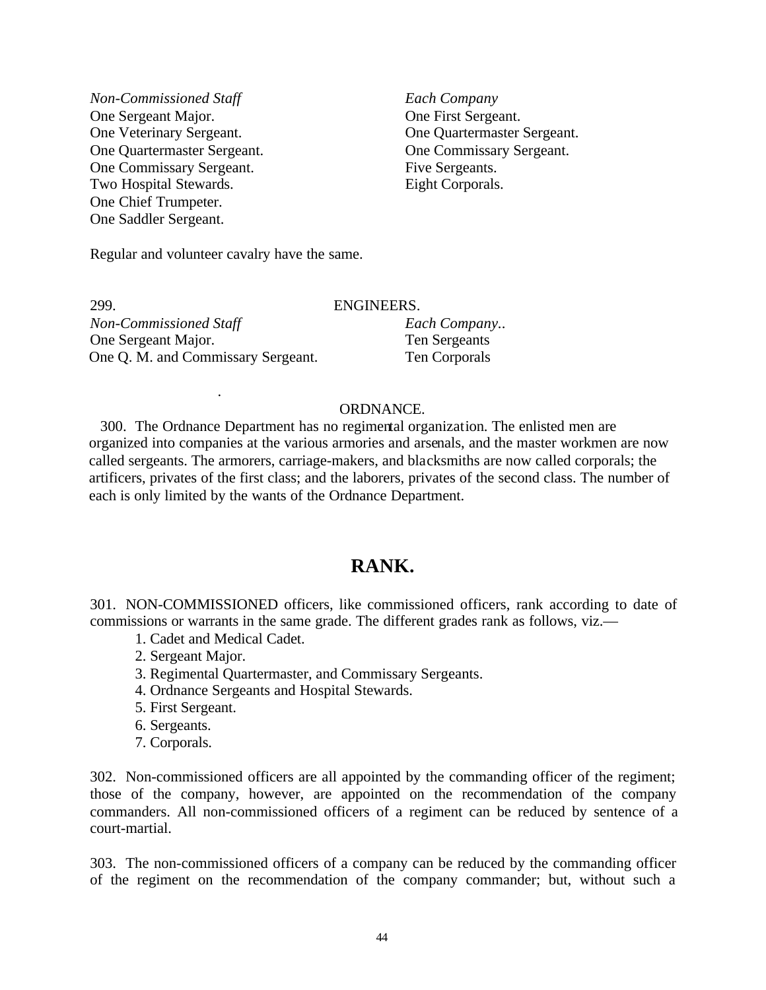*Non-Commissioned Staff Each Company* One Sergeant Major. One First Sergeant. One Quartermaster Sergeant. One Commissary Sergeant. One Commissary Sergeant. Five Sergeants. Two Hospital Stewards. Eight Corporals. One Chief Trumpeter. One Saddler Sergeant.

One Veterinary Sergeant. One Quartermaster Sergeant.

Regular and volunteer cavalry have the same.

299. ENGINEERS. *Non-Commissioned Staff Each Company.*. One Sergeant Major. Ten Sergeants One Q. M. and Commissary Sergeant. Ten Corporals

.

### ORDNANCE.

300. The Ordnance Department has no regimental organization. The enlisted men are organized into companies at the various armories and arsenals, and the master workmen are now called sergeants. The armorers, carriage-makers, and blacksmiths are now called corporals; the artificers, privates of the first class; and the laborers, privates of the second class. The number of each is only limited by the wants of the Ordnance Department.

## **RANK.**

301. NON-COMMISSIONED officers, like commissioned officers, rank according to date of commissions or warrants in the same grade. The different grades rank as follows, viz.—

- 1. Cadet and Medical Cadet.
- 2. Sergeant Major.
- 3. Regimental Quartermaster, and Commissary Sergeants.
- 4. Ordnance Sergeants and Hospital Stewards.
- 5. First Sergeant.
- 6. Sergeants.
- 7. Corporals.

302. Non-commissioned officers are all appointed by the commanding officer of the regiment; those of the company, however, are appointed on the recommendation of the company commanders. All non-commissioned officers of a regiment can be reduced by sentence of a court-martial.

303. The non-commissioned officers of a company can be reduced by the commanding officer of the regiment on the recommendation of the company commander; but, without such a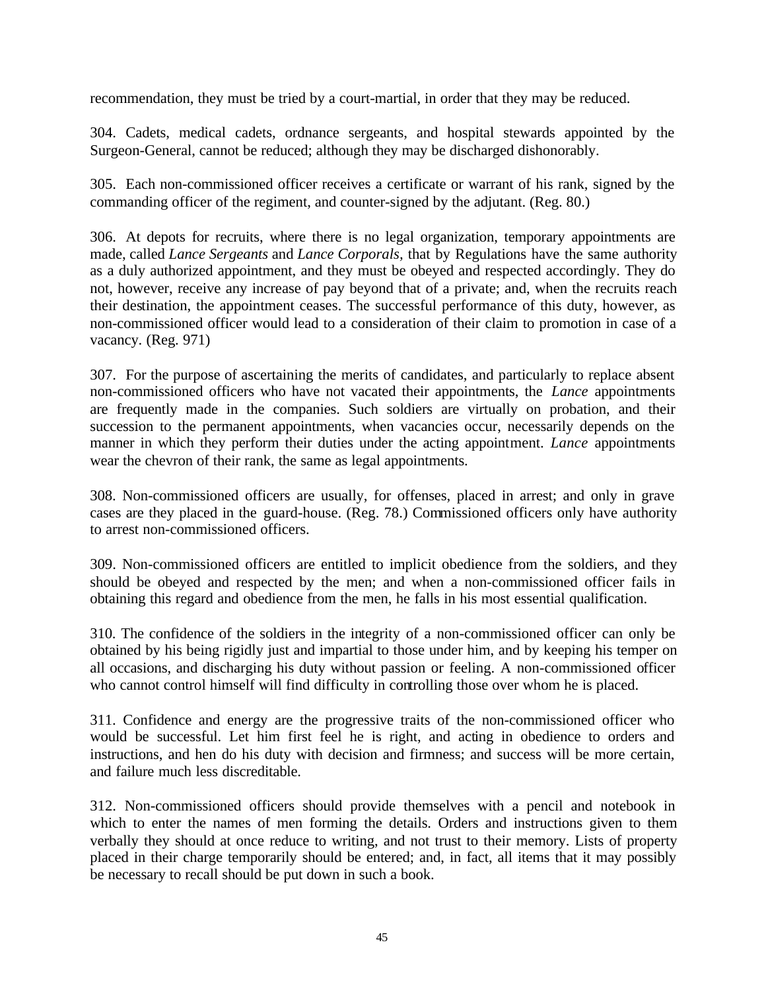recommendation, they must be tried by a court-martial, in order that they may be reduced.

304. Cadets, medical cadets, ordnance sergeants, and hospital stewards appointed by the Surgeon-General, cannot be reduced; although they may be discharged dishonorably.

305. Each non-commissioned officer receives a certificate or warrant of his rank, signed by the commanding officer of the regiment, and counter-signed by the adjutant. (Reg. 80.)

306. At depots for recruits, where there is no legal organization, temporary appointments are made, called *Lance Sergeants* and *Lance Corporals,* that by Regulations have the same authority as a duly authorized appointment, and they must be obeyed and respected accordingly. They do not, however, receive any increase of pay beyond that of a private; and, when the recruits reach their destination, the appointment ceases. The successful performance of this duty, however, as non-commissioned officer would lead to a consideration of their claim to promotion in case of a vacancy. (Reg. 971)

307. For the purpose of ascertaining the merits of candidates, and particularly to replace absent non-commissioned officers who have not vacated their appointments, the *Lance* appointments are frequently made in the companies. Such soldiers are virtually on probation, and their succession to the permanent appointments, when vacancies occur, necessarily depends on the manner in which they perform their duties under the acting appointment. *Lance* appointments wear the chevron of their rank, the same as legal appointments.

308. Non-commissioned officers are usually, for offenses, placed in arrest; and only in grave cases are they placed in the guard-house. (Reg. 78.) Commissioned officers only have authority to arrest non-commissioned officers.

309. Non-commissioned officers are entitled to implicit obedience from the soldiers, and they should be obeyed and respected by the men; and when a non-commissioned officer fails in obtaining this regard and obedience from the men, he falls in his most essential qualification.

310. The confidence of the soldiers in the integrity of a non-commissioned officer can only be obtained by his being rigidly just and impartial to those under him, and by keeping his temper on all occasions, and discharging his duty without passion or feeling. A non-commissioned officer who cannot control himself will find difficulty in controlling those over whom he is placed.

311. Confidence and energy are the progressive traits of the non-commissioned officer who would be successful. Let him first feel he is right, and acting in obedience to orders and instructions, and hen do his duty with decision and firmness; and success will be more certain, and failure much less discreditable.

312. Non-commissioned officers should provide themselves with a pencil and notebook in which to enter the names of men forming the details. Orders and instructions given to them verbally they should at once reduce to writing, and not trust to their memory. Lists of property placed in their charge temporarily should be entered; and, in fact, all items that it may possibly be necessary to recall should be put down in such a book.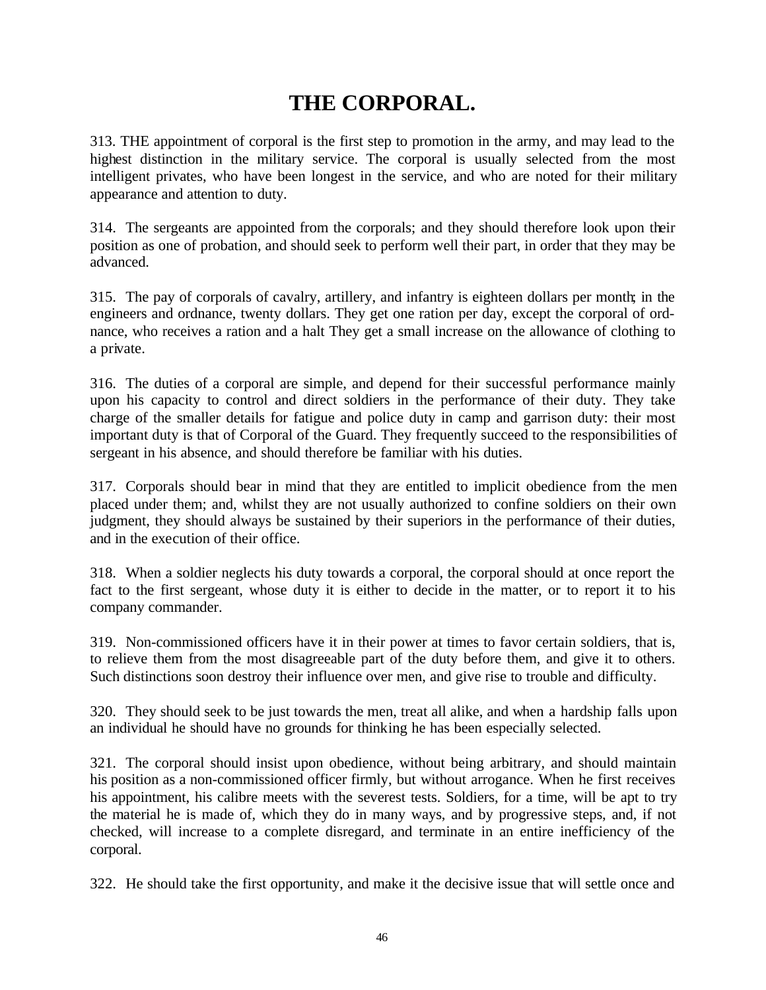# **THE CORPORAL.**

313. THE appointment of corporal is the first step to promotion in the army, and may lead to the highest distinction in the military service. The corporal is usually selected from the most intelligent privates, who have been longest in the service, and who are noted for their military appearance and attention to duty.

314. The sergeants are appointed from the corporals; and they should therefore look upon their position as one of probation, and should seek to perform well their part, in order that they may be advanced.

315. The pay of corporals of cavalry, artillery, and infantry is eighteen dollars per month; in the engineers and ordnance, twenty dollars. They get one ration per day, except the corporal of ordnance, who receives a ration and a halt They get a small increase on the allowance of clothing to a private.

316. The duties of a corporal are simple, and depend for their successful performance mainly upon his capacity to control and direct soldiers in the performance of their duty. They take charge of the smaller details for fatigue and police duty in camp and garrison duty: their most important duty is that of Corporal of the Guard. They frequently succeed to the responsibilities of sergeant in his absence, and should therefore be familiar with his duties.

317. Corporals should bear in mind that they are entitled to implicit obedience from the men placed under them; and, whilst they are not usually authorized to confine soldiers on their own judgment, they should always be sustained by their superiors in the performance of their duties, and in the execution of their office.

318. When a soldier neglects his duty towards a corporal, the corporal should at once report the fact to the first sergeant, whose duty it is either to decide in the matter, or to report it to his company commander.

319. Non-commissioned officers have it in their power at times to favor certain soldiers, that is, to relieve them from the most disagreeable part of the duty before them, and give it to others. Such distinctions soon destroy their influence over men, and give rise to trouble and difficulty.

320. They should seek to be just towards the men, treat all alike, and when a hardship falls upon an individual he should have no grounds for thinking he has been especially selected.

321. The corporal should insist upon obedience, without being arbitrary, and should maintain his position as a non-commissioned officer firmly, but without arrogance. When he first receives his appointment, his calibre meets with the severest tests. Soldiers, for a time, will be apt to try the material he is made of, which they do in many ways, and by progressive steps, and, if not checked, will increase to a complete disregard, and terminate in an entire inefficiency of the corporal.

322. He should take the first opportunity, and make it the decisive issue that will settle once and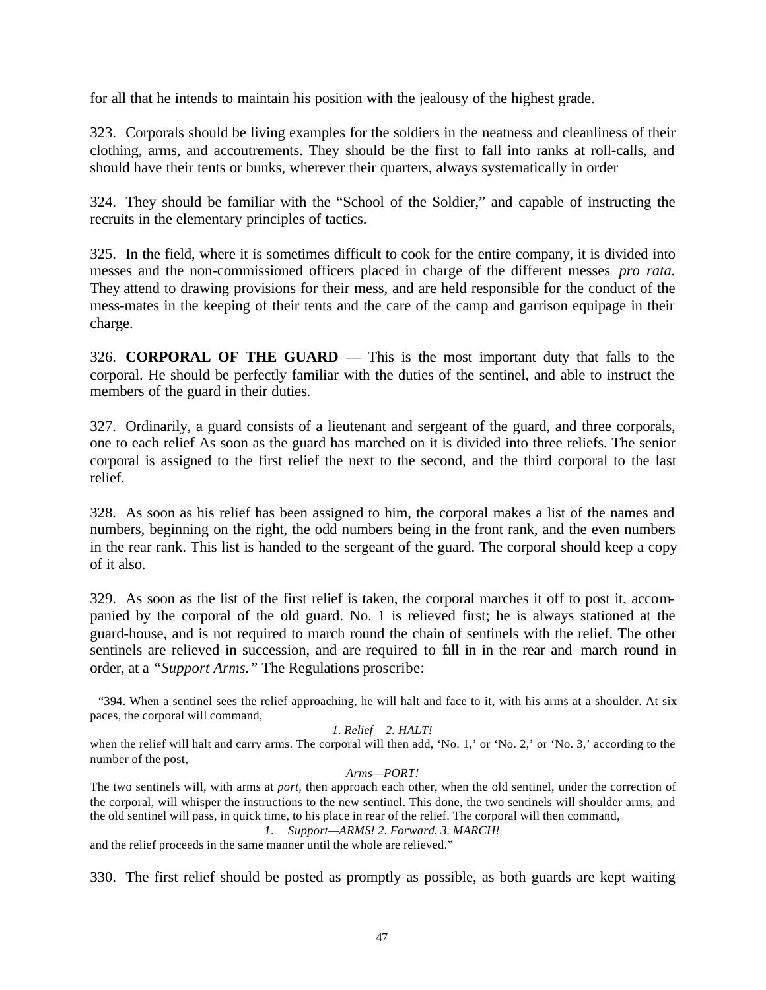for all that he intends to maintain his position with the jealousy of the highest grade.

323. Corporals should be living examples for the soldiers in the neatness and cleanliness of their clothing, arms, and accoutrements. They should be the first to fall into ranks at roll-calls, and should have their tents or bunks, wherever their quarters, always systematically in order

324. They should be familiar with the "School of the Soldier," and capable of instructing the recruits in the elementary principles of tactics.

325. In the field, where it is sometimes difficult to cook for the entire company, it is divided into messes and the non-commissioned officers placed in charge of the different messes *pro rata.* They attend to drawing provisions for their mess, and are held responsible for the conduct of the mess-mates in the keeping of their tents and the care of the camp and garrison equipage in their charge.

326. **CORPORAL OF THE GUARD** — This is the most important duty that falls to the corporal. He should be perfectly familiar with the duties of the sentinel, and able to instruct the members of the guard in their duties.

327. Ordinarily, a guard consists of a lieutenant and sergeant of the guard, and three corporals, one to each relief As soon as the guard has marched on it is divided into three reliefs. The senior corporal is assigned to the first relief the next to the second, and the third corporal to the last relief.

328. As soon as his relief has been assigned to him, the corporal makes a list of the names and numbers, beginning on the right, the odd numbers being in the front rank, and the even numbers in the rear rank. This list is handed to the sergeant of the guard. The corporal should keep a copy of it also.

329. As soon as the list of the first relief is taken, the corporal marches it off to post it, accompanied by the corporal of the old guard. No. 1 is relieved first; he is always stationed at the guard-house, and is not required to march round the chain of sentinels with the relief. The other sentinels are relieved in succession, and are required to fall in in the rear and march round in order, at a *"Support Arms."* The Regulations proscribe:

"394. When a sentinel sees the relief approaching, he will halt and face to it, with his arms at a shoulder. At six paces, the corporal will command,

### *1. Relief 2. HALT!*

when the relief will halt and carry arms. The corporal will then add, 'No. 1,' or 'No. 2,' or 'No. 3,' according to the number of the post,

*Arms—PORT!*

The two sentinels will, with arms at *port,* then approach each other, when the old sentinel, under the correction of the corporal, will whisper the instructions to the new sentinel. This done, the two sentinels will shoulder arms, and the old sentinel will pass, in quick time, to his place in rear of the relief. The corporal will then command,

*1. Support—ARMS! 2. Forward. 3. MARCH!*

and the relief proceeds in the same manner until the whole are relieved."

330. The first relief should be posted as promptly as possible, as both guards are kept waiting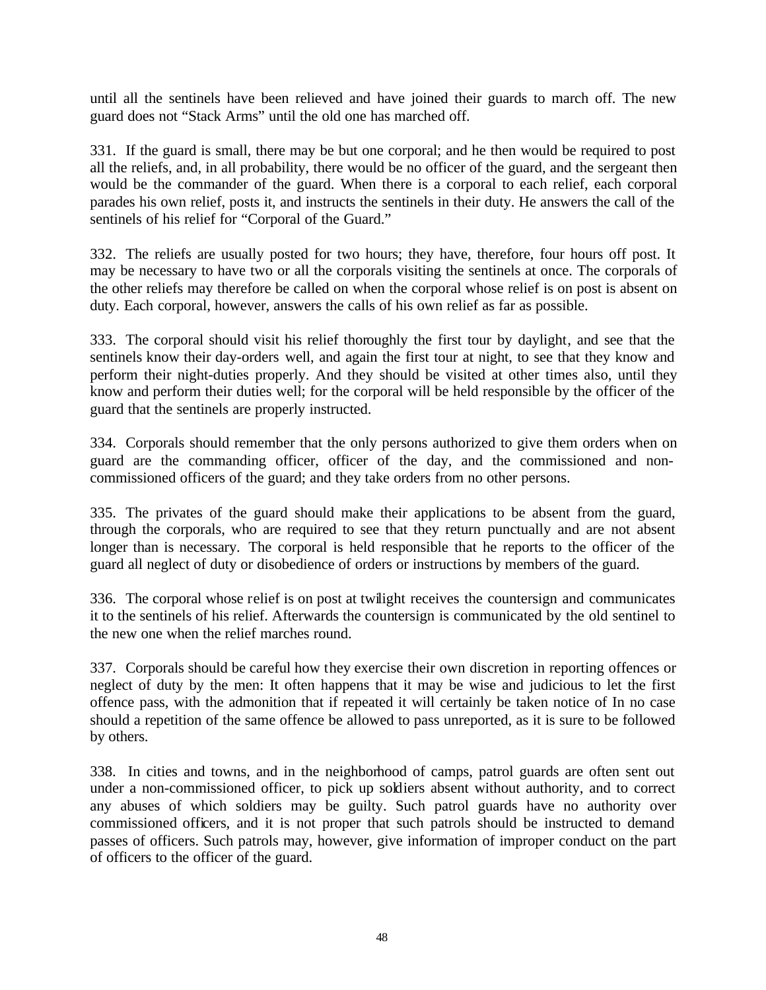until all the sentinels have been relieved and have joined their guards to march off. The new guard does not "Stack Arms" until the old one has marched off.

331. If the guard is small, there may be but one corporal; and he then would be required to post all the reliefs, and, in all probability, there would be no officer of the guard, and the sergeant then would be the commander of the guard. When there is a corporal to each relief, each corporal parades his own relief, posts it, and instructs the sentinels in their duty. He answers the call of the sentinels of his relief for "Corporal of the Guard."

332. The reliefs are usually posted for two hours; they have, therefore, four hours off post. It may be necessary to have two or all the corporals visiting the sentinels at once. The corporals of the other reliefs may therefore be called on when the corporal whose relief is on post is absent on duty. Each corporal, however, answers the calls of his own relief as far as possible.

333. The corporal should visit his relief thoroughly the first tour by daylight, and see that the sentinels know their day-orders well, and again the first tour at night, to see that they know and perform their night-duties properly. And they should be visited at other times also, until they know and perform their duties well; for the corporal will be held responsible by the officer of the guard that the sentinels are properly instructed.

334. Corporals should remember that the only persons authorized to give them orders when on guard are the commanding officer, officer of the day, and the commissioned and noncommissioned officers of the guard; and they take orders from no other persons.

335. The privates of the guard should make their applications to be absent from the guard, through the corporals, who are required to see that they return punctually and are not absent longer than is necessary. The corporal is held responsible that he reports to the officer of the guard all neglect of duty or disobedience of orders or instructions by members of the guard.

336. The corporal whose relief is on post at twilight receives the countersign and communicates it to the sentinels of his relief. Afterwards the countersign is communicated by the old sentinel to the new one when the relief marches round.

337. Corporals should be careful how they exercise their own discretion in reporting offences or neglect of duty by the men: It often happens that it may be wise and judicious to let the first offence pass, with the admonition that if repeated it will certainly be taken notice of In no case should a repetition of the same offence be allowed to pass unreported, as it is sure to be followed by others.

338. In cities and towns, and in the neighborhood of camps, patrol guards are often sent out under a non-commissioned officer, to pick up soldiers absent without authority, and to correct any abuses of which soldiers may be guilty. Such patrol guards have no authority over commissioned officers, and it is not proper that such patrols should be instructed to demand passes of officers. Such patrols may, however, give information of improper conduct on the part of officers to the officer of the guard.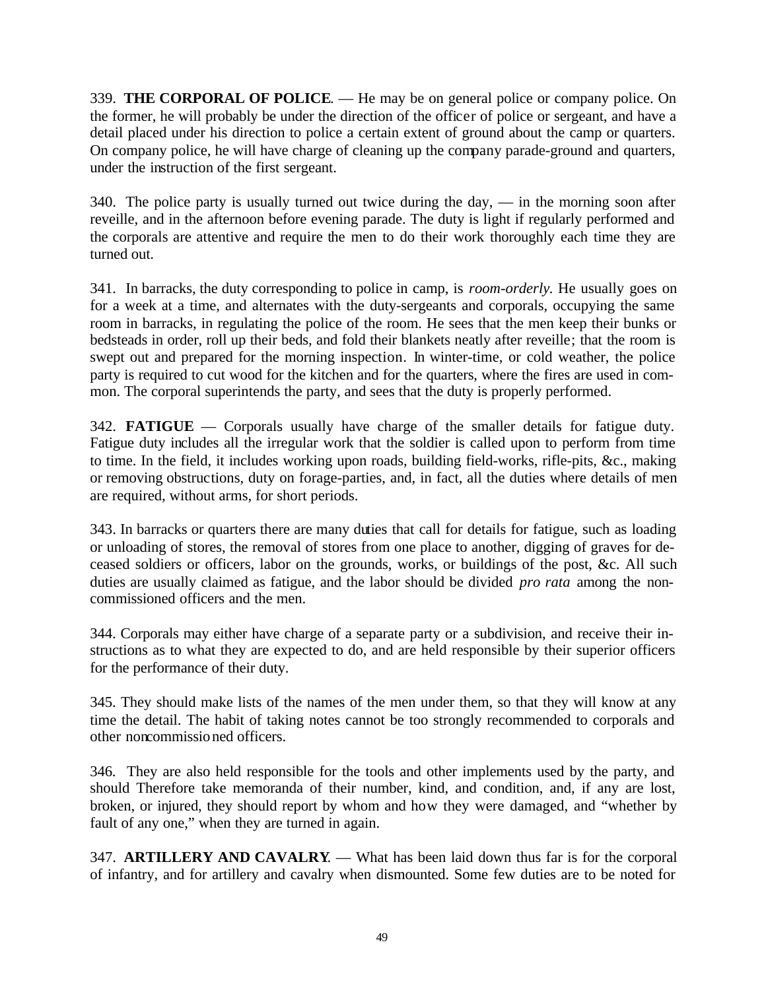339. **THE CORPORAL OF POLICE**. — He may be on general police or company police. On the former, he will probably be under the direction of the officer of police or sergeant, and have a detail placed under his direction to police a certain extent of ground about the camp or quarters. On company police, he will have charge of cleaning up the company parade-ground and quarters, under the instruction of the first sergeant.

340. The police party is usually turned out twice during the day, — in the morning soon after reveille, and in the afternoon before evening parade. The duty is light if regularly performed and the corporals are attentive and require the men to do their work thoroughly each time they are turned out.

341. In barracks, the duty corresponding to police in camp, is *room-orderly.* He usually goes on for a week at a time, and alternates with the duty-sergeants and corporals, occupying the same room in barracks, in regulating the police of the room. He sees that the men keep their bunks or bedsteads in order, roll up their beds, and fold their blankets neatly after reveille; that the room is swept out and prepared for the morning inspection. In winter-time, or cold weather, the police party is required to cut wood for the kitchen and for the quarters, where the fires are used in common. The corporal superintends the party, and sees that the duty is properly performed.

342. **FATIGUE** — Corporals usually have charge of the smaller details for fatigue duty. Fatigue duty includes all the irregular work that the soldier is called upon to perform from time to time. In the field, it includes working upon roads, building field-works, rifle-pits, &c., making or removing obstructions, duty on forage-parties, and, in fact, all the duties where details of men are required, without arms, for short periods.

343. In barracks or quarters there are many duties that call for details for fatigue, such as loading or unloading of stores, the removal of stores from one place to another, digging of graves for deceased soldiers or officers, labor on the grounds, works, or buildings of the post, &c. All such duties are usually claimed as fatigue, and the labor should be divided *pro rata* among the noncommissioned officers and the men.

344. Corporals may either have charge of a separate party or a subdivision, and receive their instructions as to what they are expected to do, and are held responsible by their superior officers for the performance of their duty.

345. They should make lists of the names of the men under them, so that they will know at any time the detail. The habit of taking notes cannot be too strongly recommended to corporals and other noncommissioned officers.

346. They are also held responsible for the tools and other implements used by the party, and should Therefore take memoranda of their number, kind, and condition, and, if any are lost, broken, or injured, they should report by whom and how they were damaged, and "whether by fault of any one," when they are turned in again.

347. **ARTILLERY AND CAVALRY**. — What has been laid down thus far is for the corporal of infantry, and for artillery and cavalry when dismounted. Some few duties are to be noted for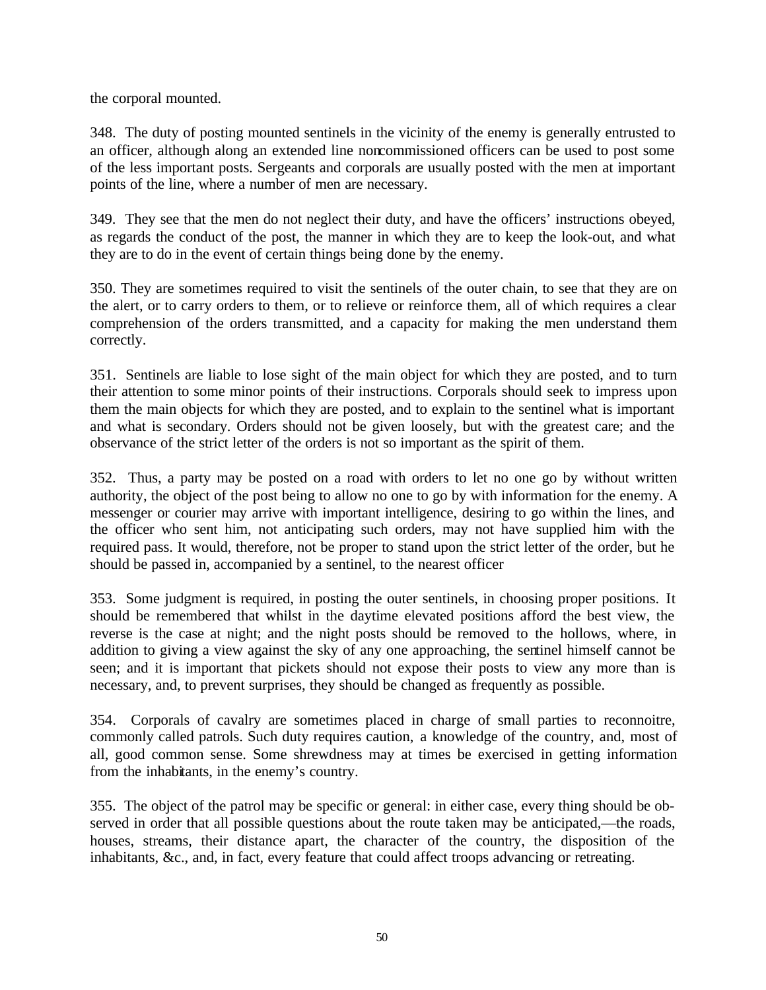the corporal mounted.

348. The duty of posting mounted sentinels in the vicinity of the enemy is generally entrusted to an officer, although along an extended line noncommissioned officers can be used to post some of the less important posts. Sergeants and corporals are usually posted with the men at important points of the line, where a number of men are necessary.

349. They see that the men do not neglect their duty, and have the officers' instructions obeyed, as regards the conduct of the post, the manner in which they are to keep the look-out, and what they are to do in the event of certain things being done by the enemy.

350. They are sometimes required to visit the sentinels of the outer chain, to see that they are on the alert, or to carry orders to them, or to relieve or reinforce them, all of which requires a clear comprehension of the orders transmitted, and a capacity for making the men understand them correctly.

351. Sentinels are liable to lose sight of the main object for which they are posted, and to turn their attention to some minor points of their instructions. Corporals should seek to impress upon them the main objects for which they are posted, and to explain to the sentinel what is important and what is secondary. Orders should not be given loosely, but with the greatest care; and the observance of the strict letter of the orders is not so important as the spirit of them.

352. Thus, a party may be posted on a road with orders to let no one go by without written authority, the object of the post being to allow no one to go by with information for the enemy. A messenger or courier may arrive with important intelligence, desiring to go within the lines, and the officer who sent him, not anticipating such orders, may not have supplied him with the required pass. It would, therefore, not be proper to stand upon the strict letter of the order, but he should be passed in, accompanied by a sentinel, to the nearest officer

353. Some judgment is required, in posting the outer sentinels, in choosing proper positions. It should be remembered that whilst in the daytime elevated positions afford the best view, the reverse is the case at night; and the night posts should be removed to the hollows, where, in addition to giving a view against the sky of any one approaching, the sentinel himself cannot be seen; and it is important that pickets should not expose their posts to view any more than is necessary, and, to prevent surprises, they should be changed as frequently as possible.

354. Corporals of cavalry are sometimes placed in charge of small parties to reconnoitre, commonly called patrols. Such duty requires caution, a knowledge of the country, and, most of all, good common sense. Some shrewdness may at times be exercised in getting information from the inhabitants, in the enemy's country.

355. The object of the patrol may be specific or general: in either case, every thing should be observed in order that all possible questions about the route taken may be anticipated,—the roads, houses, streams, their distance apart, the character of the country, the disposition of the inhabitants, &c., and, in fact, every feature that could affect troops advancing or retreating.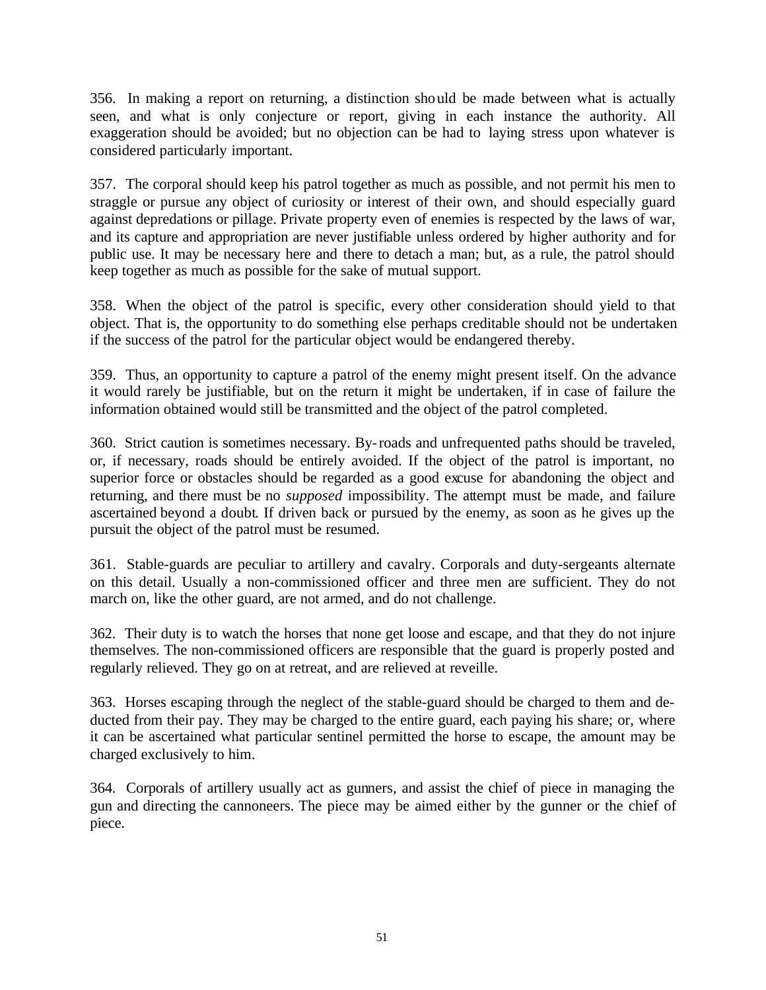356. In making a report on returning, a distinction should be made between what is actually seen, and what is only conjecture or report, giving in each instance the authority. All exaggeration should be avoided; but no objection can be had to laying stress upon whatever is considered particularly important.

357. The corporal should keep his patrol together as much as possible, and not permit his men to straggle or pursue any object of curiosity or interest of their own, and should especially guard against depredations or pillage. Private property even of enemies is respected by the laws of war, and its capture and appropriation are never justifiable unless ordered by higher authority and for public use. It may be necessary here and there to detach a man; but, as a rule, the patrol should keep together as much as possible for the sake of mutual support.

358. When the object of the patrol is specific, every other consideration should yield to that object. That is, the opportunity to do something else perhaps creditable should not be undertaken if the success of the patrol for the particular object would be endangered thereby.

359. Thus, an opportunity to capture a patrol of the enemy might present itself. On the advance it would rarely be justifiable, but on the return it might be undertaken, if in case of failure the information obtained would still be transmitted and the object of the patrol completed.

360. Strict caution is sometimes necessary. By-roads and unfrequented paths should be traveled, or, if necessary, roads should be entirely avoided. If the object of the patrol is important, no superior force or obstacles should be regarded as a good excuse for abandoning the object and returning, and there must be no *supposed* impossibility. The attempt must be made, and failure ascertained beyond a doubt. If driven back or pursued by the enemy, as soon as he gives up the pursuit the object of the patrol must be resumed.

361. Stable-guards are peculiar to artillery and cavalry. Corporals and duty-sergeants alternate on this detail. Usually a non-commissioned officer and three men are sufficient. They do not march on, like the other guard, are not armed, and do not challenge.

362. Their duty is to watch the horses that none get loose and escape, and that they do not injure themselves. The non-commissioned officers are responsible that the guard is properly posted and regularly relieved. They go on at retreat, and are relieved at reveille.

363. Horses escaping through the neglect of the stable-guard should be charged to them and deducted from their pay. They may be charged to the entire guard, each paying his share; or, where it can be ascertained what particular sentinel permitted the horse to escape, the amount may be charged exclusively to him.

364. Corporals of artillery usually act as gunners, and assist the chief of piece in managing the gun and directing the cannoneers. The piece may be aimed either by the gunner or the chief of piece.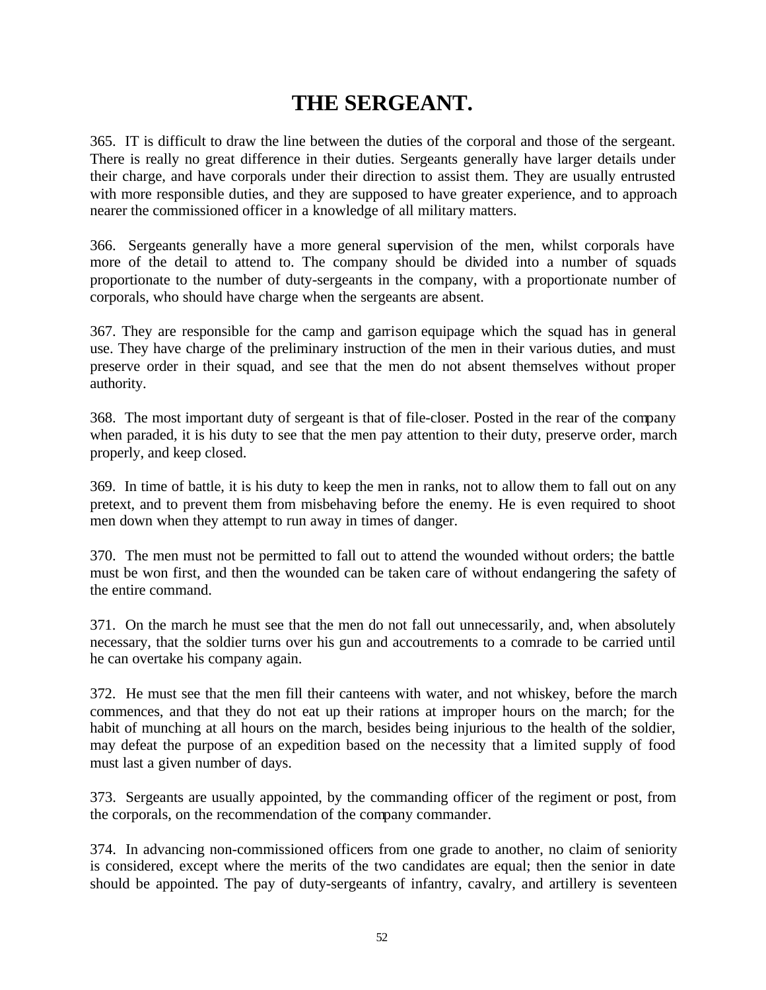# **THE SERGEANT.**

365. IT is difficult to draw the line between the duties of the corporal and those of the sergeant. There is really no great difference in their duties. Sergeants generally have larger details under their charge, and have corporals under their direction to assist them. They are usually entrusted with more responsible duties, and they are supposed to have greater experience, and to approach nearer the commissioned officer in a knowledge of all military matters.

366. Sergeants generally have a more general supervision of the men, whilst corporals have more of the detail to attend to. The company should be divided into a number of squads proportionate to the number of duty-sergeants in the company, with a proportionate number of corporals, who should have charge when the sergeants are absent.

367. They are responsible for the camp and garrison equipage which the squad has in general use. They have charge of the preliminary instruction of the men in their various duties, and must preserve order in their squad, and see that the men do not absent themselves without proper authority.

368. The most important duty of sergeant is that of file-closer. Posted in the rear of the company when paraded, it is his duty to see that the men pay attention to their duty, preserve order, march properly, and keep closed.

369. In time of battle, it is his duty to keep the men in ranks, not to allow them to fall out on any pretext, and to prevent them from misbehaving before the enemy. He is even required to shoot men down when they attempt to run away in times of danger.

370. The men must not be permitted to fall out to attend the wounded without orders; the battle must be won first, and then the wounded can be taken care of without endangering the safety of the entire command.

371. On the march he must see that the men do not fall out unnecessarily, and, when absolutely necessary, that the soldier turns over his gun and accoutrements to a comrade to be carried until he can overtake his company again.

372. He must see that the men fill their canteens with water, and not whiskey, before the march commences, and that they do not eat up their rations at improper hours on the march; for the habit of munching at all hours on the march, besides being injurious to the health of the soldier, may defeat the purpose of an expedition based on the necessity that a limited supply of food must last a given number of days.

373. Sergeants are usually appointed, by the commanding officer of the regiment or post, from the corporals, on the recommendation of the company commander.

374. In advancing non-commissioned officers from one grade to another, no claim of seniority is considered, except where the merits of the two candidates are equal; then the senior in date should be appointed. The pay of duty-sergeants of infantry, cavalry, and artillery is seventeen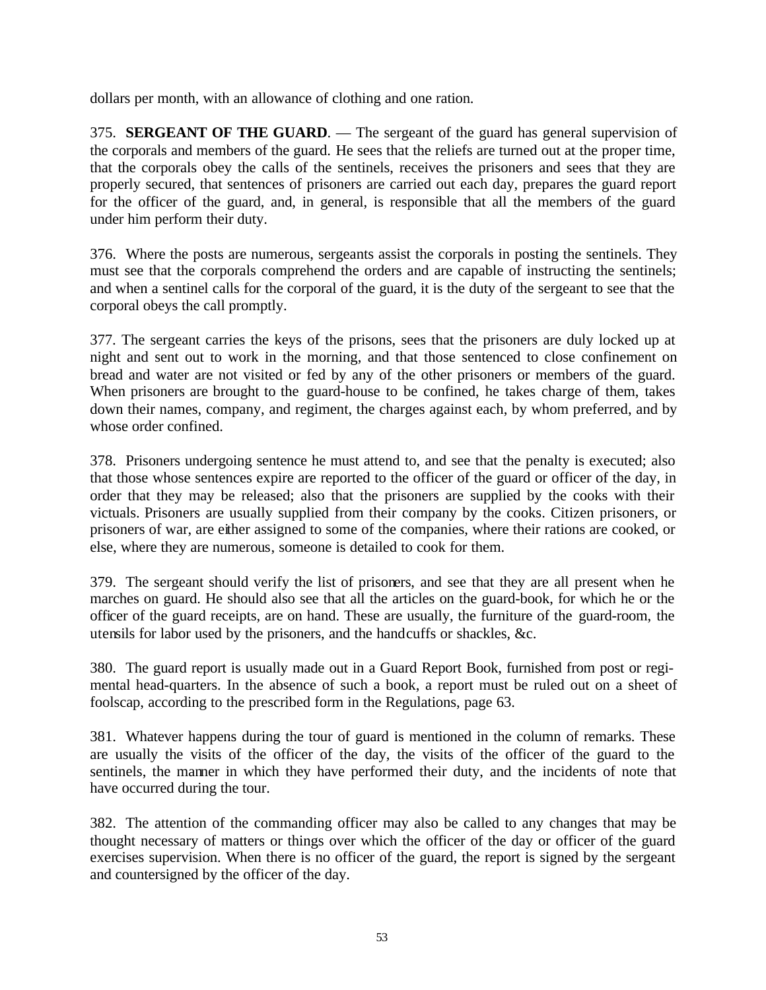dollars per month, with an allowance of clothing and one ration.

375. **SERGEANT OF THE GUARD**. — The sergeant of the guard has general supervision of the corporals and members of the guard. He sees that the reliefs are turned out at the proper time, that the corporals obey the calls of the sentinels, receives the prisoners and sees that they are properly secured, that sentences of prisoners are carried out each day, prepares the guard report for the officer of the guard, and, in general, is responsible that all the members of the guard under him perform their duty.

376. Where the posts are numerous, sergeants assist the corporals in posting the sentinels. They must see that the corporals comprehend the orders and are capable of instructing the sentinels; and when a sentinel calls for the corporal of the guard, it is the duty of the sergeant to see that the corporal obeys the call promptly.

377. The sergeant carries the keys of the prisons, sees that the prisoners are duly locked up at night and sent out to work in the morning, and that those sentenced to close confinement on bread and water are not visited or fed by any of the other prisoners or members of the guard. When prisoners are brought to the guard-house to be confined, he takes charge of them, takes down their names, company, and regiment, the charges against each, by whom preferred, and by whose order confined.

378. Prisoners undergoing sentence he must attend to, and see that the penalty is executed; also that those whose sentences expire are reported to the officer of the guard or officer of the day, in order that they may be released; also that the prisoners are supplied by the cooks with their victuals. Prisoners are usually supplied from their company by the cooks. Citizen prisoners, or prisoners of war, are either assigned to some of the companies, where their rations are cooked, or else, where they are numerous, someone is detailed to cook for them.

379. The sergeant should verify the list of prisoners, and see that they are all present when he marches on guard. He should also see that all the articles on the guard-book, for which he or the officer of the guard receipts, are on hand. These are usually, the furniture of the guard-room, the utensils for labor used by the prisoners, and the handcuffs or shackles, &c.

380. The guard report is usually made out in a Guard Report Book, furnished from post or regimental head-quarters. In the absence of such a book, a report must be ruled out on a sheet of foolscap, according to the prescribed form in the Regulations, page 63.

381. Whatever happens during the tour of guard is mentioned in the column of remarks. These are usually the visits of the officer of the day, the visits of the officer of the guard to the sentinels, the manner in which they have performed their duty, and the incidents of note that have occurred during the tour.

382. The attention of the commanding officer may also be called to any changes that may be thought necessary of matters or things over which the officer of the day or officer of the guard exercises supervision. When there is no officer of the guard, the report is signed by the sergeant and countersigned by the officer of the day.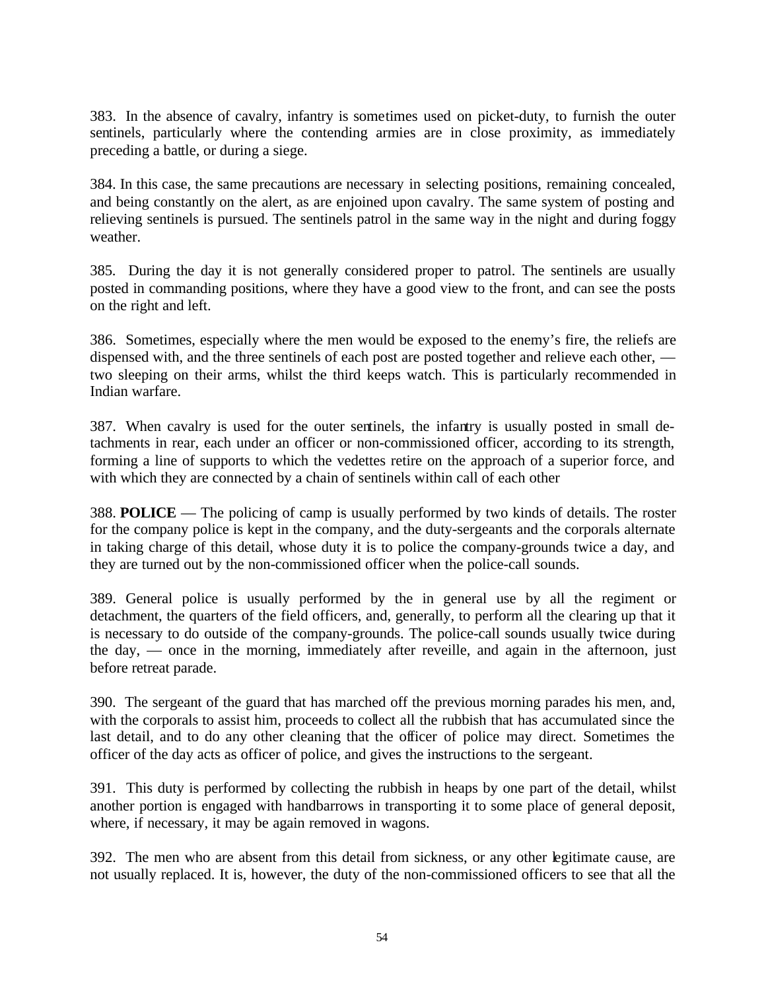383. In the absence of cavalry, infantry is sometimes used on picket-duty, to furnish the outer sentinels, particularly where the contending armies are in close proximity, as immediately preceding a battle, or during a siege.

384. In this case, the same precautions are necessary in selecting positions, remaining concealed, and being constantly on the alert, as are enjoined upon cavalry. The same system of posting and relieving sentinels is pursued. The sentinels patrol in the same way in the night and during foggy weather.

385. During the day it is not generally considered proper to patrol. The sentinels are usually posted in commanding positions, where they have a good view to the front, and can see the posts on the right and left.

386. Sometimes, especially where the men would be exposed to the enemy's fire, the reliefs are dispensed with, and the three sentinels of each post are posted together and relieve each other, two sleeping on their arms, whilst the third keeps watch. This is particularly recommended in Indian warfare.

387. When cavalry is used for the outer sentinels, the infantry is usually posted in small detachments in rear, each under an officer or non-commissioned officer, according to its strength, forming a line of supports to which the vedettes retire on the approach of a superior force, and with which they are connected by a chain of sentinels within call of each other

388. **POLICE** — The policing of camp is usually performed by two kinds of details. The roster for the company police is kept in the company, and the duty-sergeants and the corporals alternate in taking charge of this detail, whose duty it is to police the company-grounds twice a day, and they are turned out by the non-commissioned officer when the police-call sounds.

389. General police is usually performed by the in general use by all the regiment or detachment, the quarters of the field officers, and, generally, to perform all the clearing up that it is necessary to do outside of the company-grounds. The police-call sounds usually twice during the day, — once in the morning, immediately after reveille, and again in the afternoon, just before retreat parade.

390. The sergeant of the guard that has marched off the previous morning parades his men, and, with the corporals to assist him, proceeds to collect all the rubbish that has accumulated since the last detail, and to do any other cleaning that the officer of police may direct. Sometimes the officer of the day acts as officer of police, and gives the instructions to the sergeant.

391. This duty is performed by collecting the rubbish in heaps by one part of the detail, whilst another portion is engaged with handbarrows in transporting it to some place of general deposit, where, if necessary, it may be again removed in wagons.

392. The men who are absent from this detail from sickness, or any other legitimate cause, are not usually replaced. It is, however, the duty of the non-commissioned officers to see that all the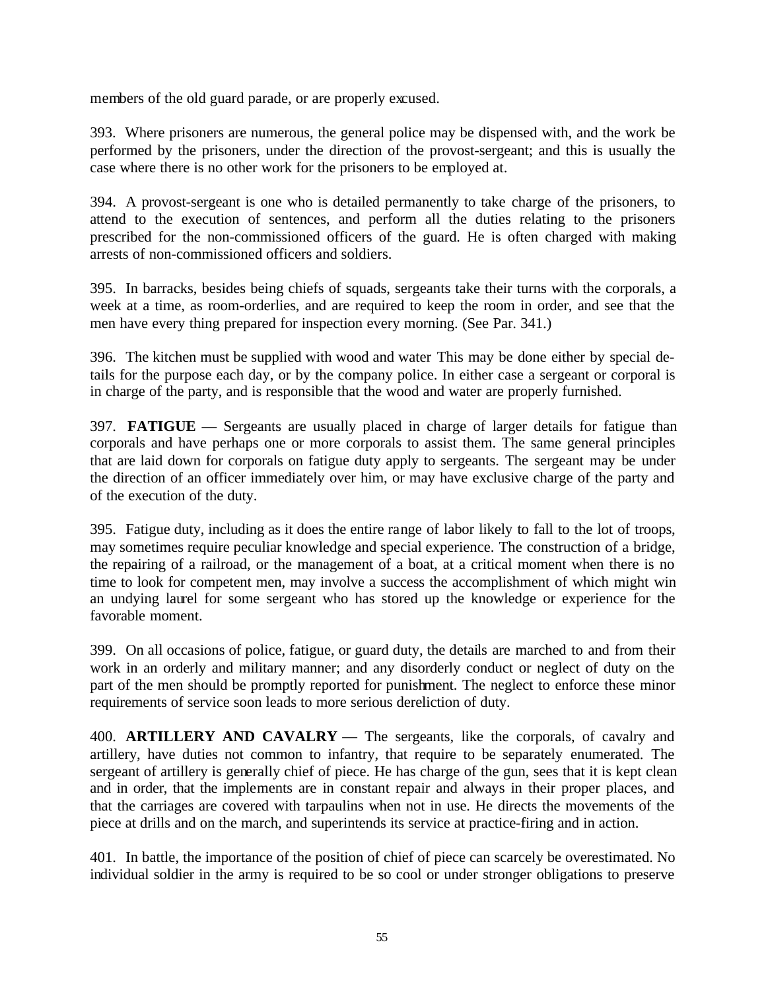members of the old guard parade, or are properly excused.

393. Where prisoners are numerous, the general police may be dispensed with, and the work be performed by the prisoners, under the direction of the provost-sergeant; and this is usually the case where there is no other work for the prisoners to be employed at.

394. A provost-sergeant is one who is detailed permanently to take charge of the prisoners, to attend to the execution of sentences, and perform all the duties relating to the prisoners prescribed for the non-commissioned officers of the guard. He is often charged with making arrests of non-commissioned officers and soldiers.

395. In barracks, besides being chiefs of squads, sergeants take their turns with the corporals, a week at a time, as room-orderlies, and are required to keep the room in order, and see that the men have every thing prepared for inspection every morning. (See Par. 341.)

396. The kitchen must be supplied with wood and water This may be done either by special details for the purpose each day, or by the company police. In either case a sergeant or corporal is in charge of the party, and is responsible that the wood and water are properly furnished.

397. **FATIGUE** — Sergeants are usually placed in charge of larger details for fatigue than corporals and have perhaps one or more corporals to assist them. The same general principles that are laid down for corporals on fatigue duty apply to sergeants. The sergeant may be under the direction of an officer immediately over him, or may have exclusive charge of the party and of the execution of the duty.

395. Fatigue duty, including as it does the entire range of labor likely to fall to the lot of troops, may sometimes require peculiar knowledge and special experience. The construction of a bridge, the repairing of a railroad, or the management of a boat, at a critical moment when there is no time to look for competent men, may involve a success the accomplishment of which might win an undying laurel for some sergeant who has stored up the knowledge or experience for the favorable moment.

399. On all occasions of police, fatigue, or guard duty, the details are marched to and from their work in an orderly and military manner; and any disorderly conduct or neglect of duty on the part of the men should be promptly reported for punishment. The neglect to enforce these minor requirements of service soon leads to more serious dereliction of duty.

400. **ARTILLERY AND CAVALRY** — The sergeants, like the corporals, of cavalry and artillery, have duties not common to infantry, that require to be separately enumerated. The sergeant of artillery is generally chief of piece. He has charge of the gun, sees that it is kept clean and in order, that the implements are in constant repair and always in their proper places, and that the carriages are covered with tarpaulins when not in use. He directs the movements of the piece at drills and on the march, and superintends its service at practice-firing and in action.

401. In battle, the importance of the position of chief of piece can scarcely be overestimated. No individual soldier in the army is required to be so cool or under stronger obligations to preserve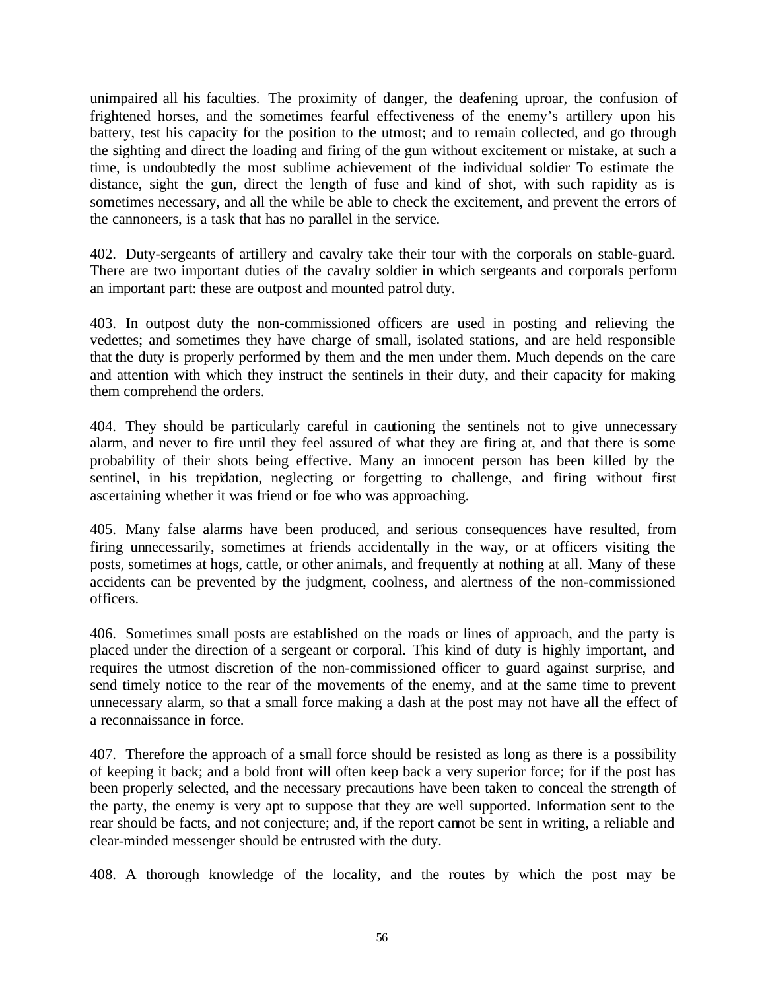unimpaired all his faculties. The proximity of danger, the deafening uproar, the confusion of frightened horses, and the sometimes fearful effectiveness of the enemy's artillery upon his battery, test his capacity for the position to the utmost; and to remain collected, and go through the sighting and direct the loading and firing of the gun without excitement or mistake, at such a time, is undoubtedly the most sublime achievement of the individual soldier To estimate the distance, sight the gun, direct the length of fuse and kind of shot, with such rapidity as is sometimes necessary, and all the while be able to check the excitement, and prevent the errors of the cannoneers, is a task that has no parallel in the service.

402. Duty-sergeants of artillery and cavalry take their tour with the corporals on stable-guard. There are two important duties of the cavalry soldier in which sergeants and corporals perform an important part: these are outpost and mounted patrol duty.

403. In outpost duty the non-commissioned officers are used in posting and relieving the vedettes; and sometimes they have charge of small, isolated stations, and are held responsible that the duty is properly performed by them and the men under them. Much depends on the care and attention with which they instruct the sentinels in their duty, and their capacity for making them comprehend the orders.

404. They should be particularly careful in cautioning the sentinels not to give unnecessary alarm, and never to fire until they feel assured of what they are firing at, and that there is some probability of their shots being effective. Many an innocent person has been killed by the sentinel, in his trepidation, neglecting or forgetting to challenge, and firing without first ascertaining whether it was friend or foe who was approaching.

405. Many false alarms have been produced, and serious consequences have resulted, from firing unnecessarily, sometimes at friends accidentally in the way, or at officers visiting the posts, sometimes at hogs, cattle, or other animals, and frequently at nothing at all. Many of these accidents can be prevented by the judgment, coolness, and alertness of the non-commissioned officers.

406. Sometimes small posts are established on the roads or lines of approach, and the party is placed under the direction of a sergeant or corporal. This kind of duty is highly important, and requires the utmost discretion of the non-commissioned officer to guard against surprise, and send timely notice to the rear of the movements of the enemy, and at the same time to prevent unnecessary alarm, so that a small force making a dash at the post may not have all the effect of a reconnaissance in force.

407. Therefore the approach of a small force should be resisted as long as there is a possibility of keeping it back; and a bold front will often keep back a very superior force; for if the post has been properly selected, and the necessary precautions have been taken to conceal the strength of the party, the enemy is very apt to suppose that they are well supported. Information sent to the rear should be facts, and not conjecture; and, if the report cannot be sent in writing, a reliable and clear-minded messenger should be entrusted with the duty.

408. A thorough knowledge of the locality, and the routes by which the post may be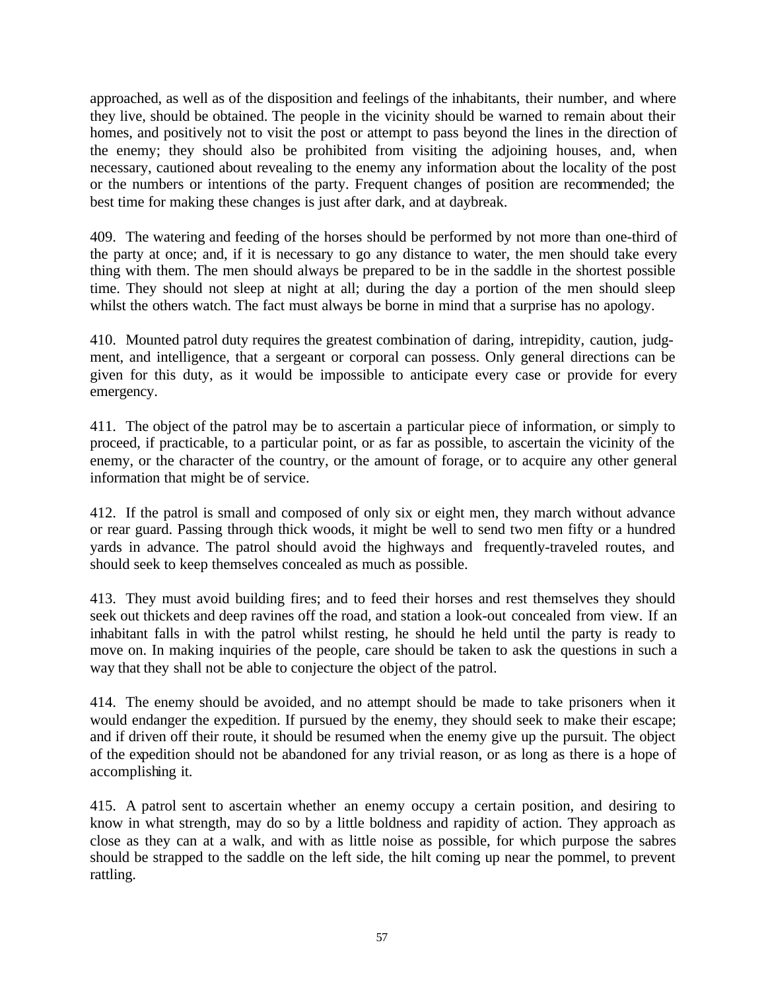approached, as well as of the disposition and feelings of the inhabitants, their number, and where they live, should be obtained. The people in the vicinity should be warned to remain about their homes, and positively not to visit the post or attempt to pass beyond the lines in the direction of the enemy; they should also be prohibited from visiting the adjoining houses, and, when necessary, cautioned about revealing to the enemy any information about the locality of the post or the numbers or intentions of the party. Frequent changes of position are recommended; the best time for making these changes is just after dark, and at daybreak.

409. The watering and feeding of the horses should be performed by not more than one-third of the party at once; and, if it is necessary to go any distance to water, the men should take every thing with them. The men should always be prepared to be in the saddle in the shortest possible time. They should not sleep at night at all; during the day a portion of the men should sleep whilst the others watch. The fact must always be borne in mind that a surprise has no apology.

410. Mounted patrol duty requires the greatest combination of daring, intrepidity, caution, judgment, and intelligence, that a sergeant or corporal can possess. Only general directions can be given for this duty, as it would be impossible to anticipate every case or provide for every emergency.

411. The object of the patrol may be to ascertain a particular piece of information, or simply to proceed, if practicable, to a particular point, or as far as possible, to ascertain the vicinity of the enemy, or the character of the country, or the amount of forage, or to acquire any other general information that might be of service.

412. If the patrol is small and composed of only six or eight men, they march without advance or rear guard. Passing through thick woods, it might be well to send two men fifty or a hundred yards in advance. The patrol should avoid the highways and frequently-traveled routes, and should seek to keep themselves concealed as much as possible.

413. They must avoid building fires; and to feed their horses and rest themselves they should seek out thickets and deep ravines off the road, and station a look-out concealed from view. If an inhabitant falls in with the patrol whilst resting, he should he held until the party is ready to move on. In making inquiries of the people, care should be taken to ask the questions in such a way that they shall not be able to conjecture the object of the patrol.

414. The enemy should be avoided, and no attempt should be made to take prisoners when it would endanger the expedition. If pursued by the enemy, they should seek to make their escape; and if driven off their route, it should be resumed when the enemy give up the pursuit. The object of the expedition should not be abandoned for any trivial reason, or as long as there is a hope of accomplishing it.

415. A patrol sent to ascertain whether an enemy occupy a certain position, and desiring to know in what strength, may do so by a little boldness and rapidity of action. They approach as close as they can at a walk, and with as little noise as possible, for which purpose the sabres should be strapped to the saddle on the left side, the hilt coming up near the pommel, to prevent rattling.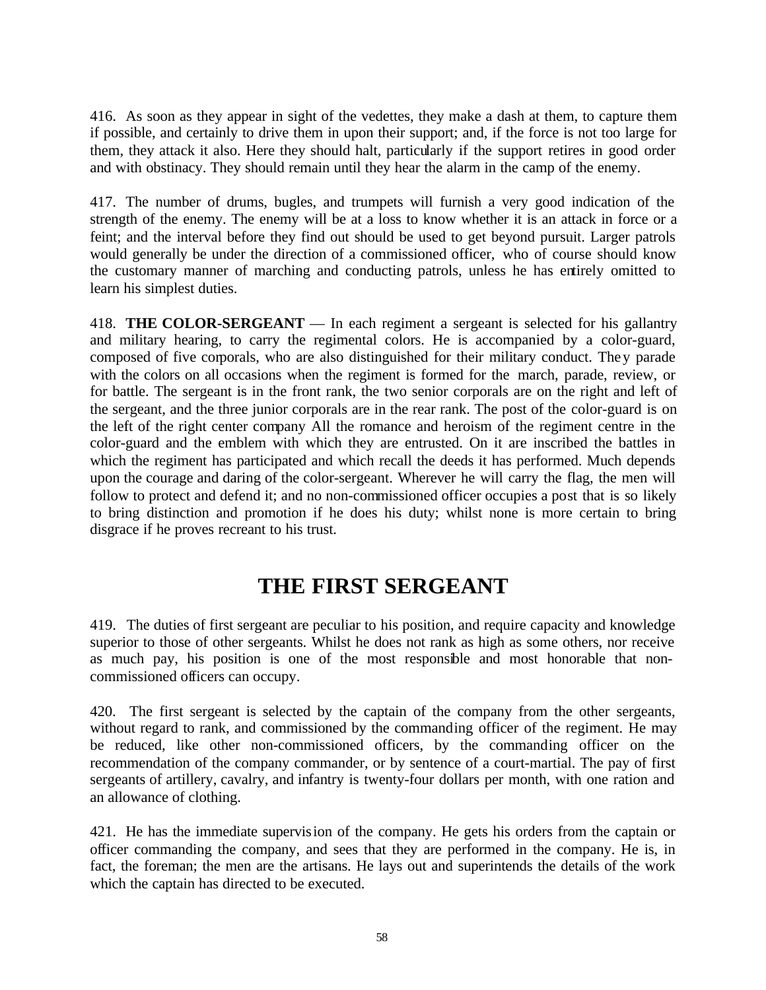416. As soon as they appear in sight of the vedettes, they make a dash at them, to capture them if possible, and certainly to drive them in upon their support; and, if the force is not too large for them, they attack it also. Here they should halt, particularly if the support retires in good order and with obstinacy. They should remain until they hear the alarm in the camp of the enemy.

417. The number of drums, bugles, and trumpets will furnish a very good indication of the strength of the enemy. The enemy will be at a loss to know whether it is an attack in force or a feint; and the interval before they find out should be used to get beyond pursuit. Larger patrols would generally be under the direction of a commissioned officer, who of course should know the customary manner of marching and conducting patrols, unless he has entirely omitted to learn his simplest duties.

418. **THE COLOR-SERGEANT** — In each regiment a sergeant is selected for his gallantry and military hearing, to carry the regimental colors. He is accompanied by a color-guard, composed of five corporals, who are also distinguished for their military conduct. They parade with the colors on all occasions when the regiment is formed for the march, parade, review, or for battle. The sergeant is in the front rank, the two senior corporals are on the right and left of the sergeant, and the three junior corporals are in the rear rank. The post of the color-guard is on the left of the right center company All the romance and heroism of the regiment centre in the color-guard and the emblem with which they are entrusted. On it are inscribed the battles in which the regiment has participated and which recall the deeds it has performed. Much depends upon the courage and daring of the color-sergeant. Wherever he will carry the flag, the men will follow to protect and defend it; and no non-commissioned officer occupies a post that is so likely to bring distinction and promotion if he does his duty; whilst none is more certain to bring disgrace if he proves recreant to his trust.

# **THE FIRST SERGEANT**

419. The duties of first sergeant are peculiar to his position, and require capacity and knowledge superior to those of other sergeants. Whilst he does not rank as high as some others, nor receive as much pay, his position is one of the most responsible and most honorable that noncommissioned officers can occupy.

420. The first sergeant is selected by the captain of the company from the other sergeants, without regard to rank, and commissioned by the commanding officer of the regiment. He may be reduced, like other non-commissioned officers, by the commanding officer on the recommendation of the company commander, or by sentence of a court-martial. The pay of first sergeants of artillery, cavalry, and infantry is twenty-four dollars per month, with one ration and an allowance of clothing.

421. He has the immediate supervision of the company. He gets his orders from the captain or officer commanding the company, and sees that they are performed in the company. He is, in fact, the foreman; the men are the artisans. He lays out and superintends the details of the work which the captain has directed to be executed.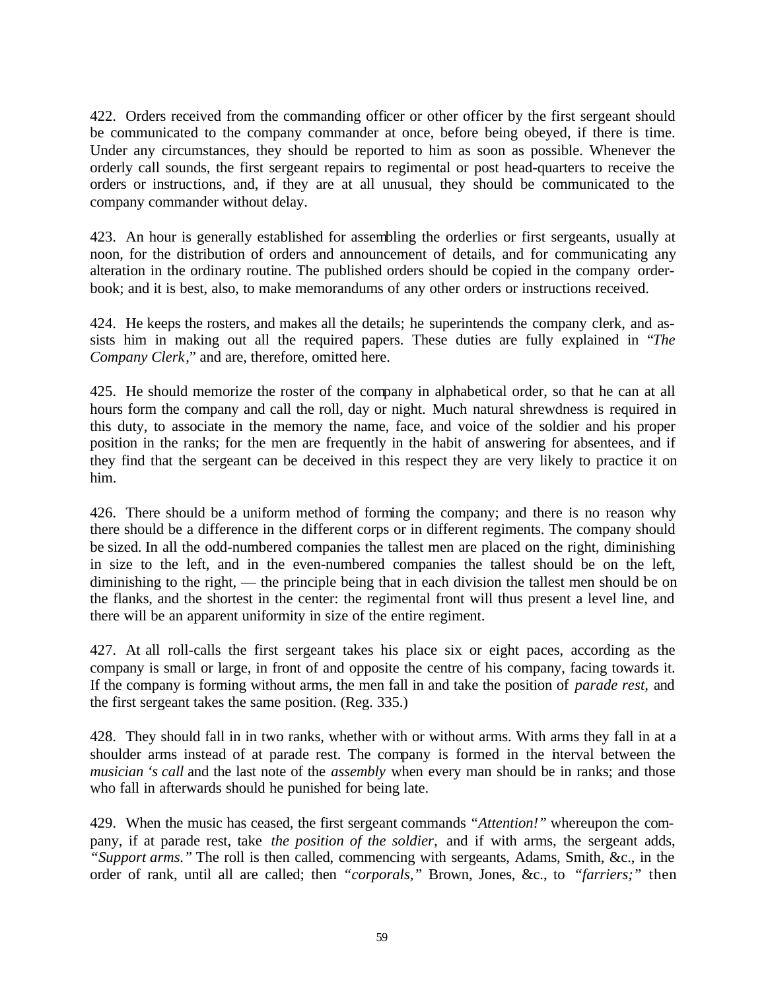422. Orders received from the commanding officer or other officer by the first sergeant should be communicated to the company commander at once, before being obeyed, if there is time. Under any circumstances, they should be reported to him as soon as possible. Whenever the orderly call sounds, the first sergeant repairs to regimental or post head-quarters to receive the orders or instructions, and, if they are at all unusual, they should be communicated to the company commander without delay.

423. An hour is generally established for assembling the orderlies or first sergeants, usually at noon, for the distribution of orders and announcement of details, and for communicating any alteration in the ordinary routine. The published orders should be copied in the company orderbook; and it is best, also, to make memorandums of any other orders or instructions received.

424. He keeps the rosters, and makes all the details; he superintends the company clerk, and assists him in making out all the required papers. These duties are fully explained in "*The Company Clerk*," and are, therefore, omitted here.

425. He should memorize the roster of the company in alphabetical order, so that he can at all hours form the company and call the roll, day or night. Much natural shrewdness is required in this duty, to associate in the memory the name, face, and voice of the soldier and his proper position in the ranks; for the men are frequently in the habit of answering for absentees, and if they find that the sergeant can be deceived in this respect they are very likely to practice it on him.

426. There should be a uniform method of forming the company; and there is no reason why there should be a difference in the different corps or in different regiments. The company should be sized. In all the odd-numbered companies the tallest men are placed on the right, diminishing in size to the left, and in the even-numbered companies the tallest should be on the left, diminishing to the right, — the principle being that in each division the tallest men should be on the flanks, and the shortest in the center: the regimental front will thus present a level line, and there will be an apparent uniformity in size of the entire regiment.

427. At all roll-calls the first sergeant takes his place six or eight paces, according as the company is small or large, in front of and opposite the centre of his company, facing towards it. If the company is forming without arms, the men fall in and take the position of *parade rest,* and the first sergeant takes the same position. (Reg. 335.)

428. They should fall in in two ranks, whether with or without arms. With arms they fall in at a shoulder arms instead of at parade rest. The company is formed in the interval between the *musician 's call* and the last note of the *assembly* when every man should be in ranks; and those who fall in afterwards should he punished for being late.

429. When the music has ceased, the first sergeant commands *"Attention!"* whereupon the company, if at parade rest, take *the position of the soldier,* and if with arms, the sergeant adds, *"Support arms."* The roll is then called, commencing with sergeants, Adams, Smith, &c., in the order of rank, until all are called; then *"corporals,"* Brown, Jones, &c., to *"farriers;"* then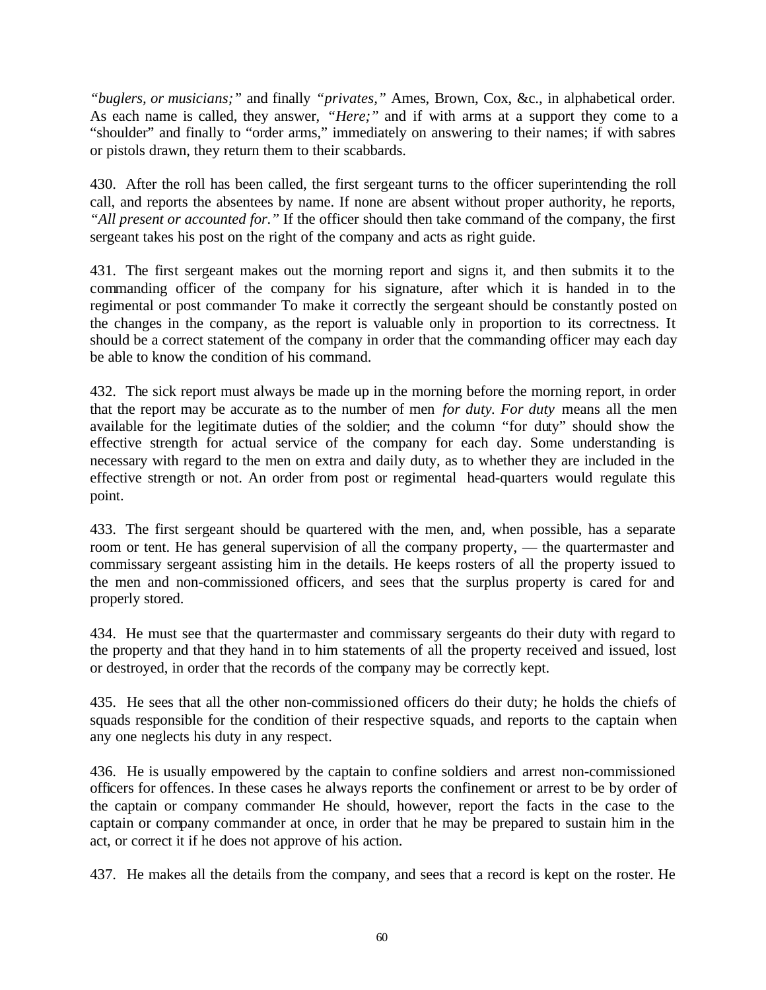*"buglers, or musicians;"* and finally *"privates,"* Ames, Brown, Cox, &c., in alphabetical order. As each name is called, they answer, *"Here;"* and if with arms at a support they come to a "shoulder" and finally to "order arms," immediately on answering to their names; if with sabres or pistols drawn, they return them to their scabbards.

430. After the roll has been called, the first sergeant turns to the officer superintending the roll call, and reports the absentees by name. If none are absent without proper authority, he reports, *"All present or accounted for."* If the officer should then take command of the company, the first sergeant takes his post on the right of the company and acts as right guide.

431. The first sergeant makes out the morning report and signs it, and then submits it to the commanding officer of the company for his signature, after which it is handed in to the regimental or post commander To make it correctly the sergeant should be constantly posted on the changes in the company, as the report is valuable only in proportion to its correctness. It should be a correct statement of the company in order that the commanding officer may each day be able to know the condition of his command.

432. The sick report must always be made up in the morning before the morning report, in order that the report may be accurate as to the number of men *for duty. For duty* means all the men available for the legitimate duties of the soldier; and the column "for duty" should show the effective strength for actual service of the company for each day. Some understanding is necessary with regard to the men on extra and daily duty, as to whether they are included in the effective strength or not. An order from post or regimental head-quarters would regulate this point.

433. The first sergeant should be quartered with the men, and, when possible, has a separate room or tent. He has general supervision of all the company property, — the quartermaster and commissary sergeant assisting him in the details. He keeps rosters of all the property issued to the men and non-commissioned officers, and sees that the surplus property is cared for and properly stored.

434. He must see that the quartermaster and commissary sergeants do their duty with regard to the property and that they hand in to him statements of all the property received and issued, lost or destroyed, in order that the records of the company may be correctly kept.

435. He sees that all the other non-commissioned officers do their duty; he holds the chiefs of squads responsible for the condition of their respective squads, and reports to the captain when any one neglects his duty in any respect.

436. He is usually empowered by the captain to confine soldiers and arrest non-commissioned officers for offences. In these cases he always reports the confinement or arrest to be by order of the captain or company commander He should, however, report the facts in the case to the captain or company commander at once, in order that he may be prepared to sustain him in the act, or correct it if he does not approve of his action.

437. He makes all the details from the company, and sees that a record is kept on the roster. He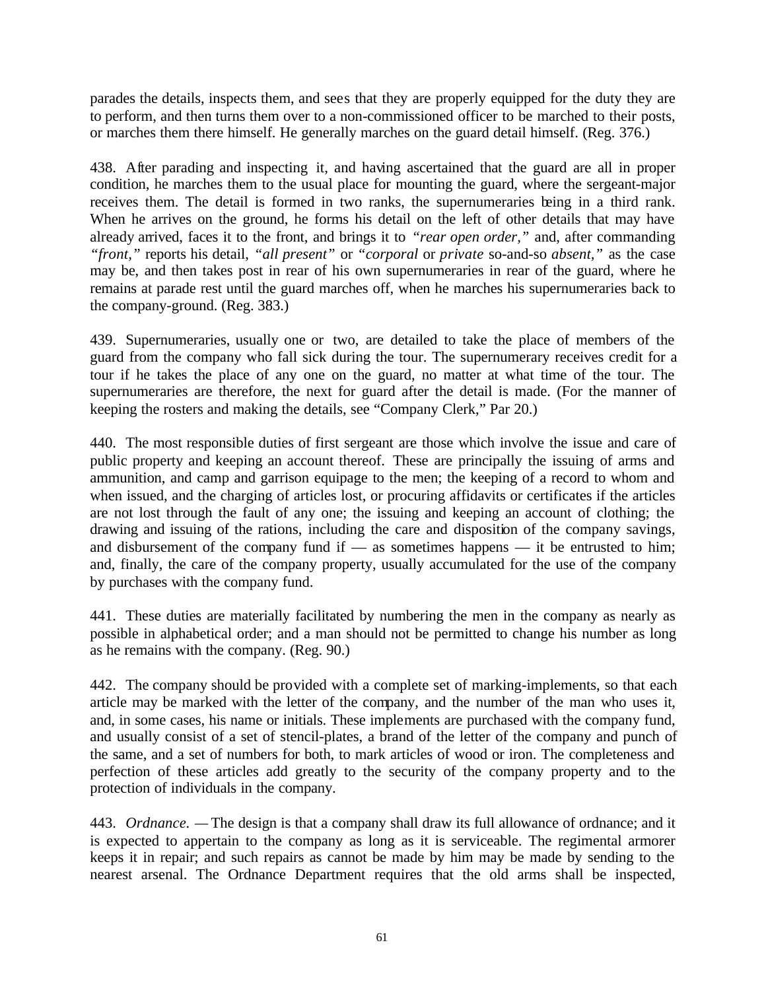parades the details, inspects them, and sees that they are properly equipped for the duty they are to perform, and then turns them over to a non-commissioned officer to be marched to their posts, or marches them there himself. He generally marches on the guard detail himself. (Reg. 376.)

438. After parading and inspecting it, and having ascertained that the guard are all in proper condition, he marches them to the usual place for mounting the guard, where the sergeant-major receives them. The detail is formed in two ranks, the supernumeraries being in a third rank. When he arrives on the ground, he forms his detail on the left of other details that may have already arrived, faces it to the front, and brings it to *"rear open order,"* and, after commanding *"front,"* reports his detail, *"all present"* or *"corporal* or *private* so-and-so *absent,"* as the case may be, and then takes post in rear of his own supernumeraries in rear of the guard, where he remains at parade rest until the guard marches off, when he marches his supernumeraries back to the company-ground. (Reg. 383.)

439. Supernumeraries, usually one or two, are detailed to take the place of members of the guard from the company who fall sick during the tour. The supernumerary receives credit for a tour if he takes the place of any one on the guard, no matter at what time of the tour. The supernumeraries are therefore, the next for guard after the detail is made. (For the manner of keeping the rosters and making the details, see "Company Clerk," Par 20.)

440. The most responsible duties of first sergeant are those which involve the issue and care of public property and keeping an account thereof. These are principally the issuing of arms and ammunition, and camp and garrison equipage to the men; the keeping of a record to whom and when issued, and the charging of articles lost, or procuring affidavits or certificates if the articles are not lost through the fault of any one; the issuing and keeping an account of clothing; the drawing and issuing of the rations, including the care and disposition of the company savings, and disbursement of the company fund if  $-$  as sometimes happens  $-$  it be entrusted to him; and, finally, the care of the company property, usually accumulated for the use of the company by purchases with the company fund.

441. These duties are materially facilitated by numbering the men in the company as nearly as possible in alphabetical order; and a man should not be permitted to change his number as long as he remains with the company. (Reg. 90.)

442. The company should be provided with a complete set of marking-implements, so that each article may be marked with the letter of the company, and the number of the man who uses it, and, in some cases, his name or initials. These implements are purchased with the company fund, and usually consist of a set of stencil-plates, a brand of the letter of the company and punch of the same, and a set of numbers for both, to mark articles of wood or iron. The completeness and perfection of these articles add greatly to the security of the company property and to the protection of individuals in the company.

443. *Ordnance. —* The design is that a company shall draw its full allowance of ordnance; and it is expected to appertain to the company as long as it is serviceable. The regimental armorer keeps it in repair; and such repairs as cannot be made by him may be made by sending to the nearest arsenal. The Ordnance Department requires that the old arms shall be inspected,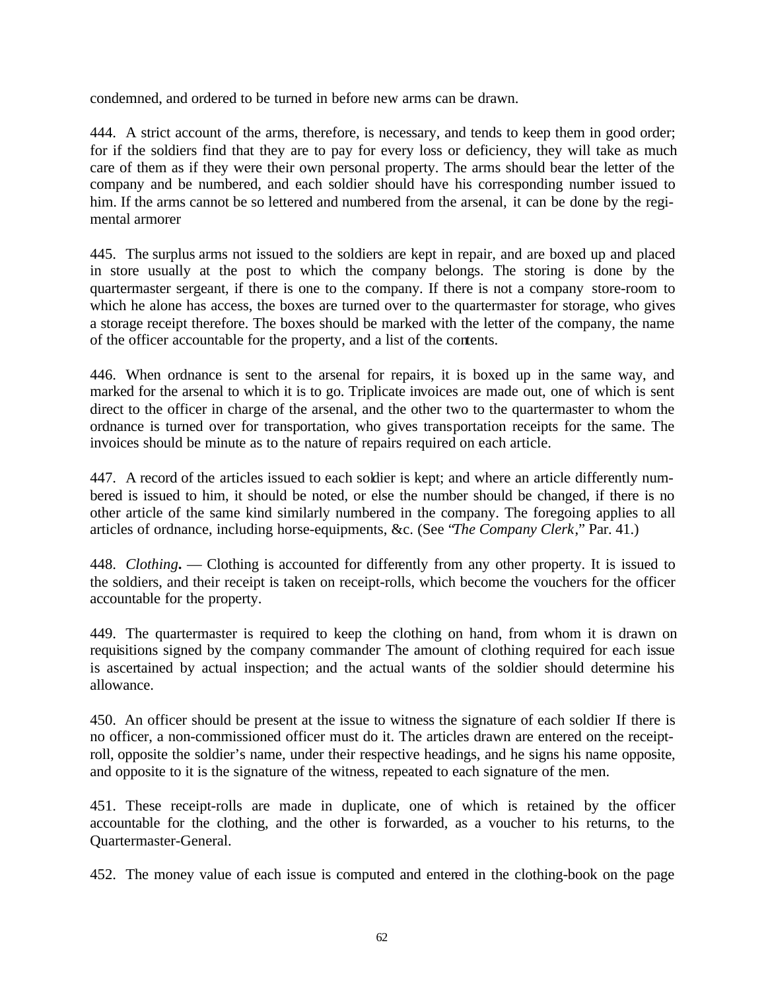condemned, and ordered to be turned in before new arms can be drawn.

444. A strict account of the arms, therefore, is necessary, and tends to keep them in good order; for if the soldiers find that they are to pay for every loss or deficiency, they will take as much care of them as if they were their own personal property. The arms should bear the letter of the company and be numbered, and each soldier should have his corresponding number issued to him. If the arms cannot be so lettered and numbered from the arsenal, it can be done by the regimental armorer

445. The surplus arms not issued to the soldiers are kept in repair, and are boxed up and placed in store usually at the post to which the company belongs. The storing is done by the quartermaster sergeant, if there is one to the company. If there is not a company store-room to which he alone has access, the boxes are turned over to the quartermaster for storage, who gives a storage receipt therefore. The boxes should be marked with the letter of the company, the name of the officer accountable for the property, and a list of the contents.

446. When ordnance is sent to the arsenal for repairs, it is boxed up in the same way, and marked for the arsenal to which it is to go. Triplicate invoices are made out, one of which is sent direct to the officer in charge of the arsenal, and the other two to the quartermaster to whom the ordnance is turned over for transportation, who gives transportation receipts for the same. The invoices should be minute as to the nature of repairs required on each article.

447. A record of the articles issued to each soldier is kept; and where an article differently numbered is issued to him, it should be noted, or else the number should be changed, if there is no other article of the same kind similarly numbered in the company. The foregoing applies to all articles of ordnance, including horse-equipments, &c. (See "*The Company Clerk*," Par. 41.)

448. *Clothing***.** — Clothing is accounted for differently from any other property. It is issued to the soldiers, and their receipt is taken on receipt-rolls, which become the vouchers for the officer accountable for the property.

449. The quartermaster is required to keep the clothing on hand, from whom it is drawn on requisitions signed by the company commander The amount of clothing required for each issue is ascertained by actual inspection; and the actual wants of the soldier should determine his allowance.

450. An officer should be present at the issue to witness the signature of each soldier If there is no officer, a non-commissioned officer must do it. The articles drawn are entered on the receiptroll, opposite the soldier's name, under their respective headings, and he signs his name opposite, and opposite to it is the signature of the witness, repeated to each signature of the men.

451. These receipt-rolls are made in duplicate, one of which is retained by the officer accountable for the clothing, and the other is forwarded, as a voucher to his returns, to the Quartermaster-General.

452. The money value of each issue is computed and entered in the clothing-book on the page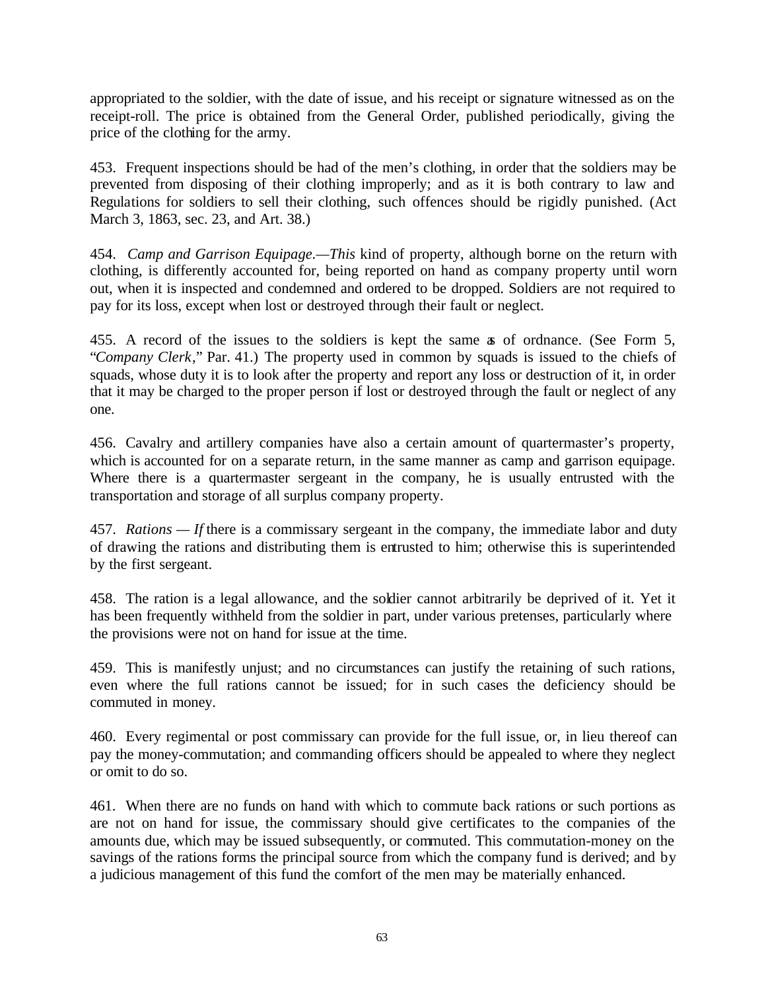appropriated to the soldier, with the date of issue, and his receipt or signature witnessed as on the receipt-roll. The price is obtained from the General Order, published periodically, giving the price of the clothing for the army.

453. Frequent inspections should be had of the men's clothing, in order that the soldiers may be prevented from disposing of their clothing improperly; and as it is both contrary to law and Regulations for soldiers to sell their clothing, such offences should be rigidly punished. (Act March 3, 1863, sec. 23, and Art. 38.)

454. *Camp and Garrison Equipage.—This* kind of property, although borne on the return with clothing, is differently accounted for, being reported on hand as company property until worn out, when it is inspected and condemned and ordered to be dropped. Soldiers are not required to pay for its loss, except when lost or destroyed through their fault or neglect.

455. A record of the issues to the soldiers is kept the same as of ordnance. (See Form 5, "*Company Clerk*," Par. 41.) The property used in common by squads is issued to the chiefs of squads, whose duty it is to look after the property and report any loss or destruction of it, in order that it may be charged to the proper person if lost or destroyed through the fault or neglect of any one.

456. Cavalry and artillery companies have also a certain amount of quartermaster's property, which is accounted for on a separate return, in the same manner as camp and garrison equipage. Where there is a quartermaster sergeant in the company, he is usually entrusted with the transportation and storage of all surplus company property.

457. *Rations — If* there is a commissary sergeant in the company, the immediate labor and duty of drawing the rations and distributing them is entrusted to him; otherwise this is superintended by the first sergeant.

458. The ration is a legal allowance, and the soldier cannot arbitrarily be deprived of it. Yet it has been frequently withheld from the soldier in part, under various pretenses, particularly where the provisions were not on hand for issue at the time.

459. This is manifestly unjust; and no circumstances can justify the retaining of such rations, even where the full rations cannot be issued; for in such cases the deficiency should be commuted in money.

460. Every regimental or post commissary can provide for the full issue, or, in lieu thereof can pay the money-commutation; and commanding officers should be appealed to where they neglect or omit to do so.

461. When there are no funds on hand with which to commute back rations or such portions as are not on hand for issue, the commissary should give certificates to the companies of the amounts due, which may be issued subsequently, or commuted. This commutation-money on the savings of the rations forms the principal source from which the company fund is derived; and by a judicious management of this fund the comfort of the men may be materially enhanced.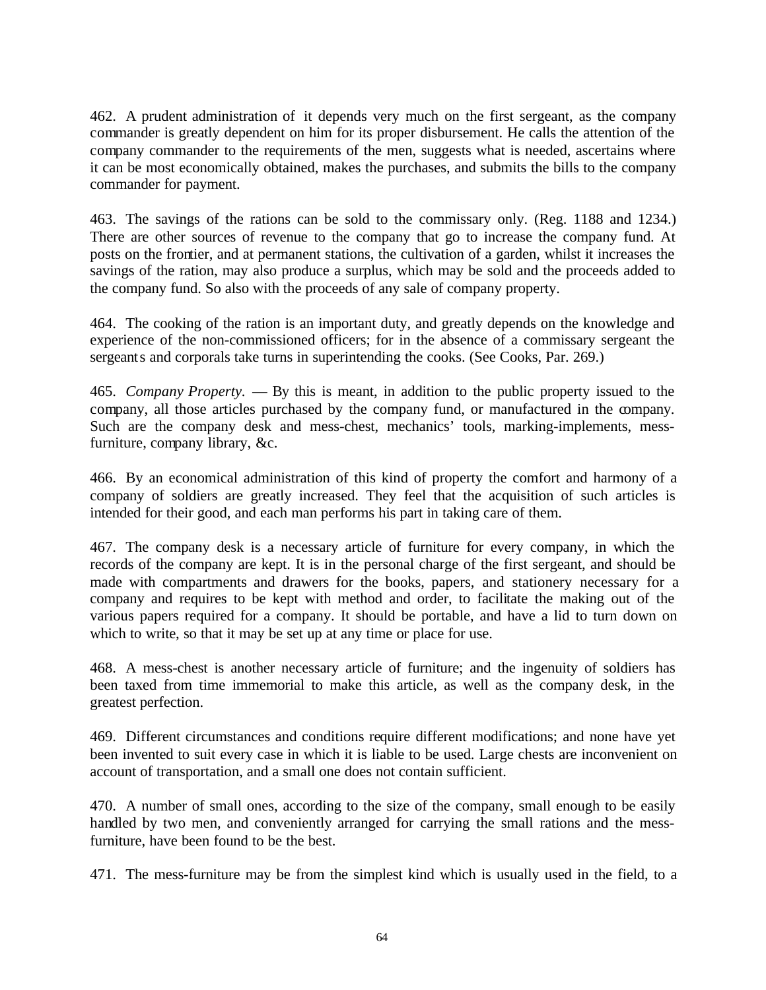462. A prudent administration of it depends very much on the first sergeant, as the company commander is greatly dependent on him for its proper disbursement. He calls the attention of the company commander to the requirements of the men, suggests what is needed, ascertains where it can be most economically obtained, makes the purchases, and submits the bills to the company commander for payment.

463. The savings of the rations can be sold to the commissary only. (Reg. 1188 and 1234.) There are other sources of revenue to the company that go to increase the company fund. At posts on the frontier, and at permanent stations, the cultivation of a garden, whilst it increases the savings of the ration, may also produce a surplus, which may be sold and the proceeds added to the company fund. So also with the proceeds of any sale of company property.

464. The cooking of the ration is an important duty, and greatly depends on the knowledge and experience of the non-commissioned officers; for in the absence of a commissary sergeant the sergeants and corporals take turns in superintending the cooks. (See Cooks, Par. 269.)

465. *Company Property.* — By this is meant, in addition to the public property issued to the company, all those articles purchased by the company fund, or manufactured in the company. Such are the company desk and mess-chest, mechanics' tools, marking-implements, messfurniture, company library, &c.

466. By an economical administration of this kind of property the comfort and harmony of a company of soldiers are greatly increased. They feel that the acquisition of such articles is intended for their good, and each man performs his part in taking care of them.

467. The company desk is a necessary article of furniture for every company, in which the records of the company are kept. It is in the personal charge of the first sergeant, and should be made with compartments and drawers for the books, papers, and stationery necessary for a company and requires to be kept with method and order, to facilitate the making out of the various papers required for a company. It should be portable, and have a lid to turn down on which to write, so that it may be set up at any time or place for use.

468. A mess-chest is another necessary article of furniture; and the ingenuity of soldiers has been taxed from time immemorial to make this article, as well as the company desk, in the greatest perfection.

469. Different circumstances and conditions require different modifications; and none have yet been invented to suit every case in which it is liable to be used. Large chests are inconvenient on account of transportation, and a small one does not contain sufficient.

470. A number of small ones, according to the size of the company, small enough to be easily handled by two men, and conveniently arranged for carrying the small rations and the messfurniture, have been found to be the best.

471. The mess-furniture may be from the simplest kind which is usually used in the field, to a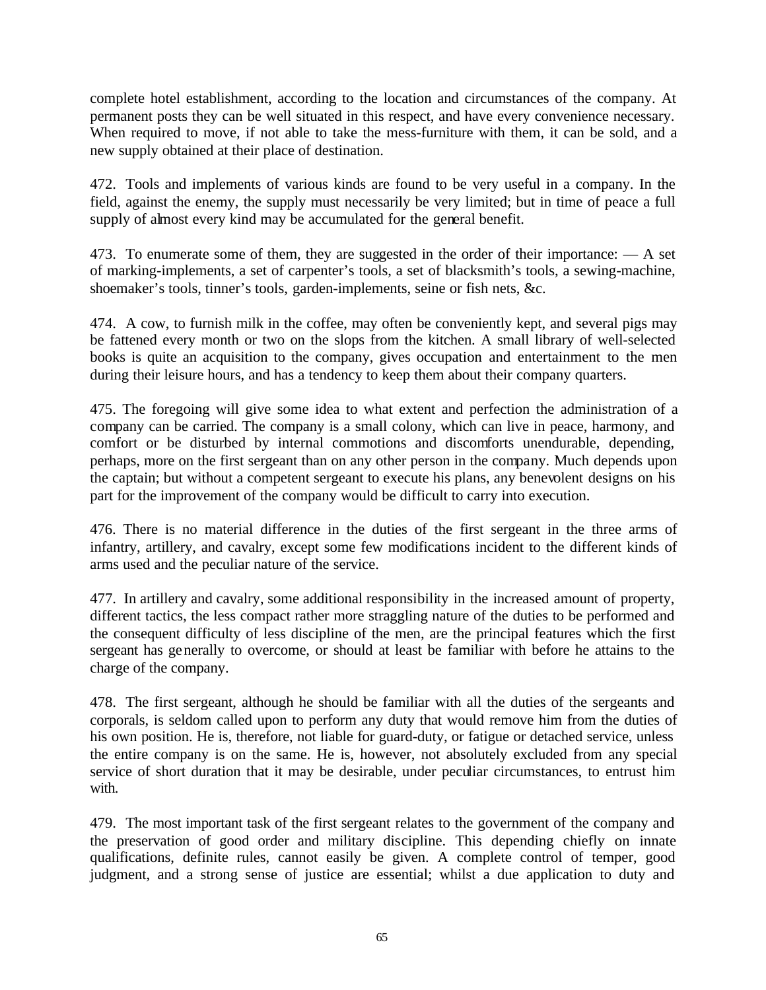complete hotel establishment, according to the location and circumstances of the company. At permanent posts they can be well situated in this respect, and have every convenience necessary. When required to move, if not able to take the mess-furniture with them, it can be sold, and a new supply obtained at their place of destination.

472. Tools and implements of various kinds are found to be very useful in a company. In the field, against the enemy, the supply must necessarily be very limited; but in time of peace a full supply of almost every kind may be accumulated for the general benefit.

473. To enumerate some of them, they are suggested in the order of their importance: — A set of marking-implements, a set of carpenter's tools, a set of blacksmith's tools, a sewing-machine, shoemaker's tools, tinner's tools, garden-implements, seine or fish nets, &c.

474. A cow, to furnish milk in the coffee, may often be conveniently kept, and several pigs may be fattened every month or two on the slops from the kitchen. A small library of well-selected books is quite an acquisition to the company, gives occupation and entertainment to the men during their leisure hours, and has a tendency to keep them about their company quarters.

475. The foregoing will give some idea to what extent and perfection the administration of a company can be carried. The company is a small colony, which can live in peace, harmony, and comfort or be disturbed by internal commotions and discomforts unendurable, depending, perhaps, more on the first sergeant than on any other person in the company. Much depends upon the captain; but without a competent sergeant to execute his plans, any benevolent designs on his part for the improvement of the company would be difficult to carry into execution.

476. There is no material difference in the duties of the first sergeant in the three arms of infantry, artillery, and cavalry, except some few modifications incident to the different kinds of arms used and the peculiar nature of the service.

477.In artillery and cavalry, some additional responsibility in the increased amount of property, different tactics, the less compact rather more straggling nature of the duties to be performed and the consequent difficulty of less discipline of the men, are the principal features which the first sergeant has generally to overcome, or should at least be familiar with before he attains to the charge of the company.

478. The first sergeant, although he should be familiar with all the duties of the sergeants and corporals, is seldom called upon to perform any duty that would remove him from the duties of his own position. He is, therefore, not liable for guard-duty, or fatigue or detached service, unless the entire company is on the same. He is, however, not absolutely excluded from any special service of short duration that it may be desirable, under peculiar circumstances, to entrust him with.

479. The most important task of the first sergeant relates to the government of the company and the preservation of good order and military discipline. This depending chiefly on innate qualifications, definite rules, cannot easily be given. A complete control of temper, good judgment, and a strong sense of justice are essential; whilst a due application to duty and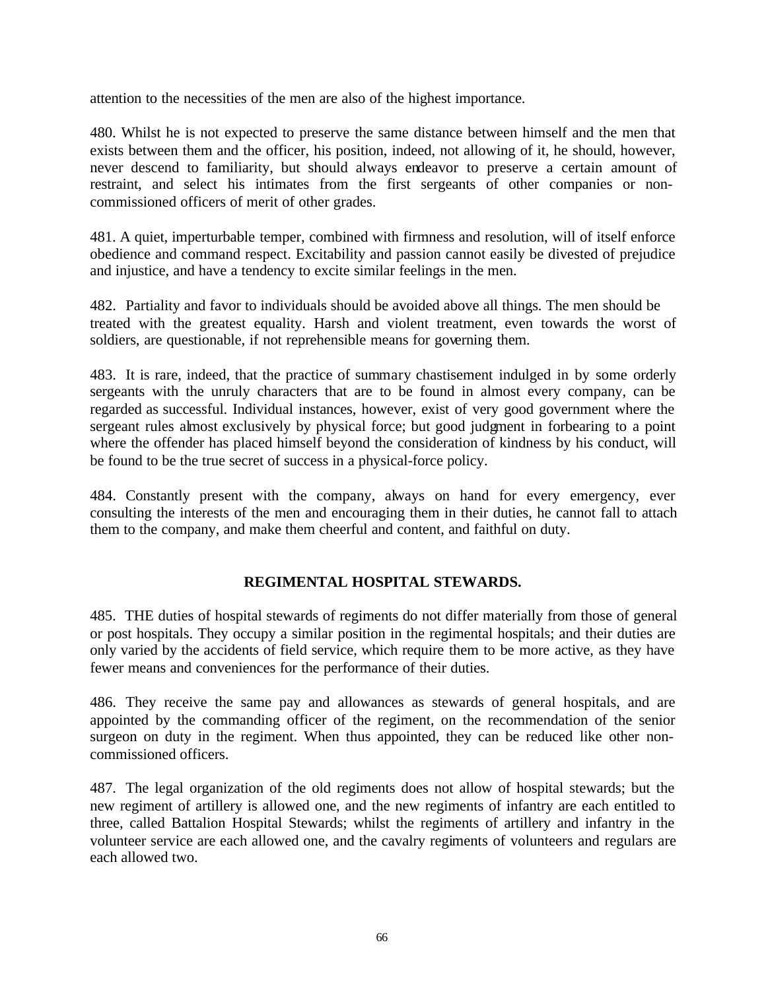attention to the necessities of the men are also of the highest importance.

480. Whilst he is not expected to preserve the same distance between himself and the men that exists between them and the officer, his position, indeed, not allowing of it, he should, however, never descend to familiarity, but should always endeavor to preserve a certain amount of restraint, and select his intimates from the first sergeants of other companies or noncommissioned officers of merit of other grades.

481. A quiet, imperturbable temper, combined with firmness and resolution, will of itself enforce obedience and command respect. Excitability and passion cannot easily be divested of prejudice and injustice, and have a tendency to excite similar feelings in the men.

482. Partiality and favor to individuals should be avoided above all things. The men should be treated with the greatest equality. Harsh and violent treatment, even towards the worst of soldiers, are questionable, if not reprehensible means for governing them.

483. It is rare, indeed, that the practice of summary chastisement indulged in by some orderly sergeants with the unruly characters that are to be found in almost every company, can be regarded as successful. Individual instances, however, exist of very good government where the sergeant rules almost exclusively by physical force; but good judgment in forbearing to a point where the offender has placed himself beyond the consideration of kindness by his conduct, will be found to be the true secret of success in a physical-force policy.

484. Constantly present with the company, always on hand for every emergency, ever consulting the interests of the men and encouraging them in their duties, he cannot fall to attach them to the company, and make them cheerful and content, and faithful on duty.

### **REGIMENTAL HOSPITAL STEWARDS.**

485. THE duties of hospital stewards of regiments do not differ materially from those of general or post hospitals. They occupy a similar position in the regimental hospitals; and their duties are only varied by the accidents of field service, which require them to be more active, as they have fewer means and conveniences for the performance of their duties.

486. They receive the same pay and allowances as stewards of general hospitals, and are appointed by the commanding officer of the regiment, on the recommendation of the senior surgeon on duty in the regiment. When thus appointed, they can be reduced like other noncommissioned officers.

487. The legal organization of the old regiments does not allow of hospital stewards; but the new regiment of artillery is allowed one, and the new regiments of infantry are each entitled to three, called Battalion Hospital Stewards; whilst the regiments of artillery and infantry in the volunteer service are each allowed one, and the cavalry regiments of volunteers and regulars are each allowed two.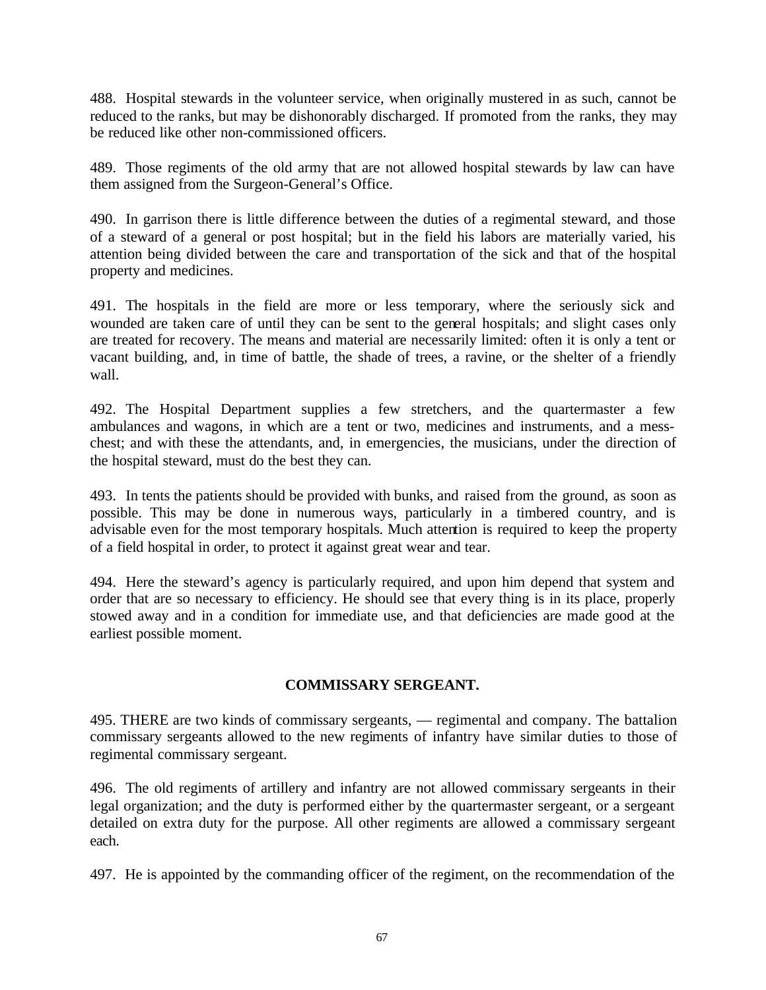488. Hospital stewards in the volunteer service, when originally mustered in as such, cannot be reduced to the ranks, but may be dishonorably discharged. If promoted from the ranks, they may be reduced like other non-commissioned officers.

489. Those regiments of the old army that are not allowed hospital stewards by law can have them assigned from the Surgeon-General's Office.

490. In garrison there is little difference between the duties of a regimental steward, and those of a steward of a general or post hospital; but in the field his labors are materially varied, his attention being divided between the care and transportation of the sick and that of the hospital property and medicines.

491. The hospitals in the field are more or less temporary, where the seriously sick and wounded are taken care of until they can be sent to the general hospitals; and slight cases only are treated for recovery. The means and material are necessarily limited: often it is only a tent or vacant building, and, in time of battle, the shade of trees, a ravine, or the shelter of a friendly wall.

492. The Hospital Department supplies a few stretchers, and the quartermaster a few ambulances and wagons, in which are a tent or two, medicines and instruments, and a messchest; and with these the attendants, and, in emergencies, the musicians, under the direction of the hospital steward, must do the best they can.

493. In tents the patients should be provided with bunks, and raised from the ground, as soon as possible. This may be done in numerous ways, particularly in a timbered country, and is advisable even for the most temporary hospitals. Much attention is required to keep the property of a field hospital in order, to protect it against great wear and tear.

494. Here the steward's agency is particularly required, and upon him depend that system and order that are so necessary to efficiency. He should see that every thing is in its place, properly stowed away and in a condition for immediate use, and that deficiencies are made good at the earliest possible moment.

### **COMMISSARY SERGEANT.**

495. THERE are two kinds of commissary sergeants, — regimental and company. The battalion commissary sergeants allowed to the new regiments of infantry have similar duties to those of regimental commissary sergeant.

496. The old regiments of artillery and infantry are not allowed commissary sergeants in their legal organization; and the duty is performed either by the quartermaster sergeant, or a sergeant detailed on extra duty for the purpose. All other regiments are allowed a commissary sergeant each.

497. He is appointed by the commanding officer of the regiment, on the recommendation of the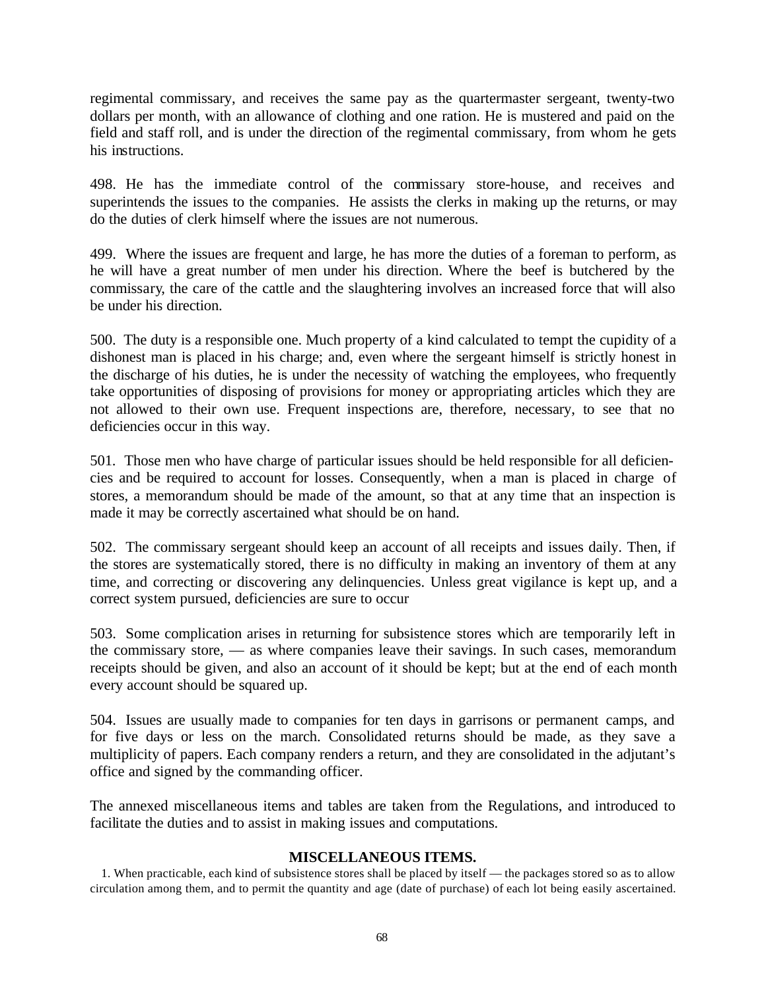regimental commissary, and receives the same pay as the quartermaster sergeant, twenty-two dollars per month, with an allowance of clothing and one ration. He is mustered and paid on the field and staff roll, and is under the direction of the regimental commissary, from whom he gets his instructions.

498. He has the immediate control of the commissary store-house, and receives and superintends the issues to the companies. He assists the clerks in making up the returns, or may do the duties of clerk himself where the issues are not numerous.

499. Where the issues are frequent and large, he has more the duties of a foreman to perform, as he will have a great number of men under his direction. Where the beef is butchered by the commissary, the care of the cattle and the slaughtering involves an increased force that will also be under his direction.

500. The duty is a responsible one. Much property of a kind calculated to tempt the cupidity of a dishonest man is placed in his charge; and, even where the sergeant himself is strictly honest in the discharge of his duties, he is under the necessity of watching the employees, who frequently take opportunities of disposing of provisions for money or appropriating articles which they are not allowed to their own use. Frequent inspections are, therefore, necessary, to see that no deficiencies occur in this way.

501. Those men who have charge of particular issues should be held responsible for all deficiencies and be required to account for losses. Consequently, when a man is placed in charge of stores, a memorandum should be made of the amount, so that at any time that an inspection is made it may be correctly ascertained what should be on hand.

502. The commissary sergeant should keep an account of all receipts and issues daily. Then, if the stores are systematically stored, there is no difficulty in making an inventory of them at any time, and correcting or discovering any delinquencies. Unless great vigilance is kept up, and a correct system pursued, deficiencies are sure to occur

503. Some complication arises in returning for subsistence stores which are temporarily left in the commissary store, — as where companies leave their savings. In such cases, memorandum receipts should be given, and also an account of it should be kept; but at the end of each month every account should be squared up.

504. Issues are usually made to companies for ten days in garrisons or permanent camps, and for five days or less on the march. Consolidated returns should be made, as they save a multiplicity of papers. Each company renders a return, and they are consolidated in the adjutant's office and signed by the commanding officer.

The annexed miscellaneous items and tables are taken from the Regulations, and introduced to facilitate the duties and to assist in making issues and computations.

### **MISCELLANEOUS ITEMS.**

1. When practicable, each kind of subsistence stores shall be placed by itself — the packages stored so as to allow circulation among them, and to permit the quantity and age (date of purchase) of each lot being easily ascertained.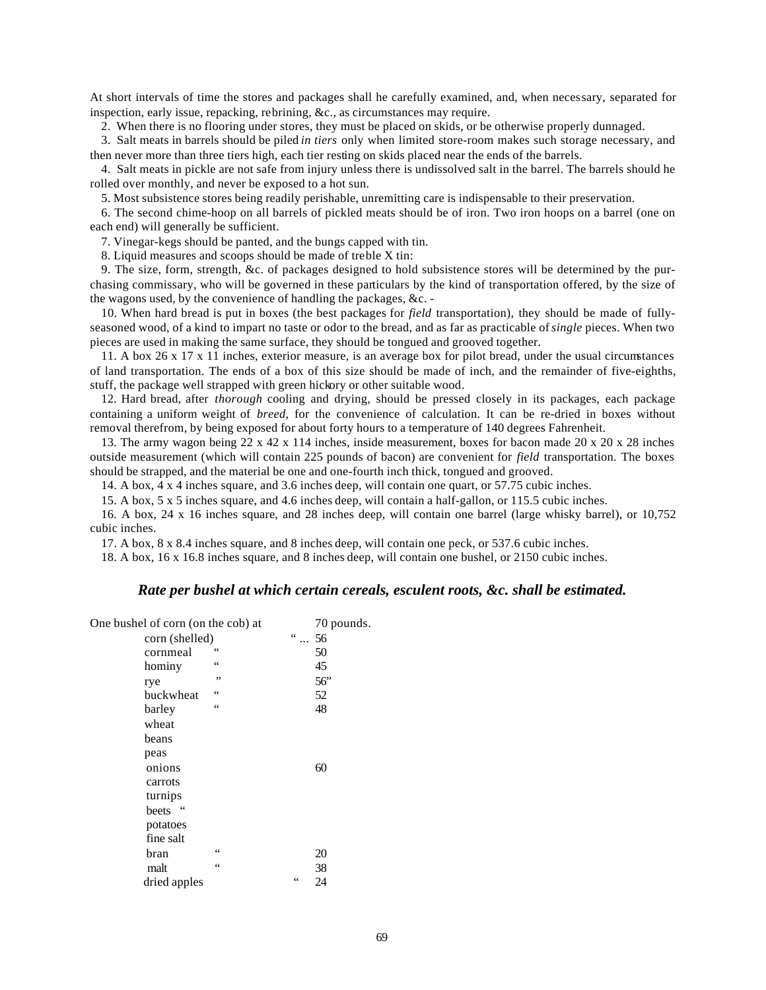At short intervals of time the stores and packages shall he carefully examined, and, when necessary, separated for inspection, early issue, repacking, rebrining, &c., as circumstances may require.

2. When there is no flooring under stores, they must be placed on skids, or be otherwise properly dunnaged.

3. Salt meats in barrels should be piled *in tiers* only when limited store-room makes such storage necessary, and then never more than three tiers high, each tier resting on skids placed near the ends of the barrels.

4. Salt meats in pickle are not safe from injury unless there is undissolved salt in the barrel. The barrels should he rolled over monthly, and never be exposed to a hot sun.

5. Most subsistence stores being readily perishable, unremitting care is indispensable to their preservation.

6. The second chime-hoop on all barrels of pickled meats should be of iron. Two iron hoops on a barrel (one on each end) will generally be sufficient.

7. Vinegar-kegs should be panted, and the bungs capped with tin.

8. Liquid measures and scoops should be made of treble X tin:

9. The size, form, strength, &c. of packages designed to hold subsistence stores will be determined by the purchasing commissary, who will be governed in these particulars by the kind of transportation offered, by the size of the wagons used, by the convenience of handling the packages, &c. -

10. When hard bread is put in boxes (the best packages for *field* transportation), they should be made of fullyseasoned wood, of a kind to impart no taste or odor to the bread, and as far as practicable of *single* pieces. When two pieces are used in making the same surface, they should be tongued and grooved together.

11. A box 26 x 17 x 11 inches, exterior measure, is an average box for pilot bread, under the usual circumstances of land transportation. The ends of a box of this size should be made of inch, and the remainder of five-eighths, stuff, the package well strapped with green hickory or other suitable wood.

12. Hard bread, after *thorough* cooling and drying, should be pressed closely in its packages, each package containing a uniform weight of *breed,* for the convenience of calculation. It can be re-dried in boxes without removal therefrom, by being exposed for about forty hours to a temperature of 140 degrees Fahrenheit.

13. The army wagon being 22 x 42 x 114 inches, inside measurement, boxes for bacon made 20 x 20 x 28 inches outside measurement (which will contain 225 pounds of bacon) are convenient for *field* transportation. The boxes should be strapped, and the material be one and one-fourth inch thick, tongued and grooved.

14. A box, 4 x 4 inches square, and 3.6 inches deep, will contain one quart, or 57.75 cubic inches.

15. A box, 5 x 5 inches square, and 4.6 inches deep, will contain a half-gallon, or 115.5 cubic inches.

16. A box, 24 x 16 inches square, and 28 inches deep, will contain one barrel (large whisky barrel), or 10,752 cubic inches.

17. A box, 8 x 8.4 inches square, and 8 inches deep, will contain one peck, or 537.6 cubic inches.

18. A box, 16 x 16.8 inches square, and 8 inches deep, will contain one bushel, or 2150 cubic inches.

#### *Rate per bushel at which certain cereals, esculent roots, &c. shall be estimated.*

| One bushel of corn (on the cob) at |                |    | 70 pounds. |
|------------------------------------|----------------|----|------------|
|                                    | corn (shelled) |    | 56         |
| cornmeal                           | 66             |    | 50         |
| hominy                             | 66             |    | 45         |
| rye                                | ,,             |    | 56"        |
| buckwheat                          | 66             |    | 52         |
| barley                             | 66             |    | 48         |
| wheat                              |                |    |            |
| beans                              |                |    |            |
| peas                               |                |    |            |
| onions                             |                |    | 60         |
| carrots                            |                |    |            |
| turnips                            |                |    |            |
| beets                              |                |    |            |
| potatoes                           |                |    |            |
| fine salt                          |                |    |            |
| bran                               | 66             |    | 20         |
| malt                               | 66             |    | 38         |
| dried apples                       |                | 66 | 24         |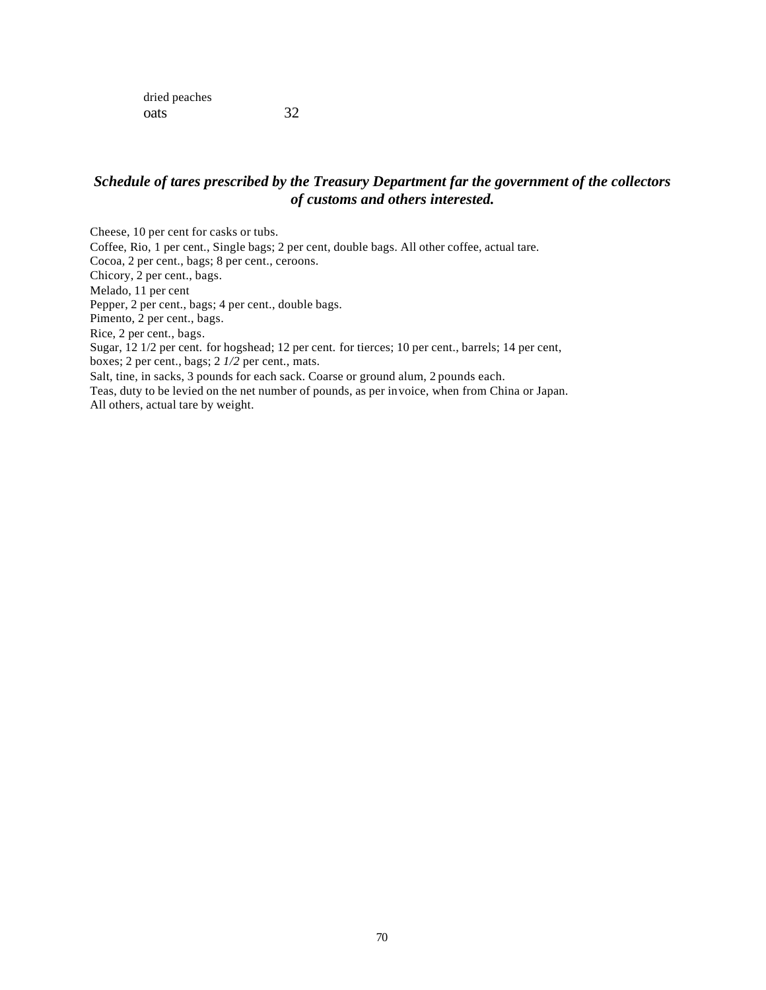dried peaches oats 32

### *Schedule of tares prescribed by the Treasury Department far the government of the collectors of customs and others interested.*

Cheese, 10 per cent for casks or tubs. Coffee, Rio, 1 per cent., Single bags; 2 per cent, double bags. All other coffee, actual tare. Cocoa, 2 per cent., bags; 8 per cent., ceroons. Chicory, 2 per cent., bags. Melado, 11 per cent Pepper, 2 per cent., bags; 4 per cent., double bags. Pimento, 2 per cent., bags. Rice, 2 per cent., bags. Sugar, 12 1/2 per cent. for hogshead; 12 per cent. for tierces; 10 per cent., barrels; 14 per cent, boxes; 2 per cent., bags; 2 *1/2* per cent., mats. Salt, tine, in sacks, 3 pounds for each sack. Coarse or ground alum, 2 pounds each. Teas, duty to be levied on the net number of pounds, as per invoice, when from China or Japan. All others, actual tare by weight.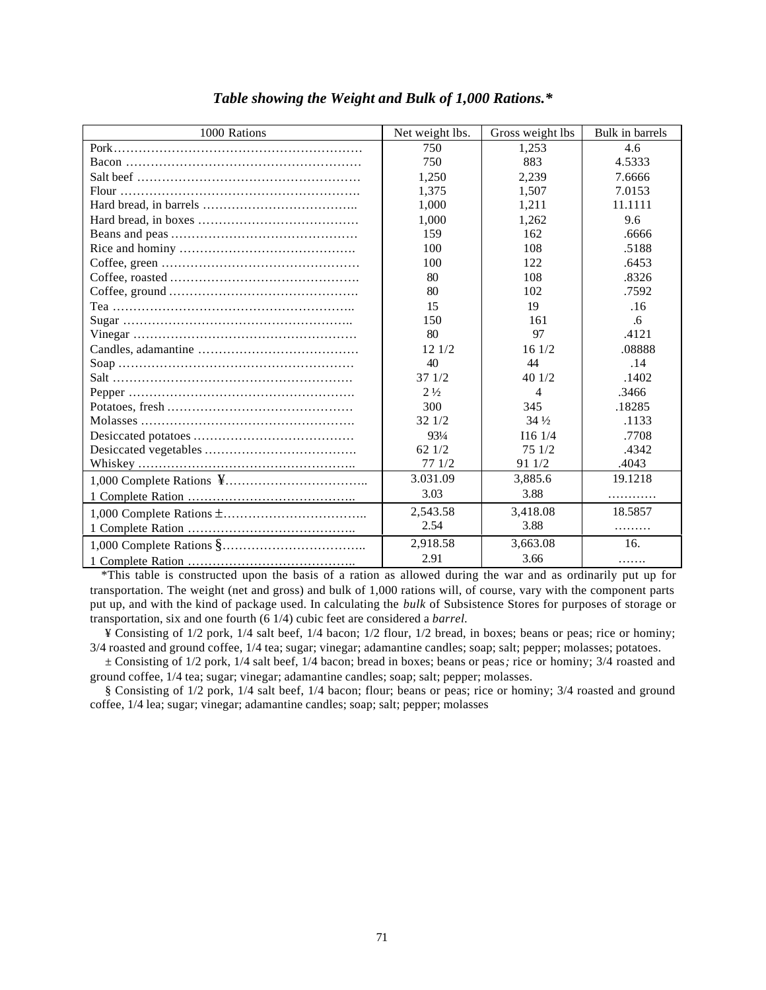| 1000 Rations | Net weight lbs. | Gross weight lbs | Bulk in barrels |
|--------------|-----------------|------------------|-----------------|
|              | 750             | 1,253            | 4.6             |
|              | 750             | 883              | 4.5333          |
|              | 1,250           | 2,239            | 7.6666          |
|              | 1,375           | 1,507            | 7.0153          |
|              | 1,000           | 1,211            | 11.1111         |
|              | 1,000           | 1,262            | 9.6             |
|              | 159             | 162              | .6666           |
|              | 100             | 108              | .5188           |
|              | 100             | 122              | .6453           |
|              | 80              | 108              | .8326           |
|              | 80              | 102              | .7592           |
|              | 15              | 19               | .16             |
|              | 150             | 161              | .6              |
|              | 80              | 97               | .4121           |
|              | 121/2           | 161/2            | .08888          |
|              | 40              | 44               | .14             |
|              | 371/2           | 40 1/2           | .1402           |
|              | $2\frac{1}{2}$  | 4                | .3466           |
|              | 300             | 345              | .18285          |
|              | 32 1/2          | $34\frac{1}{2}$  | .1133           |
|              | 931/4           | I161/4           | .7708           |
|              | 621/2           | 75 1/2           | .4342           |
|              | 771/2           | 91 1/2           | .4043           |
|              | 3.031.09        | 3,885.6          | 19.1218         |
|              | 3.03            | 3.88             | .               |
|              | 2,543.58        | 3,418.08         | 18.5857         |
|              | 2.54            | 3.88             | .               |
|              | 2,918.58        | 3,663.08         | 16.             |
|              | 2.91            | 3.66             | .               |

### *Table showing the Weight and Bulk of 1,000 Rations.\**

\*This table is constructed upon the basis of a ration as allowed during the war and as ordinarily put up for transportation. The weight (net and gross) and bulk of 1,000 rations will, of course, vary with the component parts put up, and with the kind of package used. In calculating the *bulk* of Subsistence Stores for purposes of storage or transportation, six and one fourth (6 1/4) cubic feet are considered a *barrel.*

¥ Consisting of 1/2 pork, 1/4 salt beef, 1/4 bacon; 1/2 flour, 1/2 bread, in boxes; beans or peas; rice or hominy; 3/4 roasted and ground coffee, 1/4 tea; sugar; vinegar; adamantine candles; soap; salt; pepper; molasses; potatoes.

± Consisting of 1/2 pork, 1/4 salt beef, 1/4 bacon; bread in boxes; beans or peas*;* rice or hominy; 3/4 roasted and ground coffee, 1/4 tea; sugar; vinegar; adamantine candles; soap; salt; pepper; molasses.

§ Consisting of 1/2 pork, 1/4 salt beef, 1/4 bacon; flour; beans or peas; rice or hominy; 3/4 roasted and ground coffee, 1/4 lea; sugar; vinegar; adamantine candles; soap; salt; pepper; molasses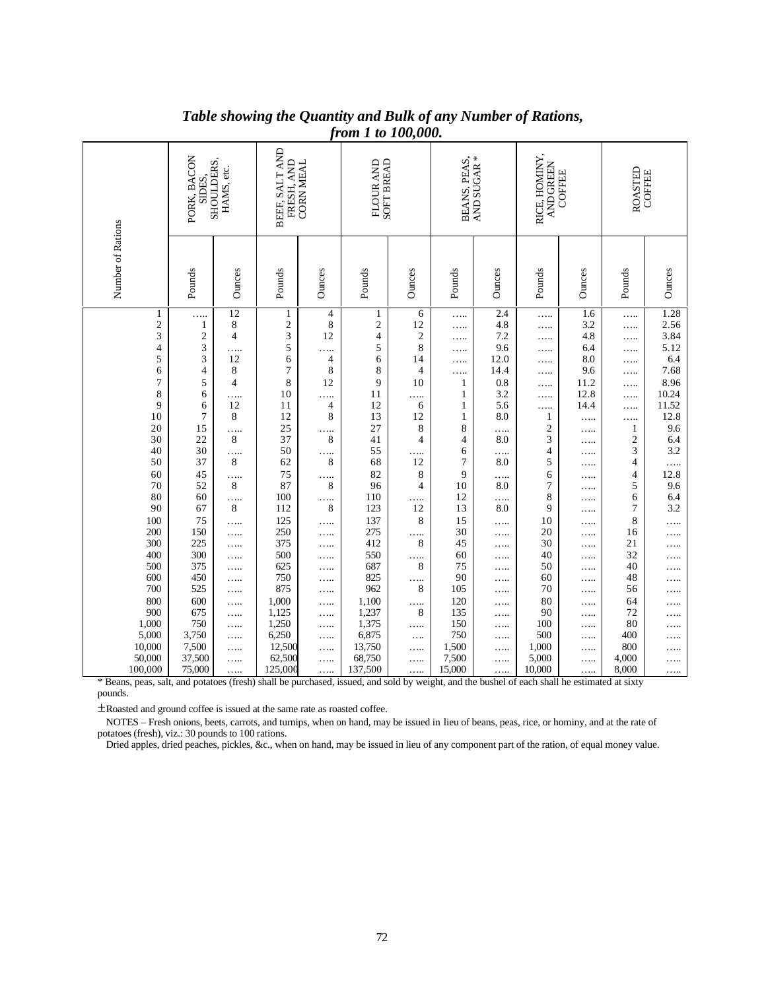| 10100,000                                                                                                                                                                                                                                                                                                          |                                                                                                                                                                                                                                                                                             |                                                                                                                                                                                                                                                        |                                                                                                                                                                                                                                                                                              |                                                                                                                                                                                                                                               |                                                                                                                                                                                                                                                                                |                                                                                                                                                                                                                                                                                                                                                                           |                                                                                                                                                                                                                                                                   |                                                                                                                                                                                                                  |                                                                                                                                                                                                                                                  |                                                                                                                                                                                  |                                                                                                                                                                                                                                                                                              |                                                                                                                                                                                                           |
|--------------------------------------------------------------------------------------------------------------------------------------------------------------------------------------------------------------------------------------------------------------------------------------------------------------------|---------------------------------------------------------------------------------------------------------------------------------------------------------------------------------------------------------------------------------------------------------------------------------------------|--------------------------------------------------------------------------------------------------------------------------------------------------------------------------------------------------------------------------------------------------------|----------------------------------------------------------------------------------------------------------------------------------------------------------------------------------------------------------------------------------------------------------------------------------------------|-----------------------------------------------------------------------------------------------------------------------------------------------------------------------------------------------------------------------------------------------|--------------------------------------------------------------------------------------------------------------------------------------------------------------------------------------------------------------------------------------------------------------------------------|---------------------------------------------------------------------------------------------------------------------------------------------------------------------------------------------------------------------------------------------------------------------------------------------------------------------------------------------------------------------------|-------------------------------------------------------------------------------------------------------------------------------------------------------------------------------------------------------------------------------------------------------------------|------------------------------------------------------------------------------------------------------------------------------------------------------------------------------------------------------------------|--------------------------------------------------------------------------------------------------------------------------------------------------------------------------------------------------------------------------------------------------|----------------------------------------------------------------------------------------------------------------------------------------------------------------------------------|----------------------------------------------------------------------------------------------------------------------------------------------------------------------------------------------------------------------------------------------------------------------------------------------|-----------------------------------------------------------------------------------------------------------------------------------------------------------------------------------------------------------|
| Number of Rations                                                                                                                                                                                                                                                                                                  | PORK, BACON<br>SHOULDERS,<br>HAMS, etc.<br>SIDES,                                                                                                                                                                                                                                           |                                                                                                                                                                                                                                                        | BEEF, SALT AND<br>FRESH, AND<br><b>CORN MEAL</b>                                                                                                                                                                                                                                             |                                                                                                                                                                                                                                               | <b>SOFT BREAD</b><br><b>FLOURAND</b>                                                                                                                                                                                                                                           |                                                                                                                                                                                                                                                                                                                                                                           | AND SUGAR <sup>*</sup><br>BEANS, PEAS,                                                                                                                                                                                                                            |                                                                                                                                                                                                                  | RICE, HOMINY,<br>AND GREEN<br>COFFEE                                                                                                                                                                                                             |                                                                                                                                                                                  | <b>ROASTED</b><br><b>COFFEE</b>                                                                                                                                                                                                                                                              |                                                                                                                                                                                                           |
|                                                                                                                                                                                                                                                                                                                    | Pounds                                                                                                                                                                                                                                                                                      | Ounces                                                                                                                                                                                                                                                 | Pounds                                                                                                                                                                                                                                                                                       | Ounces                                                                                                                                                                                                                                        | Pounds                                                                                                                                                                                                                                                                         | Ounces                                                                                                                                                                                                                                                                                                                                                                    | Pounds                                                                                                                                                                                                                                                            | Ounces                                                                                                                                                                                                           | Pounds                                                                                                                                                                                                                                           | Ounces                                                                                                                                                                           | Pounds                                                                                                                                                                                                                                                                                       | Ounces                                                                                                                                                                                                    |
| $\mathbf{1}$<br>$\overline{c}$<br>3<br>$\overline{\mathcal{L}}$<br>5<br>6<br>$\overline{7}$<br>8<br>9<br>$10\,$<br>$\begin{array}{c} 20 \\ 30 \\ 40 \end{array}$<br>50<br>60<br>$70\,$<br>80<br>90<br>100<br>200<br>300<br>400<br>500<br>600<br>700<br>800<br>900<br>1,000<br>5,000<br>10,000<br>50,000<br>100,000 | .<br>$\mathbf{1}$<br>$\overline{c}$<br>$\frac{3}{3}$<br>$\overline{\mathcal{L}}$<br>5<br>$\boldsymbol{6}$<br>6<br>$\overline{7}$<br>15<br>22<br>30<br>37<br>45<br>52<br>60<br>67<br>75<br>150<br>225<br>300<br>375<br>450<br>525<br>600<br>675<br>750<br>3,750<br>7,500<br>37,500<br>75,000 | 12<br>$\,$ 8 $\,$<br>$\overline{4}$<br>.<br>12<br>$\,$ 8 $\,$<br>$\overline{4}$<br>.<br>12<br>$\,8$<br>.<br>$\,$ 8 $\,$<br><br>$\,$ 8 $\,$<br>.<br>$\,$ 8 $\,$<br><br>$\,$ 8 $\,$<br>.<br>.<br>.<br>.<br>.<br>.<br>.<br>.<br>.<br>.<br>.<br><br>.<br>. | $\mathbf{1}$<br>$\overline{c}$<br>$\overline{3}$<br>5<br>6<br>$\boldsymbol{7}$<br>8<br>10<br>$1\,1$<br>12<br>25<br>37<br>50<br>62<br>75<br>87<br>100<br>112<br>125<br>$\frac{250}{375}$<br>500<br>625<br>750<br>875<br>1,000<br>$1,125$<br>$1,250$<br>$6,250$<br>12,500<br>62,500<br>125,000 | $\overline{4}$<br>8<br>12<br><br>$\overline{\mathcal{L}}$<br>8<br>12<br>.<br>$\overline{\mathcal{L}}$<br>8<br>.<br>$\,8$<br>.<br>$\,$ 8 $\,$<br><br>8<br>.<br>$\,$ 8 $\,$<br><br>.<br>.<br>.<br>.<br>.<br>.<br>.<br>.<br>.<br>.<br>.<br><br>. | 1<br>$\overline{\mathbf{c}}$<br>$\overline{\mathcal{L}}$<br>5<br>6<br>$\,$ 8 $\,$<br>9<br>11<br>12<br>13<br>27<br>41<br>55<br>68<br>82<br>96<br>110<br>123<br>137<br>275<br>412<br>550<br>687<br>825<br>962<br>1,100<br>1,237<br>1,375<br>6,875<br>13,750<br>68,750<br>137,500 | $\overline{6}$<br>$\begin{array}{c} 12 \\ 2 \end{array}$<br>$\,$ 8 $\,$<br>14<br>$\overline{\mathcal{L}}$<br>10<br><br>$\boldsymbol{6}$<br>12<br>$\,$ 8 $\,$<br>$\overline{\mathbf{4}}$<br>.<br>12<br>$\,$ 8 $\,$<br>$\overline{\mathbf{4}}$<br><br>12<br>$\,8$<br><br>$\,$ 8 $\,$<br>.<br>$\,$ 8 $\,$<br>.<br>$\,$ 8 $\,$<br>.<br>$\bf 8$<br>.<br>$\ldots$<br>.<br><br>. | .<br>.<br>.<br>.<br>.<br>.<br>$\mathbf{1}$<br>$\mathbf{1}$<br>$\mathbf{1}$<br>$\mathbf{1}$<br>$\,$ 8 $\,$<br>4<br>6<br>$\boldsymbol{7}$<br>9<br>10<br>12<br>13<br>15<br>30<br>45<br>60<br>75<br>90<br>105<br>120<br>135<br>150<br>750<br>1,500<br>7,500<br>15,000 | 2.4<br>$\frac{4.8}{7.2}$<br>9.6<br>12.0<br>14.4<br>$0.8\,$<br>3.2<br>5.6<br>$8.0\,$<br>.<br>8.0<br>.<br>8.0<br>.<br>8.0<br>.<br>8.0<br>.<br>.<br>.<br>.<br>.<br>.<br>$\cdots$<br>.<br>.<br>.<br>.<br>.<br>.<br>. | .<br>.<br>.<br><br>.<br>.<br>.<br><br>.<br>$\mathbf{1}$<br>$\overline{c}$<br>3<br>$\overline{\mathcal{L}}$<br>5<br>6<br>$\overline{7}$<br>8<br>9<br>10<br>20<br>30<br>40<br>50<br>60<br>70<br>80<br>90<br>100<br>500<br>1,000<br>5,000<br>10,000 | 1.6<br>3.2<br>4.8<br>6.4<br>8.0<br>9.6<br>11.2<br>12.8<br>14.4<br><br>.<br>.<br>.<br>.<br>.<br>.<br>.<br>.<br>.<br>.<br>.<br>.<br>.<br>.<br>.<br>.<br>.<br>.<br>.<br>.<br>.<br>. | .<br>.<br>.<br>.<br>.<br>.<br>.<br>.<br>.<br>.<br>$\mathbf{1}$<br>$\overline{\mathbf{c}}$<br>3<br>$\overline{4}$<br>$\overline{\mathcal{L}}$<br>5<br>6<br>$\boldsymbol{7}$<br>$\,$ 8 $\,$<br>16<br>$\overline{21}$<br>32<br>40<br>48<br>56<br>64<br>72<br>80<br>400<br>800<br>4,000<br>8,000 | 1.28<br>2.56<br>3.84<br>5.12<br>6.4<br>7.68<br>8.96<br>10.24<br>11.52<br>12.8<br>9.6<br>6.4<br>3.2<br>.<br>12.8<br>9.6<br>6.4<br>3.2<br>.<br>.<br>.<br>.<br>.<br><br>.<br>.<br>.<br>.<br>.<br>.<br>.<br>. |

### *Table showing the Quantity and Bulk of any Number of Rations, from 1 to 100,000.*

\* Beans, peas, salt, and potatoes (fresh) shall be purchased, issued, and sold by weight, and the bushel of each shall he estimated at sixty pounds.

±Roasted and ground coffee is issued at the same rate as roasted coffee.

NOTES – Fresh onions, beets, carrots, and turnips, when on hand, may be issued in lieu of beans, peas, rice, or hominy, and at the rate of potatoes (fresh), viz.: 30 pounds to 100 rations.

Dried apples, dried peaches, pickles, &c., when on hand, may be issued in lieu of any component part of the ration, of equal money value.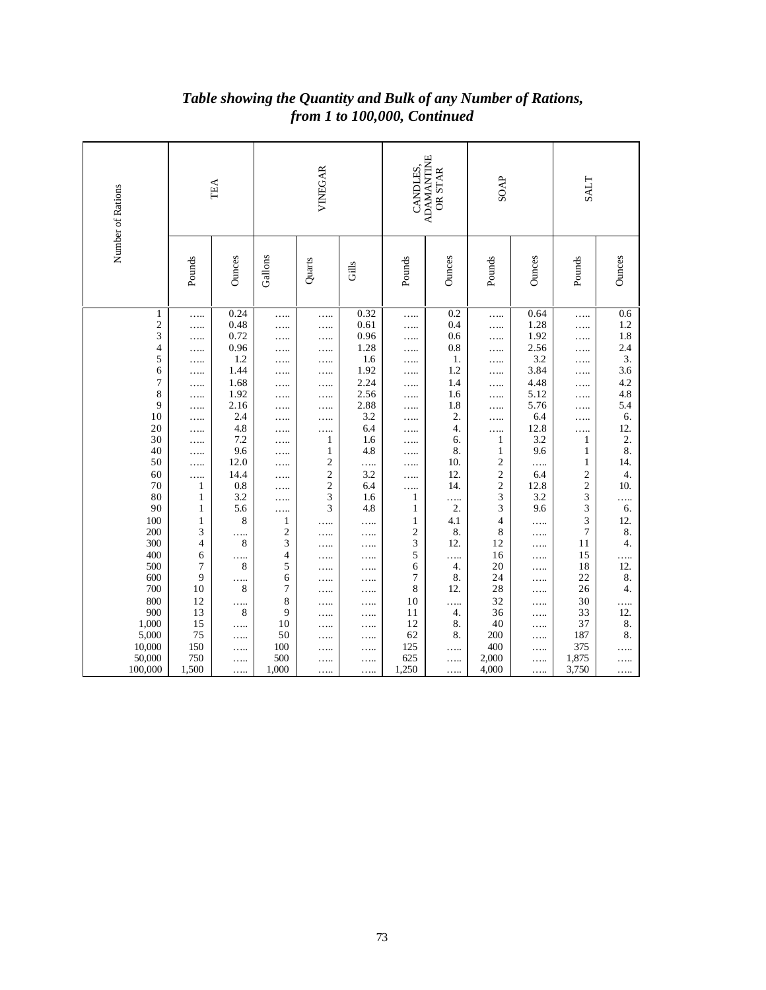| Number of Rations                                                                                                                                                                                                                                                                   | TEA                                                                                                                                                                                                                        |                                                                                                                                                                                                                              | <b>VINEGAR</b>                                                                                                                                                                                            |                                                                                                                                                                                                                      |                                                                                                                                                                                                       | <b>ADAMANTINE</b><br>CANDLES,<br>OR STAR                                                                                                                                                                                   |                                                                                                                                                                                                                   | <b>SOAP</b>                                                                                                                                                                                                                                                                          |                                                                                                                                                                                                          | <b>SALT</b>                                                                                                                                                                                                                                                       |                                                                                                                                                                                                                      |
|-------------------------------------------------------------------------------------------------------------------------------------------------------------------------------------------------------------------------------------------------------------------------------------|----------------------------------------------------------------------------------------------------------------------------------------------------------------------------------------------------------------------------|------------------------------------------------------------------------------------------------------------------------------------------------------------------------------------------------------------------------------|-----------------------------------------------------------------------------------------------------------------------------------------------------------------------------------------------------------|----------------------------------------------------------------------------------------------------------------------------------------------------------------------------------------------------------------------|-------------------------------------------------------------------------------------------------------------------------------------------------------------------------------------------------------|----------------------------------------------------------------------------------------------------------------------------------------------------------------------------------------------------------------------------|-------------------------------------------------------------------------------------------------------------------------------------------------------------------------------------------------------------------|--------------------------------------------------------------------------------------------------------------------------------------------------------------------------------------------------------------------------------------------------------------------------------------|----------------------------------------------------------------------------------------------------------------------------------------------------------------------------------------------------------|-------------------------------------------------------------------------------------------------------------------------------------------------------------------------------------------------------------------------------------------------------------------|----------------------------------------------------------------------------------------------------------------------------------------------------------------------------------------------------------------------|
|                                                                                                                                                                                                                                                                                     | Pounds                                                                                                                                                                                                                     | Ounces                                                                                                                                                                                                                       | Gallons                                                                                                                                                                                                   | Quarts                                                                                                                                                                                                               | Gills                                                                                                                                                                                                 | Pounds                                                                                                                                                                                                                     | Ounces                                                                                                                                                                                                            | Pounds                                                                                                                                                                                                                                                                               | Ounces                                                                                                                                                                                                   | Pounds                                                                                                                                                                                                                                                            | Ounces                                                                                                                                                                                                               |
| 1<br>$\frac{2}{3}$<br>$\overline{\mathcal{L}}$<br>5<br>$\boldsymbol{6}$<br>$\overline{7}$<br>$\,$ 8 $\,$<br>9<br>10<br>20<br>30<br>40<br>50<br>60<br>70<br>80<br>90<br>100<br>200<br>300<br>400<br>500<br>600<br>700<br>800<br>900<br>1,000<br>5,000<br>10,000<br>50,000<br>100,000 | .<br>.<br>.<br>.<br>.<br>.<br>.<br>.<br>.<br>.<br>.<br>.<br>.<br>.<br>.<br>$\mathbf{1}$<br>$\mathbf{1}$<br>$\mathbf{1}$<br>$\mathbf{1}$<br>3<br>4<br>6<br>$\tau$<br>9<br>10<br>12<br>13<br>15<br>75<br>150<br>750<br>1,500 | 0.24<br>0.48<br>0.72<br>0.96<br>1.2<br>1.44<br>1.68<br>1.92<br>2.16<br>2.4<br>4.8<br>7.2<br>9.6<br>12.0<br>14.4<br>$0.8\,$<br>3.2<br>5.6<br>8<br>.<br>8<br>.<br>8<br>.<br>8<br>$\ldots$<br>8<br>.<br>.<br>.<br>.<br>$\ldots$ | .<br>.<br>.<br>.<br>.<br>.<br>.<br>.<br>.<br>.<br>.<br>.<br>.<br>.<br>.<br>.<br>.<br>.<br>$\mathbf{1}$<br>$\mathbf{2}$<br>3<br>$\overline{4}$<br>5<br>6<br>7<br>8<br>9<br>10<br>50<br>100<br>500<br>1,000 | .<br>.<br>.<br>.<br>.<br>.<br>.<br>.<br>.<br>.<br>.<br>$\mathbf{1}$<br>$\,1$<br>$\boldsymbol{2}$<br>$\overline{c}$<br>$\overline{c}$<br>3<br>3<br>.<br>.<br>.<br>.<br>.<br>.<br>.<br>.<br>.<br>.<br>.<br>.<br>.<br>. | 0.32<br>0.61<br>0.96<br>1.28<br>1.6<br>1.92<br>2.24<br>2.56<br>2.88<br>3.2<br>6.4<br>1.6<br>4.8<br><br>3.2<br>6.4<br>1.6<br>4.8<br>.<br>.<br>.<br>.<br>.<br>.<br>.<br>.<br>.<br>.<br>.<br>.<br>.<br>. | .<br>.<br>.<br>.<br>.<br>.<br>.<br>.<br>.<br>.<br>.<br>.<br>.<br>.<br>.<br>.<br>$\mathbf{1}$<br>$\mathbf{1}$<br>1<br>$\boldsymbol{2}$<br>3<br>5<br>6<br>$\overline{7}$<br>8<br>10<br>11<br>12<br>62<br>125<br>625<br>1,250 | 0.2<br>0.4<br>0.6<br>0.8<br>1.<br>1.2<br>1.4<br>1.6<br>1.8<br>2.<br>4.<br>6.<br>8.<br>10.<br>12.<br>14.<br><br>$\overline{2}$ .<br>4.1<br>8.<br>12.<br>.<br>4.<br>8.<br>12.<br>.<br>4.<br>8.<br>8.<br>.<br>.<br>. | .<br>.<br>.<br>.<br>.<br>.<br>.<br>.<br>.<br>.<br><br>$\mathbf{1}$<br>$\mathbf 1$<br>$\overline{\mathbf{c}}$<br>$\overline{c}$<br>$\overline{\mathbf{c}}$<br>3<br>3<br>$\overline{\mathcal{L}}$<br>8<br>12<br>16<br>20<br>24<br>28<br>32<br>36<br>40<br>200<br>400<br>2,000<br>4,000 | 0.64<br>1.28<br>1.92<br>2.56<br>3.2<br>3.84<br>4.48<br>5.12<br>5.76<br>6.4<br>12.8<br>3.2<br>9.6<br>.<br>6.4<br>12.8<br>3.2<br>9.6<br>.<br>.<br>.<br>.<br>.<br>.<br>.<br>.<br>.<br>.<br>.<br>.<br>.<br>. | .<br>.<br>.<br>.<br>.<br>.<br>.<br>.<br>.<br>.<br>.<br>$\mathbf{1}$<br>$\mathbf{1}$<br>$\mathbf{1}$<br>$\overline{\mathbf{c}}$<br>$\overline{c}$<br>3<br>3<br>3<br>$\overline{7}$<br>11<br>15<br>18<br>22<br>26<br>30<br>33<br>37<br>187<br>375<br>1,875<br>3,750 | 0.6<br>1.2<br>1.8<br>2.4<br>3.<br>3.6<br>4.2<br>4.8<br>5.4<br>6.<br>12.<br>$\mathbf{2}$ .<br>8.<br>14.<br>4.<br>10.<br>.<br>6.<br>12.<br>8.<br>4.<br>.<br>12.<br>8.<br>4.<br>.<br>12.<br>$8. \,$<br>8.<br>.<br>.<br> |

### *Table showing the Quantity and Bulk of any Number of Rations, from 1 to 100,000, Continued*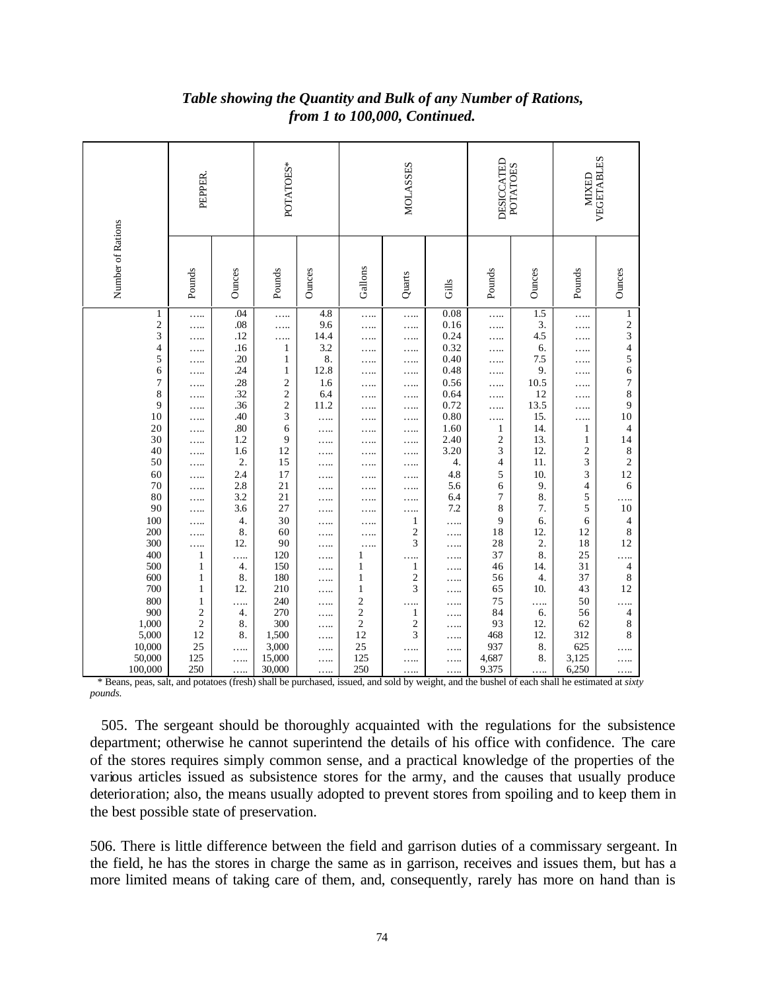| Number of Rations                                                                                                                                                                                                                                                    | PEPPER.                                                                                                                                                                                                                              |                                                                                                                                                                                                                         | POTATOES*                                                                                                                                                                                                                                                         |                                                                                                                                                                                   |                                                                                                                                                                                                               | <b>MOLASSES</b>                                                                                                                                                                                     |                                                                                                                                                                                                                       |                | DESICCATED                                                                                                                                                                                                                      | POTATOES                                                                                                                                                                                                | <b>MIXED</b>                                                                                                                                                                                                                  | VEGETABLES |                                                                                                                                                                                                                                                                                                                                                                                                                            |
|----------------------------------------------------------------------------------------------------------------------------------------------------------------------------------------------------------------------------------------------------------------------|--------------------------------------------------------------------------------------------------------------------------------------------------------------------------------------------------------------------------------------|-------------------------------------------------------------------------------------------------------------------------------------------------------------------------------------------------------------------------|-------------------------------------------------------------------------------------------------------------------------------------------------------------------------------------------------------------------------------------------------------------------|-----------------------------------------------------------------------------------------------------------------------------------------------------------------------------------|---------------------------------------------------------------------------------------------------------------------------------------------------------------------------------------------------------------|-----------------------------------------------------------------------------------------------------------------------------------------------------------------------------------------------------|-----------------------------------------------------------------------------------------------------------------------------------------------------------------------------------------------------------------------|----------------|---------------------------------------------------------------------------------------------------------------------------------------------------------------------------------------------------------------------------------|---------------------------------------------------------------------------------------------------------------------------------------------------------------------------------------------------------|-------------------------------------------------------------------------------------------------------------------------------------------------------------------------------------------------------------------------------|------------|----------------------------------------------------------------------------------------------------------------------------------------------------------------------------------------------------------------------------------------------------------------------------------------------------------------------------------------------------------------------------------------------------------------------------|
|                                                                                                                                                                                                                                                                      | Pounds                                                                                                                                                                                                                               | Ounces                                                                                                                                                                                                                  | Pounds                                                                                                                                                                                                                                                            | Ounces                                                                                                                                                                            | Gallons                                                                                                                                                                                                       | Quarts                                                                                                                                                                                              | Gills                                                                                                                                                                                                                 |                | Pounds                                                                                                                                                                                                                          | Ounces                                                                                                                                                                                                  | Pounds                                                                                                                                                                                                                        |            | Ounces                                                                                                                                                                                                                                                                                                                                                                                                                     |
| $\mathbf{1}$<br>$\frac{2}{3}$<br>$\overline{\mathcal{L}}$<br>5<br>6<br>$\overline{7}$<br>$\,$ 8 $\,$<br>9<br>10<br>20<br>30<br>40<br>50<br>60<br>70<br>80<br>90<br>100<br>200<br>300<br>400<br>500<br>600<br>700<br>800<br>900<br>1,000<br>5,000<br>10,000<br>50,000 | .<br>.<br>.<br>.<br>.<br>.<br>.<br>.<br>.<br>.<br>.<br>.<br>.<br>.<br>.<br>.<br>.<br>.<br>.<br>.<br>.<br>$\mathbf{1}$<br>$\mathbf{1}$<br>$\mathbf{1}$<br>$\mathbf{1}$<br>$\mathbf{1}$<br>$\sqrt{2}$<br>$\sqrt{2}$<br>12<br>25<br>125 | .04<br>$.08\,$<br>.12<br>.16<br>.20<br>.24<br>.28<br>.32<br>.36<br>.40<br>.80<br>1.2<br>1.6<br>2.<br>2.4<br>2.8<br>3.2<br>3.6<br>$\overline{4}$ .<br>8.<br>12.<br>.<br>4.<br>8.<br>12.<br>.<br>4.<br>8.<br>8.<br>.<br>. | .<br>.<br>.<br>$\mathbf{1}$<br>$\mathbf{1}$<br>$\mathbf{1}$<br>$\boldsymbol{2}$<br>$\sqrt{2}$<br>$\overline{c}$<br>3<br>6<br>9<br>12<br>15<br>17<br>21<br>21<br>27<br>30<br>60<br>90<br>120<br>150<br>180<br>210<br>240<br>270<br>300<br>1,500<br>3,000<br>15,000 | 4.8<br>9.6<br>14.4<br>3.2<br>$\bf 8.$<br>12.8<br>1.6<br>6.4<br>11.2<br>.<br>.<br>.<br>.<br>.<br>.<br>.<br>.<br>.<br>.<br>.<br>.<br>.<br>.<br>.<br>.<br>.<br>.<br>.<br>.<br>.<br>. | .<br>.<br>.<br>.<br>.<br>.<br>.<br>.<br>.<br>.<br>.<br>.<br>.<br>.<br>.<br>.<br>.<br>.<br>.<br>.<br>.<br>1<br>1<br>1<br>$\mathbf{1}$<br>$\sqrt{2}$<br>$\boldsymbol{2}$<br>$\boldsymbol{2}$<br>12<br>25<br>125 | .<br>.<br>.<br>.<br>.<br>.<br>.<br>.<br>.<br>.<br>.<br>.<br>.<br>.<br>.<br>.<br>.<br>.<br>$\,1$<br>$\boldsymbol{2}$<br>3<br>.<br>$\frac{1}{2}$<br>3<br>.<br>$\mathbf{1}$<br>$\frac{2}{3}$<br>.<br>. | 0.08<br>0.16<br>0.24<br>0.32<br>0.40<br>0.48<br>0.56<br>0.64<br>0.72<br>0.80<br>1.60<br>2.40<br>3.20<br>$\overline{4}$ .<br>4.8<br>5.6<br>6.4<br>7.2<br>.<br>.<br>.<br>.<br>.<br>.<br>.<br>.<br>.<br>.<br>.<br>.<br>. | 4,687<br>9.375 | .<br>.<br>.<br>.<br>.<br>.<br>.<br>.<br>.<br>.<br>$\mathbf{1}$<br>$\overline{\mathbf{c}}$<br>3<br>$\overline{\mathbf{4}}$<br>5<br>6<br>$\tau$<br>$\,8$<br>9<br>18<br>28<br>37<br>46<br>56<br>65<br>75<br>84<br>93<br>468<br>937 | 1.5<br>3.<br>4.5<br>6.<br>7.5<br>9.<br>10.5<br>12<br>13.5<br>15.<br>14.<br>13.<br>12.<br>11.<br>10.<br>9.<br>8.<br>7.<br>6.<br>12.<br>2.<br>8.<br>14.<br>4.<br>10.<br>.<br>6.<br>12.<br>12.<br>8.<br>8. | .<br><br>.<br><br><br>.<br>.<br>.<br>.<br><br>$\mathbf{1}$<br>$\mathbf{1}$<br>$\overline{\mathbf{c}}$<br>3<br>3<br>$\overline{4}$<br>5<br>5<br>6<br>12<br>18<br>25<br>31<br>37<br>43<br>50<br>56<br>62<br>312<br>625<br>3,125 |            | $\mathbf{1}$<br>$\begin{array}{c} 2 \\ 3 \\ 4 \end{array}$<br>5<br>$\mathbf{6}$<br>$\overline{7}$<br>$\begin{array}{c} 8 \\ 9 \end{array}$<br>$10\,$<br>$\overline{4}$<br>14<br>$\begin{array}{c} 8 \\ 2 \end{array}$<br>12<br>$\sqrt{6}$<br>.<br>$10\,$<br>$\sqrt{4}$<br>$\,8\,$<br>12<br>.<br>$\sqrt{4}$<br>$\,$ 8 $\,$<br>12<br>$\ldots$<br>$\overline{\mathcal{L}}$<br>$\begin{array}{c} 8 \\ 8 \end{array}$<br>.<br>. |

### *Table showing the Quantity and Bulk of any Number of Rations, from 1 to 100,000, Continued.*

\* Beans, peas, salt, and potatoes (fresh) shall be purchased, issued, and sold by weight, and the bushel of each shall he estimated at *sixty pounds.*

505. The sergeant should be thoroughly acquainted with the regulations for the subsistence department; otherwise he cannot superintend the details of his office with confidence. The care of the stores requires simply common sense, and a practical knowledge of the properties of the various articles issued as subsistence stores for the army, and the causes that usually produce deterioration; also, the means usually adopted to prevent stores from spoiling and to keep them in the best possible state of preservation.

506. There is little difference between the field and garrison duties of a commissary sergeant. In the field, he has the stores in charge the same as in garrison, receives and issues them, but has a more limited means of taking care of them, and, consequently, rarely has more on hand than is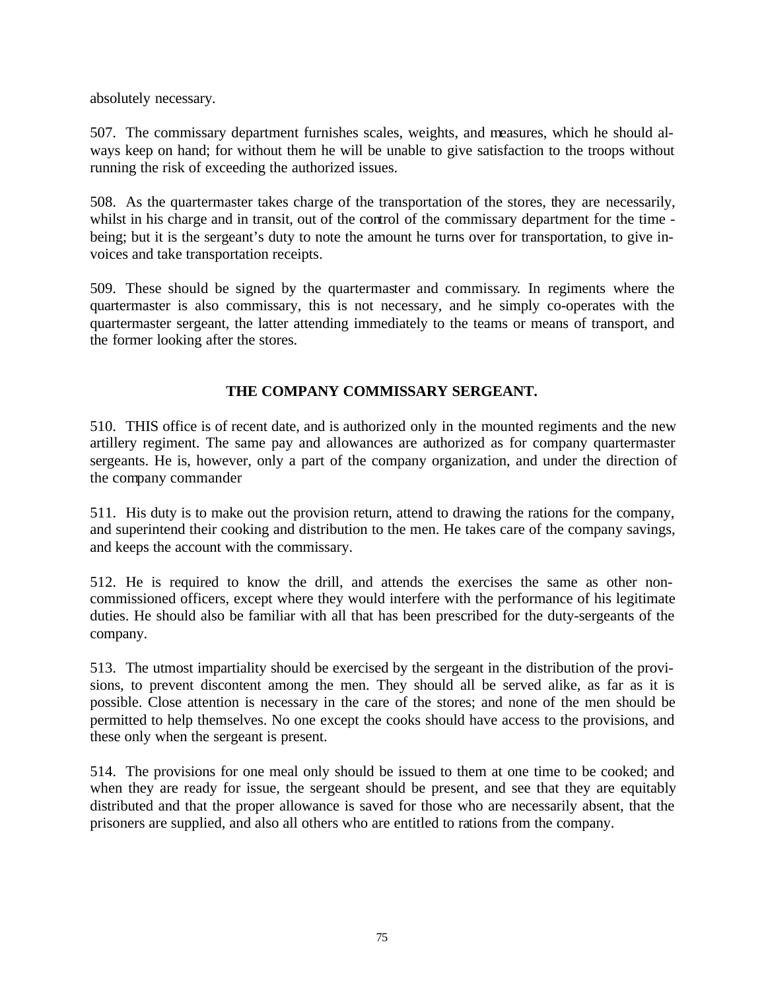absolutely necessary.

507. The commissary department furnishes scales, weights, and measures, which he should always keep on hand; for without them he will be unable to give satisfaction to the troops without running the risk of exceeding the authorized issues.

508. As the quartermaster takes charge of the transportation of the stores, they are necessarily, whilst in his charge and in transit, out of the control of the commissary department for the time being; but it is the sergeant's duty to note the amount he turns over for transportation, to give invoices and take transportation receipts.

509. These should be signed by the quartermaster and commissary. In regiments where the quartermaster is also commissary, this is not necessary, and he simply co-operates with the quartermaster sergeant, the latter attending immediately to the teams or means of transport, and the former looking after the stores.

### **THE COMPANY COMMISSARY SERGEANT.**

510. THIS office is of recent date, and is authorized only in the mounted regiments and the new artillery regiment. The same pay and allowances are authorized as for company quartermaster sergeants. He is, however, only a part of the company organization, and under the direction of the company commander

511. His duty is to make out the provision return, attend to drawing the rations for the company, and superintend their cooking and distribution to the men. He takes care of the company savings, and keeps the account with the commissary.

512. He is required to know the drill, and attends the exercises the same as other noncommissioned officers, except where they would interfere with the performance of his legitimate duties. He should also be familiar with all that has been prescribed for the duty-sergeants of the company.

513. The utmost impartiality should be exercised by the sergeant in the distribution of the provisions, to prevent discontent among the men. They should all be served alike, as far as it is possible. Close attention is necessary in the care of the stores; and none of the men should be permitted to help themselves. No one except the cooks should have access to the provisions, and these only when the sergeant is present.

514. The provisions for one meal only should be issued to them at one time to be cooked; and when they are ready for issue, the sergeant should be present, and see that they are equitably distributed and that the proper allowance is saved for those who are necessarily absent, that the prisoners are supplied, and also all others who are entitled to rations from the company.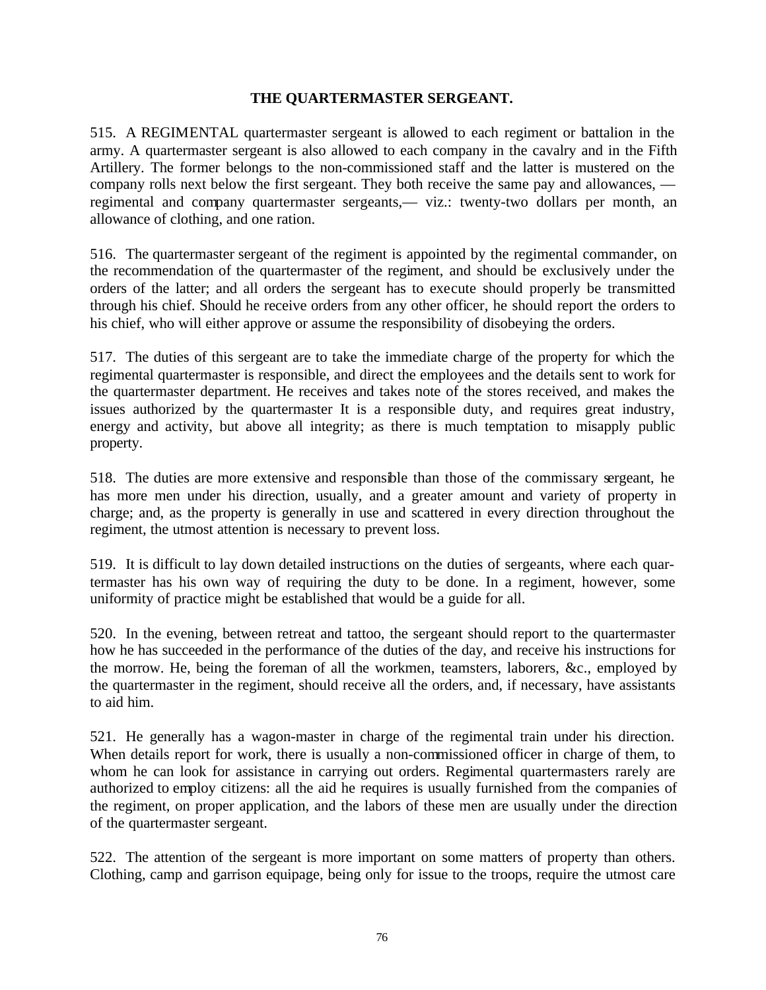### **THE QUARTERMASTER SERGEANT.**

515. A REGIMENTAL quartermaster sergeant is allowed to each regiment or battalion in the army. A quartermaster sergeant is also allowed to each company in the cavalry and in the Fifth Artillery. The former belongs to the non-commissioned staff and the latter is mustered on the company rolls next below the first sergeant. They both receive the same pay and allowances, regimental and company quartermaster sergeants,— viz.: twenty-two dollars per month, an allowance of clothing, and one ration.

516. The quartermaster sergeant of the regiment is appointed by the regimental commander, on the recommendation of the quartermaster of the regiment, and should be exclusively under the orders of the latter; and all orders the sergeant has to execute should properly be transmitted through his chief. Should he receive orders from any other officer, he should report the orders to his chief, who will either approve or assume the responsibility of disobeying the orders.

517. The duties of this sergeant are to take the immediate charge of the property for which the regimental quartermaster is responsible, and direct the employees and the details sent to work for the quartermaster department. He receives and takes note of the stores received, and makes the issues authorized by the quartermaster It is a responsible duty, and requires great industry, energy and activity, but above all integrity; as there is much temptation to misapply public property.

518. The duties are more extensive and responsible than those of the commissary sergeant, he has more men under his direction, usually, and a greater amount and variety of property in charge; and, as the property is generally in use and scattered in every direction throughout the regiment, the utmost attention is necessary to prevent loss.

519. It is difficult to lay down detailed instructions on the duties of sergeants, where each quartermaster has his own way of requiring the duty to be done. In a regiment, however, some uniformity of practice might be established that would be a guide for all.

520. In the evening, between retreat and tattoo, the sergeant should report to the quartermaster how he has succeeded in the performance of the duties of the day, and receive his instructions for the morrow. He, being the foreman of all the workmen, teamsters, laborers, &c., employed by the quartermaster in the regiment, should receive all the orders, and, if necessary, have assistants to aid him.

521. He generally has a wagon-master in charge of the regimental train under his direction. When details report for work, there is usually a non-commissioned officer in charge of them, to whom he can look for assistance in carrying out orders. Regimental quartermasters rarely are authorized to employ citizens: all the aid he requires is usually furnished from the companies of the regiment, on proper application, and the labors of these men are usually under the direction of the quartermaster sergeant.

522. The attention of the sergeant is more important on some matters of property than others. Clothing, camp and garrison equipage, being only for issue to the troops, require the utmost care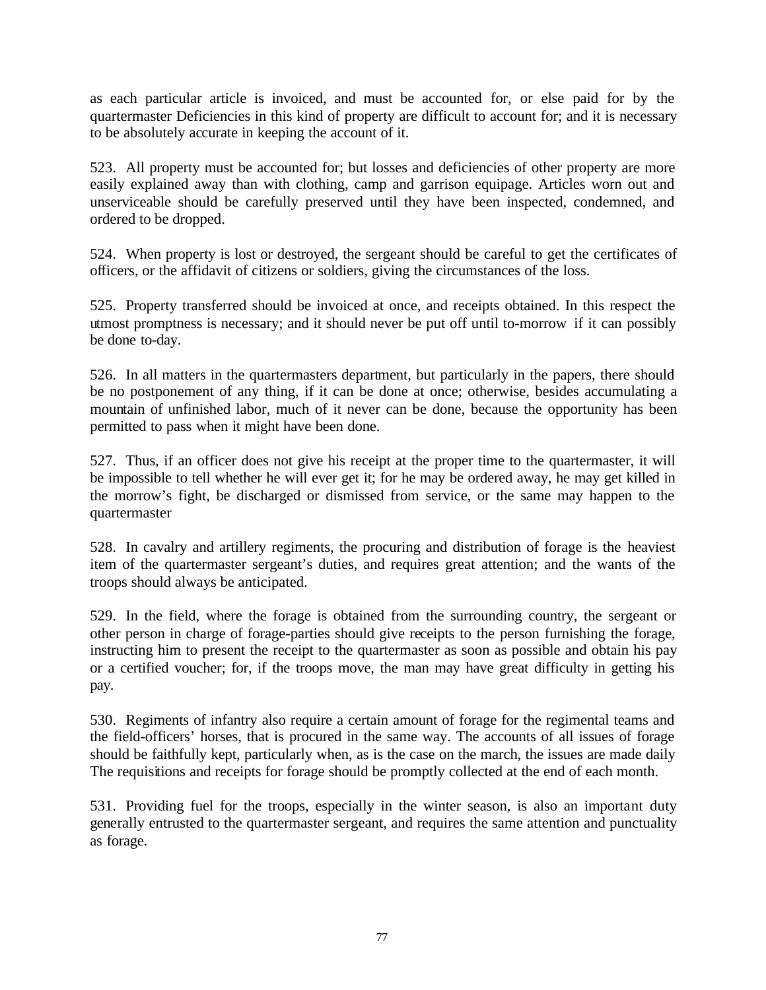as each particular article is invoiced, and must be accounted for, or else paid for by the quartermaster Deficiencies in this kind of property are difficult to account for; and it is necessary to be absolutely accurate in keeping the account of it.

523. All property must be accounted for; but losses and deficiencies of other property are more easily explained away than with clothing, camp and garrison equipage. Articles worn out and unserviceable should be carefully preserved until they have been inspected, condemned, and ordered to be dropped.

524. When property is lost or destroyed, the sergeant should be careful to get the certificates of officers, or the affidavit of citizens or soldiers, giving the circumstances of the loss.

525. Property transferred should be invoiced at once, and receipts obtained. In this respect the utmost promptness is necessary; and it should never be put off until to-morrow if it can possibly be done to-day.

526. In all matters in the quartermasters department, but particularly in the papers, there should be no postponement of any thing, if it can be done at once; otherwise, besides accumulating a mountain of unfinished labor, much of it never can be done, because the opportunity has been permitted to pass when it might have been done.

527. Thus, if an officer does not give his receipt at the proper time to the quartermaster, it will be impossible to tell whether he will ever get it; for he may be ordered away, he may get killed in the morrow's fight, be discharged or dismissed from service, or the same may happen to the quartermaster

528. In cavalry and artillery regiments, the procuring and distribution of forage is the heaviest item of the quartermaster sergeant's duties, and requires great attention; and the wants of the troops should always be anticipated.

529. In the field, where the forage is obtained from the surrounding country, the sergeant or other person in charge of forage-parties should give receipts to the person furnishing the forage, instructing him to present the receipt to the quartermaster as soon as possible and obtain his pay or a certified voucher; for, if the troops move, the man may have great difficulty in getting his pay.

530. Regiments of infantry also require a certain amount of forage for the regimental teams and the field-officers' horses, that is procured in the same way. The accounts of all issues of forage should be faithfully kept, particularly when, as is the case on the march, the issues are made daily The requisitions and receipts for forage should be promptly collected at the end of each month.

531. Providing fuel for the troops, especially in the winter season, is also an important duty generally entrusted to the quartermaster sergeant, and requires the same attention and punctuality as forage.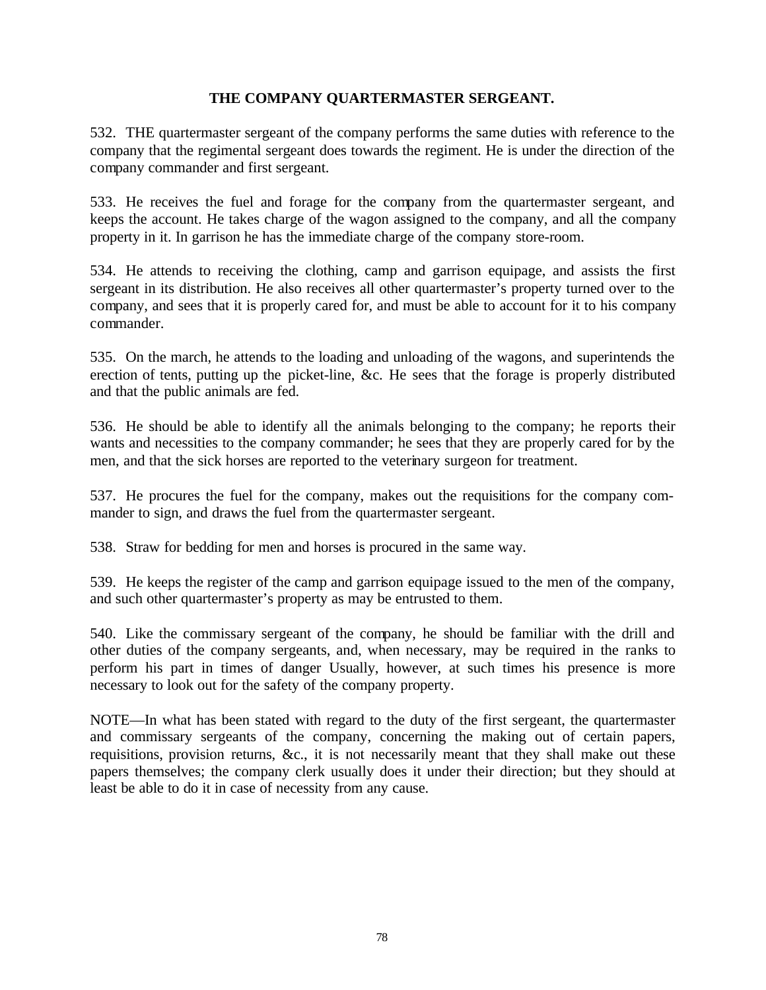### **THE COMPANY QUARTERMASTER SERGEANT.**

532. THE quartermaster sergeant of the company performs the same duties with reference to the company that the regimental sergeant does towards the regiment. He is under the direction of the company commander and first sergeant.

533. He receives the fuel and forage for the company from the quartermaster sergeant, and keeps the account. He takes charge of the wagon assigned to the company, and all the company property in it. In garrison he has the immediate charge of the company store-room.

534. He attends to receiving the clothing, camp and garrison equipage, and assists the first sergeant in its distribution. He also receives all other quartermaster's property turned over to the company, and sees that it is properly cared for, and must be able to account for it to his company commander.

535. On the march, he attends to the loading and unloading of the wagons, and superintends the erection of tents, putting up the picket-line, &c. He sees that the forage is properly distributed and that the public animals are fed.

536. He should be able to identify all the animals belonging to the company; he reports their wants and necessities to the company commander; he sees that they are properly cared for by the men, and that the sick horses are reported to the veterinary surgeon for treatment.

537. He procures the fuel for the company, makes out the requisitions for the company commander to sign, and draws the fuel from the quartermaster sergeant.

538. Straw for bedding for men and horses is procured in the same way.

539. He keeps the register of the camp and garrison equipage issued to the men of the company, and such other quartermaster's property as may be entrusted to them.

540. Like the commissary sergeant of the company, he should be familiar with the drill and other duties of the company sergeants, and, when necessary, may be required in the ranks to perform his part in times of danger Usually, however, at such times his presence is more necessary to look out for the safety of the company property.

NOTE—In what has been stated with regard to the duty of the first sergeant, the quartermaster and commissary sergeants of the company, concerning the making out of certain papers, requisitions, provision returns, &c., it is not necessarily meant that they shall make out these papers themselves; the company clerk usually does it under their direction; but they should at least be able to do it in case of necessity from any cause.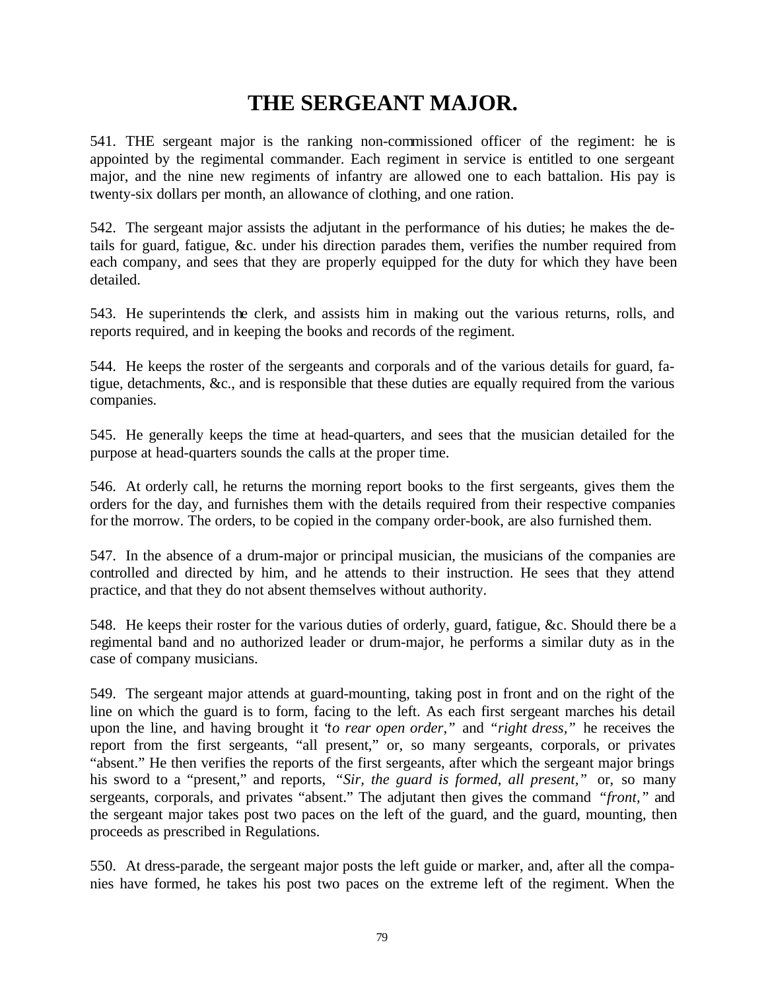# **THE SERGEANT MAJOR.**

541. THE sergeant major is the ranking non-commissioned officer of the regiment: he is appointed by the regimental commander. Each regiment in service is entitled to one sergeant major, and the nine new regiments of infantry are allowed one to each battalion. His pay is twenty-six dollars per month, an allowance of clothing, and one ration.

542. The sergeant major assists the adjutant in the performance of his duties; he makes the details for guard, fatigue, &c. under his direction parades them, verifies the number required from each company, and sees that they are properly equipped for the duty for which they have been detailed.

543. He superintends the clerk, and assists him in making out the various returns, rolls, and reports required, and in keeping the books and records of the regiment.

544. He keeps the roster of the sergeants and corporals and of the various details for guard, fatigue, detachments, &c., and is responsible that these duties are equally required from the various companies.

545. He generally keeps the time at head-quarters, and sees that the musician detailed for the purpose at head-quarters sounds the calls at the proper time.

546. At orderly call, he returns the morning report books to the first sergeants, gives them the orders for the day, and furnishes them with the details required from their respective companies for the morrow. The orders, to be copied in the company order-book, are also furnished them.

547. In the absence of a drum-major or principal musician, the musicians of the companies are controlled and directed by him, and he attends to their instruction. He sees that they attend practice, and that they do not absent themselves without authority.

548. He keeps their roster for the various duties of orderly, guard, fatigue, &c. Should there be a regimental band and no authorized leader or drum-major, he performs a similar duty as in the case of company musicians.

549. The sergeant major attends at guard-mounting, taking post in front and on the right of the line on which the guard is to form, facing to the left. As each first sergeant marches his detail upon the line, and having brought it "*to rear open order,"* and *"right dress,"* he receives the report from the first sergeants, "all present," or, so many sergeants, corporals, or privates "absent." He then verifies the reports of the first sergeants, after which the sergeant major brings his sword to a "present," and reports, *"Sir, the guard is formed, all present,"* or, so many sergeants, corporals, and privates "absent." The adjutant then gives the command *"front,"* and the sergeant major takes post two paces on the left of the guard, and the guard, mounting, then proceeds as prescribed in Regulations.

550. At dress-parade, the sergeant major posts the left guide or marker, and, after all the companies have formed, he takes his post two paces on the extreme left of the regiment. When the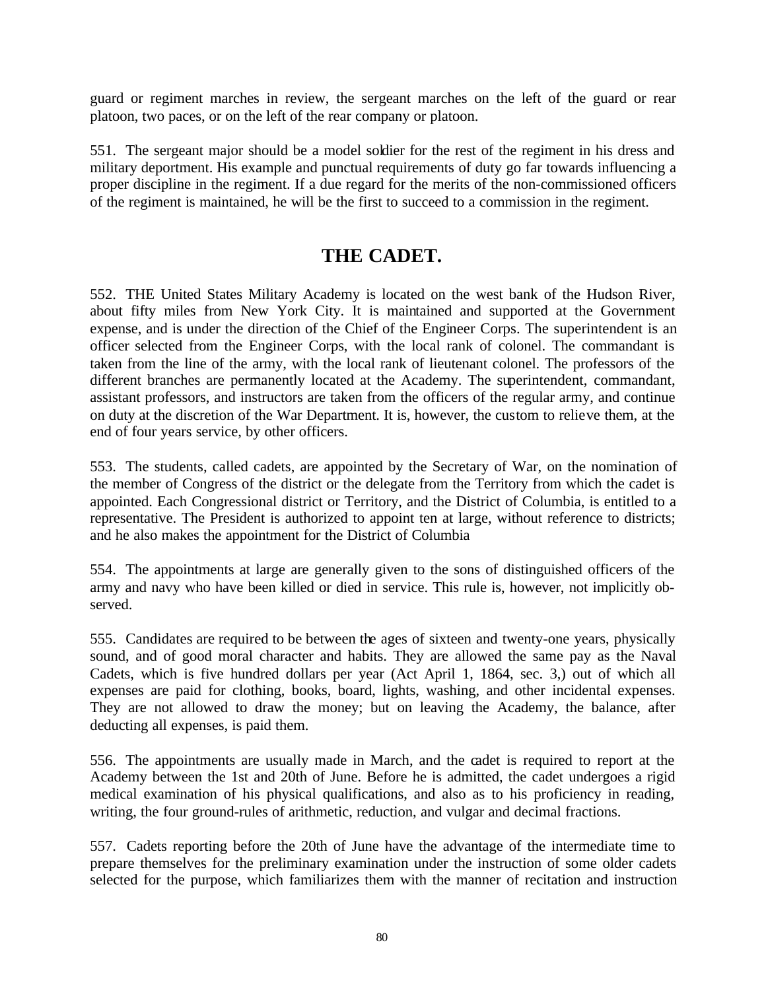guard or regiment marches in review, the sergeant marches on the left of the guard or rear platoon, two paces, or on the left of the rear company or platoon.

551. The sergeant major should be a model soldier for the rest of the regiment in his dress and military deportment. His example and punctual requirements of duty go far towards influencing a proper discipline in the regiment. If a due regard for the merits of the non-commissioned officers of the regiment is maintained, he will be the first to succeed to a commission in the regiment.

# **THE CADET.**

552. THE United States Military Academy is located on the west bank of the Hudson River, about fifty miles from New York City. It is maintained and supported at the Government expense, and is under the direction of the Chief of the Engineer Corps. The superintendent is an officer selected from the Engineer Corps, with the local rank of colonel. The commandant is taken from the line of the army, with the local rank of lieutenant colonel. The professors of the different branches are permanently located at the Academy. The superintendent, commandant, assistant professors, and instructors are taken from the officers of the regular army, and continue on duty at the discretion of the War Department. It is, however, the custom to relieve them, at the end of four years service, by other officers.

553. The students, called cadets, are appointed by the Secretary of War, on the nomination of the member of Congress of the district or the delegate from the Territory from which the cadet is appointed. Each Congressional district or Territory, and the District of Columbia, is entitled to a representative. The President is authorized to appoint ten at large, without reference to districts; and he also makes the appointment for the District of Columbia

554. The appointments at large are generally given to the sons of distinguished officers of the army and navy who have been killed or died in service. This rule is, however, not implicitly observed.

555. Candidates are required to be between the ages of sixteen and twenty-one years, physically sound, and of good moral character and habits. They are allowed the same pay as the Naval Cadets, which is five hundred dollars per year (Act April 1, 1864, sec. 3,) out of which all expenses are paid for clothing, books, board, lights, washing, and other incidental expenses. They are not allowed to draw the money; but on leaving the Academy, the balance, after deducting all expenses, is paid them.

556. The appointments are usually made in March, and the cadet is required to report at the Academy between the 1st and 20th of June. Before he is admitted, the cadet undergoes a rigid medical examination of his physical qualifications, and also as to his proficiency in reading, writing, the four ground-rules of arithmetic, reduction, and vulgar and decimal fractions.

557. Cadets reporting before the 20th of June have the advantage of the intermediate time to prepare themselves for the preliminary examination under the instruction of some older cadets selected for the purpose, which familiarizes them with the manner of recitation and instruction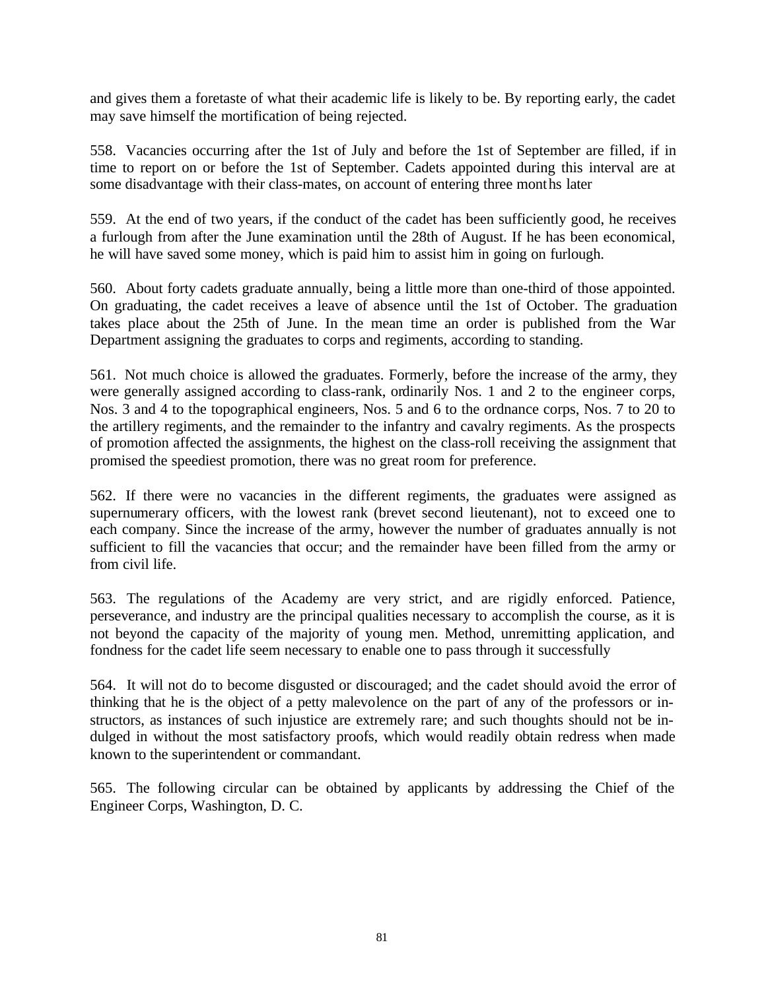and gives them a foretaste of what their academic life is likely to be. By reporting early, the cadet may save himself the mortification of being rejected.

558. Vacancies occurring after the 1st of July and before the 1st of September are filled, if in time to report on or before the 1st of September. Cadets appointed during this interval are at some disadvantage with their class-mates, on account of entering three months later

559. At the end of two years, if the conduct of the cadet has been sufficiently good, he receives a furlough from after the June examination until the 28th of August. If he has been economical, he will have saved some money, which is paid him to assist him in going on furlough.

560. About forty cadets graduate annually, being a little more than one-third of those appointed. On graduating, the cadet receives a leave of absence until the 1st of October. The graduation takes place about the 25th of June. In the mean time an order is published from the War Department assigning the graduates to corps and regiments, according to standing.

561. Not much choice is allowed the graduates. Formerly, before the increase of the army, they were generally assigned according to class-rank, ordinarily Nos. 1 and 2 to the engineer corps, Nos. 3 and 4 to the topographical engineers, Nos. 5 and 6 to the ordnance corps, Nos. 7 to 20 to the artillery regiments, and the remainder to the infantry and cavalry regiments. As the prospects of promotion affected the assignments, the highest on the class-roll receiving the assignment that promised the speediest promotion, there was no great room for preference.

562. If there were no vacancies in the different regiments, the graduates were assigned as supernumerary officers, with the lowest rank (brevet second lieutenant), not to exceed one to each company. Since the increase of the army, however the number of graduates annually is not sufficient to fill the vacancies that occur; and the remainder have been filled from the army or from civil life.

563. The regulations of the Academy are very strict, and are rigidly enforced. Patience, perseverance, and industry are the principal qualities necessary to accomplish the course, as it is not beyond the capacity of the majority of young men. Method, unremitting application, and fondness for the cadet life seem necessary to enable one to pass through it successfully

564. It will not do to become disgusted or discouraged; and the cadet should avoid the error of thinking that he is the object of a petty malevolence on the part of any of the professors or instructors, as instances of such injustice are extremely rare; and such thoughts should not be indulged in without the most satisfactory proofs, which would readily obtain redress when made known to the superintendent or commandant.

565. The following circular can be obtained by applicants by addressing the Chief of the Engineer Corps, Washington, D. C.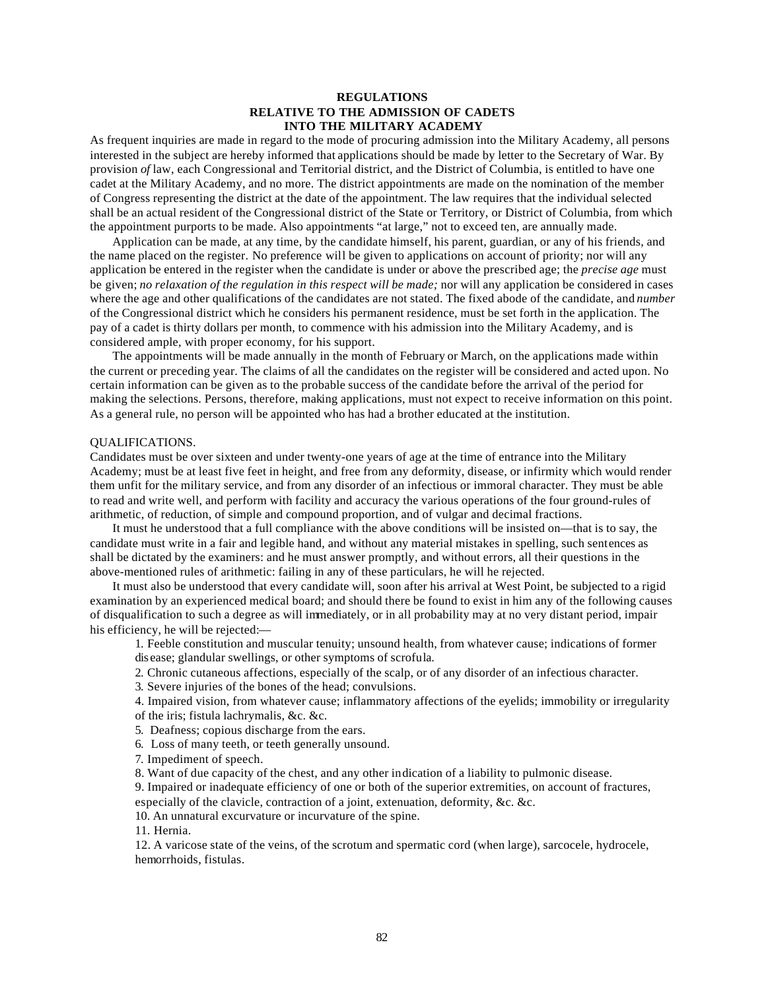### **REGULATIONS RELATIVE TO THE ADMISSION OF CADETS INTO THE MILITARY ACADEMY**

As frequent inquiries are made in regard to the mode of procuring admission into the Military Academy, all persons interested in the subject are hereby informed that applications should be made by letter to the Secretary of War. By provision *of* law, each Congressional and Territorial district, and the District of Columbia, is entitled to have one cadet at the Military Academy, and no more. The district appointments are made on the nomination of the member of Congress representing the district at the date of the appointment. The law requires that the individual selected shall be an actual resident of the Congressional district of the State or Territory, or District of Columbia, from which the appointment purports to be made. Also appointments "at large," not to exceed ten, are annually made.

Application can be made, at any time, by the candidate himself, his parent, guardian, or any of his friends, and the name placed on the register. No preference will be given to applications on account of priority; nor will any application be entered in the register when the candidate is under or above the prescribed age; the *precise age* must be given; *no relaxation of the regulation in this respect will be made;* nor will any application be considered in cases where the age and other qualifications of the candidates are not stated. The fixed abode of the candidate, and *number* of the Congressional district which he considers his permanent residence, must be set forth in the application. The pay of a cadet is thirty dollars per month, to commence with his admission into the Military Academy, and is considered ample, with proper economy, for his support.

The appointments will be made annually in the month of February or March, on the applications made within the current or preceding year. The claims of all the candidates on the register will be considered and acted upon. No certain information can be given as to the probable success of the candidate before the arrival of the period for making the selections. Persons, therefore, making applications, must not expect to receive information on this point. As a general rule, no person will be appointed who has had a brother educated at the institution.

#### QUALIFICATIONS.

Candidates must be over sixteen and under twenty-one years of age at the time of entrance into the Military Academy; must be at least five feet in height, and free from any deformity, disease, or infirmity which would render them unfit for the military service, and from any disorder of an infectious or immoral character. They must be able to read and write well, and perform with facility and accuracy the various operations of the four ground-rules of arithmetic, of reduction, of simple and compound proportion, and of vulgar and decimal fractions.

It must he understood that a full compliance with the above conditions will be insisted on—that is to say, the candidate must write in a fair and legible hand, and without any material mistakes in spelling, such sentences as shall be dictated by the examiners: and he must answer promptly, and without errors, all their questions in the above-mentioned rules of arithmetic: failing in any of these particulars, he will he rejected.

It must also be understood that every candidate will, soon after his arrival at West Point, be subjected to a rigid examination by an experienced medical board; and should there be found to exist in him any of the following causes of disqualification to such a degree as will immediately, or in all probability may at no very distant period, impair his efficiency, he will be rejected:—

1. Feeble constitution and muscular tenuity; unsound health, from whatever cause; indications of former dis ease; glandular swellings, or other symptoms of scrofula.

- 2. Chronic cutaneous affections, especially of the scalp, or of any disorder of an infectious character.
- 3. Severe injuries of the bones of the head; convulsions.

4. Impaired vision, from whatever cause; inflammatory affections of the eyelids; immobility or irregularity of the iris; fistula lachrymalis, &c. &c.

- 5. Deafness; copious discharge from the ears.
- 6. Loss of many teeth, or teeth generally unsound.

7. Impediment of speech.

8. Want of due capacity of the chest, and any other indication of a liability to pulmonic disease.

9. Impaired or inadequate efficiency of one or both of the superior extremities, on account of fractures,

especially of the clavicle, contraction of a joint, extenuation, deformity, &c. &c.

10. An unnatural excurvature or incurvature of the spine.

11. Hernia.

12. A varicose state of the veins, of the scrotum and spermatic cord (when large), sarcocele, hydrocele, hemorrhoids, fistulas.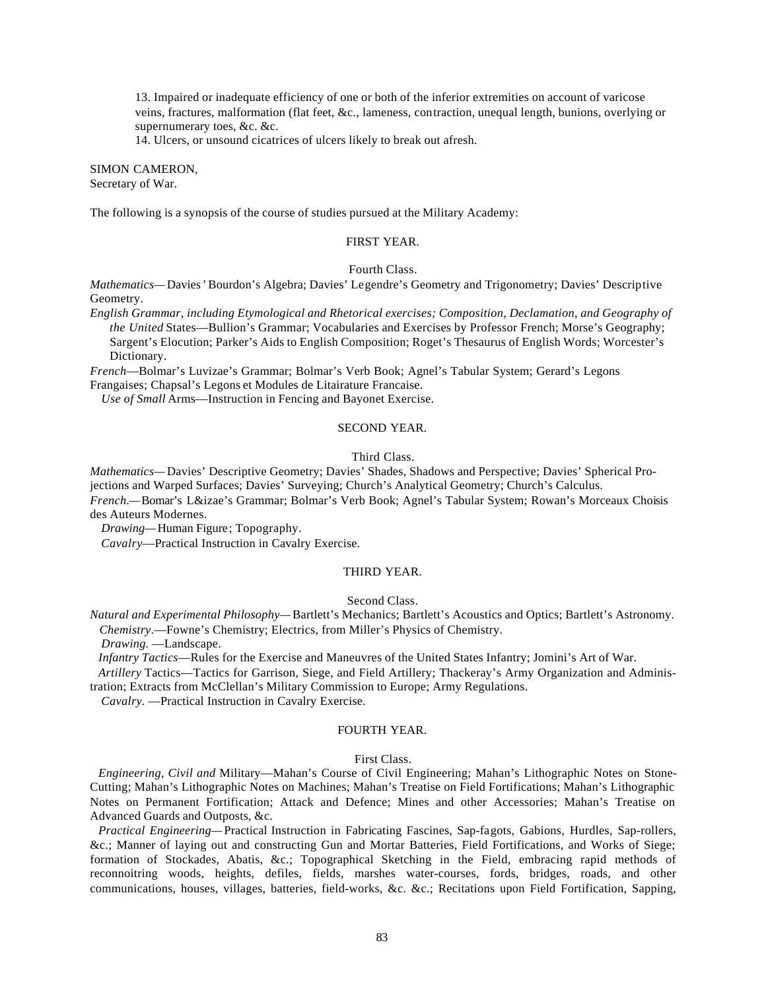13. Impaired or inadequate efficiency of one or both of the inferior extremities on account of varicose veins, fractures, malformation (flat feet, &c., lameness, contraction, unequal length, bunions, overlying or supernumerary toes, &c. &c.

14. Ulcers, or unsound cicatrices of ulcers likely to break out afresh.

### SIMON CAMERON,

Secretary of War.

The following is a synopsis of the course of studies pursued at the Military Academy:

#### FIRST YEAR.

#### Fourth Class.

*Mathematics—* Davies*'* Bourdon's Algebra; Davies' Legendre's Geometry and Trigonometry; Davies' Descriptive Geometry.

*English Grammar, including Etymological and Rhetorical exercises; Composition, Declamation, and Geography of the United* States—Bullion's Grammar; Vocabularies and Exercises by Professor French; Morse's Geography; Sargent's Elocution; Parker's Aids to English Composition; Roget's Thesaurus of English Words; Worcester's Dictionary.

*French*—Bolmar's Luvizae's Grammar; Bolmar's Verb Book; Agnel's Tabular System; Gerard's Legons Frangaises; Chapsal's Legons et Modules de Litairature Francaise.

*Use of Small* Arms—Instruction in Fencing and Bayonet Exercise.

### SECOND YEAR.

#### Third Class.

*Mathematics—* Davies' Descriptive Geometry; Davies' Shades, Shadows and Perspective; Davies' Spherical Projections and Warped Surfaces; Davies' Surveying; Church's Analytical Geometry; Church's Calculus. *French.—*Bomar's L&izae's Grammar; Bolmar's Verb Book; Agnel's Tabular System; Rowan's Morceaux Choisis des Auteurs Modernes.

*Drawing—* Human Figure; Topography.

*Cavalry*—Practical Instruction in Cavalry Exercise.

### THIRD YEAR.

#### Second Class.

*Natural and Experimental Philosophy—* Bartlett's Mechanics; Bartlett's Acoustics and Optics; Bartlett's Astronomy.

*Chemistry*.—Fowne's Chemistry; Electrics, from Miller's Physics of Chemistry.

*Drawing.* —Landscape.

*Infantry Tactics*—Rules for the Exercise and Maneuvres of the United States Infantry; Jomini's Art of War. *Artillery* Tactics—Tactics for Garrison, Siege, and Field Artillery; Thackeray's Army Organization and Adminis-

tration; Extracts from McClellan's Military Commission to Europe; Army Regulations.

*Cavalry.* —Practical Instruction in Cavalry Exercise.

#### FOURTH YEAR.

#### First Class.

*Engineering, Civil and* Military—Mahan's Course of Civil Engineering; Mahan's Lithographic Notes on Stone-Cutting; Mahan's Lithographic Notes on Machines; Mahan's Treatise on Field Fortifications; Mahan's Lithographic Notes on Permanent Fortification; Attack and Defence; Mines and other Accessories; Mahan's Treatise on Advanced Guards and Outposts, &c.

*Practical Engineering—* Practical Instruction in Fabricating Fascines, Sap-fagots, Gabions, Hurdles, Sap-rollers, &c.; Manner of laying out and constructing Gun and Mortar Batteries, Field Fortifications, and Works of Siege; formation of Stockades, Abatis, &c.; Topographical Sketching in the Field, embracing rapid methods of reconnoitring woods, heights, defiles, fields, marshes water-courses, fords, bridges, roads, and other communications, houses, villages, batteries, field-works, &c. &c.; Recitations upon Field Fortification, Sapping,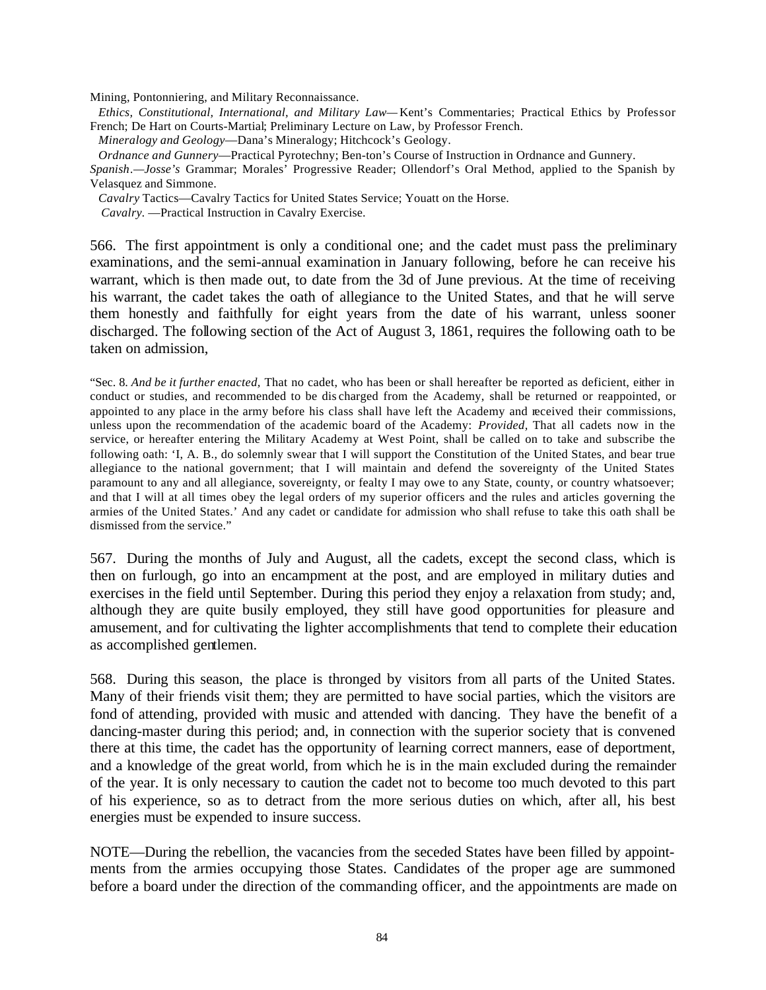Mining, Pontonniering, and Military Reconnaissance.

*Ethics, Constitutional, International, and Military Law—* Kent's Commentaries; Practical Ethics by Professor French; De Hart on Courts-Martial; Preliminary Lecture on Law, by Professor French.

*Mineralogy and Geology*—Dana's Mineralogy; Hitchcock's Geology.

*Ordnance and Gunnery*—Practical Pyrotechny; Ben-ton's Course of Instruction in Ordnance and Gunnery.

*Spanish.—Josse's* Grammar; Morales' Progressive Reader; Ollendorf's Oral Method, applied to the Spanish by Velasquez and Simmone.

*Cavalry* Tactics—Cavalry Tactics for United States Service; Youatt on the Horse.

*Cavalry.* —Practical Instruction in Cavalry Exercise.

566. The first appointment is only a conditional one; and the cadet must pass the preliminary examinations, and the semi-annual examination in January following, before he can receive his warrant, which is then made out, to date from the 3d of June previous. At the time of receiving his warrant, the cadet takes the oath of allegiance to the United States, and that he will serve them honestly and faithfully for eight years from the date of his warrant, unless sooner discharged. The following section of the Act of August 3, 1861, requires the following oath to be taken on admission,

"Sec. 8. *And be it further enacted,* That no cadet, who has been or shall hereafter be reported as deficient, either in conduct or studies, and recommended to be dis charged from the Academy, shall be returned or reappointed, or appointed to any place in the army before his class shall have left the Academy and received their commissions, unless upon the recommendation of the academic board of the Academy: *Provided,* That all cadets now in the service, or hereafter entering the Military Academy at West Point, shall be called on to take and subscribe the following oath: 'I, A. B., do solemnly swear that I will support the Constitution of the United States, and bear true allegiance to the national government; that I will maintain and defend the sovereignty of the United States paramount to any and all allegiance, sovereignty, or fealty I may owe to any State, county, or country whatsoever; and that I will at all times obey the legal orders of my superior officers and the rules and articles governing the armies of the United States.' And any cadet or candidate for admission who shall refuse to take this oath shall be dismissed from the service."

567. During the months of July and August, all the cadets, except the second class, which is then on furlough, go into an encampment at the post, and are employed in military duties and exercises in the field until September. During this period they enjoy a relaxation from study; and, although they are quite busily employed, they still have good opportunities for pleasure and amusement, and for cultivating the lighter accomplishments that tend to complete their education as accomplished gentlemen.

568. During this season, the place is thronged by visitors from all parts of the United States. Many of their friends visit them; they are permitted to have social parties, which the visitors are fond of attending, provided with music and attended with dancing. They have the benefit of a dancing-master during this period; and, in connection with the superior society that is convened there at this time, the cadet has the opportunity of learning correct manners, ease of deportment, and a knowledge of the great world, from which he is in the main excluded during the remainder of the year. It is only necessary to caution the cadet not to become too much devoted to this part of his experience, so as to detract from the more serious duties on which, after all, his best energies must be expended to insure success.

NOTE—During the rebellion, the vacancies from the seceded States have been filled by appointments from the armies occupying those States. Candidates of the proper age are summoned before a board under the direction of the commanding officer, and the appointments are made on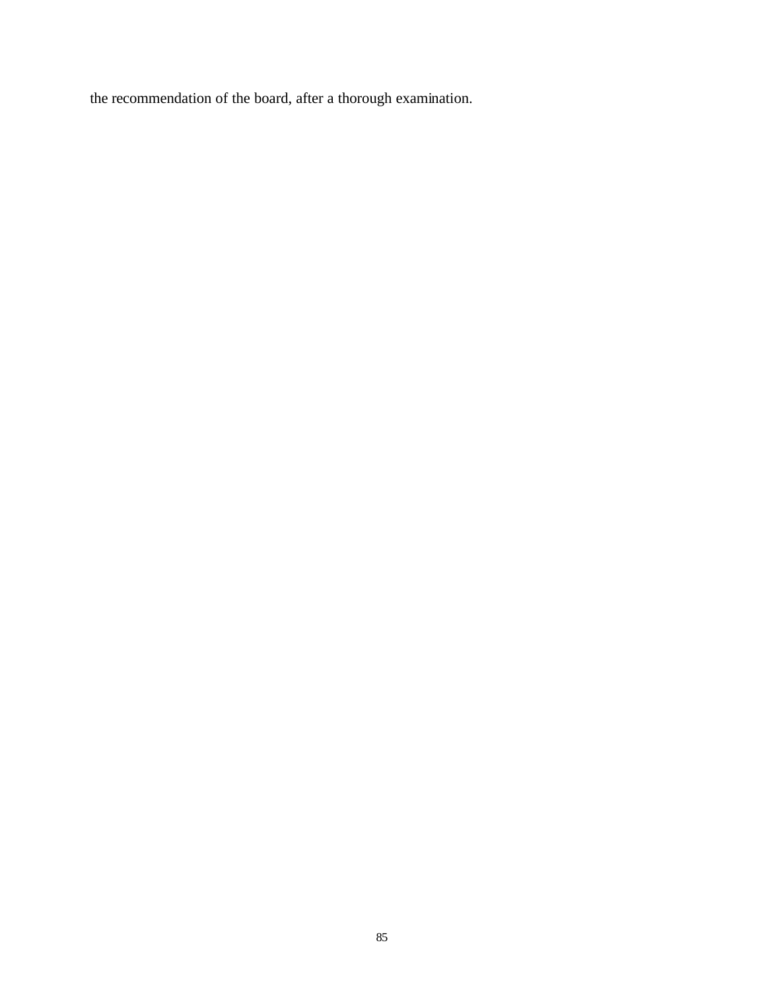the recommendation of the board, after a thorough examination.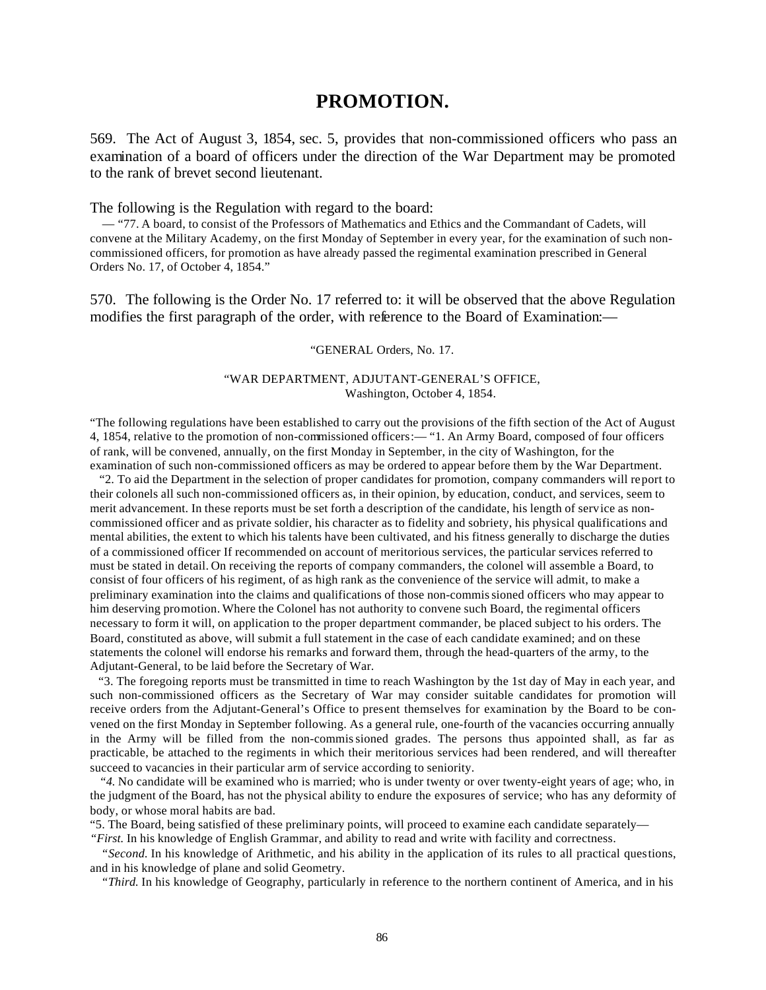### **PROMOTION.**

569. The Act of August 3, 1854, sec. 5, provides that non-commissioned officers who pass an examination of a board of officers under the direction of the War Department may be promoted to the rank of brevet second lieutenant.

The following is the Regulation with regard to the board:

— "77. A board, to consist of the Professors of Mathematics and Ethics and the Commandant of Cadets, will convene at the Military Academy, on the first Monday of September in every year, for the examination of such noncommissioned officers, for promotion as have already passed the regimental examination prescribed in General Orders No. 17, of October 4, 1854."

570. The following is the Order No. 17 referred to: it will be observed that the above Regulation modifies the first paragraph of the order, with reference to the Board of Examination:—

#### "GENERAL Orders, No. 17.

### "WAR DEPARTMENT, ADJUTANT-GENERAL'S OFFICE, Washington, October 4, 1854.

"The following regulations have been established to carry out the provisions of the fifth section of the Act of August 4, 1854, relative to the promotion of non-commissioned officers:— "1. An Army Board, composed of four officers of rank, will be convened, annually, on the first Monday in September, in the city of Washington, for the examination of such non-commissioned officers as may be ordered to appear before them by the War Department.

"2. To aid the Department in the selection of proper candidates for promotion, company commanders will report to their colonels all such non-commissioned officers as, in their opinion, by education, conduct, and services, seem to merit advancement. In these reports must be set forth a description of the candidate, his length of service as noncommissioned officer and as private soldier, his character as to fidelity and sobriety, his physical qualifications and mental abilities, the extent to which his talents have been cultivated, and his fitness generally to discharge the duties of a commissioned officer If recommended on account of meritorious services, the particular services referred to must be stated in detail. On receiving the reports of company commanders, the colonel will assemble a Board, to consist of four officers of his regiment, of as high rank as the convenience of the service will admit, to make a preliminary examination into the claims and qualifications of those non-commissioned officers who may appear to him deserving promotion. Where the Colonel has not authority to convene such Board, the regimental officers necessary to form it will, on application to the proper department commander, be placed subject to his orders. The Board, constituted as above, will submit a full statement in the case of each candidate examined; and on these statements the colonel will endorse his remarks and forward them, through the head-quarters of the army, to the Adjutant-General, to be laid before the Secretary of War.

"3. The foregoing reports must be transmitted in time to reach Washington by the 1st day of May in each year, and such non-commissioned officers as the Secretary of War may consider suitable candidates for promotion will receive orders from the Adjutant-General's Office to present themselves for examination by the Board to be convened on the first Monday in September following. As a general rule, one-fourth of the vacancies occurring annually in the Army will be filled from the non-commissioned grades. The persons thus appointed shall, as far as practicable, be attached to the regiments in which their meritorious services had been rendered, and will thereafter succeed to vacancies in their particular arm of service according to seniority.

*"4.* No candidate will be examined who is married; who is under twenty or over twenty-eight years of age; who, in the judgment of the Board, has not the physical ability to endure the exposures of service; who has any deformity of body, or whose moral habits are bad.

"5. The Board, being satisfied of these preliminary points, will proceed to examine each candidate separately— *"First.* In his knowledge of English Grammar, and ability to read and write with facility and correctness.

*"Second.* In his knowledge of Arithmetic, and his ability in the application of its rules to all practical questions, and in his knowledge of plane and solid Geometry.

*"Third.* In his knowledge of Geography, particularly in reference to the northern continent of America, and in his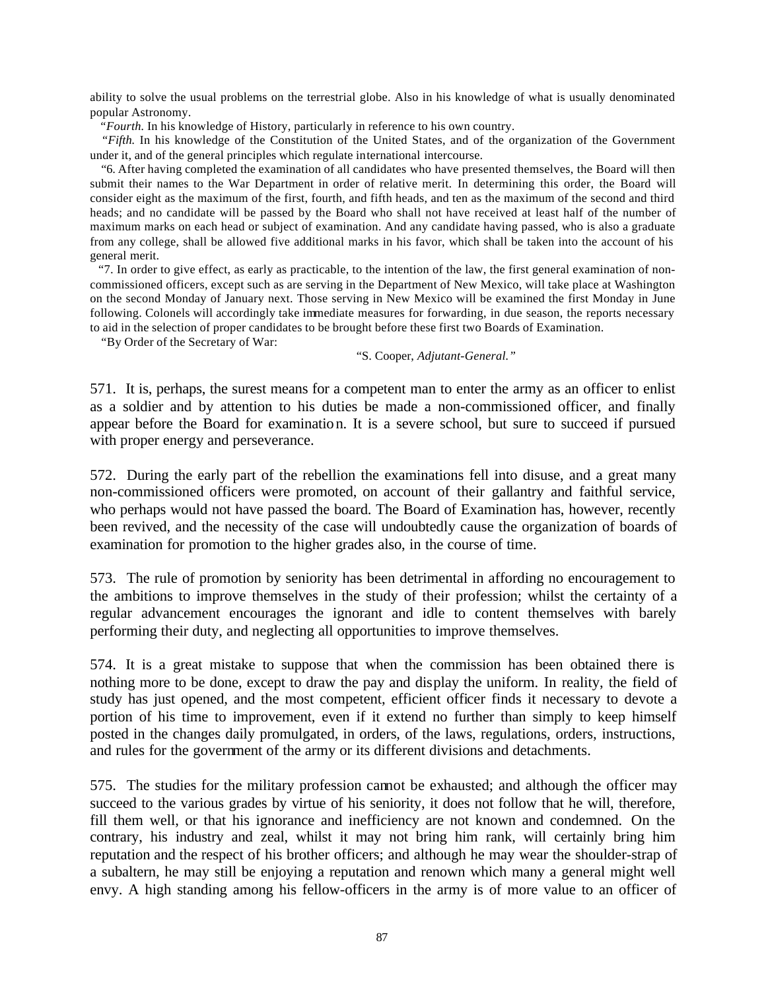ability to solve the usual problems on the terrestrial globe. Also in his knowledge of what is usually denominated popular Astronomy.

*"Fourth.* In his knowledge of History, particularly in reference to his own country.

*"Fifth.* In his knowledge of the Constitution of the United States, and of the organization of the Government under it, and of the general principles which regulate international intercourse.

"6. After having completed the examination of all candidates who have presented themselves, the Board will then submit their names to the War Department in order of relative merit. In determining this order, the Board will consider eight as the maximum of the first, fourth, and fifth heads, and ten as the maximum of the second and third heads; and no candidate will be passed by the Board who shall not have received at least half of the number of maximum marks on each head or subject of examination. And any candidate having passed, who is also a graduate from any college, shall be allowed five additional marks in his favor, which shall be taken into the account of his general merit.

"7. In order to give effect, as early as practicable, to the intention of the law, the first general examination of noncommissioned officers, except such as are serving in the Department of New Mexico, will take place at Washington on the second Monday of January next. Those serving in New Mexico will be examined the first Monday in June following. Colonels will accordingly take immediate measures for forwarding, in due season, the reports necessary to aid in the selection of proper candidates to be brought before these first two Boards of Examination.

"By Order of the Secretary of War:

"S. Cooper, *Adjutant-General."*

571. It is, perhaps, the surest means for a competent man to enter the army as an officer to enlist as a soldier and by attention to his duties be made a non-commissioned officer, and finally appear before the Board for examination. It is a severe school, but sure to succeed if pursued with proper energy and perseverance.

572. During the early part of the rebellion the examinations fell into disuse, and a great many non-commissioned officers were promoted, on account of their gallantry and faithful service, who perhaps would not have passed the board. The Board of Examination has, however, recently been revived, and the necessity of the case will undoubtedly cause the organization of boards of examination for promotion to the higher grades also, in the course of time.

573. The rule of promotion by seniority has been detrimental in affording no encouragement to the ambitions to improve themselves in the study of their profession; whilst the certainty of a regular advancement encourages the ignorant and idle to content themselves with barely performing their duty, and neglecting all opportunities to improve themselves.

574. It is a great mistake to suppose that when the commission has been obtained there is nothing more to be done, except to draw the pay and display the uniform. In reality, the field of study has just opened, and the most competent, efficient officer finds it necessary to devote a portion of his time to improvement, even if it extend no further than simply to keep himself posted in the changes daily promulgated, in orders, of the laws, regulations, orders, instructions, and rules for the government of the army or its different divisions and detachments.

575. The studies for the military profession cannot be exhausted; and although the officer may succeed to the various grades by virtue of his seniority, it does not follow that he will, therefore, fill them well, or that his ignorance and inefficiency are not known and condemned. On the contrary, his industry and zeal, whilst it may not bring him rank, will certainly bring him reputation and the respect of his brother officers; and although he may wear the shoulder-strap of a subaltern, he may still be enjoying a reputation and renown which many a general might well envy. A high standing among his fellow-officers in the army is of more value to an officer of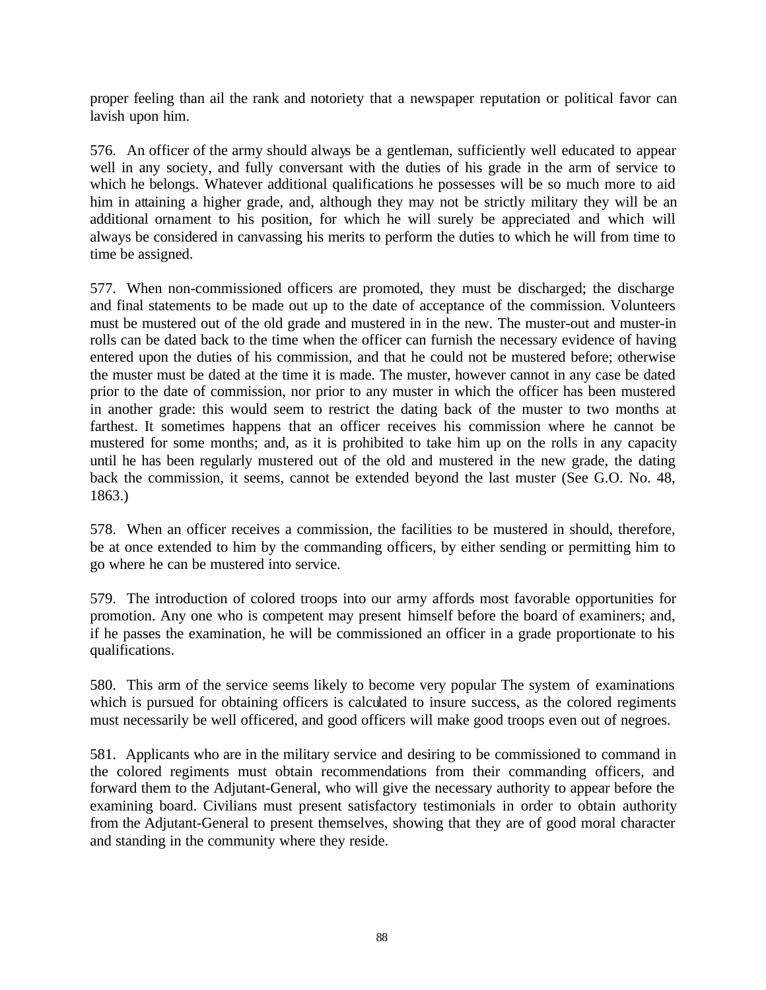proper feeling than ail the rank and notoriety that a newspaper reputation or political favor can lavish upon him.

576. An officer of the army should always be a gentleman, sufficiently well educated to appear well in any society, and fully conversant with the duties of his grade in the arm of service to which he belongs. Whatever additional qualifications he possesses will be so much more to aid him in attaining a higher grade, and, although they may not be strictly military they will be an additional ornament to his position, for which he will surely be appreciated and which will always be considered in canvassing his merits to perform the duties to which he will from time to time be assigned.

577. When non-commissioned officers are promoted, they must be discharged; the discharge and final statements to be made out up to the date of acceptance of the commission. Volunteers must be mustered out of the old grade and mustered in in the new. The muster-out and muster-in rolls can be dated back to the time when the officer can furnish the necessary evidence of having entered upon the duties of his commission, and that he could not be mustered before; otherwise the muster must be dated at the time it is made. The muster, however cannot in any case be dated prior to the date of commission, nor prior to any muster in which the officer has been mustered in another grade: this would seem to restrict the dating back of the muster to two months at farthest. It sometimes happens that an officer receives his commission where he cannot be mustered for some months; and, as it is prohibited to take him up on the rolls in any capacity until he has been regularly mustered out of the old and mustered in the new grade, the dating back the commission, it seems, cannot be extended beyond the last muster (See G.O. No. 48, 1863.)

578. When an officer receives a commission, the facilities to be mustered in should, therefore, be at once extended to him by the commanding officers, by either sending or permitting him to go where he can be mustered into service.

579. The introduction of colored troops into our army affords most favorable opportunities for promotion. Any one who is competent may present himself before the board of examiners; and, if he passes the examination, he will be commissioned an officer in a grade proportionate to his qualifications.

580. This arm of the service seems likely to become very popular The system of examinations which is pursued for obtaining officers is calculated to insure success, as the colored regiments must necessarily be well officered, and good officers will make good troops even out of negroes.

581. Applicants who are in the military service and desiring to be commissioned to command in the colored regiments must obtain recommendations from their commanding officers, and forward them to the Adjutant-General, who will give the necessary authority to appear before the examining board. Civilians must present satisfactory testimonials in order to obtain authority from the Adjutant-General to present themselves, showing that they are of good moral character and standing in the community where they reside.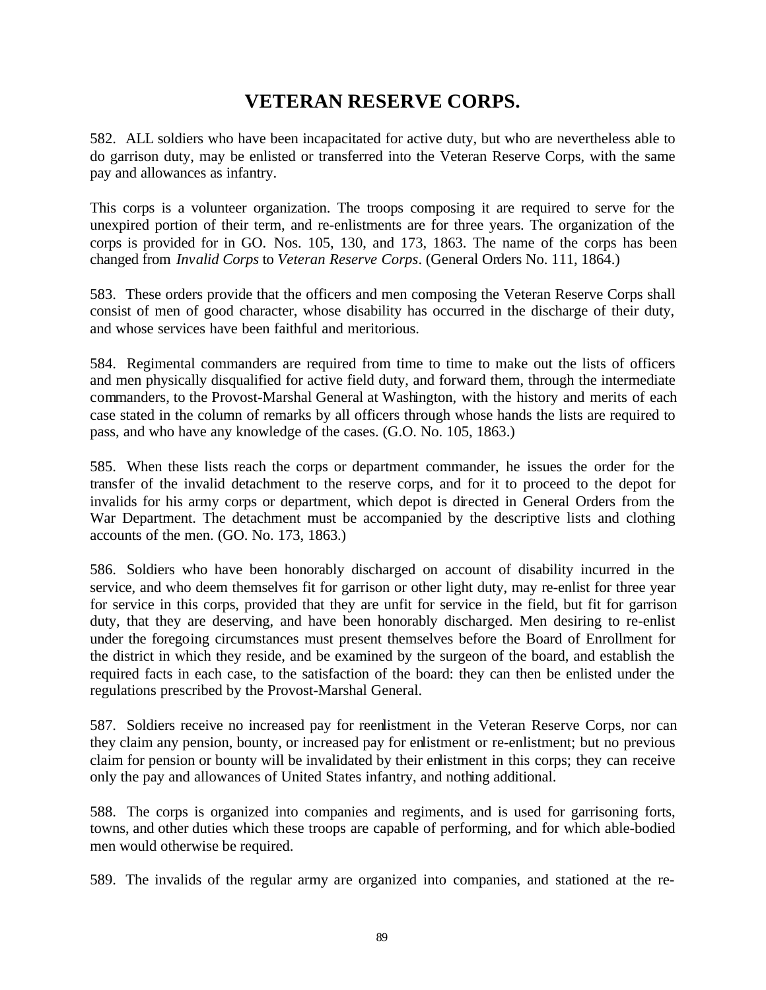# **VETERAN RESERVE CORPS.**

582. ALL soldiers who have been incapacitated for active duty, but who are nevertheless able to do garrison duty, may be enlisted or transferred into the Veteran Reserve Corps, with the same pay and allowances as infantry.

This corps is a volunteer organization. The troops composing it are required to serve for the unexpired portion of their term, and re-enlistments are for three years. The organization of the corps is provided for in GO. Nos. 105, 130, and 173, 1863. The name of the corps has been changed from *Invalid Corps* to *Veteran Reserve Corps*. (General Orders No. 111, 1864.)

583. These orders provide that the officers and men composing the Veteran Reserve Corps shall consist of men of good character, whose disability has occurred in the discharge of their duty, and whose services have been faithful and meritorious.

584. Regimental commanders are required from time to time to make out the lists of officers and men physically disqualified for active field duty, and forward them, through the intermediate commanders, to the Provost-Marshal General at Washington, with the history and merits of each case stated in the column of remarks by all officers through whose hands the lists are required to pass, and who have any knowledge of the cases. (G.O. No. 105, 1863.)

585. When these lists reach the corps or department commander, he issues the order for the transfer of the invalid detachment to the reserve corps, and for it to proceed to the depot for invalids for his army corps or department, which depot is directed in General Orders from the War Department. The detachment must be accompanied by the descriptive lists and clothing accounts of the men. (GO. No. 173, 1863.)

586. Soldiers who have been honorably discharged on account of disability incurred in the service, and who deem themselves fit for garrison or other light duty, may re-enlist for three year for service in this corps, provided that they are unfit for service in the field, but fit for garrison duty, that they are deserving, and have been honorably discharged. Men desiring to re-enlist under the foregoing circumstances must present themselves before the Board of Enrollment for the district in which they reside, and be examined by the surgeon of the board, and establish the required facts in each case, to the satisfaction of the board: they can then be enlisted under the regulations prescribed by the Provost-Marshal General.

587. Soldiers receive no increased pay for reenlistment in the Veteran Reserve Corps, nor can they claim any pension, bounty, or increased pay for enlistment or re-enlistment; but no previous claim for pension or bounty will be invalidated by their enlistment in this corps; they can receive only the pay and allowances of United States infantry, and nothing additional.

588. The corps is organized into companies and regiments, and is used for garrisoning forts, towns, and other duties which these troops are capable of performing, and for which able-bodied men would otherwise be required.

589. The invalids of the regular army are organized into companies, and stationed at the re-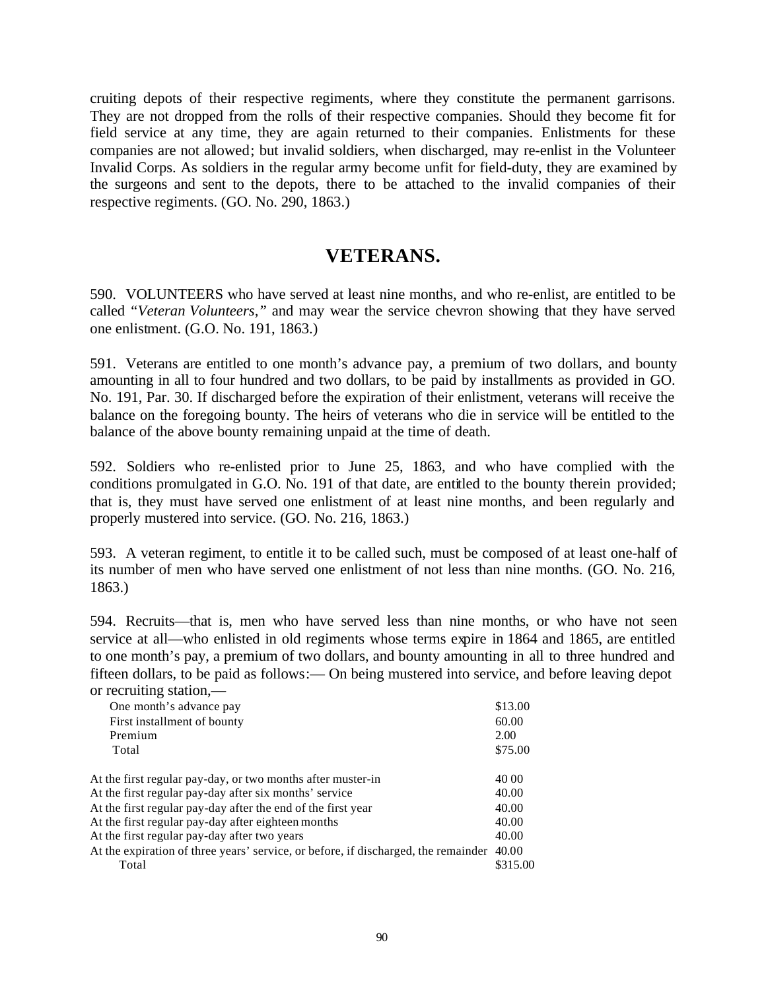cruiting depots of their respective regiments, where they constitute the permanent garrisons. They are not dropped from the rolls of their respective companies. Should they become fit for field service at any time, they are again returned to their companies. Enlistments for these companies are not allowed; but invalid soldiers, when discharged, may re-enlist in the Volunteer Invalid Corps. As soldiers in the regular army become unfit for field-duty, they are examined by the surgeons and sent to the depots, there to be attached to the invalid companies of their respective regiments. (GO. No. 290, 1863.)

## **VETERANS.**

590. VOLUNTEERS who have served at least nine months, and who re-enlist, are entitled to be called *"Veteran Volunteers,"* and may wear the service chevron showing that they have served one enlistment. (G.O. No. 191, 1863.)

591. Veterans are entitled to one month's advance pay, a premium of two dollars, and bounty amounting in all to four hundred and two dollars, to be paid by installments as provided in GO. No. 191, Par. 30. If discharged before the expiration of their enlistment, veterans will receive the balance on the foregoing bounty. The heirs of veterans who die in service will be entitled to the balance of the above bounty remaining unpaid at the time of death.

592. Soldiers who re-enlisted prior to June 25, 1863, and who have complied with the conditions promulgated in G.O. No. 191 of that date, are entitled to the bounty therein provided; that is, they must have served one enlistment of at least nine months, and been regularly and properly mustered into service. (GO. No. 216, 1863.)

593. A veteran regiment, to entitle it to be called such, must be composed of at least one-half of its number of men who have served one enlistment of not less than nine months. (GO. No. 216, 1863.)

594. Recruits—that is, men who have served less than nine months, or who have not seen service at all—who enlisted in old regiments whose terms expire in 1864 and 1865, are entitled to one month's pay, a premium of two dollars, and bounty amounting in all to three hundred and fifteen dollars, to be paid as follows:— On being mustered into service, and before leaving depot or recruiting station,—

| One month's advance pay                                                            | \$13.00  |
|------------------------------------------------------------------------------------|----------|
| First installment of bounty                                                        | 60.00    |
| Premium                                                                            | 2.00     |
| Total                                                                              | \$75.00  |
| At the first regular pay-day, or two months after muster-in                        | 40 00    |
| At the first regular pay-day after six months' service                             | 40.00    |
| At the first regular pay-day after the end of the first year                       | 40.00    |
| At the first regular pay-day after eighteen months                                 | 40.00    |
| At the first regular pay-day after two years                                       | 40.00    |
| At the expiration of three years' service, or before, if discharged, the remainder | 40.00    |
| Total                                                                              | \$315.00 |
|                                                                                    |          |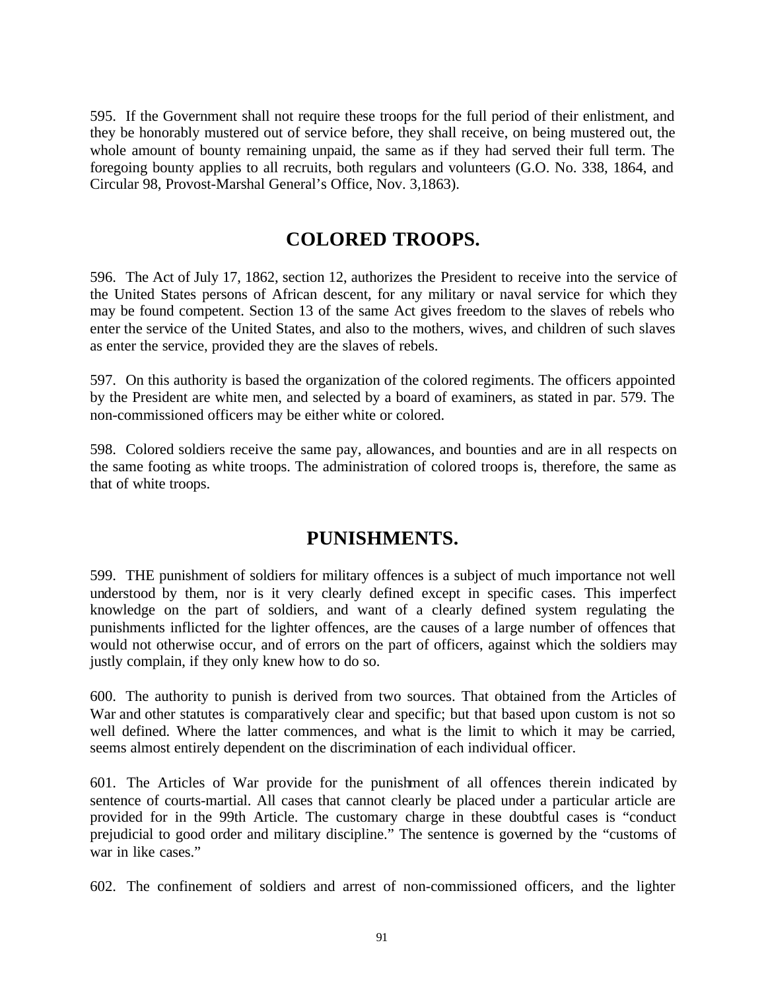595. If the Government shall not require these troops for the full period of their enlistment, and they be honorably mustered out of service before, they shall receive, on being mustered out, the whole amount of bounty remaining unpaid, the same as if they had served their full term. The foregoing bounty applies to all recruits, both regulars and volunteers (G.O. No. 338, 1864, and Circular 98, Provost-Marshal General's Office, Nov. 3,1863).

# **COLORED TROOPS.**

596. The Act of July 17, 1862, section 12, authorizes the President to receive into the service of the United States persons of African descent, for any military or naval service for which they may be found competent. Section 13 of the same Act gives freedom to the slaves of rebels who enter the service of the United States, and also to the mothers, wives, and children of such slaves as enter the service, provided they are the slaves of rebels.

597. On this authority is based the organization of the colored regiments. The officers appointed by the President are white men, and selected by a board of examiners, as stated in par. 579. The non-commissioned officers may be either white or colored.

598. Colored soldiers receive the same pay, allowances, and bounties and are in all respects on the same footing as white troops. The administration of colored troops is, therefore, the same as that of white troops.

# **PUNISHMENTS.**

599. THE punishment of soldiers for military offences is a subject of much importance not well understood by them, nor is it very clearly defined except in specific cases. This imperfect knowledge on the part of soldiers, and want of a clearly defined system regulating the punishments inflicted for the lighter offences, are the causes of a large number of offences that would not otherwise occur, and of errors on the part of officers, against which the soldiers may justly complain, if they only knew how to do so.

600. The authority to punish is derived from two sources. That obtained from the Articles of War and other statutes is comparatively clear and specific; but that based upon custom is not so well defined. Where the latter commences, and what is the limit to which it may be carried, seems almost entirely dependent on the discrimination of each individual officer.

601. The Articles of War provide for the punishment of all offences therein indicated by sentence of courts-martial. All cases that cannot clearly be placed under a particular article are provided for in the 99th Article. The customary charge in these doubtful cases is "conduct prejudicial to good order and military discipline." The sentence is governed by the "customs of war in like cases."

602. The confinement of soldiers and arrest of non-commissioned officers, and the lighter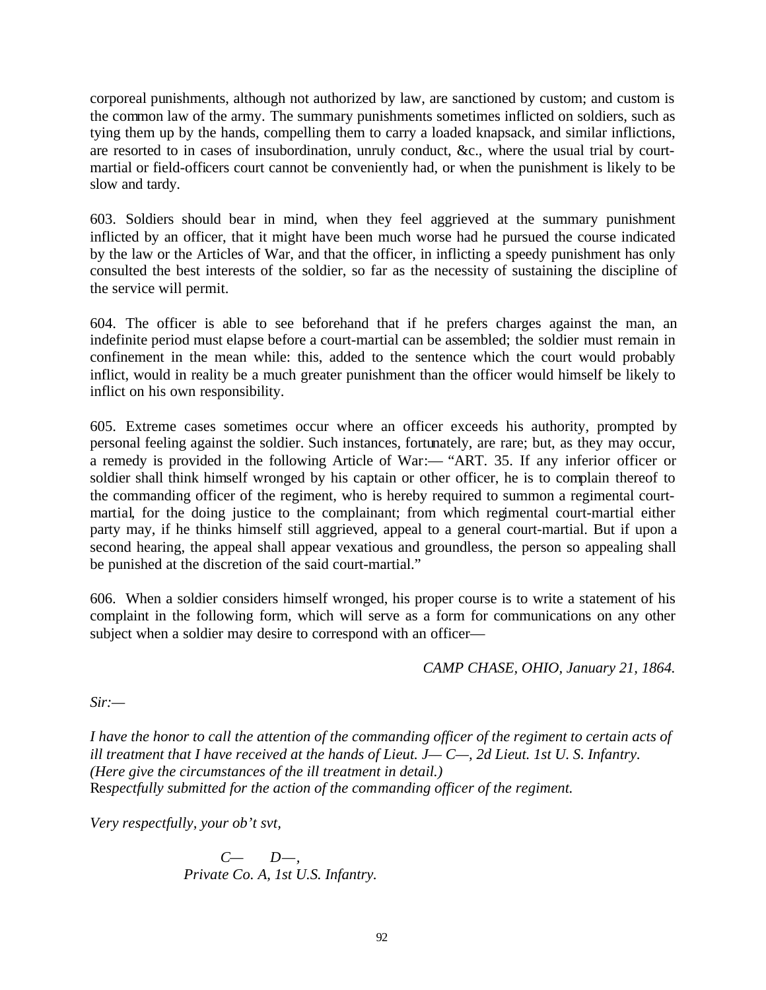corporeal punishments, although not authorized by law, are sanctioned by custom; and custom is the common law of the army. The summary punishments sometimes inflicted on soldiers, such as tying them up by the hands, compelling them to carry a loaded knapsack, and similar inflictions, are resorted to in cases of insubordination, unruly conduct, &c., where the usual trial by courtmartial or field-officers court cannot be conveniently had, or when the punishment is likely to be slow and tardy.

603. Soldiers should bear in mind, when they feel aggrieved at the summary punishment inflicted by an officer, that it might have been much worse had he pursued the course indicated by the law or the Articles of War, and that the officer, in inflicting a speedy punishment has only consulted the best interests of the soldier, so far as the necessity of sustaining the discipline of the service will permit.

604. The officer is able to see beforehand that if he prefers charges against the man, an indefinite period must elapse before a court-martial can be assembled; the soldier must remain in confinement in the mean while: this, added to the sentence which the court would probably inflict, would in reality be a much greater punishment than the officer would himself be likely to inflict on his own responsibility.

605. Extreme cases sometimes occur where an officer exceeds his authority, prompted by personal feeling against the soldier. Such instances, fortunately, are rare; but, as they may occur, a remedy is provided in the following Article of War:— "ART. 35. If any inferior officer or soldier shall think himself wronged by his captain or other officer, he is to complain thereof to the commanding officer of the regiment, who is hereby required to summon a regimental courtmartial, for the doing justice to the complainant; from which regimental court-martial either party may, if he thinks himself still aggrieved, appeal to a general court-martial. But if upon a second hearing, the appeal shall appear vexatious and groundless, the person so appealing shall be punished at the discretion of the said court-martial."

606. When a soldier considers himself wronged, his proper course is to write a statement of his complaint in the following form, which will serve as a form for communications on any other subject when a soldier may desire to correspond with an officer—

### *CAMP CHASE, OHIO, January 21, 1864.*

*Sir:—*

*I have the honor to call the attention of the commanding officer of the regiment to certain acts of ill treatment that I have received at the hands of Lieut. J— C—, 2d Lieut. 1st U. S. Infantry. (Here give the circumstances of the ill treatment in detail.)* Re*spectfully submitted for the action of the commanding officer of the regiment.*

*Very respectfully, your ob't svt,*

$$
C \qquad D-,
$$
  
Private Co. A, 1st U.S. Infantry.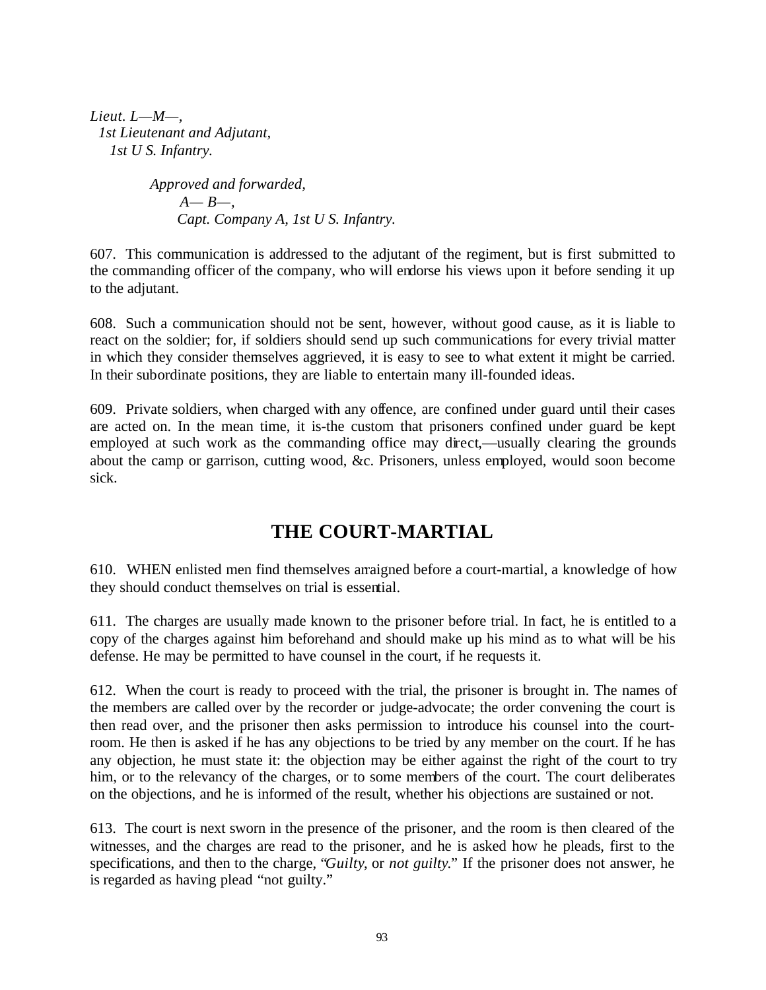*Lieut. L—M—, 1st Lieutenant and Adjutant, 1st U S. Infantry.*

> *Approved and forwarded, A— B—, Capt. Company A, 1st U S. Infantry.*

607. This communication is addressed to the adjutant of the regiment, but is first submitted to the commanding officer of the company, who will endorse his views upon it before sending it up to the adjutant.

608. Such a communication should not be sent, however, without good cause, as it is liable to react on the soldier; for, if soldiers should send up such communications for every trivial matter in which they consider themselves aggrieved, it is easy to see to what extent it might be carried. In their subordinate positions, they are liable to entertain many ill-founded ideas.

609. Private soldiers, when charged with any offence, are confined under guard until their cases are acted on. In the mean time, it is-the custom that prisoners confined under guard be kept employed at such work as the commanding office may direct,—usually clearing the grounds about the camp or garrison, cutting wood, &c. Prisoners, unless employed, would soon become sick.

# **THE COURT-MARTIAL**

610. WHEN enlisted men find themselves arraigned before a court-martial, a knowledge of how they should conduct themselves on trial is essential.

611. The charges are usually made known to the prisoner before trial. In fact, he is entitled to a copy of the charges against him beforehand and should make up his mind as to what will be his defense. He may be permitted to have counsel in the court, if he requests it.

612. When the court is ready to proceed with the trial, the prisoner is brought in. The names of the members are called over by the recorder or judge-advocate; the order convening the court is then read over, and the prisoner then asks permission to introduce his counsel into the courtroom. He then is asked if he has any objections to be tried by any member on the court. If he has any objection, he must state it: the objection may be either against the right of the court to try him, or to the relevancy of the charges, or to some members of the court. The court deliberates on the objections, and he is informed of the result, whether his objections are sustained or not.

613. The court is next sworn in the presence of the prisoner, and the room is then cleared of the witnesses, and the charges are read to the prisoner, and he is asked how he pleads, first to the specifications, and then to the charge, "*Guilty*, or *not guilty*." If the prisoner does not answer, he is regarded as having plead "not guilty."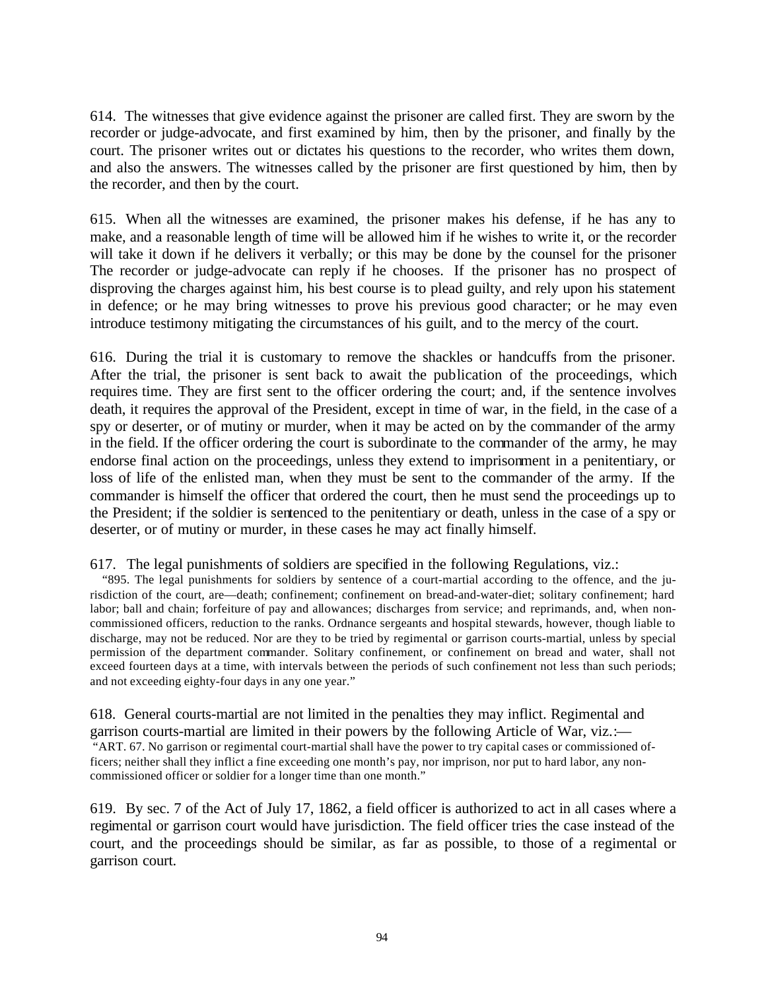614. The witnesses that give evidence against the prisoner are called first. They are sworn by the recorder or judge-advocate, and first examined by him, then by the prisoner, and finally by the court. The prisoner writes out or dictates his questions to the recorder, who writes them down, and also the answers. The witnesses called by the prisoner are first questioned by him, then by the recorder, and then by the court.

615. When all the witnesses are examined, the prisoner makes his defense, if he has any to make, and a reasonable length of time will be allowed him if he wishes to write it, or the recorder will take it down if he delivers it verbally; or this may be done by the counsel for the prisoner The recorder or judge-advocate can reply if he chooses. If the prisoner has no prospect of disproving the charges against him, his best course is to plead guilty, and rely upon his statement in defence; or he may bring witnesses to prove his previous good character; or he may even introduce testimony mitigating the circumstances of his guilt, and to the mercy of the court.

616. During the trial it is customary to remove the shackles or handcuffs from the prisoner. After the trial, the prisoner is sent back to await the publication of the proceedings, which requires time. They are first sent to the officer ordering the court; and, if the sentence involves death, it requires the approval of the President, except in time of war, in the field, in the case of a spy or deserter, or of mutiny or murder, when it may be acted on by the commander of the army in the field. If the officer ordering the court is subordinate to the commander of the army, he may endorse final action on the proceedings, unless they extend to imprisonment in a penitentiary, or loss of life of the enlisted man, when they must be sent to the commander of the army. If the commander is himself the officer that ordered the court, then he must send the proceedings up to the President; if the soldier is sentenced to the penitentiary or death, unless in the case of a spy or deserter, or of mutiny or murder, in these cases he may act finally himself.

617. The legal punishments of soldiers are specified in the following Regulations, viz.:

"895. The legal punishments for soldiers by sentence of a court-martial according to the offence, and the jurisdiction of the court, are—death; confinement; confinement on bread-and-water-diet; solitary confinement; hard labor; ball and chain; forfeiture of pay and allowances; discharges from service; and reprimands, and, when noncommissioned officers, reduction to the ranks. Ordnance sergeants and hospital stewards, however, though liable to discharge, may not be reduced. Nor are they to be tried by regimental or garrison courts-martial, unless by special permission of the department commander. Solitary confinement, or confinement on bread and water, shall not exceed fourteen days at a time, with intervals between the periods of such confinement not less than such periods; and not exceeding eighty-four days in any one year."

618. General courts-martial are not limited in the penalties they may inflict. Regimental and garrison courts-martial are limited in their powers by the following Article of War, viz.:— "ART. 67. No garrison or regimental court-martial shall have the power to try capital cases or commissioned officers; neither shall they inflict a fine exceeding one month's pay, nor imprison, nor put to hard labor, any noncommissioned officer or soldier for a longer time than one month."

619. By sec. 7 of the Act of July 17, 1862, a field officer is authorized to act in all cases where a regimental or garrison court would have jurisdiction. The field officer tries the case instead of the court, and the proceedings should be similar, as far as possible, to those of a regimental or garrison court.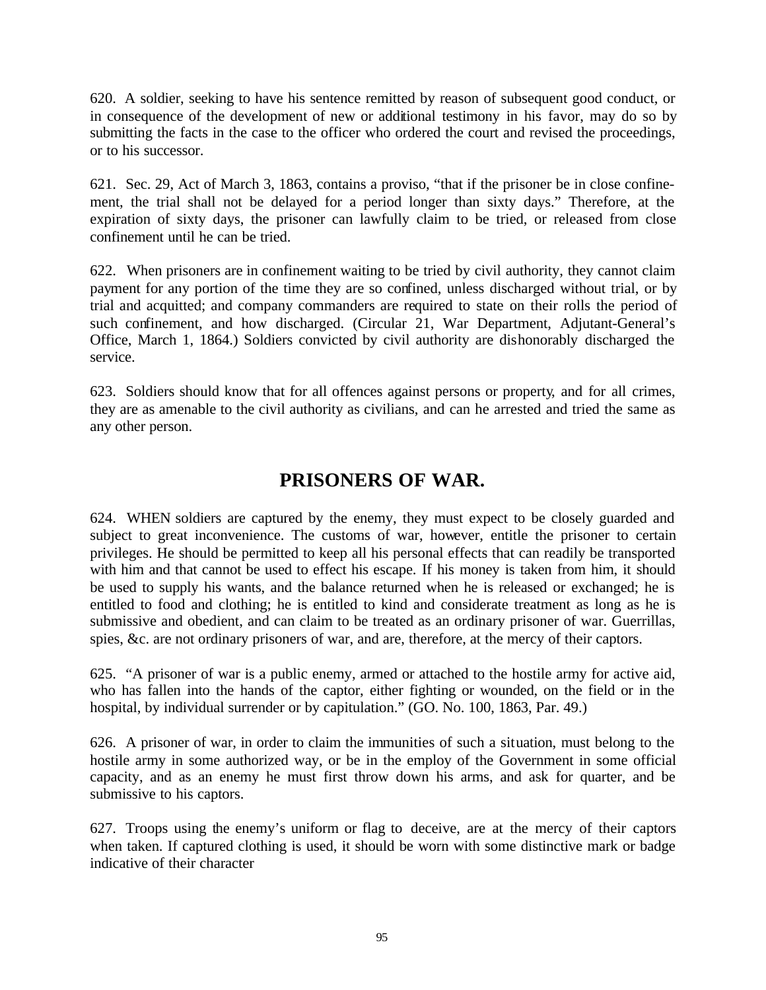620. A soldier, seeking to have his sentence remitted by reason of subsequent good conduct, or in consequence of the development of new or additional testimony in his favor, may do so by submitting the facts in the case to the officer who ordered the court and revised the proceedings, or to his successor.

621. Sec. 29, Act of March 3, 1863, contains a proviso, "that if the prisoner be in close confinement, the trial shall not be delayed for a period longer than sixty days." Therefore, at the expiration of sixty days, the prisoner can lawfully claim to be tried, or released from close confinement until he can be tried.

622. When prisoners are in confinement waiting to be tried by civil authority, they cannot claim payment for any portion of the time they are so confined, unless discharged without trial, or by trial and acquitted; and company commanders are required to state on their rolls the period of such confinement, and how discharged. (Circular 21, War Department, Adjutant-General's Office, March 1, 1864.) Soldiers convicted by civil authority are dishonorably discharged the service.

623. Soldiers should know that for all offences against persons or property, and for all crimes, they are as amenable to the civil authority as civilians, and can he arrested and tried the same as any other person.

# **PRISONERS OF WAR.**

624. WHEN soldiers are captured by the enemy, they must expect to be closely guarded and subject to great inconvenience. The customs of war, however, entitle the prisoner to certain privileges. He should be permitted to keep all his personal effects that can readily be transported with him and that cannot be used to effect his escape. If his money is taken from him, it should be used to supply his wants, and the balance returned when he is released or exchanged; he is entitled to food and clothing; he is entitled to kind and considerate treatment as long as he is submissive and obedient, and can claim to be treated as an ordinary prisoner of war. Guerrillas, spies, &c. are not ordinary prisoners of war, and are, therefore, at the mercy of their captors.

625. "A prisoner of war is a public enemy, armed or attached to the hostile army for active aid, who has fallen into the hands of the captor, either fighting or wounded, on the field or in the hospital, by individual surrender or by capitulation." (GO. No. 100, 1863, Par. 49.)

626. A prisoner of war, in order to claim the immunities of such a situation, must belong to the hostile army in some authorized way, or be in the employ of the Government in some official capacity, and as an enemy he must first throw down his arms, and ask for quarter, and be submissive to his captors.

627. Troops using the enemy's uniform or flag to deceive, are at the mercy of their captors when taken. If captured clothing is used, it should be worn with some distinctive mark or badge indicative of their character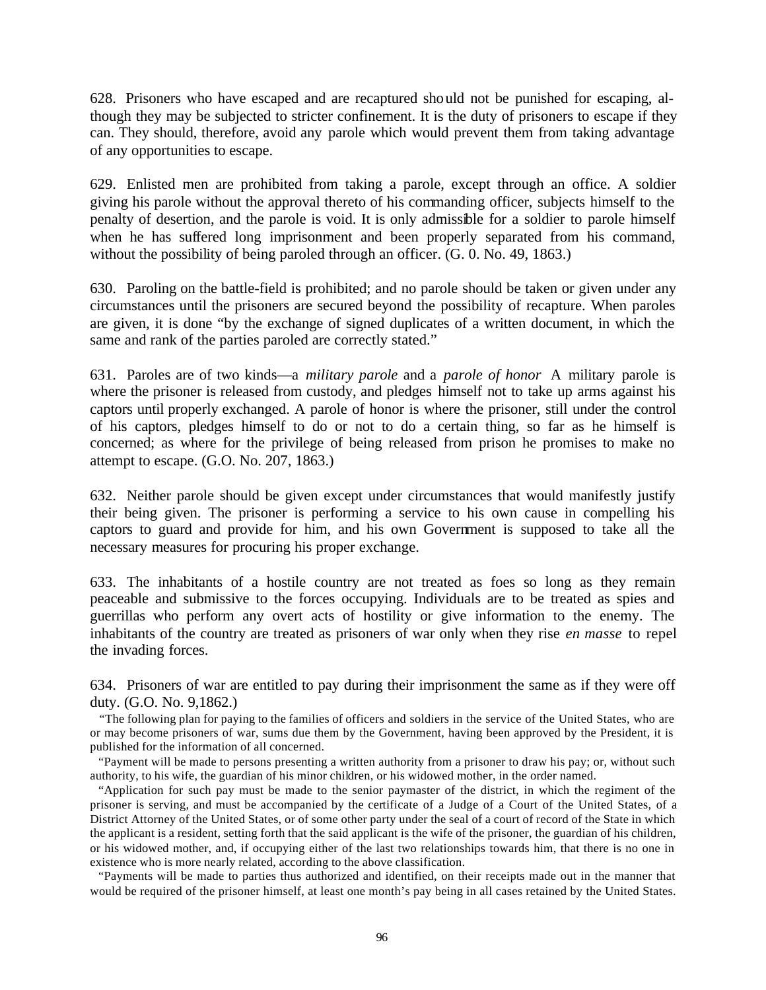628. Prisoners who have escaped and are recaptured should not be punished for escaping, although they may be subjected to stricter confinement. It is the duty of prisoners to escape if they can. They should, therefore, avoid any parole which would prevent them from taking advantage of any opportunities to escape.

629. Enlisted men are prohibited from taking a parole, except through an office. A soldier giving his parole without the approval thereto of his commanding officer, subjects himself to the penalty of desertion, and the parole is void. It is only admissible for a soldier to parole himself when he has suffered long imprisonment and been properly separated from his command, without the possibility of being paroled through an officer. (G. 0. No. 49, 1863.)

630. Paroling on the battle-field is prohibited; and no parole should be taken or given under any circumstances until the prisoners are secured beyond the possibility of recapture. When paroles are given, it is done "by the exchange of signed duplicates of a written document, in which the same and rank of the parties paroled are correctly stated."

631. Paroles are of two kinds—a *military parole* and a *parole of honor* A military parole is where the prisoner is released from custody, and pledges himself not to take up arms against his captors until properly exchanged. A parole of honor is where the prisoner, still under the control of his captors, pledges himself to do or not to do a certain thing, so far as he himself is concerned; as where for the privilege of being released from prison he promises to make no attempt to escape. (G.O. No. 207, 1863.)

632. Neither parole should be given except under circumstances that would manifestly justify their being given. The prisoner is performing a service to his own cause in compelling his captors to guard and provide for him, and his own Government is supposed to take all the necessary measures for procuring his proper exchange.

633. The inhabitants of a hostile country are not treated as foes so long as they remain peaceable and submissive to the forces occupying. Individuals are to be treated as spies and guerrillas who perform any overt acts of hostility or give information to the enemy. The inhabitants of the country are treated as prisoners of war only when they rise *en masse* to repel the invading forces.

634. Prisoners of war are entitled to pay during their imprisonment the same as if they were off duty. (G.O. No. 9,1862.)

"The following plan for paying to the families of officers and soldiers in the service of the United States, who are or may become prisoners of war, sums due them by the Government, having been approved by the President, it is published for the information of all concerned.

"Payment will be made to persons presenting a written authority from a prisoner to draw his pay; or, without such authority, to his wife, the guardian of his minor children, or his widowed mother, in the order named.

"Application for such pay must be made to the senior paymaster of the district, in which the regiment of the prisoner is serving, and must be accompanied by the certificate of a Judge of a Court of the United States, of a District Attorney of the United States, or of some other party under the seal of a court of record of the State in which the applicant is a resident, setting forth that the said applicant is the wife of the prisoner, the guardian of his children, or his widowed mother, and, if occupying either of the last two relationships towards him, that there is no one in existence who is more nearly related, according to the above classification.

"Payments will be made to parties thus authorized and identified, on their receipts made out in the manner that would be required of the prisoner himself, at least one month's pay being in all cases retained by the United States.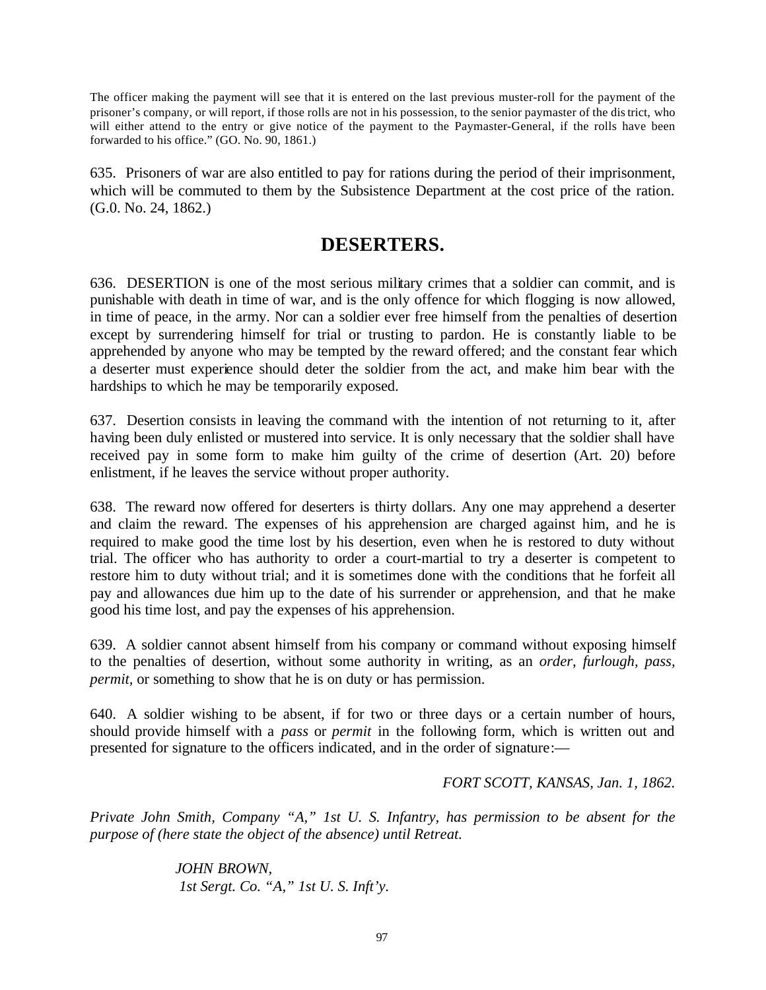The officer making the payment will see that it is entered on the last previous muster-roll for the payment of the prisoner's company, or will report, if those rolls are not in his possession, to the senior paymaster of the district, who will either attend to the entry or give notice of the payment to the Paymaster-General, if the rolls have been forwarded to his office." (GO. No. 90, 1861.)

635. Prisoners of war are also entitled to pay for rations during the period of their imprisonment, which will be commuted to them by the Subsistence Department at the cost price of the ration. (G.0. No. 24, 1862.)

## **DESERTERS.**

636. DESERTION is one of the most serious military crimes that a soldier can commit, and is punishable with death in time of war, and is the only offence for which flogging is now allowed, in time of peace, in the army. Nor can a soldier ever free himself from the penalties of desertion except by surrendering himself for trial or trusting to pardon. He is constantly liable to be apprehended by anyone who may be tempted by the reward offered; and the constant fear which a deserter must experience should deter the soldier from the act, and make him bear with the hardships to which he may be temporarily exposed.

637. Desertion consists in leaving the command with the intention of not returning to it, after having been duly enlisted or mustered into service. It is only necessary that the soldier shall have received pay in some form to make him guilty of the crime of desertion (Art. 20) before enlistment, if he leaves the service without proper authority.

638. The reward now offered for deserters is thirty dollars. Any one may apprehend a deserter and claim the reward. The expenses of his apprehension are charged against him, and he is required to make good the time lost by his desertion, even when he is restored to duty without trial. The officer who has authority to order a court-martial to try a deserter is competent to restore him to duty without trial; and it is sometimes done with the conditions that he forfeit all pay and allowances due him up to the date of his surrender or apprehension, and that he make good his time lost, and pay the expenses of his apprehension.

639. A soldier cannot absent himself from his company or command without exposing himself to the penalties of desertion, without some authority in writing, as an *order, furlough, pass, permit*, or something to show that he is on duty or has permission.

640. A soldier wishing to be absent, if for two or three days or a certain number of hours, should provide himself with a *pass* or *permit* in the following form, which is written out and presented for signature to the officers indicated, and in the order of signature:—

*FORT SCOTT, KANSAS, Jan. 1, 1862.*

*Private John Smith, Company "A," 1st U. S. Infantry, has permission to be absent for the purpose of (here state the object of the absence) until Retreat.*

> *JOHN BROWN, 1st Sergt. Co. "A," 1st U. S. Inft'y.*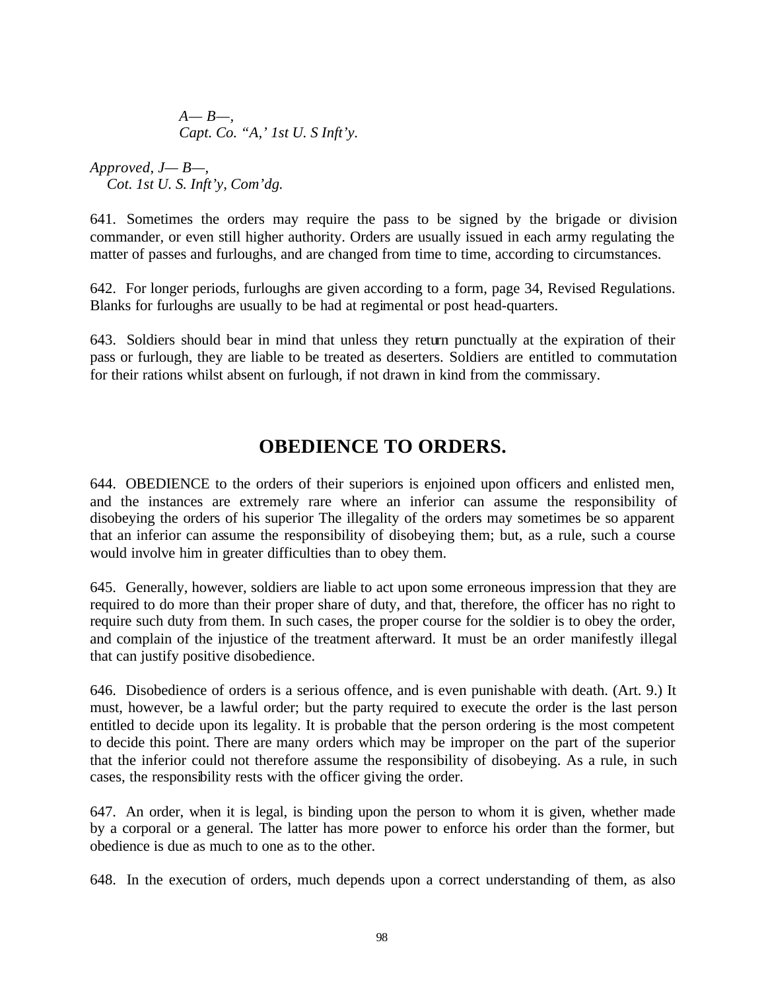$$
A-B-,
$$
  
Capt. Co. "A," 1st U. S Inft'y.

*Approved, J— B—, Cot. 1st U. S. Inft'y, Com'dg.*

641. Sometimes the orders may require the pass to be signed by the brigade or division commander, or even still higher authority. Orders are usually issued in each army regulating the matter of passes and furloughs, and are changed from time to time, according to circumstances.

642. For longer periods, furloughs are given according to a form, page 34, Revised Regulations. Blanks for furloughs are usually to be had at regimental or post head-quarters.

643. Soldiers should bear in mind that unless they return punctually at the expiration of their pass or furlough, they are liable to be treated as deserters. Soldiers are entitled to commutation for their rations whilst absent on furlough, if not drawn in kind from the commissary.

# **OBEDIENCE TO ORDERS.**

644. OBEDIENCE to the orders of their superiors is enjoined upon officers and enlisted men, and the instances are extremely rare where an inferior can assume the responsibility of disobeying the orders of his superior The illegality of the orders may sometimes be so apparent that an inferior can assume the responsibility of disobeying them; but, as a rule, such a course would involve him in greater difficulties than to obey them.

645. Generally, however, soldiers are liable to act upon some erroneous impression that they are required to do more than their proper share of duty, and that, therefore, the officer has no right to require such duty from them. In such cases, the proper course for the soldier is to obey the order, and complain of the injustice of the treatment afterward. It must be an order manifestly illegal that can justify positive disobedience.

646. Disobedience of orders is a serious offence, and is even punishable with death. (Art. 9.) It must, however, be a lawful order; but the party required to execute the order is the last person entitled to decide upon its legality. It is probable that the person ordering is the most competent to decide this point. There are many orders which may be improper on the part of the superior that the inferior could not therefore assume the responsibility of disobeying. As a rule, in such cases, the responsibility rests with the officer giving the order.

647. An order, when it is legal, is binding upon the person to whom it is given, whether made by a corporal or a general. The latter has more power to enforce his order than the former, but obedience is due as much to one as to the other.

648. In the execution of orders, much depends upon a correct understanding of them, as also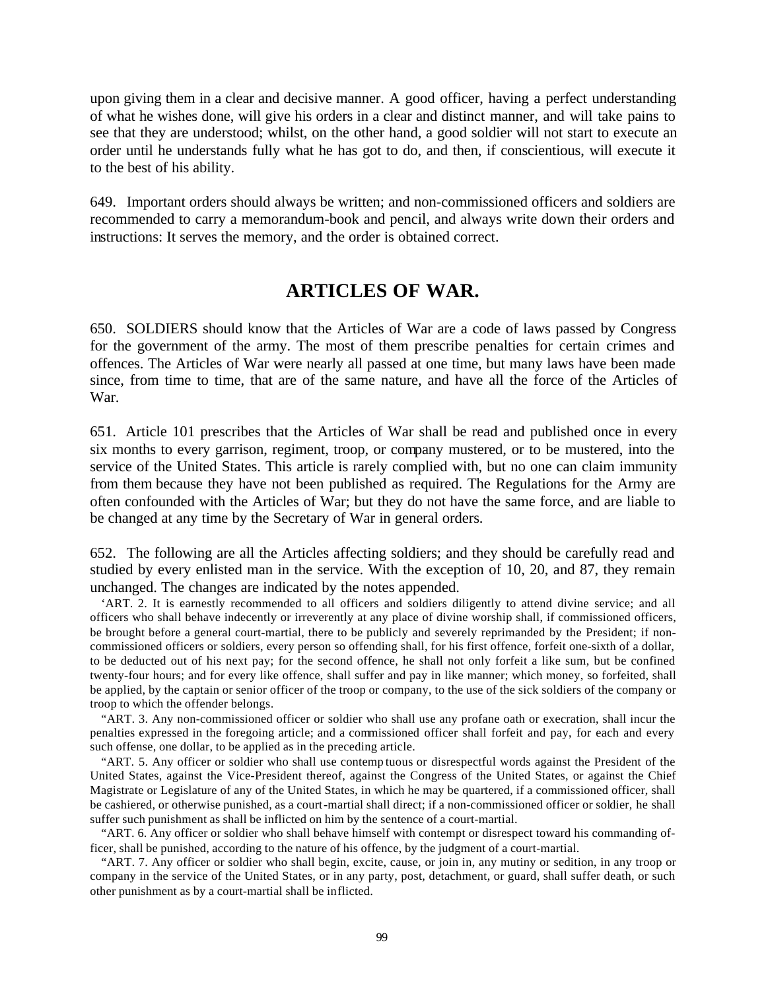upon giving them in a clear and decisive manner. A good officer, having a perfect understanding of what he wishes done, will give his orders in a clear and distinct manner, and will take pains to see that they are understood; whilst, on the other hand, a good soldier will not start to execute an order until he understands fully what he has got to do, and then, if conscientious, will execute it to the best of his ability.

649. Important orders should always be written; and non-commissioned officers and soldiers are recommended to carry a memorandum-book and pencil, and always write down their orders and instructions: It serves the memory, and the order is obtained correct.

### **ARTICLES OF WAR.**

650. SOLDIERS should know that the Articles of War are a code of laws passed by Congress for the government of the army. The most of them prescribe penalties for certain crimes and offences. The Articles of War were nearly all passed at one time, but many laws have been made since, from time to time, that are of the same nature, and have all the force of the Articles of War.

651. Article 101 prescribes that the Articles of War shall be read and published once in every six months to every garrison, regiment, troop, or company mustered, or to be mustered, into the service of the United States. This article is rarely complied with, but no one can claim immunity from them because they have not been published as required. The Regulations for the Army are often confounded with the Articles of War; but they do not have the same force, and are liable to be changed at any time by the Secretary of War in general orders.

652. The following are all the Articles affecting soldiers; and they should be carefully read and studied by every enlisted man in the service. With the exception of 10, 20, and 87, they remain unchanged. The changes are indicated by the notes appended.

'ART. 2. It is earnestly recommended to all officers and soldiers diligently to attend divine service; and all officers who shall behave indecently or irreverently at any place of divine worship shall, if commissioned officers, be brought before a general court-martial, there to be publicly and severely reprimanded by the President; if noncommissioned officers or soldiers, every person so offending shall, for his first offence, forfeit one-sixth of a dollar, to be deducted out of his next pay; for the second offence, he shall not only forfeit a like sum, but be confined twenty-four hours; and for every like offence, shall suffer and pay in like manner; which money, so forfeited, shall be applied, by the captain or senior officer of the troop or company, to the use of the sick soldiers of the company or troop to which the offender belongs.

"ART. 3. Any non-commissioned officer or soldier who shall use any profane oath or execration, shall incur the penalties expressed in the foregoing article; and a commissioned officer shall forfeit and pay, for each and every such offense, one dollar, to be applied as in the preceding article.

"ART. 5. Any officer or soldier who shall use contemp tuous or disrespectful words against the President of the United States, against the Vice-President thereof, against the Congress of the United States, or against the Chief Magistrate or Legislature of any of the United States, in which he may be quartered, if a commissioned officer, shall be cashiered, or otherwise punished, as a court-martial shall direct; if a non-commissioned officer or soldier, he shall suffer such punishment as shall be inflicted on him by the sentence of a court-martial.

"ART. 6. Any officer or soldier who shall behave himself with contempt or disrespect toward his commanding officer, shall be punished, according to the nature of his offence, by the judgment of a court-martial.

"ART. 7. Any officer or soldier who shall begin, excite, cause, or join in, any mutiny or sedition, in any troop or company in the service of the United States, or in any party, post, detachment, or guard, shall suffer death, or such other punishment as by a court-martial shall be inflicted.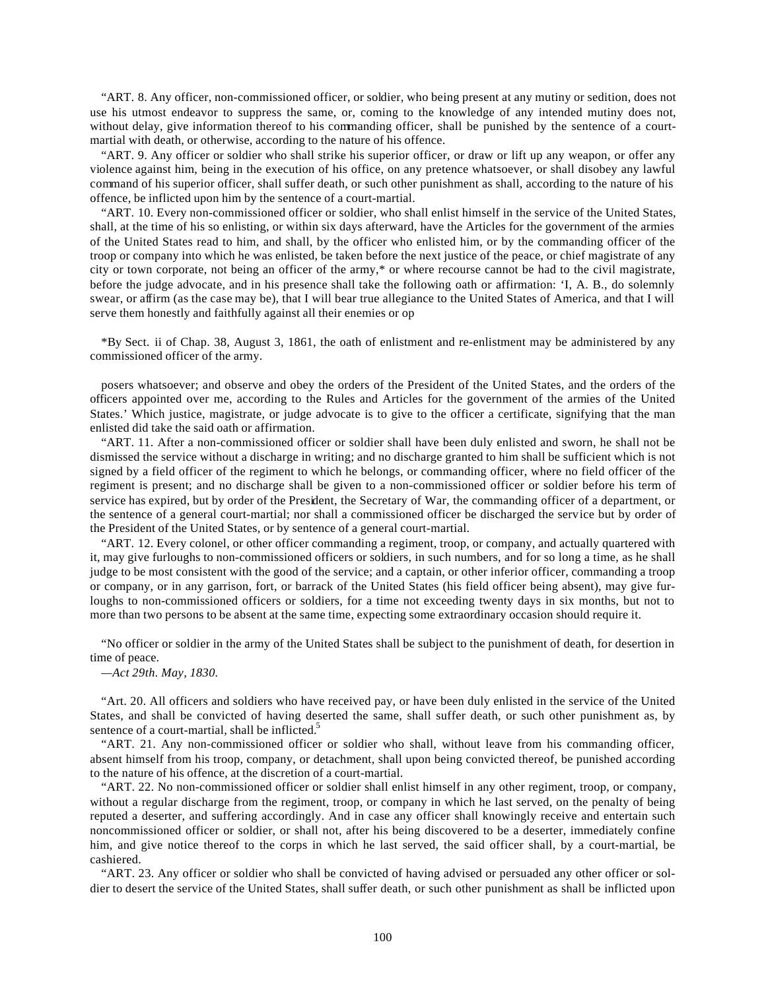"ART. 8. Any officer, non-commissioned officer, or soldier, who being present at any mutiny or sedition, does not use his utmost endeavor to suppress the same, or, coming to the knowledge of any intended mutiny does not, without delay, give information thereof to his commanding officer, shall be punished by the sentence of a courtmartial with death, or otherwise, according to the nature of his offence.

"ART. 9. Any officer or soldier who shall strike his superior officer, or draw or lift up any weapon, or offer any violence against him, being in the execution of his office, on any pretence whatsoever, or shall disobey any lawful command of his superior officer, shall suffer death, or such other punishment as shall, according to the nature of his offence, be inflicted upon him by the sentence of a court-martial.

"ART. 10. Every non-commissioned officer or soldier, who shall enlist himself in the service of the United States, shall, at the time of his so enlisting, or within six days afterward, have the Articles for the government of the armies of the United States read to him, and shall, by the officer who enlisted him, or by the commanding officer of the troop or company into which he was enlisted, be taken before the next justice of the peace, or chief magistrate of any city or town corporate, not being an officer of the army,\* or where recourse cannot be had to the civil magistrate, before the judge advocate, and in his presence shall take the following oath or affirmation: 'I, A. B., do solemnly swear, or affirm (as the case may be), that I will bear true allegiance to the United States of America, and that I will serve them honestly and faithfully against all their enemies or op

\*By Sect. ii of Chap. 38, August 3, 1861, the oath of enlistment and re-enlistment may be administered by any commissioned officer of the army.

posers whatsoever; and observe and obey the orders of the President of the United States, and the orders of the officers appointed over me, according to the Rules and Articles for the government of the armies of the United States.' Which justice, magistrate, or judge advocate is to give to the officer a certificate, signifying that the man enlisted did take the said oath or affirmation.

"ART. 11. After a non-commissioned officer or soldier shall have been duly enlisted and sworn, he shall not be dismissed the service without a discharge in writing; and no discharge granted to him shall be sufficient which is not signed by a field officer of the regiment to which he belongs, or commanding officer, where no field officer of the regiment is present; and no discharge shall be given to a non-commissioned officer or soldier before his term of service has expired, but by order of the President, the Secretary of War, the commanding officer of a department, or the sentence of a general court-martial; nor shall a commissioned officer be discharged the service but by order of the President of the United States, or by sentence of a general court-martial.

"ART. 12. Every colonel, or other officer commanding a regiment, troop, or company, and actually quartered with it, may give furloughs to non-commissioned officers or soldiers, in such numbers, and for so long a time, as he shall judge to be most consistent with the good of the service; and a captain, or other inferior officer, commanding a troop or company, or in any garrison, fort, or barrack of the United States (his field officer being absent), may give furloughs to non-commissioned officers or soldiers, for a time not exceeding twenty days in six months, but not to more than two persons to be absent at the same time, expecting some extraordinary occasion should require it.

"No officer or soldier in the army of the United States shall be subject to the punishment of death, for desertion in time of peace.

*—Act 29th. May, 1830.*

"Art. 20. All officers and soldiers who have received pay, or have been duly enlisted in the service of the United States, and shall be convicted of having deserted the same, shall suffer death, or such other punishment as, by sentence of a court-martial, shall be inflicted.<sup>5</sup>

"ART. 21. Any non-commissioned officer or soldier who shall, without leave from his commanding officer, absent himself from his troop, company, or detachment, shall upon being convicted thereof, be punished according to the nature of his offence, at the discretion of a court-martial.

"ART. 22. No non-commissioned officer or soldier shall enlist himself in any other regiment, troop, or company, without a regular discharge from the regiment, troop, or company in which he last served, on the penalty of being reputed a deserter, and suffering accordingly. And in case any officer shall knowingly receive and entertain such noncommissioned officer or soldier, or shall not, after his being discovered to be a deserter, immediately confine him, and give notice thereof to the corps in which he last served, the said officer shall, by a court-martial, be cashiered.

"ART. 23. Any officer or soldier who shall be convicted of having advised or persuaded any other officer or soldier to desert the service of the United States, shall suffer death, or such other punishment as shall be inflicted upon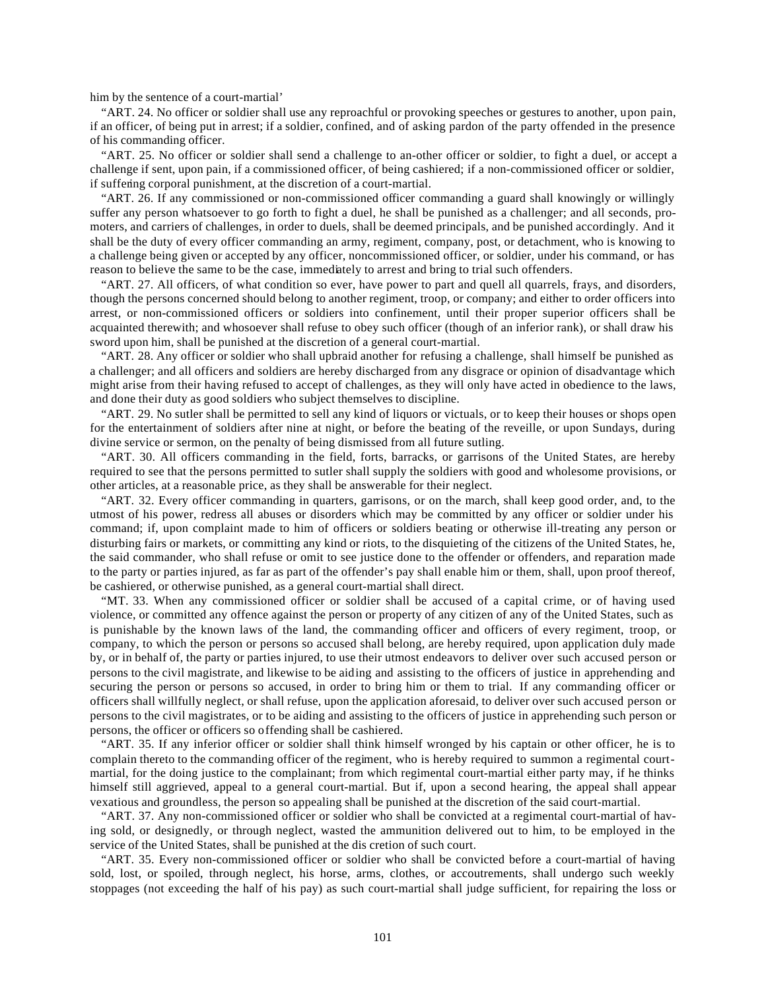him by the sentence of a court-martial'

"ART. 24. No officer or soldier shall use any reproachful or provoking speeches or gestures to another, upon pain, if an officer, of being put in arrest; if a soldier, confined, and of asking pardon of the party offended in the presence of his commanding officer.

"ART. 25. No officer or soldier shall send a challenge to an-other officer or soldier, to fight a duel, or accept a challenge if sent, upon pain, if a commissioned officer, of being cashiered; if a non-commissioned officer or soldier, if suffering corporal punishment, at the discretion of a court-martial.

"ART. 26. If any commissioned or non-commissioned officer commanding a guard shall knowingly or willingly suffer any person whatsoever to go forth to fight a duel, he shall be punished as a challenger; and all seconds, promoters, and carriers of challenges, in order to duels, shall be deemed principals, and be punished accordingly. And it shall be the duty of every officer commanding an army, regiment, company, post, or detachment, who is knowing to a challenge being given or accepted by any officer, noncommissioned officer, or soldier, under his command, or has reason to believe the same to be the case, immediately to arrest and bring to trial such offenders.

"ART. 27. All officers, of what condition so ever, have power to part and quell all quarrels, frays, and disorders, though the persons concerned should belong to another regiment, troop, or company; and either to order officers into arrest, or non-commissioned officers or soldiers into confinement, until their proper superior officers shall be acquainted therewith; and whosoever shall refuse to obey such officer (though of an inferior rank), or shall draw his sword upon him, shall be punished at the discretion of a general court-martial.

"ART. 28. Any officer or soldier who shall upbraid another for refusing a challenge, shall himself be punished as a challenger; and all officers and soldiers are hereby discharged from any disgrace or opinion of disadvantage which might arise from their having refused to accept of challenges, as they will only have acted in obedience to the laws, and done their duty as good soldiers who subject themselves to discipline.

"ART. 29. No sutler shall be permitted to sell any kind of liquors or victuals, or to keep their houses or shops open for the entertainment of soldiers after nine at night, or before the beating of the reveille, or upon Sundays, during divine service or sermon, on the penalty of being dismissed from all future sutling.

"ART. 30. All officers commanding in the field, forts, barracks, or garrisons of the United States, are hereby required to see that the persons permitted to sutler shall supply the soldiers with good and wholesome provisions, or other articles, at a reasonable price, as they shall be answerable for their neglect.

"ART. 32. Every officer commanding in quarters, garrisons, or on the march, shall keep good order, and, to the utmost of his power, redress all abuses or disorders which may be committed by any officer or soldier under his command; if, upon complaint made to him of officers or soldiers beating or otherwise ill-treating any person or disturbing fairs or markets, or committing any kind or riots, to the disquieting of the citizens of the United States, he, the said commander, who shall refuse or omit to see justice done to the offender or offenders, and reparation made to the party or parties injured, as far as part of the offender's pay shall enable him or them, shall, upon proof thereof, be cashiered, or otherwise punished, as a general court-martial shall direct.

"MT. 33. When any commissioned officer or soldier shall be accused of a capital crime, or of having used violence, or committed any offence against the person or property of any citizen of any of the United States, such as is punishable by the known laws of the land, the commanding officer and officers of every regiment, troop, or company, to which the person or persons so accused shall belong, are hereby required, upon application duly made by, or in behalf of, the party or parties injured, to use their utmost endeavors to deliver over such accused person or persons to the civil magistrate, and likewise to be aiding and assisting to the officers of justice in apprehending and securing the person or persons so accused, in order to bring him or them to trial. If any commanding officer or officers shall willfully neglect, or shall refuse, upon the application aforesaid, to deliver over such accused person or persons to the civil magistrates, or to be aiding and assisting to the officers of justice in apprehending such person or persons, the officer or officers so offending shall be cashiered.

"ART. 35. If any inferior officer or soldier shall think himself wronged by his captain or other officer, he is to complain thereto to the commanding officer of the regiment, who is hereby required to summon a regimental courtmartial, for the doing justice to the complainant; from which regimental court-martial either party may, if he thinks himself still aggrieved, appeal to a general court-martial. But if, upon a second hearing, the appeal shall appear vexatious and groundless, the person so appealing shall be punished at the discretion of the said court-martial.

"ART. 37. Any non-commissioned officer or soldier who shall be convicted at a regimental court-martial of having sold, or designedly, or through neglect, wasted the ammunition delivered out to him, to be employed in the service of the United States, shall be punished at the dis cretion of such court.

"ART. 35. Every non-commissioned officer or soldier who shall be convicted before a court-martial of having sold, lost, or spoiled, through neglect, his horse, arms, clothes, or accoutrements, shall undergo such weekly stoppages (not exceeding the half of his pay) as such court-martial shall judge sufficient, for repairing the loss or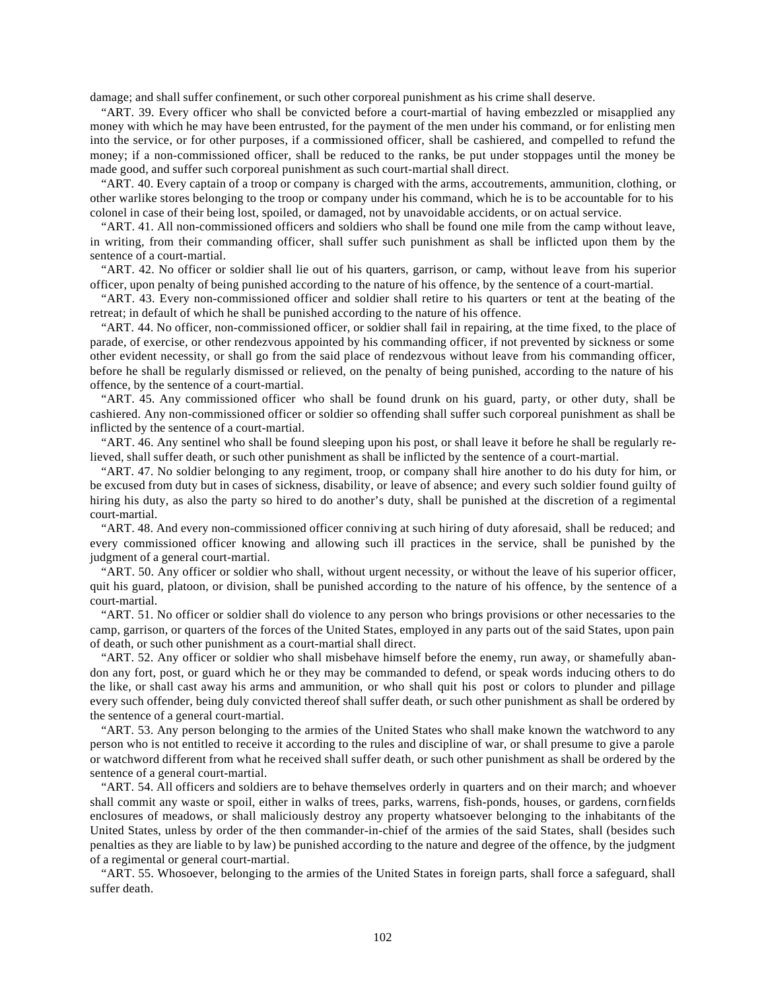damage; and shall suffer confinement, or such other corporeal punishment as his crime shall deserve.

"ART. 39. Every officer who shall be convicted before a court-martial of having embezzled or misapplied any money with which he may have been entrusted, for the payment of the men under his command, or for enlisting men into the service, or for other purposes, if a commissioned officer, shall be cashiered, and compelled to refund the money; if a non-commissioned officer, shall be reduced to the ranks, be put under stoppages until the money be made good, and suffer such corporeal punishment as such court-martial shall direct.

"ART. 40. Every captain of a troop or company is charged with the arms, accoutrements, ammunition, clothing, or other warlike stores belonging to the troop or company under his command, which he is to be accountable for to his colonel in case of their being lost, spoiled, or damaged, not by unavoidable accidents, or on actual service.

"ART. 41. All non-commissioned officers and soldiers who shall be found one mile from the camp without leave, in writing, from their commanding officer, shall suffer such punishment as shall be inflicted upon them by the sentence of a court-martial.

"ART. 42. No officer or soldier shall lie out of his quarters, garrison, or camp, without leave from his superior officer, upon penalty of being punished according to the nature of his offence, by the sentence of a court-martial.

"ART. 43. Every non-commissioned officer and soldier shall retire to his quarters or tent at the beating of the retreat; in default of which he shall be punished according to the nature of his offence.

"ART. 44. No officer, non-commissioned officer, or soldier shall fail in repairing, at the time fixed, to the place of parade, of exercise, or other rendezvous appointed by his commanding officer, if not prevented by sickness or some other evident necessity, or shall go from the said place of rendezvous without leave from his commanding officer, before he shall be regularly dismissed or relieved, on the penalty of being punished, according to the nature of his offence, by the sentence of a court-martial.

"ART. 45. Any commissioned officer who shall be found drunk on his guard, party, or other duty, shall be cashiered. Any non-commissioned officer or soldier so offending shall suffer such corporeal punishment as shall be inflicted by the sentence of a court-martial.

"ART. 46. Any sentinel who shall be found sleeping upon his post, or shall leave it before he shall be regularly relieved, shall suffer death, or such other punishment as shall be inflicted by the sentence of a court-martial.

"ART. 47. No soldier belonging to any regiment, troop, or company shall hire another to do his duty for him, or be excused from duty but in cases of sickness, disability, or leave of absence; and every such soldier found guilty of hiring his duty, as also the party so hired to do another's duty, shall be punished at the discretion of a regimental court-martial.

"ART. 48. And every non-commissioned officer conniving at such hiring of duty aforesaid, shall be reduced; and every commissioned officer knowing and allowing such ill practices in the service, shall be punished by the judgment of a general court-martial.

"ART. 50. Any officer or soldier who shall, without urgent necessity, or without the leave of his superior officer, quit his guard, platoon, or division, shall be punished according to the nature of his offence, by the sentence of a court-martial.

"ART. 51. No officer or soldier shall do violence to any person who brings provisions or other necessaries to the camp, garrison, or quarters of the forces of the United States, employed in any parts out of the said States, upon pain of death, or such other punishment as a court-martial shall direct.

"ART. 52. Any officer or soldier who shall misbehave himself before the enemy, run away, or shamefully abandon any fort, post, or guard which he or they may be commanded to defend, or speak words inducing others to do the like, or shall cast away his arms and ammunition, or who shall quit his post or colors to plunder and pillage every such offender, being duly convicted thereof shall suffer death, or such other punishment as shall be ordered by the sentence of a general court-martial.

"ART. 53. Any person belonging to the armies of the United States who shall make known the watchword to any person who is not entitled to receive it according to the rules and discipline of war, or shall presume to give a parole or watchword different from what he received shall suffer death, or such other punishment as shall be ordered by the sentence of a general court-martial.

"ART. 54. All officers and soldiers are to behave themselves orderly in quarters and on their march; and whoever shall commit any waste or spoil, either in walks of trees, parks, warrens, fish-ponds, houses, or gardens, cornfields enclosures of meadows, or shall maliciously destroy any property whatsoever belonging to the inhabitants of the United States, unless by order of the then commander-in-chief of the armies of the said States, shall (besides such penalties as they are liable to by law) be punished according to the nature and degree of the offence, by the judgment of a regimental or general court-martial.

"ART. 55. Whosoever, belonging to the armies of the United States in foreign parts, shall force a safeguard, shall suffer death.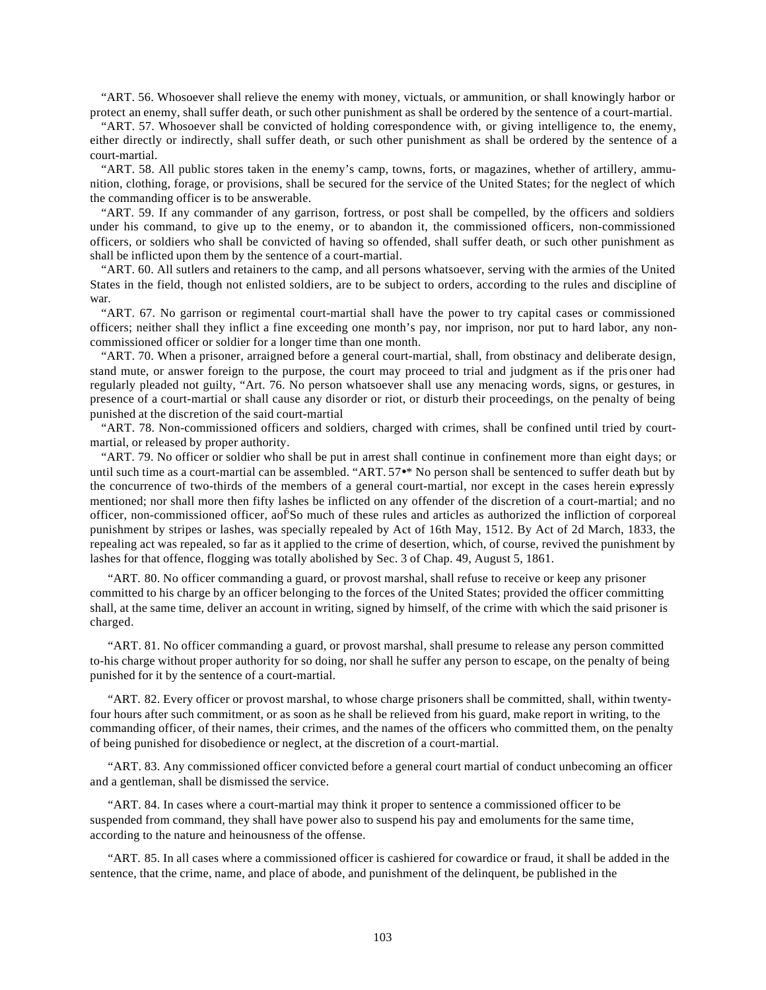"ART. 56. Whosoever shall relieve the enemy with money, victuals, or ammunition, or shall knowingly harbor or protect an enemy, shall suffer death, or such other punishment as shall be ordered by the sentence of a court-martial.

"ART. 57. Whosoever shall be convicted of holding correspondence with, or giving intelligence to, the enemy, either directly or indirectly, shall suffer death, or such other punishment as shall be ordered by the sentence of a court-martial.

"ART. 58. All public stores taken in the enemy's camp, towns, forts, or magazines, whether of artillery, ammunition, clothing, forage, or provisions, shall be secured for the service of the United States; for the neglect of which the commanding officer is to be answerable.

"ART. 59. If any commander of any garrison, fortress, or post shall be compelled, by the officers and soldiers under his command, to give up to the enemy, or to abandon it, the commissioned officers, non-commissioned officers, or soldiers who shall be convicted of having so offended, shall suffer death, or such other punishment as shall be inflicted upon them by the sentence of a court-martial.

"ART. 60. All sutlers and retainers to the camp, and all persons whatsoever, serving with the armies of the United States in the field, though not enlisted soldiers, are to be subject to orders, according to the rules and discipline of war.

"ART. 67. No garrison or regimental court-martial shall have the power to try capital cases or commissioned officers; neither shall they inflict a fine exceeding one month's pay, nor imprison, nor put to hard labor, any noncommissioned officer or soldier for a longer time than one month.

"ART. 70. When a prisoner, arraigned before a general court-martial, shall, from obstinacy and deliberate design, stand mute, or answer foreign to the purpose, the court may proceed to trial and judgment as if the pris oner had regularly pleaded not guilty, "Art. 76. No person whatsoever shall use any menacing words, signs, or gestures, in presence of a court-martial or shall cause any disorder or riot, or disturb their proceedings, on the penalty of being punished at the discretion of the said court-martial

"ART. 78. Non-commissioned officers and soldiers, charged with crimes, shall be confined until tried by courtmartial, or released by proper authority.

"ART. 79. No officer or soldier who shall be put in arrest shall continue in confinement more than eight days; or until such time as a court-martial can be assembled. "ART. 57•\* No person shall be sentenced to suffer death but by the concurrence of two-thirds of the members of a general court-martial, nor except in the cases herein expressly mentioned; nor shall more then fifty lashes be inflicted on any offender of the discretion of a court-martial; and no officer, non-commissioned officer, ao $\delta$ So much of these rules and articles as authorized the infliction of corporeal punishment by stripes or lashes, was specially repealed by Act of 16th May, 1512. By Act of 2d March, 1833, the repealing act was repealed, so far as it applied to the crime of desertion, which, of course, revived the punishment by lashes for that offence, flogging was totally abolished by Sec. 3 of Chap. 49, August 5, 1861.

"ART. 80. No officer commanding a guard, or provost marshal, shall refuse to receive or keep any prisoner committed to his charge by an officer belonging to the forces of the United States; provided the officer committing shall, at the same time, deliver an account in writing, signed by himself, of the crime with which the said prisoner is charged.

"ART. 81. No officer commanding a guard, or provost marshal, shall presume to release any person committed to-his charge without proper authority for so doing, nor shall he suffer any person to escape, on the penalty of being punished for it by the sentence of a court-martial.

"ART. 82. Every officer or provost marshal, to whose charge prisoners shall be committed, shall, within twentyfour hours after such commitment, or as soon as he shall be relieved from his guard, make report in writing, to the commanding officer, of their names, their crimes, and the names of the officers who committed them, on the penalty of being punished for disobedience or neglect, at the discretion of a court-martial.

"ART. 83. Any commissioned officer convicted before a general court martial of conduct unbecoming an officer and a gentleman, shall be dismissed the service.

"ART. 84. In cases where a court-martial may think it proper to sentence a commissioned officer to be suspended from command, they shall have power also to suspend his pay and emoluments for the same time, according to the nature and heinousness of the offense.

"ART. 85. In all cases where a commissioned officer is cashiered for cowardice or fraud, it shall be added in the sentence, that the crime, name, and place of abode, and punishment of the delinquent, be published in the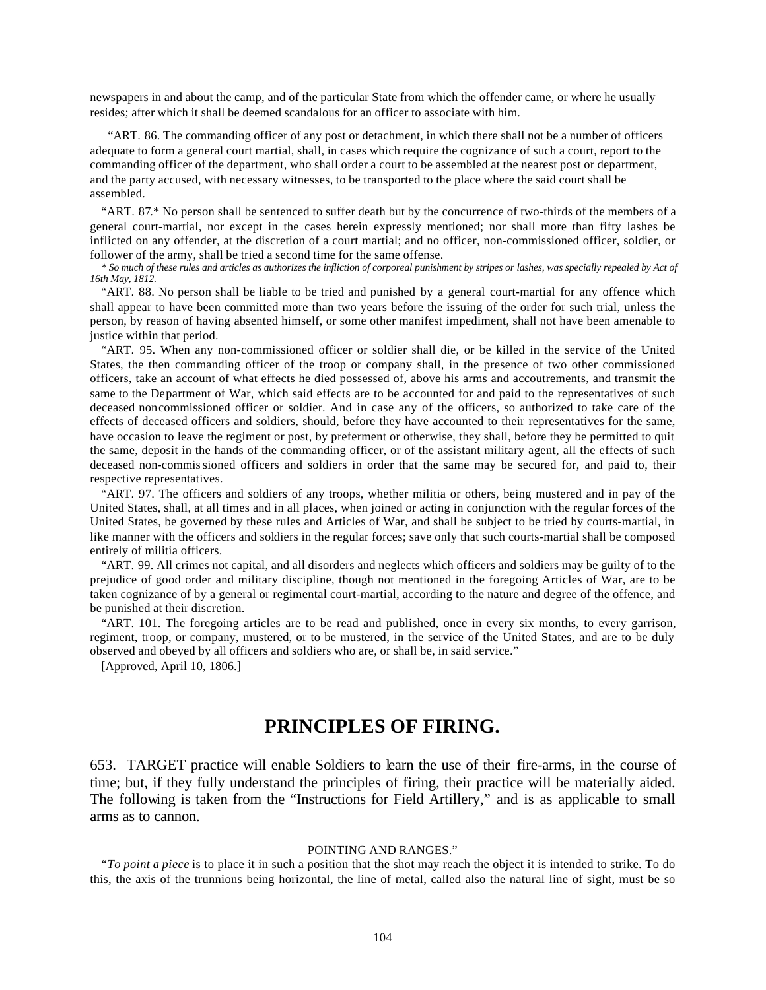newspapers in and about the camp, and of the particular State from which the offender came, or where he usually resides; after which it shall be deemed scandalous for an officer to associate with him.

"ART. 86. The commanding officer of any post or detachment, in which there shall not be a number of officers adequate to form a general court martial, shall, in cases which require the cognizance of such a court, report to the commanding officer of the department, who shall order a court to be assembled at the nearest post or department, and the party accused, with necessary witnesses, to be transported to the place where the said court shall be assembled.

"ART. 87.\* No person shall be sentenced to suffer death but by the concurrence of two-thirds of the members of a general court-martial, nor except in the cases herein expressly mentioned; nor shall more than fifty lashes be inflicted on any offender, at the discretion of a court martial; and no officer, non-commissioned officer, soldier, or follower of the army, shall be tried a second time for the same offense.

*\* So much of these rules and articles as authorizes the infliction of corporeal punishment by stripes or lashes, was specially repealed by Act of 16th May, 1812.*

"ART. 88. No person shall be liable to be tried and punished by a general court-martial for any offence which shall appear to have been committed more than two years before the issuing of the order for such trial, unless the person, by reason of having absented himself, or some other manifest impediment, shall not have been amenable to justice within that period.

"ART. 95. When any non-commissioned officer or soldier shall die, or be killed in the service of the United States, the then commanding officer of the troop or company shall, in the presence of two other commissioned officers, take an account of what effects he died possessed of, above his arms and accoutrements, and transmit the same to the Department of War, which said effects are to be accounted for and paid to the representatives of such deceased noncommissioned officer or soldier. And in case any of the officers, so authorized to take care of the effects of deceased officers and soldiers, should, before they have accounted to their representatives for the same, have occasion to leave the regiment or post, by preferment or otherwise, they shall, before they be permitted to quit the same, deposit in the hands of the commanding officer, or of the assistant military agent, all the effects of such deceased non-commissioned officers and soldiers in order that the same may be secured for, and paid to, their respective representatives.

"ART. 97. The officers and soldiers of any troops, whether militia or others, being mustered and in pay of the United States, shall, at all times and in all places, when joined or acting in conjunction with the regular forces of the United States, be governed by these rules and Articles of War, and shall be subject to be tried by courts-martial, in like manner with the officers and soldiers in the regular forces; save only that such courts-martial shall be composed entirely of militia officers.

"ART. 99. All crimes not capital, and all disorders and neglects which officers and soldiers may be guilty of to the prejudice of good order and military discipline, though not mentioned in the foregoing Articles of War, are to be taken cognizance of by a general or regimental court-martial, according to the nature and degree of the offence, and be punished at their discretion.

"ART. 101. The foregoing articles are to be read and published, once in every six months, to every garrison, regiment, troop, or company, mustered, or to be mustered, in the service of the United States, and are to be duly observed and obeyed by all officers and soldiers who are, or shall be, in said service."

[Approved, April 10, 1806.]

## **PRINCIPLES OF FIRING.**

653. TARGET practice will enable Soldiers to learn the use of their fire-arms, in the course of time; but, if they fully understand the principles of firing, their practice will be materially aided. The following is taken from the "Instructions for Field Artillery," and is as applicable to small arms as to cannon.

#### POINTING AND RANGES."

*"To point a piece* is to place it in such a position that the shot may reach the object it is intended to strike. To do this, the axis of the trunnions being horizontal, the line of metal, called also the natural line of sight, must be so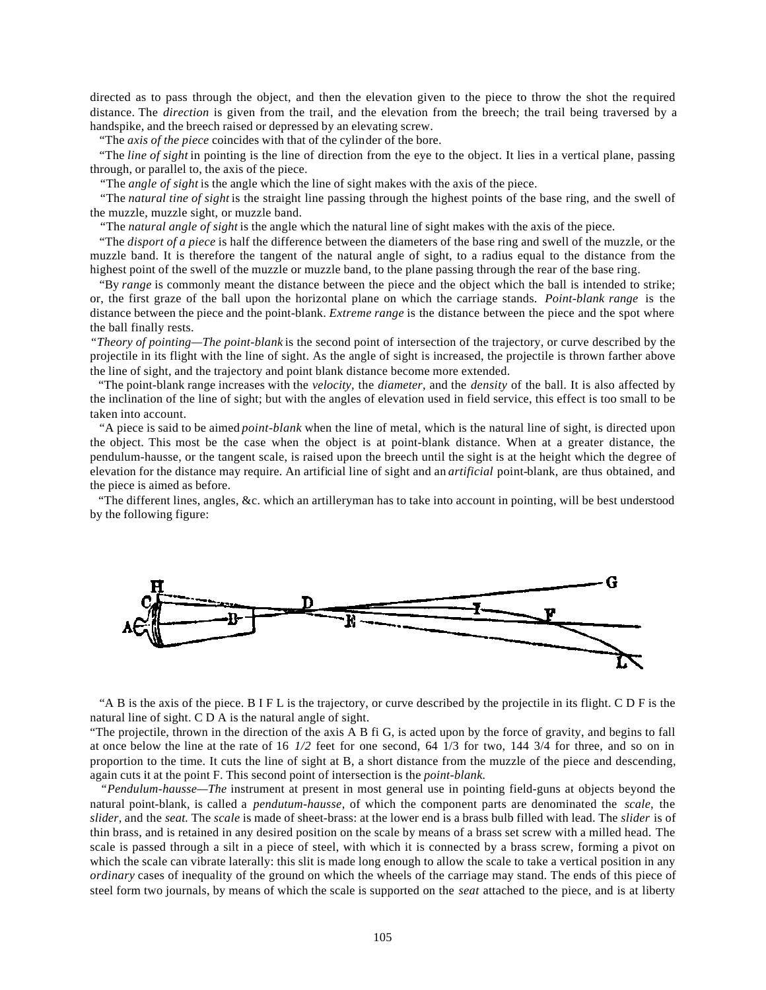directed as to pass through the object, and then the elevation given to the piece to throw the shot the required distance. The *direction* is given from the trail, and the elevation from the breech; the trail being traversed by a handspike, and the breech raised or depressed by an elevating screw.

"The *axis of the piece* coincides with that of the cylinder of the bore.

"The *line of sight* in pointing is the line of direction from the eye to the object. It lies in a vertical plane, passing through, or parallel to, the axis of the piece.

"The *angle of sight* is the angle which the line of sight makes with the axis of the piece.

"The *natural tine of sight* is the straight line passing through the highest points of the base ring, and the swell of the muzzle, muzzle sight, or muzzle band.

"The *natural angle of sight* is the angle which the natural line of sight makes with the axis of the piece.

"The *disport of a piece* is half the difference between the diameters of the base ring and swell of the muzzle, or the muzzle band. It is therefore the tangent of the natural angle of sight, to a radius equal to the distance from the highest point of the swell of the muzzle or muzzle band, to the plane passing through the rear of the base ring.

"By *range* is commonly meant the distance between the piece and the object which the ball is intended to strike; or, the first graze of the ball upon the horizontal plane on which the carriage stands. *Point-blank range* is the distance between the piece and the point-blank. *Extreme range* is the distance between the piece and the spot where the ball finally rests.

*"Theory of pointing—The point-blank* is the second point of intersection of the trajectory, or curve described by the projectile in its flight with the line of sight. As the angle of sight is increased, the projectile is thrown farther above the line of sight, and the trajectory and point blank distance become more extended.

"The point-blank range increases with the *velocity,* the *diameter,* and the *density* of the ball. It is also affected by the inclination of the line of sight; but with the angles of elevation used in field service, this effect is too small to be taken into account.

"A piece is said to be aimed *point-blank* when the line of metal, which is the natural line of sight, is directed upon the object. This most be the case when the object is at point-blank distance. When at a greater distance, the pendulum-hausse, or the tangent scale, is raised upon the breech until the sight is at the height which the degree of elevation for the distance may require. An artificial line of sight and an *artificial* point-blank, are thus obtained, and the piece is aimed as before.

"The different lines, angles, &c. which an artilleryman has to take into account in pointing, will be best understood by the following figure:



"A B is the axis of the piece. B I F L is the trajectory, or curve described by the projectile in its flight. C D F is the natural line of sight. C D A is the natural angle of sight.

"The projectile, thrown in the direction of the axis A B fi G, is acted upon by the force of gravity, and begins to fall at once below the line at the rate of 16 *1/2* feet for one second, 64 1/3 for two, 144 3/4 for three, and so on in proportion to the time. It cuts the line of sight at B, a short distance from the muzzle of the piece and descending, again cuts it at the point F. This second point of intersection is the *point-blank.*

*"Pendulum-hausse—The* instrument at present in most general use in pointing field-guns at objects beyond the natural point-blank, is called a *pendutum-hausse,* of which the component parts are denominated the *scale,* the *slider,* and the *seat.* The *scale* is made of sheet-brass: at the lower end is a brass bulb filled with lead. The *slider* is of thin brass, and is retained in any desired position on the scale by means of a brass set screw with a milled head. The scale is passed through a silt in a piece of steel, with which it is connected by a brass screw, forming a pivot on which the scale can vibrate laterally: this slit is made long enough to allow the scale to take a vertical position in any *ordinary* cases of inequality of the ground on which the wheels of the carriage may stand. The ends of this piece of steel form two journals, by means of which the scale is supported on the *seat* attached to the piece, and is at liberty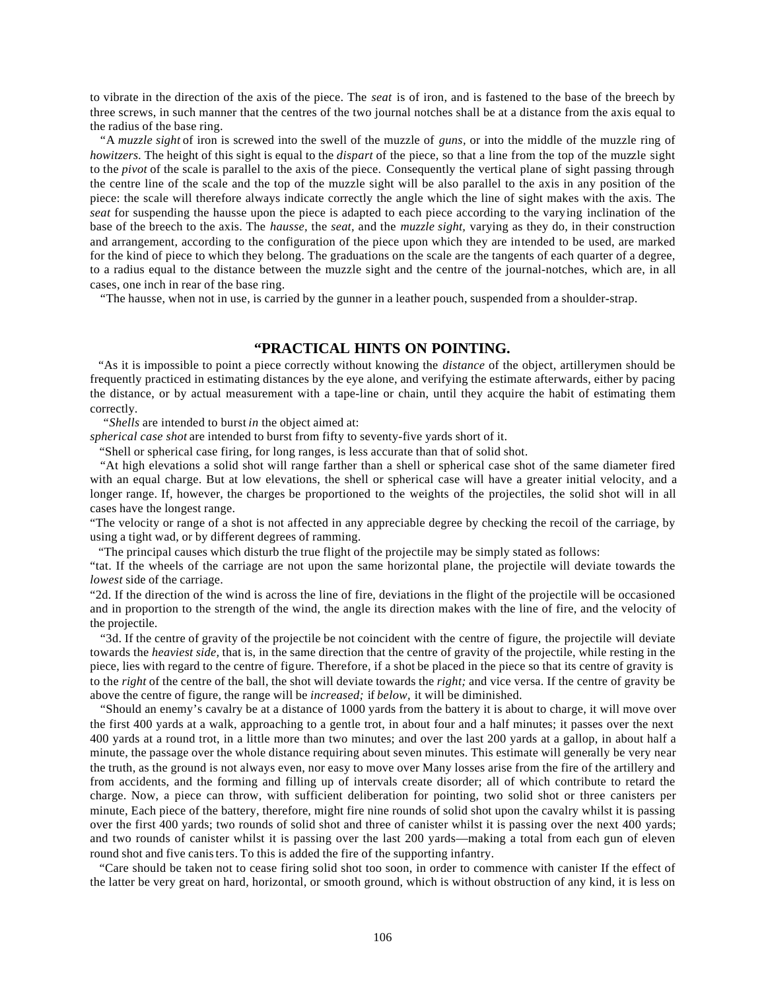to vibrate in the direction of the axis of the piece. The *seat* is of iron, and is fastened to the base of the breech by three screws, in such manner that the centres of the two journal notches shall be at a distance from the axis equal to the radius of the base ring.

"A *muzzle sight* of iron is screwed into the swell of the muzzle of *guns,* or into the middle of the muzzle ring of *howitzers.* The height of this sight is equal to the *dispart* of the piece, so that a line from the top of the muzzle sight to the *pivot* of the scale is parallel to the axis of the piece. Consequently the vertical plane of sight passing through the centre line of the scale and the top of the muzzle sight will be also parallel to the axis in any position of the piece: the scale will therefore always indicate correctly the angle which the line of sight makes with the axis. The *seat* for suspending the hausse upon the piece is adapted to each piece according to the varying inclination of the base of the breech to the axis. The *hausse,* the *seat,* and the *muzzle sight,* varying as they do, in their construction and arrangement, according to the configuration of the piece upon which they are intended to be used, are marked for the kind of piece to which they belong. The graduations on the scale are the tangents of each quarter of a degree, to a radius equal to the distance between the muzzle sight and the centre of the journal-notches, which are, in all cases, one inch in rear of the base ring.

"The hausse, when not in use, is carried by the gunner in a leather pouch, suspended from a shoulder-strap.

### **"PRACTICAL HINTS ON POINTING.**

"As it is impossible to point a piece correctly without knowing the *distance* of the object, artillerymen should be frequently practiced in estimating distances by the eye alone, and verifying the estimate afterwards, either by pacing the distance, or by actual measurement with a tape-line or chain, until they acquire the habit of estimating them correctly.

*"Shells* are intended to burst *in* the object aimed at:

*spherical case shot* are intended to burst from fifty to seventy-five yards short of it.

"Shell or spherical case firing, for long ranges, is less accurate than that of solid shot.

"At high elevations a solid shot will range farther than a shell or spherical case shot of the same diameter fired with an equal charge. But at low elevations, the shell or spherical case will have a greater initial velocity, and a longer range. If, however, the charges be proportioned to the weights of the projectiles, the solid shot will in all cases have the longest range.

"The velocity or range of a shot is not affected in any appreciable degree by checking the recoil of the carriage, by using a tight wad, or by different degrees of ramming.

"The principal causes which disturb the true flight of the projectile may be simply stated as follows:

"tat. If the wheels of the carriage are not upon the same horizontal plane, the projectile will deviate towards the *lowest* side of the carriage.

"2d. If the direction of the wind is across the line of fire, deviations in the flight of the projectile will be occasioned and in proportion to the strength of the wind, the angle its direction makes with the line of fire, and the velocity of the projectile.

"3d. If the centre of gravity of the projectile be not coincident with the centre of figure, the projectile will deviate towards the *heaviest side,* that is, in the same direction that the centre of gravity of the projectile, while resting in the piece, lies with regard to the centre of figure. Therefore, if a shot be placed in the piece so that its centre of gravity is to the *right* of the centre of the ball, the shot will deviate towards the *right;* and vice versa. If the centre of gravity be above the centre of figure, the range will be *increased;* if *below,* it will be diminished.

"Should an enemy's cavalry be at a distance of 1000 yards from the battery it is about to charge, it will move over the first 400 yards at a walk, approaching to a gentle trot, in about four and a half minutes; it passes over the next 400 yards at a round trot, in a little more than two minutes; and over the last 200 yards at a gallop, in about half a minute, the passage over the whole distance requiring about seven minutes. This estimate will generally be very near the truth, as the ground is not always even, nor easy to move over Many losses arise from the fire of the artillery and from accidents, and the forming and filling up of intervals create disorder; all of which contribute to retard the charge. Now, a piece can throw, with sufficient deliberation for pointing, two solid shot or three canisters per minute, Each piece of the battery, therefore, might fire nine rounds of solid shot upon the cavalry whilst it is passing over the first 400 yards; two rounds of solid shot and three of canister whilst it is passing over the next 400 yards; and two rounds of canister whilst it is passing over the last 200 yards—making a total from each gun of eleven round shot and five canisters. To this is added the fire of the supporting infantry.

"Care should be taken not to cease firing solid shot too soon, in order to commence with canister If the effect of the latter be very great on hard, horizontal, or smooth ground, which is without obstruction of any kind, it is less on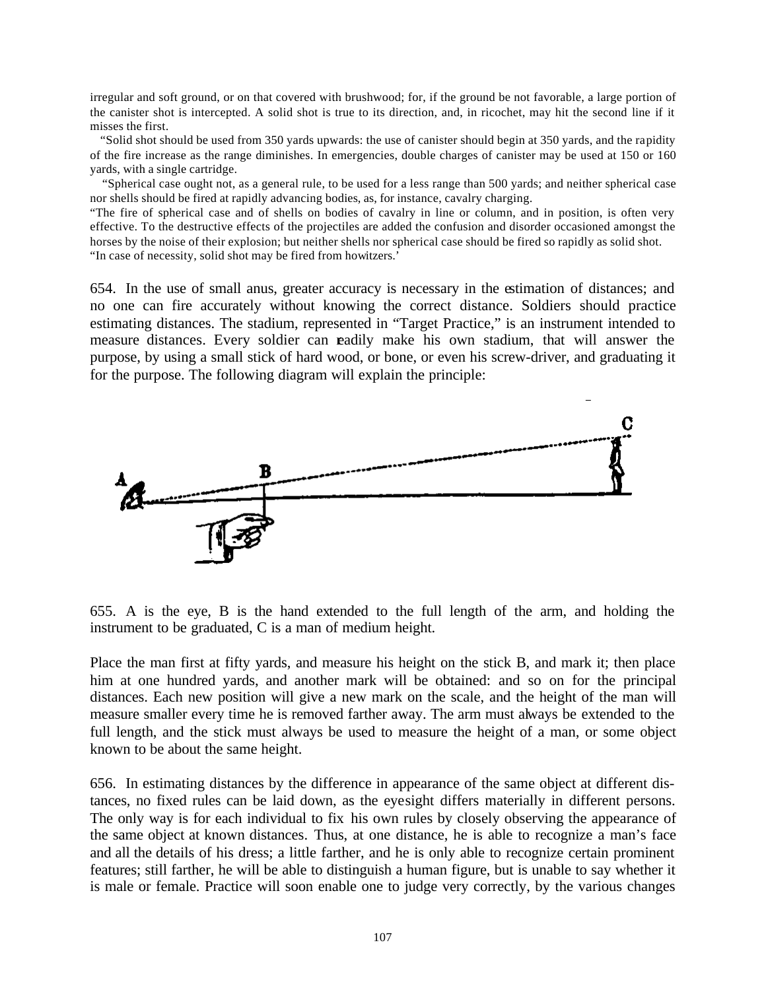irregular and soft ground, or on that covered with brushwood; for, if the ground be not favorable, a large portion of the canister shot is intercepted. A solid shot is true to its direction, and, in ricochet, may hit the second line if it misses the first.

"Solid shot should be used from 350 yards upwards: the use of canister should begin at 350 yards, and the rapidity of the fire increase as the range diminishes. In emergencies, double charges of canister may be used at 150 or 160 yards, with a single cartridge.

"Spherical case ought not, as a general rule, to be used for a less range than 500 yards; and neither spherical case nor shells should be fired at rapidly advancing bodies, as, for instance, cavalry charging.

"The fire of spherical case and of shells on bodies of cavalry in line or column, and in position, is often very effective. To the destructive effects of the projectiles are added the confusion and disorder occasioned amongst the horses by the noise of their explosion; but neither shells nor spherical case should be fired so rapidly as solid shot. "In case of necessity, solid shot may be fired from howitzers.'

654. In the use of small anus, greater accuracy is necessary in the estimation of distances; and no one can fire accurately without knowing the correct distance. Soldiers should practice estimating distances. The stadium, represented in "Target Practice," is an instrument intended to measure distances. Every soldier can readily make his own stadium, that will answer the purpose, by using a small stick of hard wood, or bone, or even his screw-driver, and graduating it for the purpose. The following diagram will explain the principle:



655. A is the eye, B is the hand extended to the full length of the arm, and holding the instrument to be graduated, C is a man of medium height.

Place the man first at fifty yards, and measure his height on the stick B, and mark it; then place him at one hundred yards, and another mark will be obtained: and so on for the principal distances. Each new position will give a new mark on the scale, and the height of the man will measure smaller every time he is removed farther away. The arm must always be extended to the full length, and the stick must always be used to measure the height of a man, or some object known to be about the same height.

656. In estimating distances by the difference in appearance of the same object at different distances, no fixed rules can be laid down, as the eyesight differs materially in different persons. The only way is for each individual to fix his own rules by closely observing the appearance of the same object at known distances. Thus, at one distance, he is able to recognize a man's face and all the details of his dress; a little farther, and he is only able to recognize certain prominent features; still farther, he will be able to distinguish a human figure, but is unable to say whether it is male or female. Practice will soon enable one to judge very correctly, by the various changes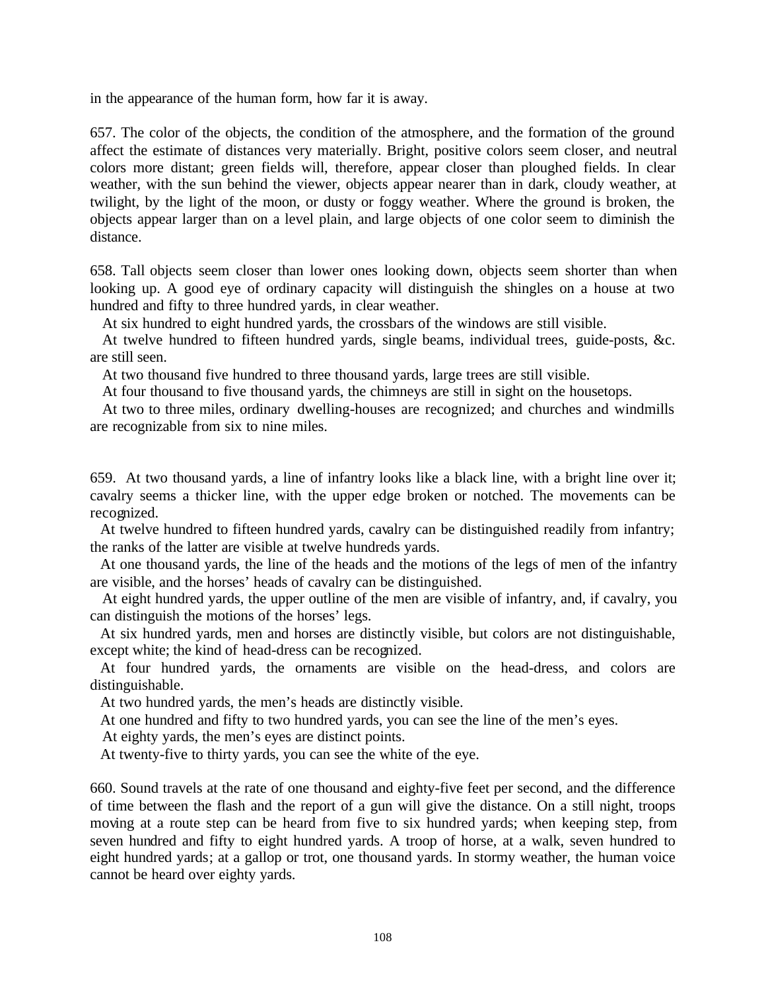in the appearance of the human form, how far it is away.

657. The color of the objects, the condition of the atmosphere, and the formation of the ground affect the estimate of distances very materially. Bright, positive colors seem closer, and neutral colors more distant; green fields will, therefore, appear closer than ploughed fields. In clear weather, with the sun behind the viewer, objects appear nearer than in dark, cloudy weather, at twilight, by the light of the moon, or dusty or foggy weather. Where the ground is broken, the objects appear larger than on a level plain, and large objects of one color seem to diminish the distance.

658. Tall objects seem closer than lower ones looking down, objects seem shorter than when looking up. A good eye of ordinary capacity will distinguish the shingles on a house at two hundred and fifty to three hundred yards, in clear weather.

At six hundred to eight hundred yards, the crossbars of the windows are still visible.

At twelve hundred to fifteen hundred yards, single beams, individual trees, guide-posts, &c. are still seen.

At two thousand five hundred to three thousand yards, large trees are still visible.

At four thousand to five thousand yards, the chimneys are still in sight on the housetops.

At two to three miles, ordinary dwelling-houses are recognized; and churches and windmills are recognizable from six to nine miles.

659. At two thousand yards, a line of infantry looks like a black line, with a bright line over it; cavalry seems a thicker line, with the upper edge broken or notched. The movements can be recognized.

At twelve hundred to fifteen hundred yards, cavalry can be distinguished readily from infantry; the ranks of the latter are visible at twelve hundreds yards.

At one thousand yards, the line of the heads and the motions of the legs of men of the infantry are visible, and the horses' heads of cavalry can be distinguished.

At eight hundred yards, the upper outline of the men are visible of infantry, and, if cavalry, you can distinguish the motions of the horses' legs.

At six hundred yards, men and horses are distinctly visible, but colors are not distinguishable, except white; the kind of head-dress can be recognized.

At four hundred yards, the ornaments are visible on the head-dress, and colors are distinguishable.

At two hundred yards, the men's heads are distinctly visible.

At one hundred and fifty to two hundred yards, you can see the line of the men's eyes.

At eighty yards, the men's eyes are distinct points.

At twenty-five to thirty yards, you can see the white of the eye.

660. Sound travels at the rate of one thousand and eighty-five feet per second, and the difference of time between the flash and the report of a gun will give the distance. On a still night, troops moving at a route step can be heard from five to six hundred yards; when keeping step, from seven hundred and fifty to eight hundred yards. A troop of horse, at a walk, seven hundred to eight hundred yards; at a gallop or trot, one thousand yards. In stormy weather, the human voice cannot be heard over eighty yards.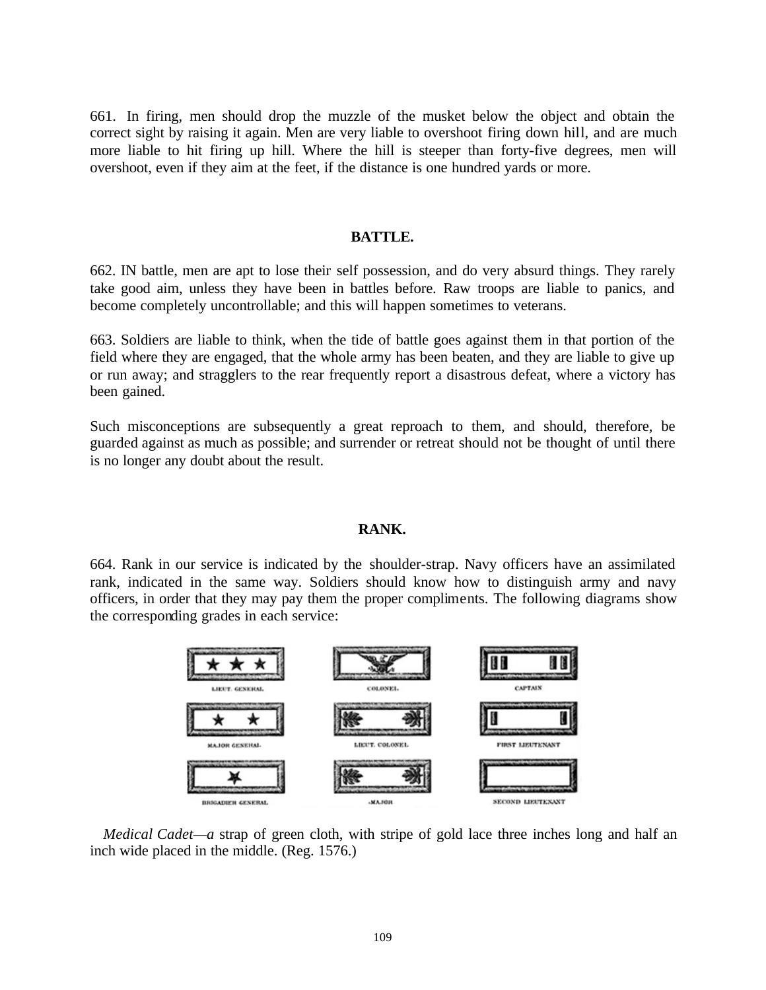661. In firing, men should drop the muzzle of the musket below the object and obtain the correct sight by raising it again. Men are very liable to overshoot firing down hill, and are much more liable to hit firing up hill. Where the hill is steeper than forty-five degrees, men will overshoot, even if they aim at the feet, if the distance is one hundred yards or more.

## **BATTLE.**

662. IN battle, men are apt to lose their self possession, and do very absurd things. They rarely take good aim, unless they have been in battles before. Raw troops are liable to panics, and become completely uncontrollable; and this will happen sometimes to veterans.

663. Soldiers are liable to think, when the tide of battle goes against them in that portion of the field where they are engaged, that the whole army has been beaten, and they are liable to give up or run away; and stragglers to the rear frequently report a disastrous defeat, where a victory has been gained.

Such misconceptions are subsequently a great reproach to them, and should, therefore, be guarded against as much as possible; and surrender or retreat should not be thought of until there is no longer any doubt about the result.

## **RANK.**

664. Rank in our service is indicated by the shoulder-strap. Navy officers have an assimilated rank, indicated in the same way. Soldiers should know how to distinguish army and navy officers, in order that they may pay them the proper compliments. The following diagrams show the corresponding grades in each service:



*Medical Cadet—a* strap of green cloth, with stripe of gold lace three inches long and half an inch wide placed in the middle. (Reg. 1576.)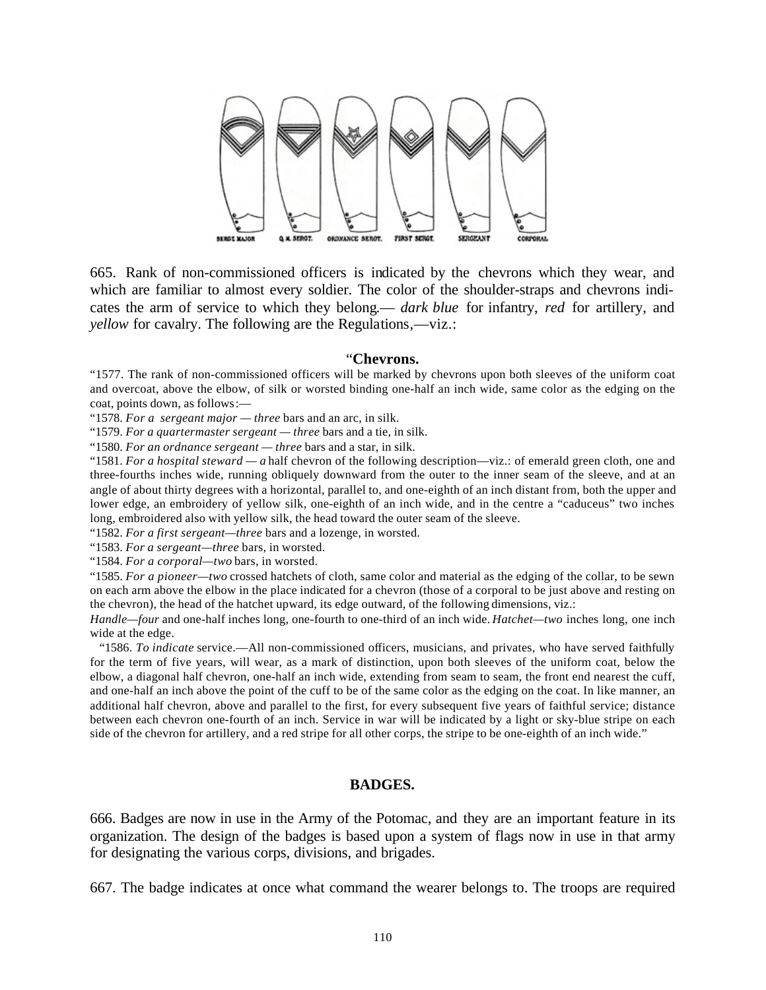

665. Rank of non-commissioned officers is indicated by the chevrons which they wear, and which are familiar to almost every soldier. The color of the shoulder-straps and chevrons indicates the arm of service to which they belong.— *dark blue* for infantry, *red* for artillery, and *yellow* for cavalry. The following are the Regulations,—viz.:

#### "**Chevrons.**

"1577. The rank of non-commissioned officers will be marked by chevrons upon both sleeves of the uniform coat and overcoat, above the elbow, of silk or worsted binding one-half an inch wide, same color as the edging on the coat, points down, as follows:—

"1578. *For a sergeant major — three* bars and an arc, in silk.

"1579. *For a quartermaster sergeant — three* bars and a tie, in silk.

"1580. *For an ordnance sergeant — three* bars and a star, in silk.

"1581. *For a hospital steward — a* half chevron of the following description—viz.: of emerald green cloth, one and three-fourths inches wide, running obliquely downward from the outer to the inner seam of the sleeve, and at an angle of about thirty degrees with a horizontal, parallel to, and one-eighth of an inch distant from, both the upper and lower edge, an embroidery of yellow silk, one-eighth of an inch wide, and in the centre a "caduceus" two inches long, embroidered also with yellow silk, the head toward the outer seam of the sleeve.

"1582. *For a first sergeant—three* bars and a lozenge, in worsted.

"1583. *For a sergeant—three* bars, in worsted.

"1584. *For a corporal—two* bars, in worsted.

"1585. *For a pioneer—two* crossed hatchets of cloth, same color and material as the edging of the collar, to be sewn on each arm above the elbow in the place indicated for a chevron (those of a corporal to be just above and resting on the chevron), the head of the hatchet upward, its edge outward, of the following dimensions, viz.:

*Handle—four* and one-half inches long, one-fourth to one-third of an inch wide. *Hatchet—two* inches long, one inch wide at the edge.

"1586. *To indicate* service.—All non-commissioned officers, musicians, and privates, who have served faithfully for the term of five years, will wear, as a mark of distinction, upon both sleeves of the uniform coat, below the elbow, a diagonal half chevron, one-half an inch wide, extending from seam to seam, the front end nearest the cuff, and one-half an inch above the point of the cuff to be of the same color as the edging on the coat. In like manner, an additional half chevron, above and parallel to the first, for every subsequent five years of faithful service; distance between each chevron one-fourth of an inch. Service in war will be indicated by a light or sky-blue stripe on each side of the chevron for artillery, and a red stripe for all other corps, the stripe to be one-eighth of an inch wide."

#### **BADGES.**

666. Badges are now in use in the Army of the Potomac, and they are an important feature in its organization. The design of the badges is based upon a system of flags now in use in that army for designating the various corps, divisions, and brigades.

667. The badge indicates at once what command the wearer belongs to. The troops are required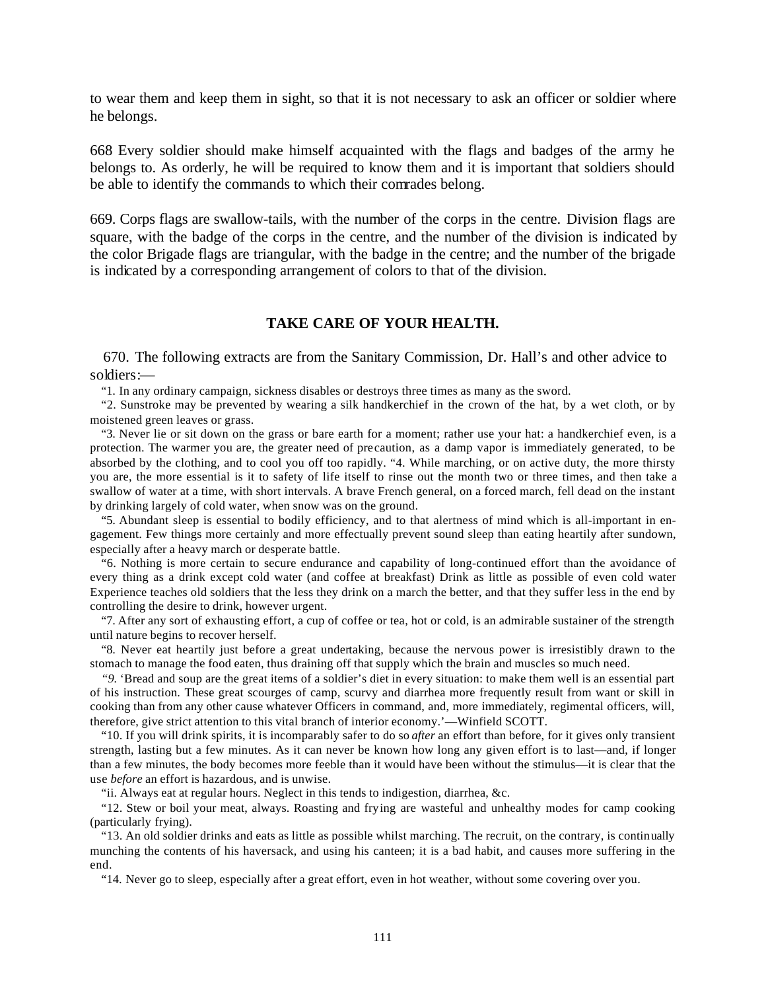to wear them and keep them in sight, so that it is not necessary to ask an officer or soldier where he belongs.

668 Every soldier should make himself acquainted with the flags and badges of the army he belongs to. As orderly, he will be required to know them and it is important that soldiers should be able to identify the commands to which their comrades belong.

669. Corps flags are swallow-tails, with the number of the corps in the centre. Division flags are square, with the badge of the corps in the centre, and the number of the division is indicated by the color Brigade flags are triangular, with the badge in the centre; and the number of the brigade is indicated by a corresponding arrangement of colors to that of the division.

## **TAKE CARE OF YOUR HEALTH.**

670. The following extracts are from the Sanitary Commission, Dr. Hall's and other advice to soldiers:—

"1. In any ordinary campaign, sickness disables or destroys three times as many as the sword.

"2. Sunstroke may be prevented by wearing a silk handkerchief in the crown of the hat, by a wet cloth, or by moistened green leaves or grass.

"3. Never lie or sit down on the grass or bare earth for a moment; rather use your hat: a handkerchief even, is a protection. The warmer you are, the greater need of precaution, as a damp vapor is immediately generated, to be absorbed by the clothing, and to cool you off too rapidly. "4. While marching, or on active duty, the more thirsty you are, the more essential is it to safety of life itself to rinse out the month two or three times, and then take a swallow of water at a time, with short intervals. A brave French general, on a forced march, fell dead on the instant by drinking largely of cold water, when snow was on the ground.

"5. Abundant sleep is essential to bodily efficiency, and to that alertness of mind which is all-important in engagement. Few things more certainly and more effectually prevent sound sleep than eating heartily after sundown, especially after a heavy march or desperate battle.

"6. Nothing is more certain to secure endurance and capability of long-continued effort than the avoidance of every thing as a drink except cold water (and coffee at breakfast) Drink as little as possible of even cold water Experience teaches old soldiers that the less they drink on a march the better, and that they suffer less in the end by controlling the desire to drink, however urgent.

"7. After any sort of exhausting effort, a cup of coffee or tea, hot or cold, is an admirable sustainer of the strength until nature begins to recover herself.

"8. Never eat heartily just before a great undertaking, because the nervous power is irresistibly drawn to the stomach to manage the food eaten, thus draining off that supply which the brain and muscles so much need.

*"9.* 'Bread and soup are the great items of a soldier's diet in every situation: to make them well is an essential part of his instruction. These great scourges of camp, scurvy and diarrhea more frequently result from want or skill in cooking than from any other cause whatever Officers in command, and, more immediately, regimental officers, will, therefore, give strict attention to this vital branch of interior economy.'—Winfield SCOTT.

"10. If you will drink spirits, it is incomparably safer to do so *after* an effort than before, for it gives only transient strength, lasting but a few minutes. As it can never be known how long any given effort is to last—and, if longer than a few minutes, the body becomes more feeble than it would have been without the stimulus—it is clear that the use *before* an effort is hazardous, and is unwise.

"ii. Always eat at regular hours. Neglect in this tends to indigestion, diarrhea, &c.

"12. Stew or boil your meat, always. Roasting and frying are wasteful and unhealthy modes for camp cooking (particularly frying).

"13. An old soldier drinks and eats as little as possible whilst marching. The recruit, on the contrary, is continually munching the contents of his haversack, and using his canteen; it is a bad habit, and causes more suffering in the end.

"14. Never go to sleep, especially after a great effort, even in hot weather, without some covering over you.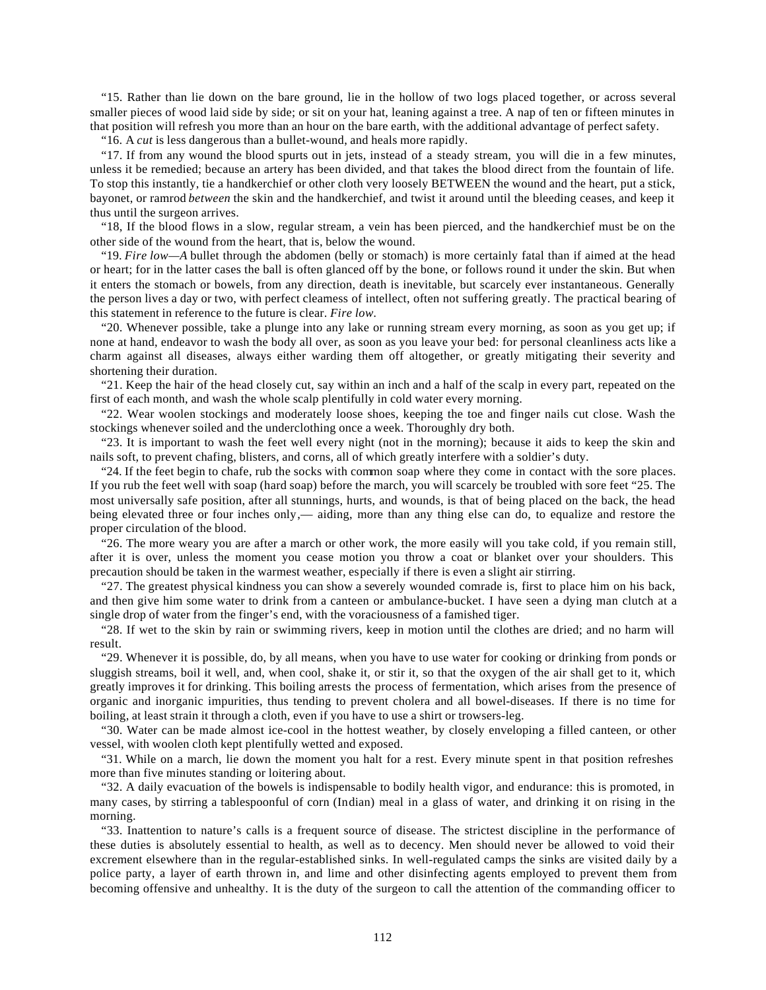"15. Rather than lie down on the bare ground, lie in the hollow of two logs placed together, or across several smaller pieces of wood laid side by side; or sit on your hat, leaning against a tree. A nap of ten or fifteen minutes in that position will refresh you more than an hour on the bare earth, with the additional advantage of perfect safety.

"16. A *cut* is less dangerous than a bullet-wound, and heals more rapidly.

"17. If from any wound the blood spurts out in jets, instead of a steady stream, you will die in a few minutes, unless it be remedied; because an artery has been divided, and that takes the blood direct from the fountain of life. To stop this instantly, tie a handkerchief or other cloth very loosely BETWEEN the wound and the heart, put a stick, bayonet, or ramrod *between* the skin and the handkerchief, and twist it around until the bleeding ceases, and keep it thus until the surgeon arrives.

"18, If the blood flows in a slow, regular stream, a vein has been pierced, and the handkerchief must be on the other side of the wound from the heart, that is, below the wound.

"19. *Fire low—A* bullet through the abdomen (belly or stomach) is more certainly fatal than if aimed at the head or heart; for in the latter cases the ball is often glanced off by the bone, or follows round it under the skin. But when it enters the stomach or bowels, from any direction, death is inevitable, but scarcely ever instantaneous. Generally the person lives a day or two, with perfect clearness of intellect, often not suffering greatly. The practical bearing of this statement in reference to the future is clear. *Fire low.*

"20. Whenever possible, take a plunge into any lake or running stream every morning, as soon as you get up; if none at hand, endeavor to wash the body all over, as soon as you leave your bed: for personal cleanliness acts like a charm against all diseases, always either warding them off altogether, or greatly mitigating their severity and shortening their duration.

"21. Keep the hair of the head closely cut, say within an inch and a half of the scalp in every part, repeated on the first of each month, and wash the whole scalp plentifully in cold water every morning.

"22. Wear woolen stockings and moderately loose shoes, keeping the toe and finger nails cut close. Wash the stockings whenever soiled and the underclothing once a week. Thoroughly dry both.

"23. It is important to wash the feet well every night (not in the morning); because it aids to keep the skin and nails soft, to prevent chafing, blisters, and corns, all of which greatly interfere with a soldier's duty.

"24. If the feet begin to chafe, rub the socks with common soap where they come in contact with the sore places. If you rub the feet well with soap (hard soap) before the march, you will scarcely be troubled with sore feet "25. The most universally safe position, after all stunnings, hurts, and wounds, is that of being placed on the back, the head being elevated three or four inches only,— aiding, more than any thing else can do, to equalize and restore the proper circulation of the blood.

"26. The more weary you are after a march or other work, the more easily will you take cold, if you remain still, after it is over, unless the moment you cease motion you throw a coat or blanket over your shoulders. This precaution should be taken in the warmest weather, especially if there is even a slight air stirring.

"27. The greatest physical kindness you can show a severely wounded comrade is, first to place him on his back, and then give him some water to drink from a canteen or ambulance-bucket. I have seen a dying man clutch at a single drop of water from the finger's end, with the voraciousness of a famished tiger.

"28. If wet to the skin by rain or swimming rivers, keep in motion until the clothes are dried; and no harm will result.

"29. Whenever it is possible, do, by all means, when you have to use water for cooking or drinking from ponds or sluggish streams, boil it well, and, when cool, shake it, or stir it, so that the oxygen of the air shall get to it, which greatly improves it for drinking. This boiling arrests the process of fermentation, which arises from the presence of organic and inorganic impurities, thus tending to prevent cholera and all bowel-diseases. If there is no time for boiling, at least strain it through a cloth, even if you have to use a shirt or trowsers-leg.

"30. Water can be made almost ice-cool in the hottest weather, by closely enveloping a filled canteen, or other vessel, with woolen cloth kept plentifully wetted and exposed.

"31. While on a march, lie down the moment you halt for a rest. Every minute spent in that position refreshes more than five minutes standing or loitering about.

"32. A daily evacuation of the bowels is indispensable to bodily health vigor, and endurance: this is promoted, in many cases, by stirring a tablespoonful of corn (Indian) meal in a glass of water, and drinking it on rising in the morning.

"33. Inattention to nature's calls is a frequent source of disease. The strictest discipline in the performance of these duties is absolutely essential to health, as well as to decency. Men should never be allowed to void their excrement elsewhere than in the regular-established sinks. In well-regulated camps the sinks are visited daily by a police party, a layer of earth thrown in, and lime and other disinfecting agents employed to prevent them from becoming offensive and unhealthy. It is the duty of the surgeon to call the attention of the commanding officer to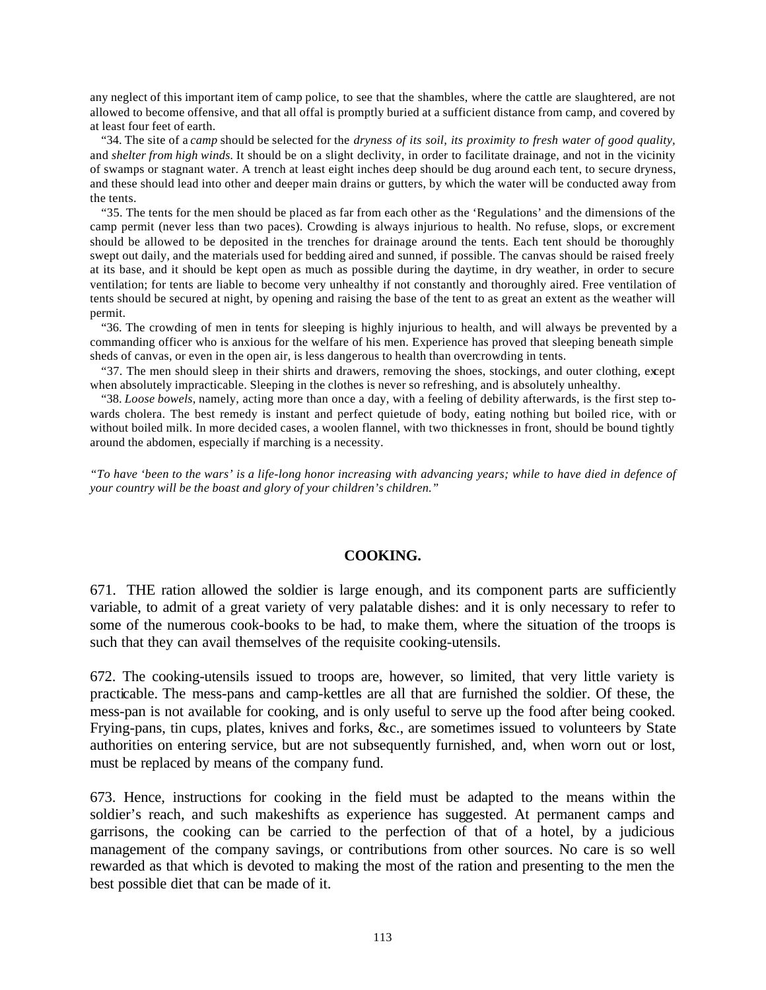any neglect of this important item of camp police, to see that the shambles, where the cattle are slaughtered, are not allowed to become offensive, and that all offal is promptly buried at a sufficient distance from camp, and covered by at least four feet of earth.

"34. The site of a *camp* should be selected for the *dryness of its soil, its proximity to fresh water of good quality,* and *shelter from high winds.* It should be on a slight declivity, in order to facilitate drainage, and not in the vicinity of swamps or stagnant water. A trench at least eight inches deep should be dug around each tent, to secure dryness, and these should lead into other and deeper main drains or gutters, by which the water will be conducted away from the tents.

"35. The tents for the men should be placed as far from each other as the 'Regulations' and the dimensions of the camp permit (never less than two paces). Crowding is always injurious to health. No refuse, slops, or excrement should be allowed to be deposited in the trenches for drainage around the tents. Each tent should be thoroughly swept out daily, and the materials used for bedding aired and sunned, if possible. The canvas should be raised freely at its base, and it should be kept open as much as possible during the daytime, in dry weather, in order to secure ventilation; for tents are liable to become very unhealthy if not constantly and thoroughly aired. Free ventilation of tents should be secured at night, by opening and raising the base of the tent to as great an extent as the weather will permit.

"36. The crowding of men in tents for sleeping is highly injurious to health, and will always be prevented by a commanding officer who is anxious for the welfare of his men. Experience has proved that sleeping beneath simple sheds of canvas, or even in the open air, is less dangerous to health than overcrowding in tents.

"37. The men should sleep in their shirts and drawers, removing the shoes, stockings, and outer clothing, except when absolutely impracticable. Sleeping in the clothes is never so refreshing, and is absolutely unhealthy.

"38. *Loose bowels,* namely, acting more than once a day, with a feeling of debility afterwards, is the first step towards cholera. The best remedy is instant and perfect quietude of body, eating nothing but boiled rice, with or without boiled milk. In more decided cases, a woolen flannel, with two thicknesses in front, should be bound tightly around the abdomen, especially if marching is a necessity.

*"To have 'been to the wars' is a life-long honor increasing with advancing years; while to have died in defence of your country will be the boast and glory of your children's children."*

#### **COOKING.**

671. THE ration allowed the soldier is large enough, and its component parts are sufficiently variable, to admit of a great variety of very palatable dishes: and it is only necessary to refer to some of the numerous cook-books to be had, to make them, where the situation of the troops is such that they can avail themselves of the requisite cooking-utensils.

672. The cooking-utensils issued to troops are, however, so limited, that very little variety is practicable. The mess-pans and camp-kettles are all that are furnished the soldier. Of these, the mess-pan is not available for cooking, and is only useful to serve up the food after being cooked. Frying-pans, tin cups, plates, knives and forks, &c., are sometimes issued to volunteers by State authorities on entering service, but are not subsequently furnished, and, when worn out or lost, must be replaced by means of the company fund.

673. Hence, instructions for cooking in the field must be adapted to the means within the soldier's reach, and such makeshifts as experience has suggested. At permanent camps and garrisons, the cooking can be carried to the perfection of that of a hotel, by a judicious management of the company savings, or contributions from other sources. No care is so well rewarded as that which is devoted to making the most of the ration and presenting to the men the best possible diet that can be made of it.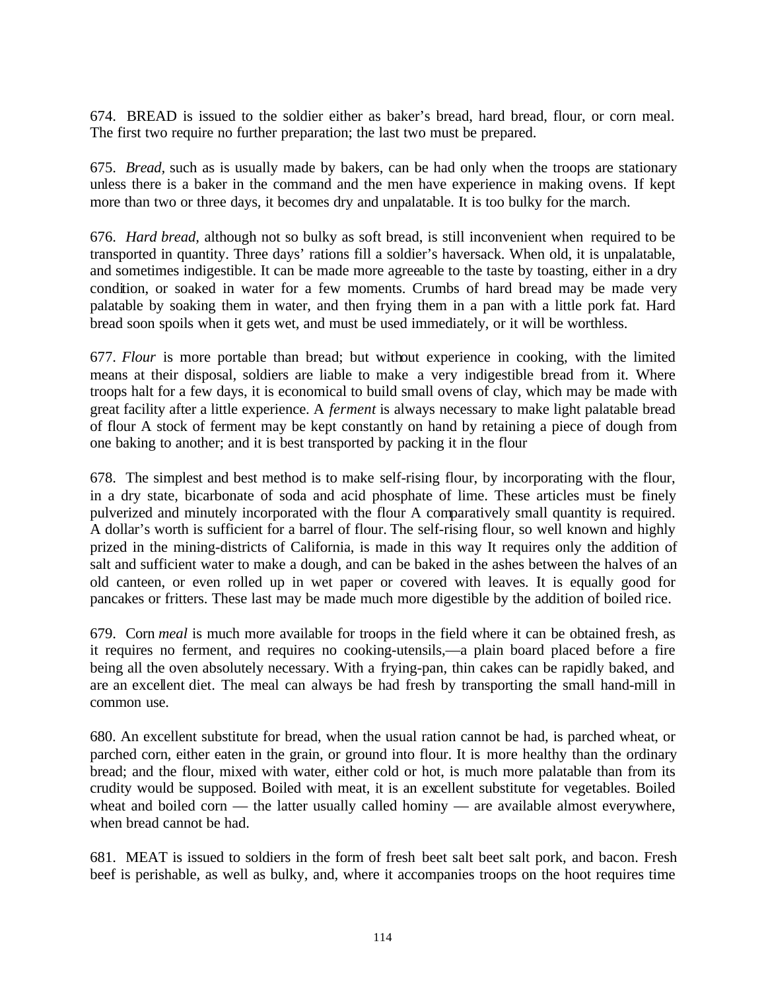674. BREAD is issued to the soldier either as baker's bread, hard bread, flour, or corn meal. The first two require no further preparation; the last two must be prepared.

675. *Bread,* such as is usually made by bakers, can be had only when the troops are stationary unless there is a baker in the command and the men have experience in making ovens. If kept more than two or three days, it becomes dry and unpalatable. It is too bulky for the march.

676. *Hard bread,* although not so bulky as soft bread, is still inconvenient when required to be transported in quantity. Three days' rations fill a soldier's haversack. When old, it is unpalatable, and sometimes indigestible. It can be made more agreeable to the taste by toasting, either in a dry condition, or soaked in water for a few moments. Crumbs of hard bread may be made very palatable by soaking them in water, and then frying them in a pan with a little pork fat. Hard bread soon spoils when it gets wet, and must be used immediately, or it will be worthless.

677. *Flour* is more portable than bread; but without experience in cooking, with the limited means at their disposal, soldiers are liable to make a very indigestible bread from it. Where troops halt for a few days, it is economical to build small ovens of clay, which may be made with great facility after a little experience. A *ferment* is always necessary to make light palatable bread of flour A stock of ferment may be kept constantly on hand by retaining a piece of dough from one baking to another; and it is best transported by packing it in the flour

678. The simplest and best method is to make self-rising flour, by incorporating with the flour, in a dry state, bicarbonate of soda and acid phosphate of lime. These articles must be finely pulverized and minutely incorporated with the flour A comparatively small quantity is required. A dollar's worth is sufficient for a barrel of flour. The self-rising flour, so well known and highly prized in the mining-districts of California, is made in this way It requires only the addition of salt and sufficient water to make a dough, and can be baked in the ashes between the halves of an old canteen, or even rolled up in wet paper or covered with leaves. It is equally good for pancakes or fritters. These last may be made much more digestible by the addition of boiled rice.

679. Corn *meal* is much more available for troops in the field where it can be obtained fresh, as it requires no ferment, and requires no cooking-utensils,—a plain board placed before a fire being all the oven absolutely necessary. With a frying-pan, thin cakes can be rapidly baked, and are an excellent diet. The meal can always be had fresh by transporting the small hand-mill in common use.

680. An excellent substitute for bread, when the usual ration cannot be had, is parched wheat, or parched corn, either eaten in the grain, or ground into flour. It is more healthy than the ordinary bread; and the flour, mixed with water, either cold or hot, is much more palatable than from its crudity would be supposed. Boiled with meat, it is an excellent substitute for vegetables. Boiled wheat and boiled corn — the latter usually called hominy — are available almost everywhere, when bread cannot be had.

681. MEAT is issued to soldiers in the form of fresh beet salt beet salt pork, and bacon. Fresh beef is perishable, as well as bulky, and, where it accompanies troops on the hoot requires time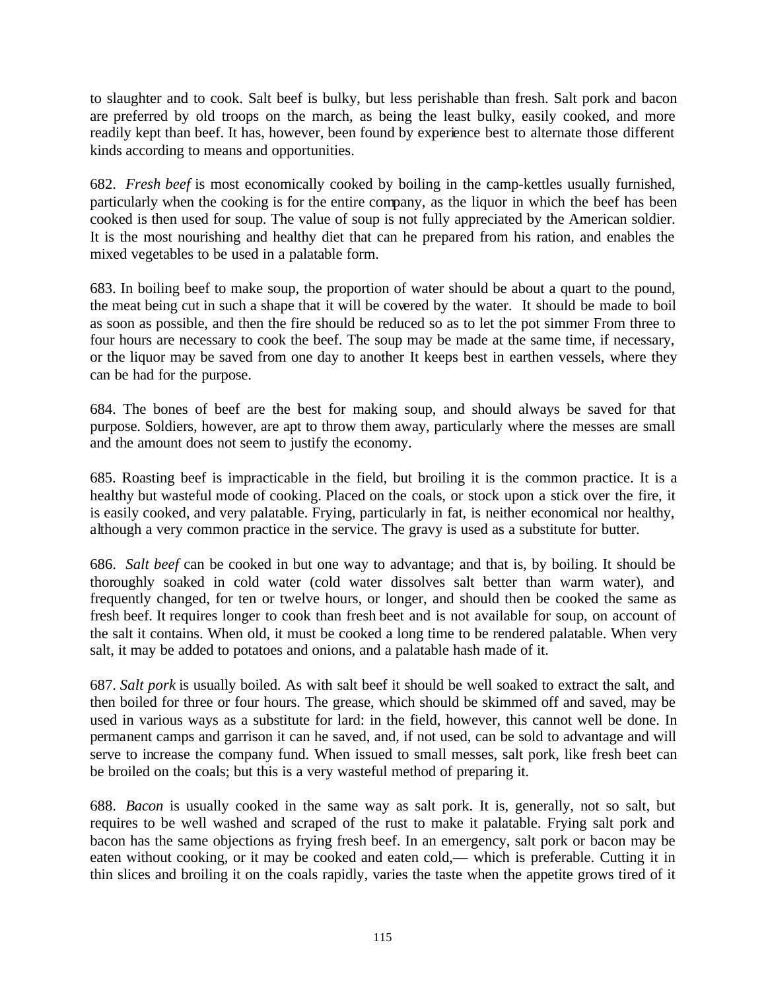to slaughter and to cook. Salt beef is bulky, but less perishable than fresh. Salt pork and bacon are preferred by old troops on the march, as being the least bulky, easily cooked, and more readily kept than beef. It has, however, been found by experience best to alternate those different kinds according to means and opportunities.

682. *Fresh beef* is most economically cooked by boiling in the camp-kettles usually furnished, particularly when the cooking is for the entire company, as the liquor in which the beef has been cooked is then used for soup. The value of soup is not fully appreciated by the American soldier. It is the most nourishing and healthy diet that can he prepared from his ration, and enables the mixed vegetables to be used in a palatable form.

683. In boiling beef to make soup, the proportion of water should be about a quart to the pound, the meat being cut in such a shape that it will be covered by the water. It should be made to boil as soon as possible, and then the fire should be reduced so as to let the pot simmer From three to four hours are necessary to cook the beef. The soup may be made at the same time, if necessary, or the liquor may be saved from one day to another It keeps best in earthen vessels, where they can be had for the purpose.

684. The bones of beef are the best for making soup, and should always be saved for that purpose. Soldiers, however, are apt to throw them away, particularly where the messes are small and the amount does not seem to justify the economy.

685. Roasting beef is impracticable in the field, but broiling it is the common practice. It is a healthy but wasteful mode of cooking. Placed on the coals, or stock upon a stick over the fire, it is easily cooked, and very palatable. Frying, particularly in fat, is neither economical nor healthy, although a very common practice in the service. The gravy is used as a substitute for butter.

686. *Salt beef* can be cooked in but one way to advantage; and that is, by boiling. It should be thoroughly soaked in cold water (cold water dissolves salt better than warm water), and frequently changed, for ten or twelve hours, or longer, and should then be cooked the same as fresh beef. It requires longer to cook than fresh beet and is not available for soup, on account of the salt it contains. When old, it must be cooked a long time to be rendered palatable. When very salt, it may be added to potatoes and onions, and a palatable hash made of it.

687. *Salt pork* is usually boiled. As with salt beef it should be well soaked to extract the salt, and then boiled for three or four hours. The grease, which should be skimmed off and saved, may be used in various ways as a substitute for lard: in the field, however, this cannot well be done. In permanent camps and garrison it can he saved, and, if not used, can be sold to advantage and will serve to increase the company fund. When issued to small messes, salt pork, like fresh beet can be broiled on the coals; but this is a very wasteful method of preparing it.

688. *Bacon* is usually cooked in the same way as salt pork. It is, generally, not so salt, but requires to be well washed and scraped of the rust to make it palatable. Frying salt pork and bacon has the same objections as frying fresh beef. In an emergency, salt pork or bacon may be eaten without cooking, or it may be cooked and eaten cold,— which is preferable. Cutting it in thin slices and broiling it on the coals rapidly, varies the taste when the appetite grows tired of it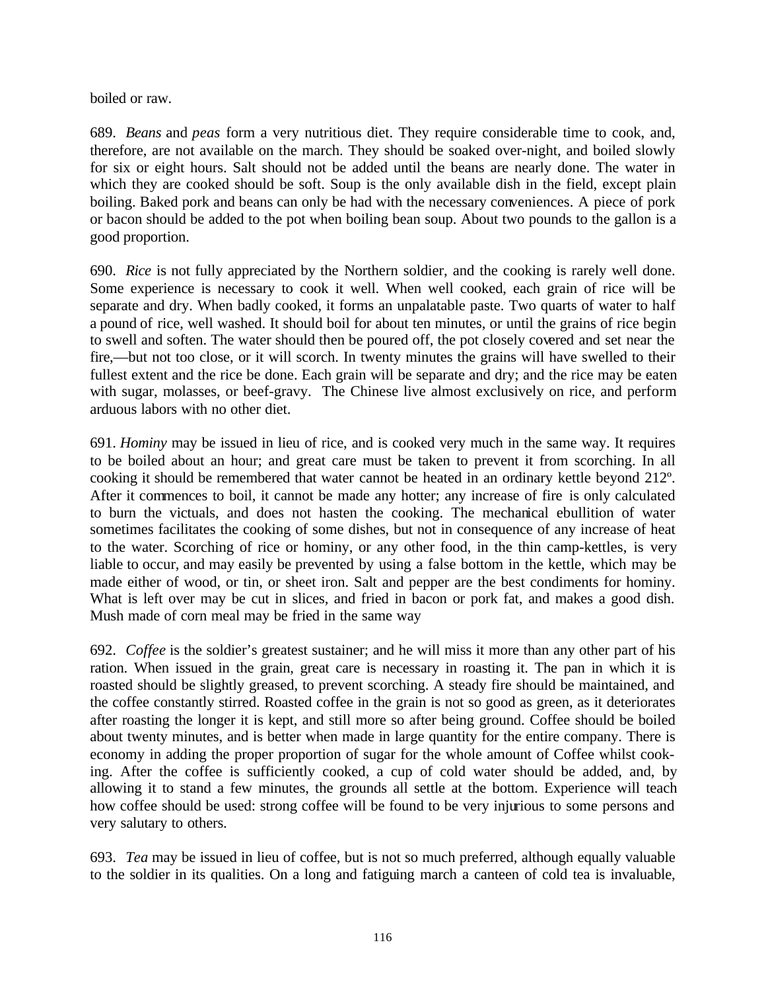boiled or raw.

689. *Beans* and *peas* form a very nutritious diet. They require considerable time to cook, and, therefore, are not available on the march. They should be soaked over-night, and boiled slowly for six or eight hours. Salt should not be added until the beans are nearly done. The water in which they are cooked should be soft. Soup is the only available dish in the field, except plain boiling. Baked pork and beans can only be had with the necessary conveniences. A piece of pork or bacon should be added to the pot when boiling bean soup. About two pounds to the gallon is a good proportion.

690. *Rice* is not fully appreciated by the Northern soldier, and the cooking is rarely well done. Some experience is necessary to cook it well. When well cooked, each grain of rice will be separate and dry. When badly cooked, it forms an unpalatable paste. Two quarts of water to half a pound of rice, well washed. It should boil for about ten minutes, or until the grains of rice begin to swell and soften. The water should then be poured off, the pot closely covered and set near the fire,—but not too close, or it will scorch. In twenty minutes the grains will have swelled to their fullest extent and the rice be done. Each grain will be separate and dry; and the rice may be eaten with sugar, molasses, or beef-gravy. The Chinese live almost exclusively on rice, and perform arduous labors with no other diet.

691. *Hominy* may be issued in lieu of rice, and is cooked very much in the same way. It requires to be boiled about an hour; and great care must be taken to prevent it from scorching. In all cooking it should be remembered that water cannot be heated in an ordinary kettle beyond 212º. After it commences to boil, it cannot be made any hotter; any increase of fire is only calculated to burn the victuals, and does not hasten the cooking. The mechanical ebullition of water sometimes facilitates the cooking of some dishes, but not in consequence of any increase of heat to the water. Scorching of rice or hominy, or any other food, in the thin camp-kettles, is very liable to occur, and may easily be prevented by using a false bottom in the kettle, which may be made either of wood, or tin, or sheet iron. Salt and pepper are the best condiments for hominy. What is left over may be cut in slices, and fried in bacon or pork fat, and makes a good dish. Mush made of corn meal may be fried in the same way

692. *Coffee* is the soldier's greatest sustainer; and he will miss it more than any other part of his ration. When issued in the grain, great care is necessary in roasting it. The pan in which it is roasted should be slightly greased, to prevent scorching. A steady fire should be maintained, and the coffee constantly stirred. Roasted coffee in the grain is not so good as green, as it deteriorates after roasting the longer it is kept, and still more so after being ground. Coffee should be boiled about twenty minutes, and is better when made in large quantity for the entire company. There is economy in adding the proper proportion of sugar for the whole amount of Coffee whilst cooking. After the coffee is sufficiently cooked, a cup of cold water should be added, and, by allowing it to stand a few minutes, the grounds all settle at the bottom. Experience will teach how coffee should be used: strong coffee will be found to be very injurious to some persons and very salutary to others.

693. *Tea* may be issued in lieu of coffee, but is not so much preferred, although equally valuable to the soldier in its qualities. On a long and fatiguing march a canteen of cold tea is invaluable,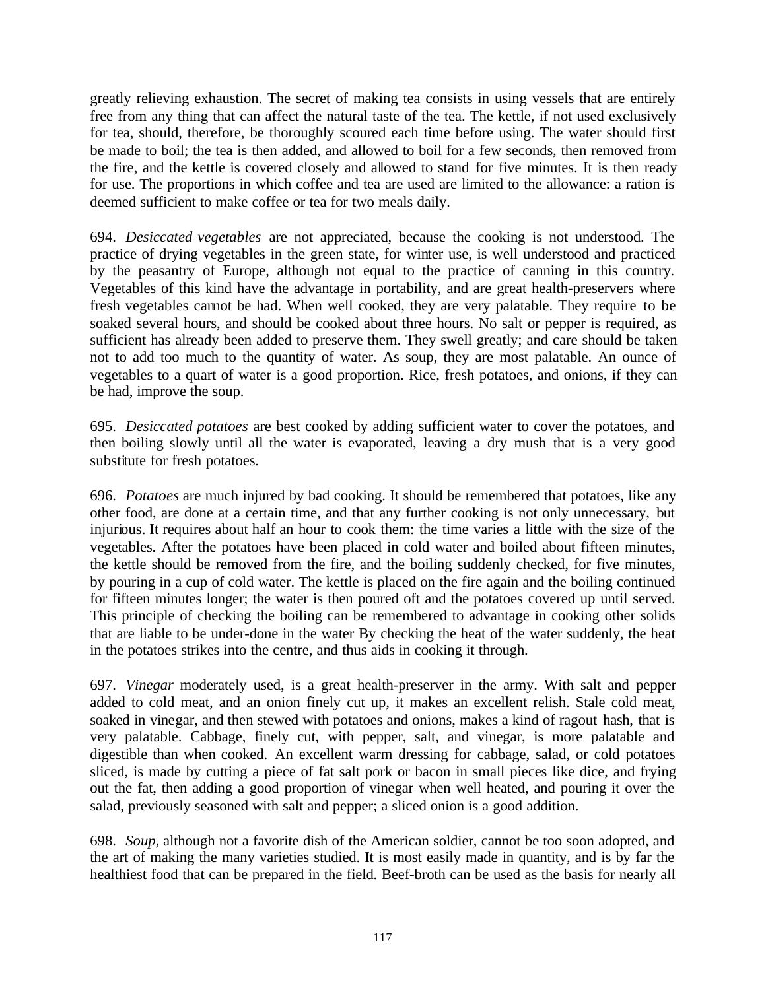greatly relieving exhaustion. The secret of making tea consists in using vessels that are entirely free from any thing that can affect the natural taste of the tea. The kettle, if not used exclusively for tea, should, therefore, be thoroughly scoured each time before using. The water should first be made to boil; the tea is then added, and allowed to boil for a few seconds, then removed from the fire, and the kettle is covered closely and allowed to stand for five minutes. It is then ready for use. The proportions in which coffee and tea are used are limited to the allowance: a ration is deemed sufficient to make coffee or tea for two meals daily.

694. *Desiccated vegetables* are not appreciated, because the cooking is not understood. The practice of drying vegetables in the green state, for winter use, is well understood and practiced by the peasantry of Europe, although not equal to the practice of canning in this country. Vegetables of this kind have the advantage in portability, and are great health-preservers where fresh vegetables cannot be had. When well cooked, they are very palatable. They require to be soaked several hours, and should be cooked about three hours. No salt or pepper is required, as sufficient has already been added to preserve them. They swell greatly; and care should be taken not to add too much to the quantity of water. As soup, they are most palatable. An ounce of vegetables to a quart of water is a good proportion. Rice, fresh potatoes, and onions, if they can be had, improve the soup.

695. *Desiccated potatoes* are best cooked by adding sufficient water to cover the potatoes, and then boiling slowly until all the water is evaporated, leaving a dry mush that is a very good substitute for fresh potatoes.

696. *Potatoes* are much injured by bad cooking. It should be remembered that potatoes, like any other food, are done at a certain time, and that any further cooking is not only unnecessary, but injurious. It requires about half an hour to cook them: the time varies a little with the size of the vegetables. After the potatoes have been placed in cold water and boiled about fifteen minutes, the kettle should be removed from the fire, and the boiling suddenly checked, for five minutes, by pouring in a cup of cold water. The kettle is placed on the fire again and the boiling continued for fifteen minutes longer; the water is then poured oft and the potatoes covered up until served. This principle of checking the boiling can be remembered to advantage in cooking other solids that are liable to be under-done in the water By checking the heat of the water suddenly, the heat in the potatoes strikes into the centre, and thus aids in cooking it through.

697. *Vinegar* moderately used, is a great health-preserver in the army. With salt and pepper added to cold meat, and an onion finely cut up, it makes an excellent relish. Stale cold meat, soaked in vinegar, and then stewed with potatoes and onions, makes a kind of ragout hash, that is very palatable. Cabbage, finely cut, with pepper, salt, and vinegar, is more palatable and digestible than when cooked. An excellent warm dressing for cabbage, salad, or cold potatoes sliced, is made by cutting a piece of fat salt pork or bacon in small pieces like dice, and frying out the fat, then adding a good proportion of vinegar when well heated, and pouring it over the salad, previously seasoned with salt and pepper; a sliced onion is a good addition.

698. *Soup,* although not a favorite dish of the American soldier, cannot be too soon adopted, and the art of making the many varieties studied. It is most easily made in quantity, and is by far the healthiest food that can be prepared in the field. Beef-broth can be used as the basis for nearly all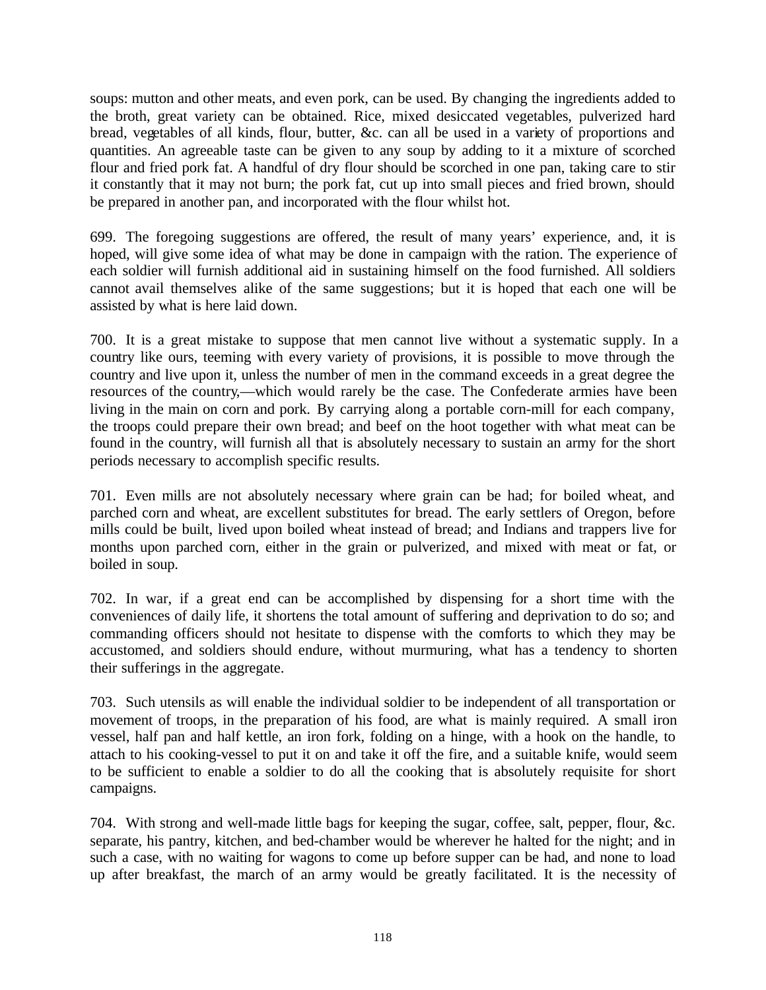soups: mutton and other meats, and even pork, can be used. By changing the ingredients added to the broth, great variety can be obtained. Rice, mixed desiccated vegetables, pulverized hard bread, vegetables of all kinds, flour, butter, &c. can all be used in a variety of proportions and quantities. An agreeable taste can be given to any soup by adding to it a mixture of scorched flour and fried pork fat. A handful of dry flour should be scorched in one pan, taking care to stir it constantly that it may not burn; the pork fat, cut up into small pieces and fried brown, should be prepared in another pan, and incorporated with the flour whilst hot.

699. The foregoing suggestions are offered, the result of many years' experience, and, it is hoped, will give some idea of what may be done in campaign with the ration. The experience of each soldier will furnish additional aid in sustaining himself on the food furnished. All soldiers cannot avail themselves alike of the same suggestions; but it is hoped that each one will be assisted by what is here laid down.

700. It is a great mistake to suppose that men cannot live without a systematic supply. In a country like ours, teeming with every variety of provisions, it is possible to move through the country and live upon it, unless the number of men in the command exceeds in a great degree the resources of the country,—which would rarely be the case. The Confederate armies have been living in the main on corn and pork. By carrying along a portable corn-mill for each company, the troops could prepare their own bread; and beef on the hoot together with what meat can be found in the country, will furnish all that is absolutely necessary to sustain an army for the short periods necessary to accomplish specific results.

701. Even mills are not absolutely necessary where grain can be had; for boiled wheat, and parched corn and wheat, are excellent substitutes for bread. The early settlers of Oregon, before mills could be built, lived upon boiled wheat instead of bread; and Indians and trappers live for months upon parched corn, either in the grain or pulverized, and mixed with meat or fat, or boiled in soup.

702. In war, if a great end can be accomplished by dispensing for a short time with the conveniences of daily life, it shortens the total amount of suffering and deprivation to do so; and commanding officers should not hesitate to dispense with the comforts to which they may be accustomed, and soldiers should endure, without murmuring, what has a tendency to shorten their sufferings in the aggregate.

703. Such utensils as will enable the individual soldier to be independent of all transportation or movement of troops, in the preparation of his food, are what is mainly required. A small iron vessel, half pan and half kettle, an iron fork, folding on a hinge, with a hook on the handle, to attach to his cooking-vessel to put it on and take it off the fire, and a suitable knife, would seem to be sufficient to enable a soldier to do all the cooking that is absolutely requisite for short campaigns.

704. With strong and well-made little bags for keeping the sugar, coffee, salt, pepper, flour, &c. separate, his pantry, kitchen, and bed-chamber would be wherever he halted for the night; and in such a case, with no waiting for wagons to come up before supper can be had, and none to load up after breakfast, the march of an army would be greatly facilitated. It is the necessity of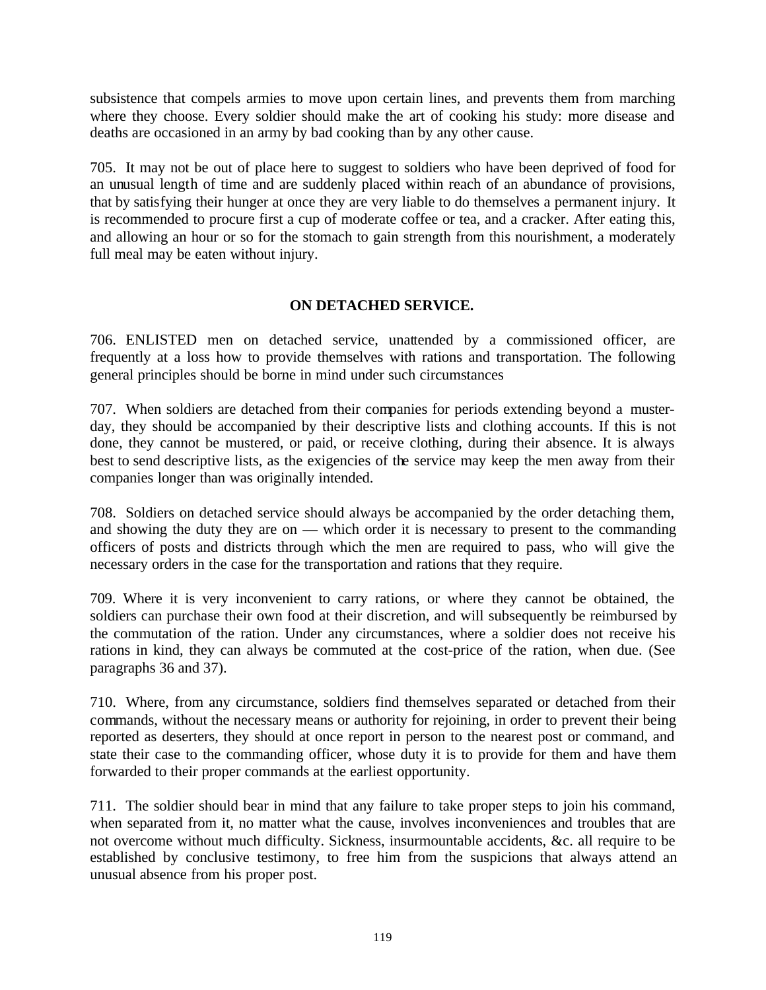subsistence that compels armies to move upon certain lines, and prevents them from marching where they choose. Every soldier should make the art of cooking his study: more disease and deaths are occasioned in an army by bad cooking than by any other cause.

705. It may not be out of place here to suggest to soldiers who have been deprived of food for an unusual length of time and are suddenly placed within reach of an abundance of provisions, that by satisfying their hunger at once they are very liable to do themselves a permanent injury. It is recommended to procure first a cup of moderate coffee or tea, and a cracker. After eating this, and allowing an hour or so for the stomach to gain strength from this nourishment, a moderately full meal may be eaten without injury.

## **ON DETACHED SERVICE.**

706. ENLISTED men on detached service, unattended by a commissioned officer, are frequently at a loss how to provide themselves with rations and transportation. The following general principles should be borne in mind under such circumstances

707. When soldiers are detached from their companies for periods extending beyond a musterday, they should be accompanied by their descriptive lists and clothing accounts. If this is not done, they cannot be mustered, or paid, or receive clothing, during their absence. It is always best to send descriptive lists, as the exigencies of the service may keep the men away from their companies longer than was originally intended.

708. Soldiers on detached service should always be accompanied by the order detaching them, and showing the duty they are on — which order it is necessary to present to the commanding officers of posts and districts through which the men are required to pass, who will give the necessary orders in the case for the transportation and rations that they require.

709. Where it is very inconvenient to carry rations, or where they cannot be obtained, the soldiers can purchase their own food at their discretion, and will subsequently be reimbursed by the commutation of the ration. Under any circumstances, where a soldier does not receive his rations in kind, they can always be commuted at the cost-price of the ration, when due. (See paragraphs 36 and 37).

710. Where, from any circumstance, soldiers find themselves separated or detached from their commands, without the necessary means or authority for rejoining, in order to prevent their being reported as deserters, they should at once report in person to the nearest post or command, and state their case to the commanding officer, whose duty it is to provide for them and have them forwarded to their proper commands at the earliest opportunity.

711. The soldier should bear in mind that any failure to take proper steps to join his command, when separated from it, no matter what the cause, involves inconveniences and troubles that are not overcome without much difficulty. Sickness, insurmountable accidents, &c. all require to be established by conclusive testimony, to free him from the suspicions that always attend an unusual absence from his proper post.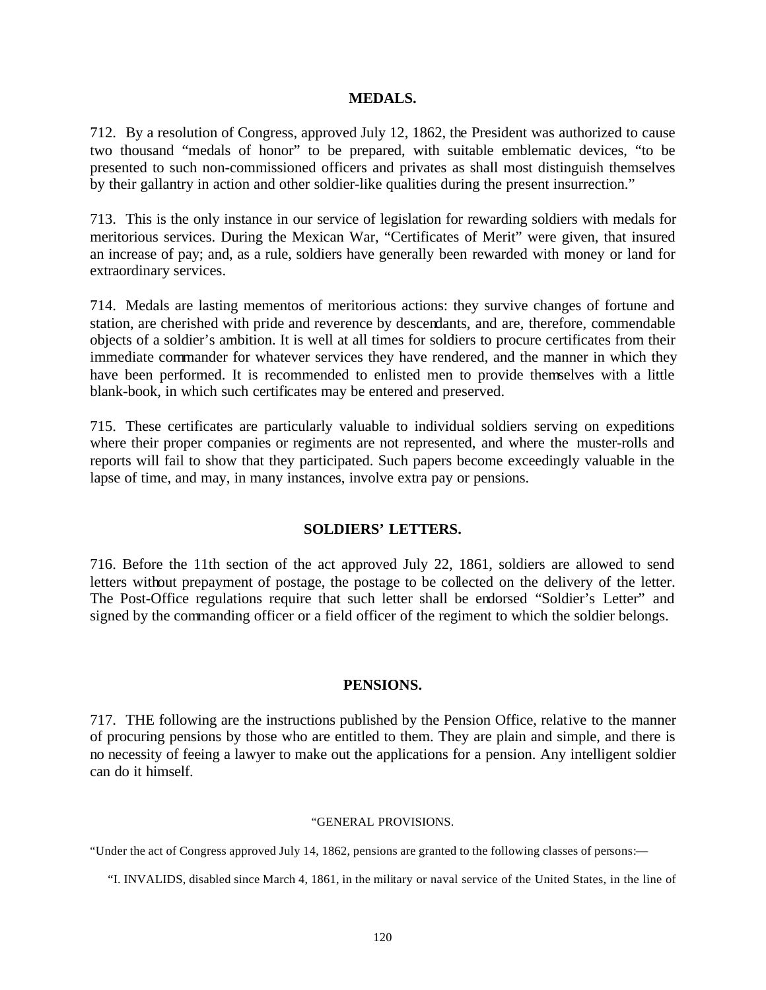#### **MEDALS.**

712. By a resolution of Congress, approved July 12, 1862, the President was authorized to cause two thousand "medals of honor" to be prepared, with suitable emblematic devices, "to be presented to such non-commissioned officers and privates as shall most distinguish themselves by their gallantry in action and other soldier-like qualities during the present insurrection."

713. This is the only instance in our service of legislation for rewarding soldiers with medals for meritorious services. During the Mexican War, "Certificates of Merit" were given, that insured an increase of pay; and, as a rule, soldiers have generally been rewarded with money or land for extraordinary services.

714. Medals are lasting mementos of meritorious actions: they survive changes of fortune and station, are cherished with pride and reverence by descendants, and are, therefore, commendable objects of a soldier's ambition. It is well at all times for soldiers to procure certificates from their immediate commander for whatever services they have rendered, and the manner in which they have been performed. It is recommended to enlisted men to provide themselves with a little blank-book, in which such certificates may be entered and preserved.

715. These certificates are particularly valuable to individual soldiers serving on expeditions where their proper companies or regiments are not represented, and where the muster-rolls and reports will fail to show that they participated. Such papers become exceedingly valuable in the lapse of time, and may, in many instances, involve extra pay or pensions.

## **SOLDIERS' LETTERS.**

716. Before the 11th section of the act approved July 22, 1861, soldiers are allowed to send letters without prepayment of postage, the postage to be collected on the delivery of the letter. The Post-Office regulations require that such letter shall be endorsed "Soldier's Letter" and signed by the commanding officer or a field officer of the regiment to which the soldier belongs.

#### **PENSIONS.**

717. THE following are the instructions published by the Pension Office, relative to the manner of procuring pensions by those who are entitled to them. They are plain and simple, and there is no necessity of feeing a lawyer to make out the applications for a pension. Any intelligent soldier can do it himself.

#### "GENERAL PROVISIONS.

"Under the act of Congress approved July 14, 1862, pensions are granted to the following classes of persons:—

"I. INVALIDS, disabled since March 4, 1861, in the military or naval service of the United States, in the line of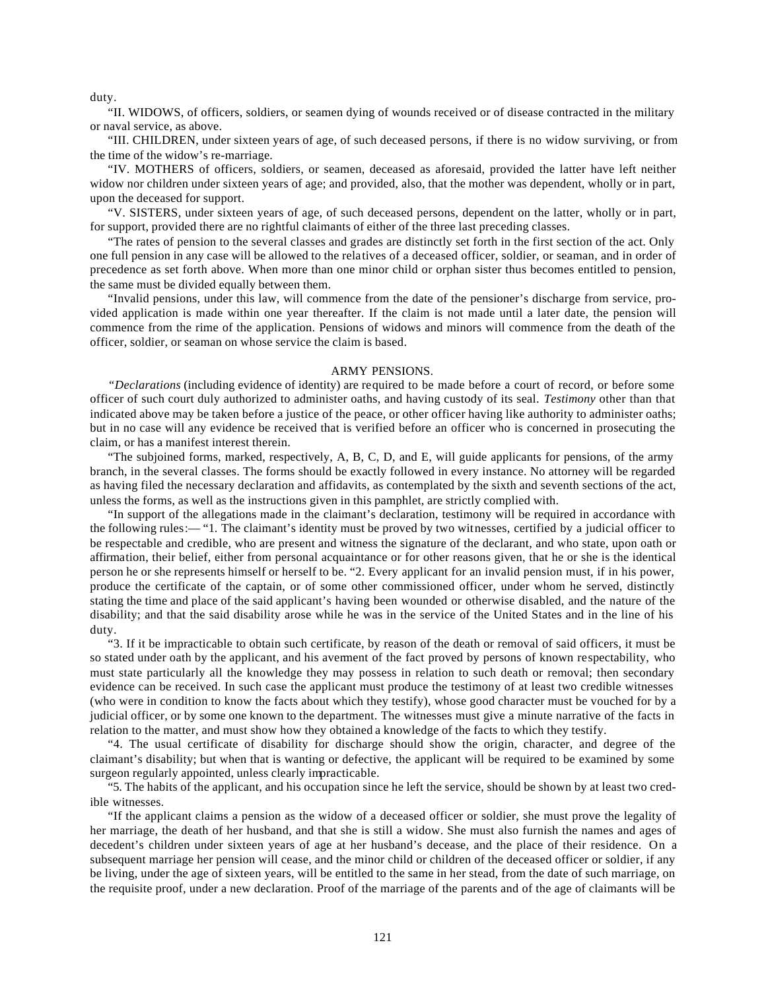duty.

"II. WIDOWS, of officers, soldiers, or seamen dying of wounds received or of disease contracted in the military or naval service, as above.

"III. CHILDREN, under sixteen years of age, of such deceased persons, if there is no widow surviving, or from the time of the widow's re-marriage.

"IV. MOTHERS of officers, soldiers, or seamen, deceased as aforesaid, provided the latter have left neither widow nor children under sixteen years of age; and provided, also, that the mother was dependent, wholly or in part, upon the deceased for support.

"V. SISTERS, under sixteen years of age, of such deceased persons, dependent on the latter, wholly or in part, for support, provided there are no rightful claimants of either of the three last preceding classes.

"The rates of pension to the several classes and grades are distinctly set forth in the first section of the act. Only one full pension in any case will be allowed to the relatives of a deceased officer, soldier, or seaman, and in order of precedence as set forth above. When more than one minor child or orphan sister thus becomes entitled to pension, the same must be divided equally between them.

"Invalid pensions, under this law, will commence from the date of the pensioner's discharge from service, provided application is made within one year thereafter. If the claim is not made until a later date, the pension will commence from the rime of the application. Pensions of widows and minors will commence from the death of the officer, soldier, or seaman on whose service the claim is based.

#### ARMY PENSIONS.

*"Declarations* (including evidence of identity) are required to be made before a court of record, or before some officer of such court duly authorized to administer oaths, and having custody of its seal. *Testimony* other than that indicated above may be taken before a justice of the peace, or other officer having like authority to administer oaths; but in no case will any evidence be received that is verified before an officer who is concerned in prosecuting the claim, or has a manifest interest therein.

"The subjoined forms, marked, respectively, A, B, C, D, and E, will guide applicants for pensions, of the army branch, in the several classes. The forms should be exactly followed in every instance. No attorney will be regarded as having filed the necessary declaration and affidavits, as contemplated by the sixth and seventh sections of the act, unless the forms, as well as the instructions given in this pamphlet, are strictly complied with.

"In support of the allegations made in the claimant's declaration, testimony will be required in accordance with the following rules:— "1. The claimant's identity must be proved by two witnesses, certified by a judicial officer to be respectable and credible, who are present and witness the signature of the declarant, and who state, upon oath or affirmation, their belief, either from personal acquaintance or for other reasons given, that he or she is the identical person he or she represents himself or herself to be. "2. Every applicant for an invalid pension must, if in his power, produce the certificate of the captain, or of some other commissioned officer, under whom he served, distinctly stating the time and place of the said applicant's having been wounded or otherwise disabled, and the nature of the disability; and that the said disability arose while he was in the service of the United States and in the line of his duty.

"3. If it be impracticable to obtain such certificate, by reason of the death or removal of said officers, it must be so stated under oath by the applicant, and his averment of the fact proved by persons of known respectability, who must state particularly all the knowledge they may possess in relation to such death or removal; then secondary evidence can be received. In such case the applicant must produce the testimony of at least two credible witnesses (who were in condition to know the facts about which they testify), whose good character must be vouched for by a judicial officer, or by some one known to the department. The witnesses must give a minute narrative of the facts in relation to the matter, and must show how they obtained a knowledge of the facts to which they testify.

"4. The usual certificate of disability for discharge should show the origin, character, and degree of the claimant's disability; but when that is wanting or defective, the applicant will be required to be examined by some surgeon regularly appointed, unless clearly impracticable.

"5. The habits of the applicant, and his occupation since he left the service, should be shown by at least two credible witnesses.

"If the applicant claims a pension as the widow of a deceased officer or soldier, she must prove the legality of her marriage, the death of her husband, and that she is still a widow. She must also furnish the names and ages of decedent's children under sixteen years of age at her husband's decease, and the place of their residence. On a subsequent marriage her pension will cease, and the minor child or children of the deceased officer or soldier, if any be living, under the age of sixteen years, will be entitled to the same in her stead, from the date of such marriage, on the requisite proof, under a new declaration. Proof of the marriage of the parents and of the age of claimants will be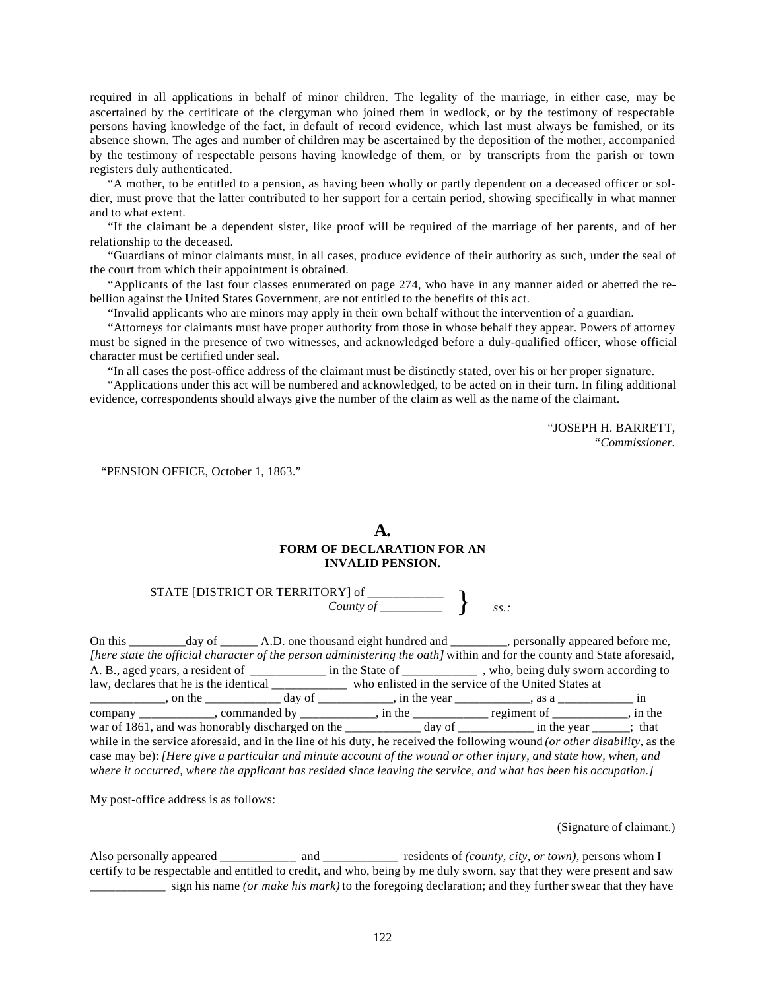required in all applications in behalf of minor children. The legality of the marriage, in either case, may be ascertained by the certificate of the clergyman who joined them in wedlock, or by the testimony of respectable persons having knowledge of the fact, in default of record evidence, which last must always be furnished, or its absence shown. The ages and number of children may be ascertained by the deposition of the mother, accompanied by the testimony of respectable persons having knowledge of them, or by transcripts from the parish or town registers duly authenticated.

"A mother, to be entitled to a pension, as having been wholly or partly dependent on a deceased officer or soldier, must prove that the latter contributed to her support for a certain period, showing specifically in what manner and to what extent.

"If the claimant be a dependent sister, like proof will be required of the marriage of her parents, and of her relationship to the deceased.

"Guardians of minor claimants must, in all cases, produce evidence of their authority as such, under the seal of the court from which their appointment is obtained.

"Applicants of the last four classes enumerated on page 274, who have in any manner aided or abetted the rebellion against the United States Government, are not entitled to the benefits of this act.

"Invalid applicants who are minors may apply in their own behalf without the intervention of a guardian.

"Attorneys for claimants must have proper authority from those in whose behalf they appear. Powers of attorney must be signed in the presence of two witnesses, and acknowledged before a duly-qualified officer, whose official character must be certified under seal.

"In all cases the post-office address of the claimant must be distinctly stated, over his or her proper signature.

"Applications under this act will be numbered and acknowledged, to be acted on in their turn. In filing additional evidence, correspondents should always give the number of the claim as well as the name of the claimant.

> "JOSEPH H. BARRETT, *"Commissioner.*

"PENSION OFFICE, October 1, 1863."

#### **A. FORM OF DECLARATION FOR AN INVALID PENSION.**

STATE [DISTRICT OR TERRITORY] of \_\_\_\_\_\_\_\_\_\_\_\_ *County of \_\_\_\_\_\_\_\_\_\_* } *ss.:*

On this \_\_\_\_\_\_\_\_day of \_\_\_\_\_\_\_ A.D. one thousand eight hundred and \_\_\_\_\_\_\_\_, personally appeared before me, *[here state the official character of the person administering the oath]* within and for the county and State aforesaid, A. B., aged years, a resident of \_\_\_\_\_\_\_\_\_\_\_\_ in the State of \_\_\_\_\_\_\_\_\_\_\_\_\_\_\_, who, being duly sworn according to law, declares that he is the identical \_\_\_\_\_\_\_\_\_\_\_\_ who enlisted in the service of the United States at  $\frac{1}{2}$  on the \_\_\_\_\_\_\_\_\_\_\_\_\_\_\_\_ day of \_\_\_\_\_\_\_\_\_\_\_\_, in the year \_\_\_\_\_\_\_\_\_\_\_\_\_, as a \_\_\_\_\_\_\_\_\_\_\_\_\_\_\_ in company \_\_\_\_\_\_\_\_\_\_\_\_, commanded by \_\_\_\_\_\_\_\_\_\_\_\_, in the \_\_\_\_\_\_\_\_\_\_\_\_\_\_ regiment of \_\_\_\_\_\_\_\_\_\_\_, in the war of 1861, and was honorably discharged on the \_\_\_\_\_\_\_\_\_\_\_\_ day of \_\_\_\_\_\_\_\_\_\_\_\_ in the year \_\_\_\_\_\_; that while in the service aforesaid, and in the line of his duty, he received the following wound *(or other disability,* as the case may be): *[Here give a particular and minute account of the wound or other injury, and state how, when, and where it occurred, where the applicant has resided since leaving the service, and what has been his occupation.]*

My post-office address is as follows:

(Signature of claimant.)

Also personally appeared \_\_\_\_\_\_\_\_\_\_ and \_\_\_\_\_\_\_\_\_\_\_ residents of *(county, city, or town)*, persons whom I certify to be respectable and entitled to credit, and who, being by me duly sworn, say that they were present and saw \_\_\_\_\_\_\_\_\_\_\_\_ sign his name *(or make his mark)* to the foregoing declaration; and they further swear that they have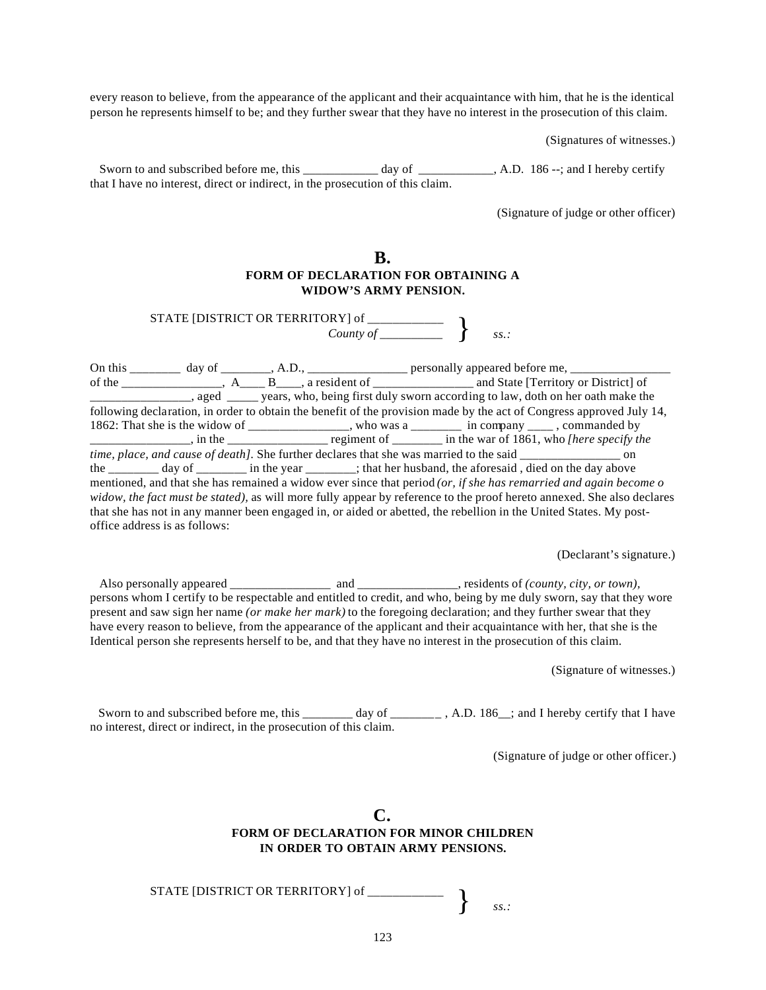every reason to believe, from the appearance of the applicant and their acquaintance with him, that he is the identical person he represents himself to be; and they further swear that they have no interest in the prosecution of this claim.

(Signatures of witnesses.)

Sworn to and subscribed before me, this \_\_\_\_\_\_\_\_\_\_\_\_\_ day of \_\_\_\_\_\_\_\_\_\_\_, A.D. 186 --; and I hereby certify that I have no interest, direct or indirect, in the prosecution of this claim.

(Signature of judge or other officer)

#### **B. FORM OF DECLARATION FOR OBTAINING A WIDOW'S ARMY PENSION.**

STATE [DISTRICT OR TERRITORY] of \_\_\_\_\_\_\_\_\_\_\_\_ *County of \_\_\_\_\_\_\_\_\_\_* } *ss.:*

On this \_\_\_\_\_\_\_\_ day of \_\_\_\_\_\_\_\_, A.D., \_\_\_\_\_\_\_\_\_\_\_\_\_\_\_\_ personally appeared before me, \_\_\_\_\_\_\_\_\_\_\_\_\_\_\_\_ of the \_\_\_\_\_\_\_\_\_\_\_\_\_\_,  $A_{\text{max}}$  B\_\_\_, a resident of \_\_\_\_\_\_\_\_\_\_\_\_\_\_\_ and State [Territory or District] of \_\_\_\_\_\_\_\_\_, aged \_\_\_\_\_\_ years, who, being first duly sworn according to law, doth on her oath make the following declaration, in order to obtain the benefit of the provision made by the act of Congress approved July 14, 1862: That she is the widow of \_\_\_\_\_\_\_\_\_\_\_\_\_\_, who was a \_\_\_\_\_\_\_\_ in company \_\_\_\_, commanded by \_\_\_\_\_\_\_\_\_\_\_\_\_\_\_\_, in the \_\_\_\_\_\_\_\_\_\_\_\_\_\_\_\_ regiment of \_\_\_\_\_\_\_\_ in the war of 1861, who *[here specify the time, place, and cause of death].* She further declares that she was married to the said \_\_\_\_\_\_\_\_\_\_\_\_\_\_\_\_ on the \_\_\_\_\_\_\_\_ day of \_\_\_\_\_\_\_\_ in the year \_\_\_\_\_\_\_\_; that her husband, the aforesaid , died on the day above mentioned, and that she has remained a widow ever since that period *(or, if she has remarried and again become o widow, the fact must be stated),* as will more fully appear by reference to the proof hereto annexed. She also declares that she has not in any manner been engaged in, or aided or abetted, the rebellion in the United States. My postoffice address is as follows:

(Declarant's signature.)

Also personally appeared \_\_\_\_\_\_\_\_\_\_\_\_\_\_\_\_ and \_\_\_\_\_\_\_\_\_\_\_\_\_\_, residents of *(county, city, or town),* persons whom I certify to be respectable and entitled to credit, and who, being by me duly sworn, say that they wore present and saw sign her name *(or make her mark)* to the foregoing declaration; and they further swear that they have every reason to believe, from the appearance of the applicant and their acquaintance with her, that she is the Identical person she represents herself to be, and that they have no interest in the prosecution of this claim.

(Signature of witnesses.)

Sworn to and subscribed before me, this \_\_\_\_\_\_\_\_ day of \_\_\_\_\_\_\_\_, A.D. 186\_; and I hereby certify that I have no interest, direct or indirect, in the prosecution of this claim.

(Signature of judge or other officer.)

**C. FORM OF DECLARATION FOR MINOR CHILDREN IN ORDER TO OBTAIN ARMY PENSIONS.**

STATE [DISTRICT OR TERRITORY] of \_\_\_\_\_\_\_\_\_\_\_\_ } *ss.:*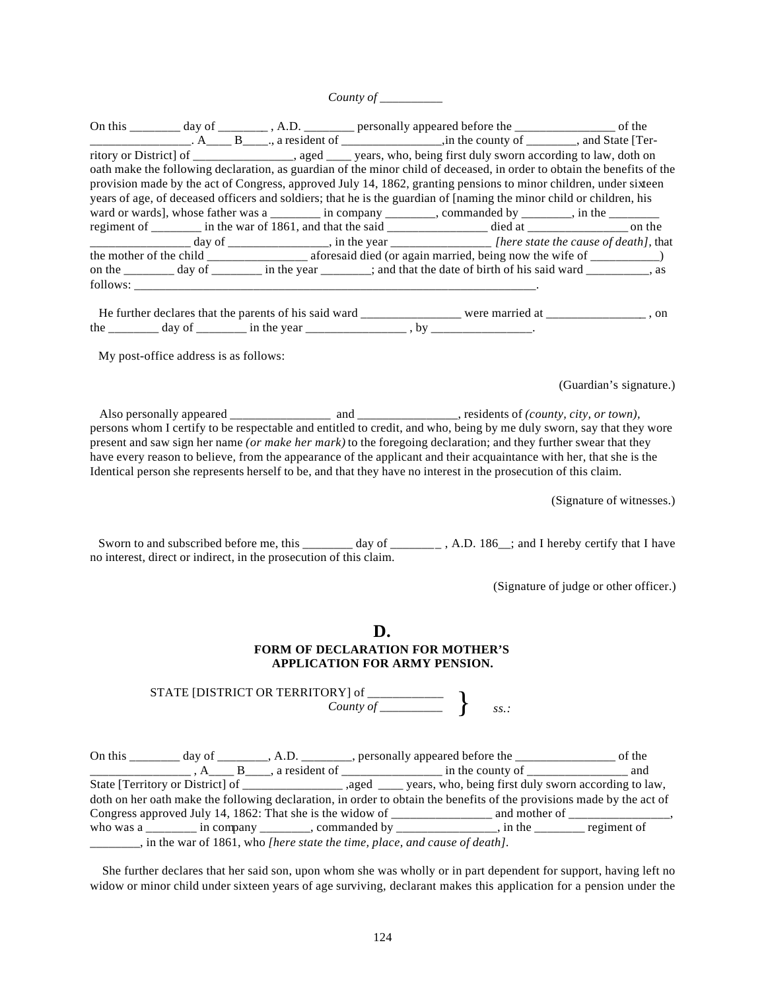## *County of \_\_\_\_\_\_\_\_\_\_*

|                                       | On this ________ day of _________, A.D. ________ personally appeared before the ________________ of the                                                                                                                                                                                                                                                                                                                                                                                                                                                                                                                                                                                                       |    |                                      |     |                                                                                                                                                                                                                                                                    |
|---------------------------------------|---------------------------------------------------------------------------------------------------------------------------------------------------------------------------------------------------------------------------------------------------------------------------------------------------------------------------------------------------------------------------------------------------------------------------------------------------------------------------------------------------------------------------------------------------------------------------------------------------------------------------------------------------------------------------------------------------------------|----|--------------------------------------|-----|--------------------------------------------------------------------------------------------------------------------------------------------------------------------------------------------------------------------------------------------------------------------|
|                                       | ritory or District] of _________________, aged ____ years, who, being first duly sworn according to law, doth on<br>provision made by the act of Congress, approved July 14, 1862, granting pensions to minor children, under sixteen<br>years of age, of deceased officers and soldiers; that he is the guardian of [naming the minor child or children, his<br>ward or wards], whose father was a ________ in company _______, commanded by ______, in the _______<br>regiment of ________ in the war of 1861, and that the said ______________________ died at ___________________ on the<br>on the ________ day of _______ in the year _______; and that the date of birth of his said ward _________, as |    |                                      |     | oath make the following declaration, as guardian of the minor child of deceased, in order to obtain the benefits of the<br>He further declares that the parents of his said ward ______________ were married at ______________, on                                 |
| My post-office address is as follows: |                                                                                                                                                                                                                                                                                                                                                                                                                                                                                                                                                                                                                                                                                                               |    |                                      |     | (Guardian's signature.)                                                                                                                                                                                                                                            |
|                                       | present and saw sign her name (or make her mark) to the foregoing declaration; and they further swear that they<br>have every reason to believe, from the appearance of the applicant and their acquaintance with her, that she is the<br>Identical person she represents herself to be, and that they have no interest in the prosecution of this claim.                                                                                                                                                                                                                                                                                                                                                     |    |                                      |     | persons whom I certify to be respectable and entitled to credit, and who, being by me duly sworn, say that they wore<br>(Signature of witnesses.)<br>Sworn to and subscribed before me, this ________ day of ________, A.D. 186_; and I hereby certify that I have |
|                                       | no interest, direct or indirect, in the prosecution of this claim.                                                                                                                                                                                                                                                                                                                                                                                                                                                                                                                                                                                                                                            |    |                                      |     | (Signature of judge or other officer.)                                                                                                                                                                                                                             |
|                                       | <b>FORM OF DECLARATION FOR MOTHER'S</b><br>On this ________ day of ________, A.D. _______, personally appeared before the ______________ of the                                                                                                                                                                                                                                                                                                                                                                                                                                                                                                                                                               | D. | <b>APPLICATION FOR ARMY PENSION.</b> | SS. |                                                                                                                                                                                                                                                                    |
|                                       |                                                                                                                                                                                                                                                                                                                                                                                                                                                                                                                                                                                                                                                                                                               |    |                                      |     | doth on her oath make the following declaration, in order to obtain the benefits of the provisions made by the act of<br>Congress approved July 14, 1862: That she is the widow of _______________________ and mother of ____________________                      |
|                                       | who was a _______ in company _______, commanded by ___________, in the _______ regiment of<br>______, in the war of 1861, who [here state the time, place, and cause of death].                                                                                                                                                                                                                                                                                                                                                                                                                                                                                                                               |    |                                      |     |                                                                                                                                                                                                                                                                    |

She further declares that her said son, upon whom she was wholly or in part dependent for support, having left no widow or minor child under sixteen years of age surviving, declarant makes this application for a pension under the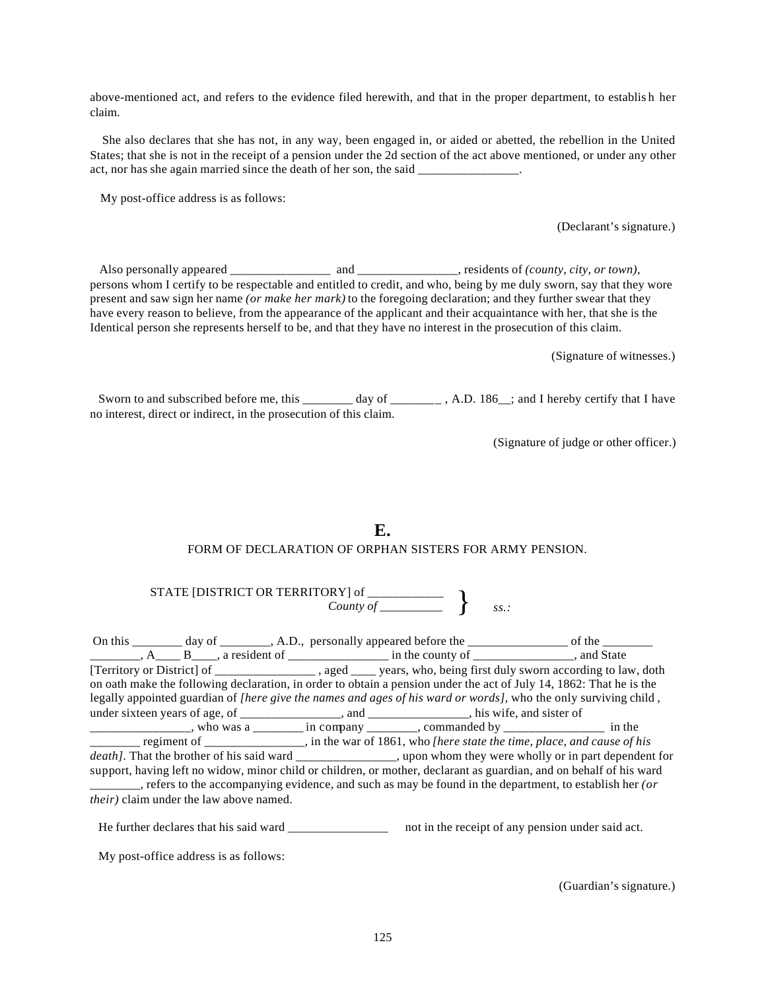above-mentioned act, and refers to the evidence filed herewith, and that in the proper department, to establis h her claim.

She also declares that she has not, in any way, been engaged in, or aided or abetted, the rebellion in the United States; that she is not in the receipt of a pension under the 2d section of the act above mentioned, or under any other act, nor has she again married since the death of her son, the said \_\_\_\_\_\_\_\_\_\_\_\_\_\_\_\_.

My post-office address is as follows:

(Declarant's signature.)

Also personally appeared \_\_\_\_\_\_\_\_\_\_\_\_\_\_\_\_ and \_\_\_\_\_\_\_\_\_\_\_\_\_\_\_\_, residents of *(county, city, or town),* persons whom I certify to be respectable and entitled to credit, and who, being by me duly sworn, say that they wore present and saw sign her name *(or make her mark)* to the foregoing declaration; and they further swear that they have every reason to believe, from the appearance of the applicant and their acquaintance with her, that she is the Identical person she represents herself to be, and that they have no interest in the prosecution of this claim.

(Signature of witnesses.)

Sworn to and subscribed before me, this \_\_\_\_\_\_\_ day of \_\_\_\_\_\_\_, A.D. 186\_; and I hereby certify that I have no interest, direct or indirect, in the prosecution of this claim.

(Signature of judge or other officer.)

## **E.**

#### FORM OF DECLARATION OF ORPHAN SISTERS FOR ARMY PENSION.

STATE [DISTRICT OR TERRITORY] of \_\_\_\_\_\_\_\_\_\_\_\_ *County of \_\_\_\_\_\_\_\_\_\_* } *ss.:*

|                                                                                                  |  | On this _________ day of ________, A.D., personally appeared before the ________________ of the _________                     |  |
|--------------------------------------------------------------------------------------------------|--|-------------------------------------------------------------------------------------------------------------------------------|--|
|                                                                                                  |  | $\underline{\phantom{a}}$ , A__________, a resident of ________________________ in the county of _________________, and State |  |
|                                                                                                  |  | [Territory or District] of ________________, aged ____ years, who, being first duly sworn according to law, doth              |  |
|                                                                                                  |  | on oath make the following declaration, in order to obtain a pension under the act of July 14, 1862: That he is the           |  |
|                                                                                                  |  | legally appointed guardian of <i>[here give the names and ages of his ward or words]</i> , who the only surviving child,      |  |
| under sixteen years of age, of __________________, and ________________, his wife, and sister of |  |                                                                                                                               |  |
|                                                                                                  |  | ________________, who was a ________ in company _______, commanded by _______________ in the                                  |  |
|                                                                                                  |  | regiment of _____________, in the war of 1861, who <i>[here state the time, place, and cause of his</i>                       |  |
|                                                                                                  |  | death]. That the brother of his said ward ______________, upon whom they were wholly or in part dependent for                 |  |
|                                                                                                  |  | support, having left no widow, minor child or children, or mother, declarant as guardian, and on behalf of his ward           |  |
|                                                                                                  |  | $\frac{1}{1}$ , refers to the accompanying evidence, and such as may be found in the department, to establish her (or         |  |
| <i>their</i> ) claim under the law above named.                                                  |  |                                                                                                                               |  |

He further declares that his said ward \_\_\_\_\_\_\_\_\_\_\_\_\_\_\_\_ not in the receipt of any pension under said act.

My post-office address is as follows:

(Guardian's signature.)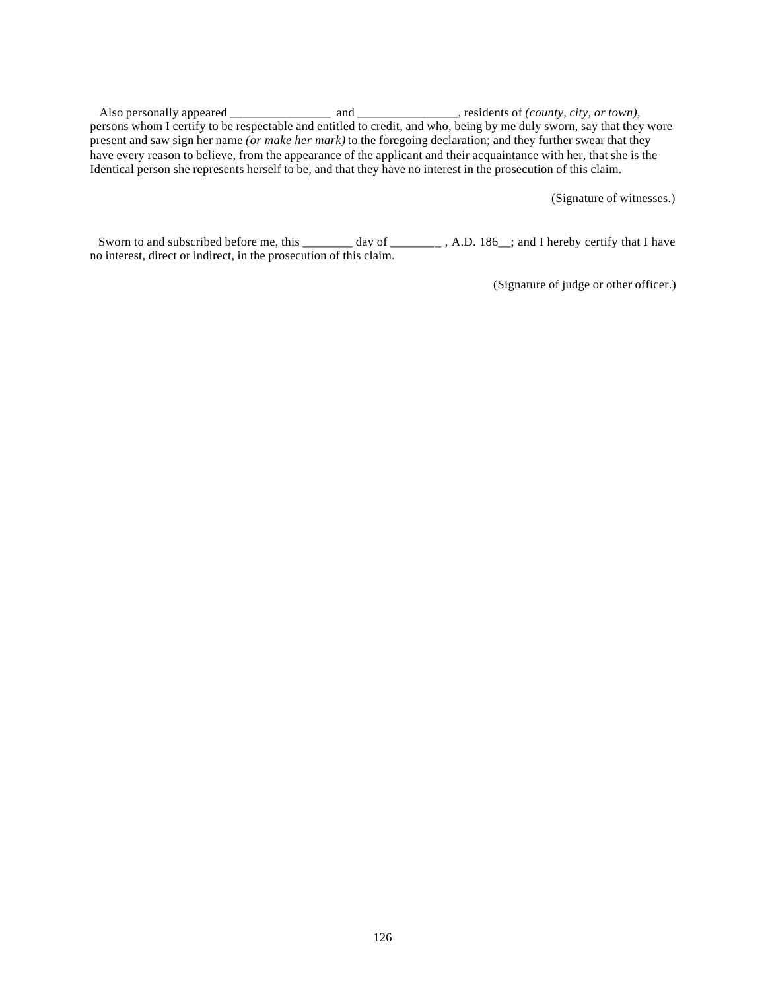Also personally appeared \_\_\_\_\_\_\_\_\_\_\_\_\_\_\_\_ and \_\_\_\_\_\_\_\_\_\_\_\_\_\_\_\_, residents of *(county, city, or town),* persons whom I certify to be respectable and entitled to credit, and who, being by me duly sworn, say that they wore present and saw sign her name *(or make her mark)* to the foregoing declaration; and they further swear that they have every reason to believe, from the appearance of the applicant and their acquaintance with her, that she is the Identical person she represents herself to be, and that they have no interest in the prosecution of this claim.

(Signature of witnesses.)

Sworn to and subscribed before me, this \_\_\_\_\_\_\_\_ day of \_\_\_\_\_\_\_\_, A.D. 186\_; and I hereby certify that I have no interest, direct or indirect, in the prosecution of this claim.

(Signature of judge or other officer.)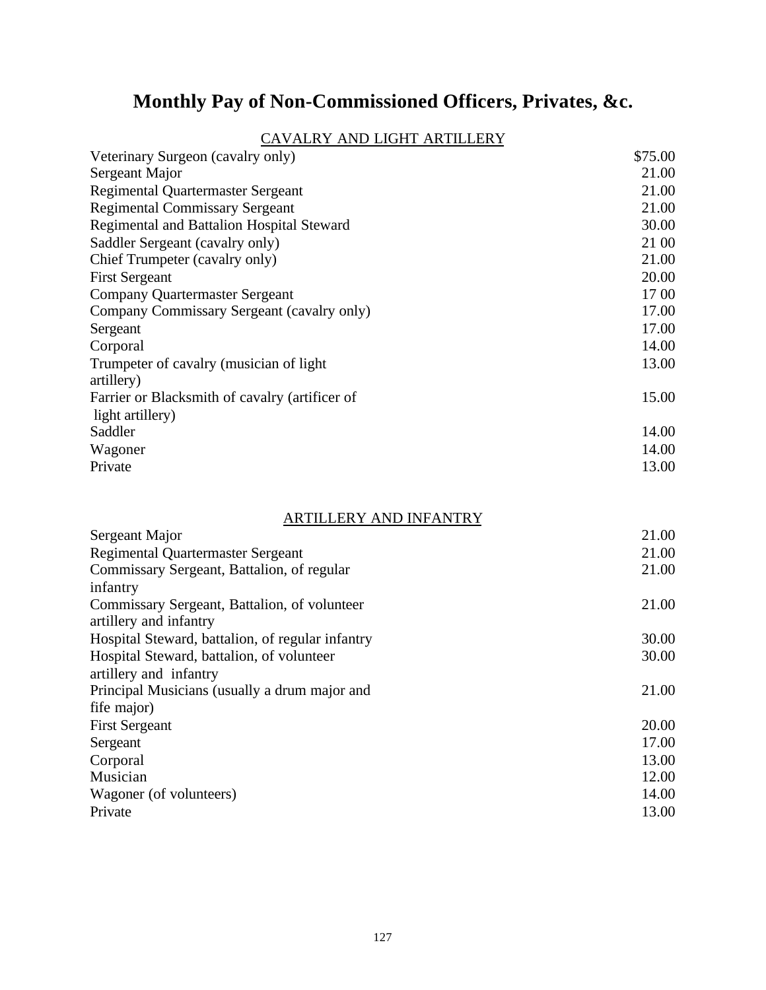# **Monthly Pay of Non-Commissioned Officers, Privates, &c.**

# CAVALRY AND LIGHT ARTILLERY

| Veterinary Surgeon (cavalry only)                      | \$75.00 |
|--------------------------------------------------------|---------|
| Sergeant Major                                         | 21.00   |
| <b>Regimental Quartermaster Sergeant</b>               | 21.00   |
| <b>Regimental Commissary Sergeant</b>                  | 21.00   |
| Regimental and Battalion Hospital Steward              | 30.00   |
| Saddler Sergeant (cavalry only)                        | 21 00   |
| Chief Trumpeter (cavalry only)                         | 21.00   |
| <b>First Sergeant</b>                                  | 20.00   |
| <b>Company Quartermaster Sergeant</b>                  | 17 00   |
| Company Commissary Sergeant (cavalry only)             | 17.00   |
| Sergeant                                               | 17.00   |
| Corporal                                               | 14.00   |
| Trumpeter of cavalry (musician of light)<br>artillery) | 13.00   |
| Farrier or Blacksmith of cavalry (artificer of         | 15.00   |
| light artillery)                                       |         |
| Saddler                                                | 14.00   |
| Wagoner                                                | 14.00   |
| Private                                                | 13.00   |

# ARTILLERY AND INFANTRY

| Sergeant Major                                   | 21.00 |
|--------------------------------------------------|-------|
| <b>Regimental Quartermaster Sergeant</b>         | 21.00 |
| Commissary Sergeant, Battalion, of regular       | 21.00 |
| infantry                                         |       |
| Commissary Sergeant, Battalion, of volunteer     | 21.00 |
| artillery and infantry                           |       |
| Hospital Steward, battalion, of regular infantry | 30.00 |
| Hospital Steward, battalion, of volunteer        | 30.00 |
| artillery and infantry                           |       |
| Principal Musicians (usually a drum major and    | 21.00 |
| fife major)                                      |       |
| <b>First Sergeant</b>                            | 20.00 |
| Sergeant                                         | 17.00 |
| Corporal                                         | 13.00 |
| Musician                                         | 12.00 |
| Wagoner (of volunteers)                          | 14.00 |
| Private                                          | 13.00 |
|                                                  |       |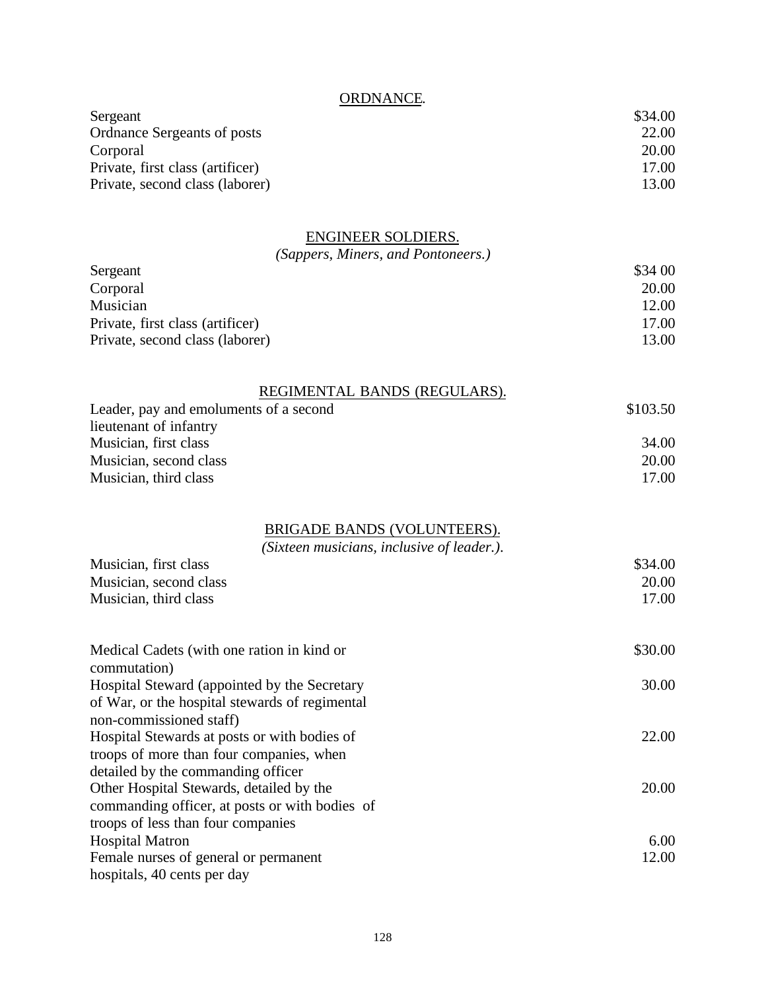# ORDNANCE.

| Sergeant                           | \$34.00 |
|------------------------------------|---------|
| <b>Ordnance Sergeants of posts</b> | 22.00   |
| Corporal                           | 20.00   |
| Private, first class (artificer)   | 17.00   |
| Private, second class (laborer)    | 13.00   |

#### ENGINEER SOLDIERS.

*(Sappers, Miners, and Pontoneers.)*

| Sergeant                         | \$34 00 |
|----------------------------------|---------|
| Corporal                         | 20.00   |
| Musician                         | 12.00   |
| Private, first class (artificer) | 17.00   |
| Private, second class (laborer)  | 13.00   |

| \$103.50 |
|----------|
|          |
| 34.00    |
| 20.00    |
| 17.00    |
|          |

| BRIGADE BANDS (VOLUNTEERS). |
|-----------------------------|
|-----------------------------|

| \$34.00 |
|---------|
| 20.00   |
| 17.00   |
| \$30.00 |
| 30.00   |
|         |
|         |
| 22.00   |
|         |
|         |
| 20.00   |
|         |
|         |
| 6.00    |
| 12.00   |
|         |
|         |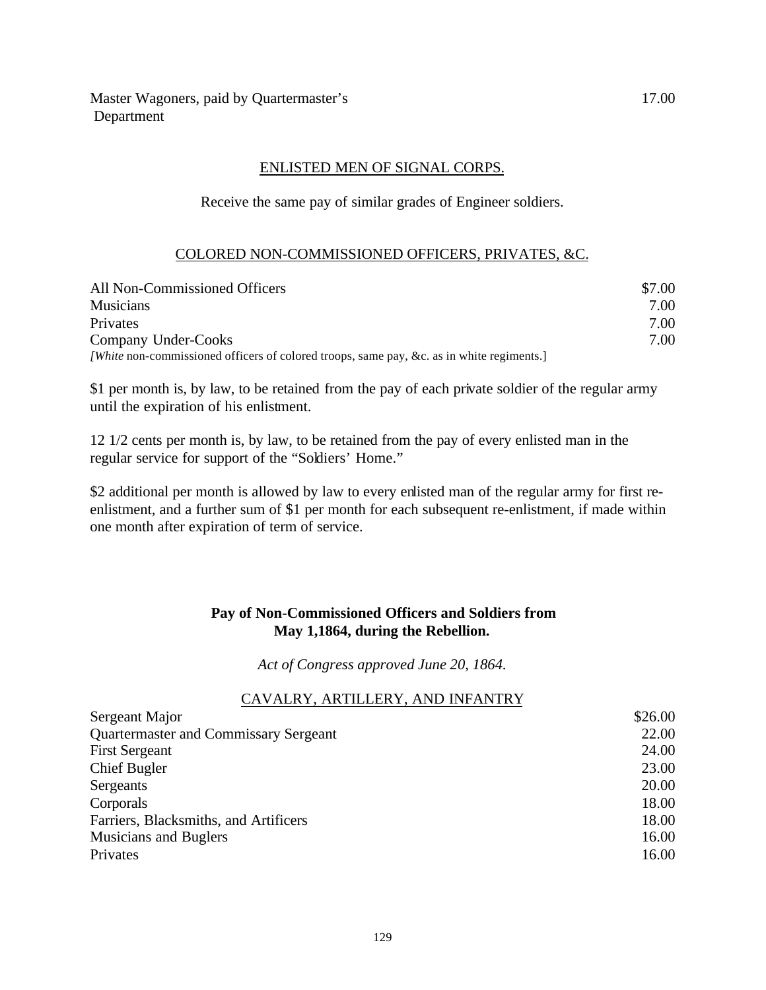Master Wagoners, paid by Quartermaster's Department

## ENLISTED MEN OF SIGNAL CORPS.

## Receive the same pay of similar grades of Engineer soldiers.

### COLORED NON-COMMISSIONED OFFICERS, PRIVATES, &C.

| All Non-Commissioned Officers                                                             | \$7.00 |
|-------------------------------------------------------------------------------------------|--------|
| <b>Musicians</b>                                                                          | 7.00   |
| <b>Privates</b>                                                                           | 7.00   |
| Company Under-Cooks                                                                       | 7.00   |
| [White non-commissioned officers of colored troops, same pay, &c. as in white regiments.] |        |

\$1 per month is, by law, to be retained from the pay of each private soldier of the regular army until the expiration of his enlistment.

12 1/2 cents per month is, by law, to be retained from the pay of every enlisted man in the regular service for support of the "Soldiers' Home."

\$2 additional per month is allowed by law to every enlisted man of the regular army for first reenlistment, and a further sum of \$1 per month for each subsequent re-enlistment, if made within one month after expiration of term of service.

## **Pay of Non-Commissioned Officers and Soldiers from May 1,1864, during the Rebellion.**

*Act of Congress approved June 20, 1864.*

### CAVALRY, ARTILLERY, AND INFANTRY

| Sergeant Major                               | \$26.00 |
|----------------------------------------------|---------|
| <b>Quartermaster and Commissary Sergeant</b> | 22.00   |
| <b>First Sergeant</b>                        | 24.00   |
| <b>Chief Bugler</b>                          | 23.00   |
| Sergeants                                    | 20.00   |
| Corporals                                    | 18.00   |
| Farriers, Blacksmiths, and Artificers        | 18.00   |
| <b>Musicians and Buglers</b>                 | 16.00   |
| Privates                                     | 16.00   |

17.00